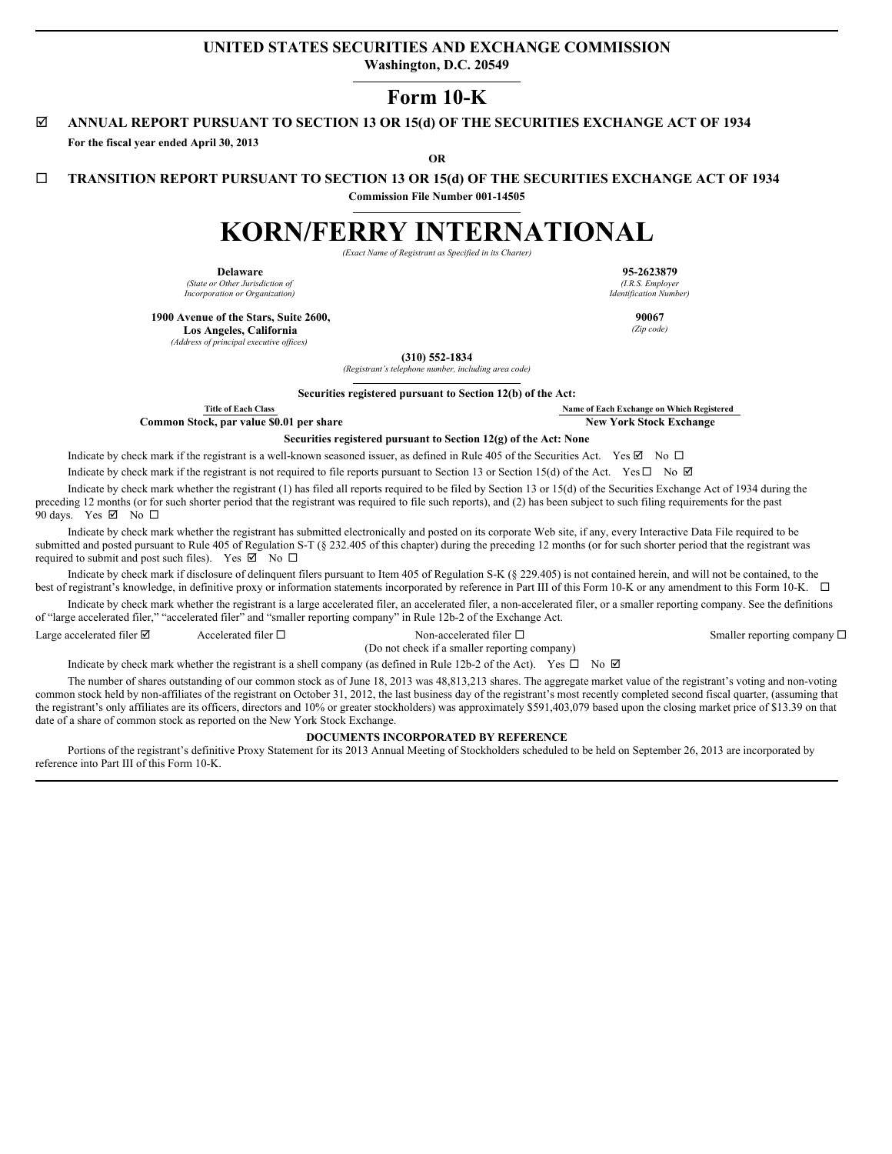# **UNITED STATES SECURITIES AND EXCHANGE COMMISSION Washington, D.C. 20549**

**Form 10-K**

# þ **ANNUAL REPORT PURSUANT TO SECTION 13 OR 15(d) OF THE SECURITIES EXCHANGE ACT OF 1934**

**For the fiscal year ended April 30, 2013**

**OR**

¨ **TRANSITION REPORT PURSUANT TO SECTION 13 OR 15(d) OF THE SECURITIES EXCHANGE ACT OF 1934**

**Commission File Number 001-14505**

# **KORN/FERRY INTERNATIONAL**

*(Exact Name of Registrant as Specified in its Charter)*

*(State or Other Jurisdiction of Incorporation or Organization)*

**1900 Avenue of the Stars, Suite 2600, 1900 10067 1.0s Angeles. California** (Zip code)

 $Los$  *Angeles, California (Address of principal executive of ices)*

**(310) 552-1834**

*(Registrant's telephone number, including area code)*

**Securities registered pursuant to Section 12(b) of the Act:**

**Title of Each Class Name of Each Exchange on Which Registered Common Stock, par value \$0.01 per share New York Stock Exchange** 

## **Securities registered pursuant to Section 12(g) of the Act: None**

Indicate by check mark if the registrant is a well-known seasoned issuer, as defined in Rule 405 of the Securities Act. Yes  $\boxtimes$  No  $\Box$ 

Indicate by check mark if the registrant is not required to file reports pursuant to Section 13 or Section 15(d) of the Act. Yes  $\Box$  No  $\Box$ 

Indicate by check mark whether the registrant (1) has filed all reports required to be filed by Section 13 or 15(d) of the Securities Exchange Act of 1934 during the preceding 12 months (or for such shorter period that the registrant was required to file such reports), and (2) has been subject to such filing requirements for the past 90 days. Yes  $\boxtimes$  No  $\square$ 

Indicate by check mark whether the registrant has submitted electronically and posted on its corporate Web site, if any, every Interactive Data File required to be submitted and posted pursuant to Rule 405 of Regulation S-T (§ 232.405 of this chapter) during the preceding 12 months (or for such shorter period that the registrant was required to submit and post such files). Yes  $\boxtimes$  No  $\square$ 

Indicate by check mark if disclosure of delinquent filers pursuant to Item 405 of Regulation S-K (§ 229.405) is not contained herein, and will not be contained, to the best of registrant's knowledge, in definitive proxy or information statements incorporated by reference in Part III of this Form 10-K or any amendment to this Form 10-K.  $\Box$ 

Indicate by check mark whether the registrant is a large accelerated filer, an accelerated filer, a non-accelerated filer, or a smaller reporting company. See the definitions of "large accelerated filer," "accelerated filer" and "smaller reporting company" in Rule 12b-2 of the Exchange Act.

Large accelerated filer  $\Box$  Accelerated filer  $\Box$  Non-accelerated filer  $\Box$  Smaller reporting company  $\Box$ 

(Do not check if a smaller reporting company)

Indicate by check mark whether the registrant is a shell company (as defined in Rule 12b-2 of the Act). Yes  $\Box$  No  $\Box$ 

The number of shares outstanding of our common stock as of June 18, 2013 was 48,813,213 shares. The aggregate market value of the registrant's voting and non-voting common stock held by non-affiliates of the registrant on October 31, 2012, the last business day of the registrant's most recently completed second fiscal quarter, (assuming that the registrant's only affiliates are its officers, directors and 10% or greater stockholders) was approximately \$591,403,079 based upon the closing market price of \$13.39 on that date of a share of common stock as reported on the New York Stock Exchange.

## **DOCUMENTS INCORPORATED BY REFERENCE**

Portions of the registrant's definitive Proxy Statement for its 2013 Annual Meeting of Stockholders scheduled to be held on September 26, 2013 are incorporated by reference into Part III of this Form 10-K.

**Delaware 95-2623879** *(I.R.S. Employer Identification Number)*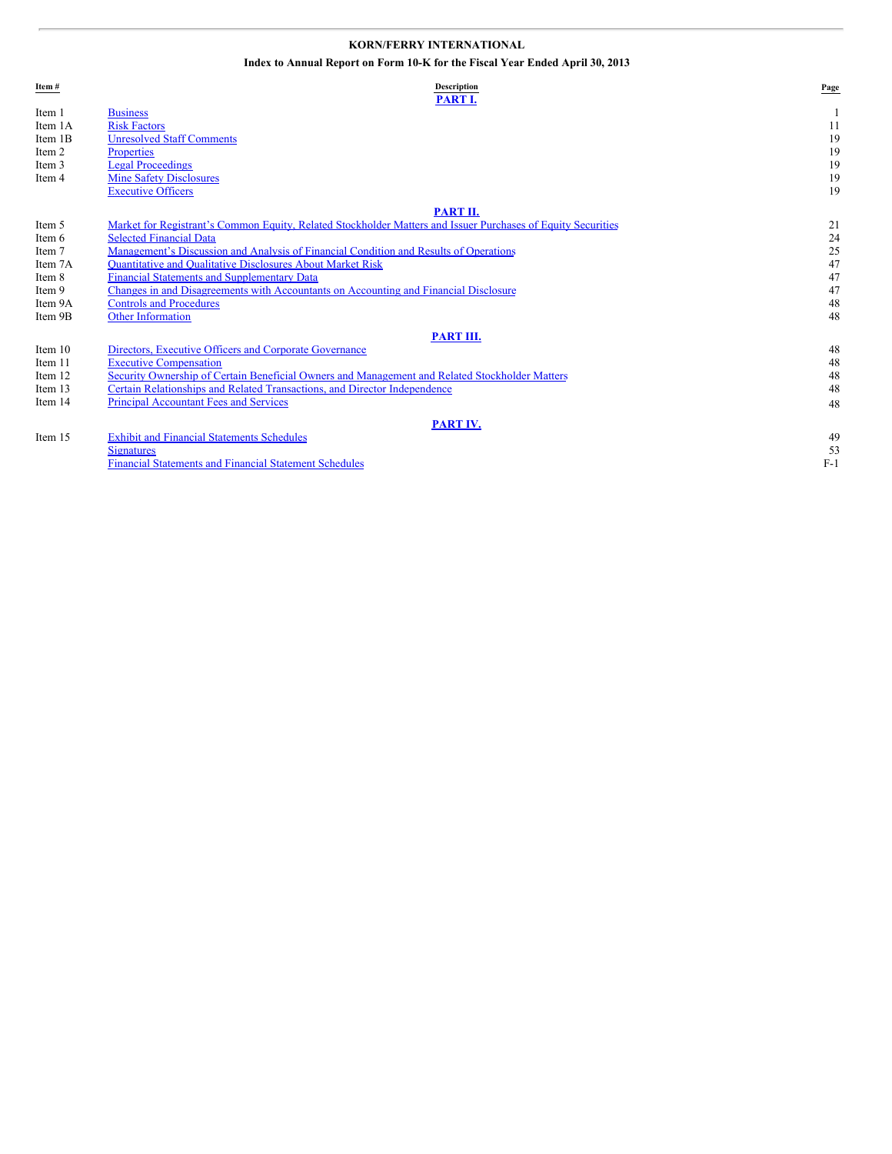# **KORN/FERRY INTERNATIONAL**

**Index to Annual Report on Form 10-K for the Fiscal Year Ended April 30, 2013**

| Item#   | <b>Description</b>                                                                                           | Page     |
|---------|--------------------------------------------------------------------------------------------------------------|----------|
|         | PART I.                                                                                                      |          |
| Item 1  | <b>Business</b>                                                                                              |          |
| Item 1A | <b>Risk Factors</b>                                                                                          | 11<br>19 |
| Item 1B | <b>Unresolved Staff Comments</b>                                                                             |          |
| Item 2  | <b>Properties</b>                                                                                            | 19       |
| Item 3  | <b>Legal Proceedings</b>                                                                                     | 19       |
| Item 4  | <b>Mine Safety Disclosures</b>                                                                               | 19       |
|         | <b>Executive Officers</b>                                                                                    | 19       |
|         | PART II.                                                                                                     |          |
| Item 5  | Market for Registrant's Common Equity, Related Stockholder Matters and Issuer Purchases of Equity Securities | 21       |
| Item 6  | <b>Selected Financial Data</b>                                                                               | 24       |
| Item 7  | Management's Discussion and Analysis of Financial Condition and Results of Operations                        | 25       |
| Item 7A | <b>Ouantitative and Oualitative Disclosures About Market Risk</b>                                            | 47       |
| Item 8  | <b>Financial Statements and Supplementary Data</b>                                                           | 47       |
| Item 9  | Changes in and Disagreements with Accountants on Accounting and Financial Disclosure                         | 47       |
| Item 9A | <b>Controls and Procedures</b>                                                                               | 48       |
| Item 9B | <b>Other Information</b>                                                                                     | 48       |
|         | PART III.                                                                                                    |          |
| Item 10 | Directors, Executive Officers and Corporate Governance                                                       | 48       |
| Item 11 | <b>Executive Compensation</b>                                                                                | 48       |
| Item 12 | Security Ownership of Certain Beneficial Owners and Management and Related Stockholder Matters               | 48       |
| Item 13 | Certain Relationships and Related Transactions, and Director Independence                                    | 48       |
| Item 14 | <b>Principal Accountant Fees and Services</b>                                                                | 48       |
|         | PART IV.                                                                                                     |          |
| Item 15 | <b>Exhibit and Financial Statements Schedules</b>                                                            | 49       |
|         | <b>Signatures</b>                                                                                            | 53       |
|         | <b>Financial Statements and Financial Statement Schedules</b>                                                | $F-1$    |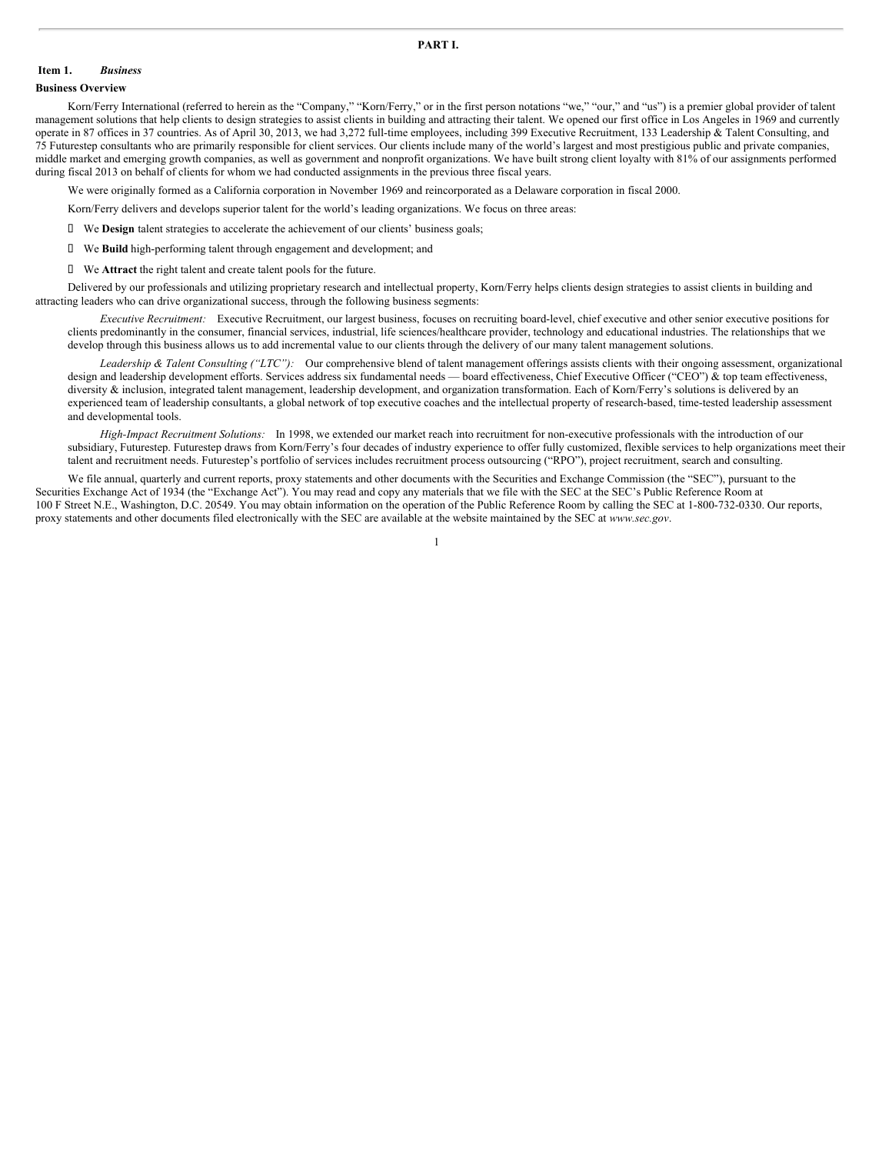# <span id="page-2-1"></span><span id="page-2-0"></span>**Item 1.** *Business*

## **Business Overview**

Korn/Ferry International (referred to herein as the "Company," "Korn/Ferry," or in the first person notations "we," "our," and "us") is a premier global provider of talent management solutions that help clients to design strategies to assist clients in building and attracting their talent. We opened our first office in Los Angeles in 1969 and currently operate in 87 offices in 37 countries. As of April 30, 2013, we had 3,272 full-time employees, including 399 Executive Recruitment, 133 Leadership & Talent Consulting, and 75 Futurestep consultants who are primarily responsible for client services. Our clients include many of the world's largest and most prestigious public and private companies, middle market and emerging growth companies, as well as government and nonprofit organizations. We have built strong client loyalty with 81% of our assignments performed during fiscal 2013 on behalf of clients for whom we had conducted assignments in the previous three fiscal years.

We were originally formed as a California corporation in November 1969 and reincorporated as a Delaware corporation in fiscal 2000.

Korn/Ferry delivers and develops superior talent for the world's leading organizations. We focus on three areas:

We **Design** talent strategies to accelerate the achievement of our clients' business goals;

We **Build** high-performing talent through engagement and development; and

We **Attract** the right talent and create talent pools for the future.

Delivered by our professionals and utilizing proprietary research and intellectual property, Korn/Ferry helps clients design strategies to assist clients in building and attracting leaders who can drive organizational success, through the following business segments:

*Executive Recruitment:* Executive Recruitment, our largest business, focuses on recruiting board-level, chief executive and other senior executive positions for clients predominantly in the consumer, financial services, industrial, life sciences/healthcare provider, technology and educational industries. The relationships that we develop through this business allows us to add incremental value to our clients through the delivery of our many talent management solutions.

*Leadership & Talent Consulting ("LTC"):* Our comprehensive blend of talent management offerings assists clients with their ongoing assessment, organizational design and leadership development efforts. Services address six fundamental needs — board effectiveness, Chief Executive Officer ("CEO") & top team effectiveness, diversity & inclusion, integrated talent management, leadership development, and organization transformation. Each of Korn/Ferry's solutions is delivered by an experienced team of leadership consultants, a global network of top executive coaches and the intellectual property of research-based, time-tested leadership assessment and developmental tools.

*High-Impact Recruitment Solutions:* In 1998, we extended our market reach into recruitment for non-executive professionals with the introduction of our subsidiary, Futurestep. Futurestep draws from Korn/Ferry's four decades of industry experience to offer fully customized, flexible services to help organizations meet their talent and recruitment needs. Futurestep's portfolio of services includes recruitment process outsourcing ("RPO"), project recruitment, search and consulting.

We file annual, quarterly and current reports, proxy statements and other documents with the Securities and Exchange Commission (the "SEC"), pursuant to the Securities Exchange Act of 1934 (the "Exchange Act"). You may read and copy any materials that we file with the SEC at the SEC's Public Reference Room at 100 F Street N.E., Washington, D.C. 20549. You may obtain information on the operation of the Public Reference Room by calling the SEC at 1-800-732-0330. Our reports, proxy statements and other documents filed electronically with the SEC are available at the website maintained by the SEC at *www.sec.gov*.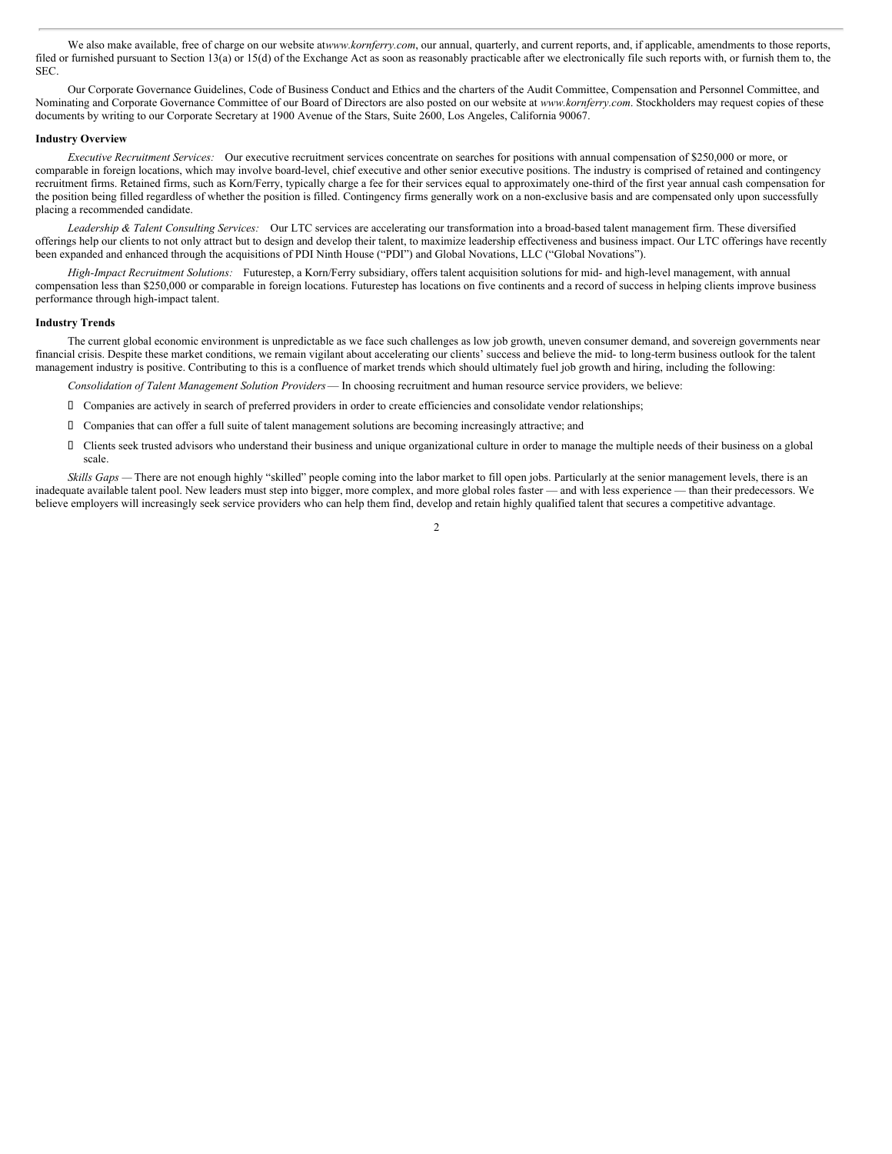We also make available, free of charge on our website at*www.kornferry.com*, our annual, quarterly, and current reports, and, if applicable, amendments to those reports, filed or furnished pursuant to Section 13(a) or 15(d) of the Exchange Act as soon as reasonably practicable after we electronically file such reports with, or furnish them to, the SEC.

Our Corporate Governance Guidelines, Code of Business Conduct and Ethics and the charters of the Audit Committee, Compensation and Personnel Committee, and Nominating and Corporate Governance Committee of our Board of Directors are also posted on our website at *www.kornferry.com*. Stockholders may request copies of these documents by writing to our Corporate Secretary at 1900 Avenue of the Stars, Suite 2600, Los Angeles, California 90067.

#### **Industry Overview**

*Executive Recruitment Services:* Our executive recruitment services concentrate on searches for positions with annual compensation of \$250,000 or more, or comparable in foreign locations, which may involve board-level, chief executive and other senior executive positions. The industry is comprised of retained and contingency recruitment firms. Retained firms, such as Korn/Ferry, typically charge a fee for their services equal to approximately one-third of the first year annual cash compensation for the position being filled regardless of whether the position is filled. Contingency firms generally work on a non-exclusive basis and are compensated only upon successfully placing a recommended candidate.

*Leadership & Talent Consulting Services:* Our LTC services are accelerating our transformation into a broad-based talent management firm. These diversified offerings help our clients to not only attract but to design and develop their talent, to maximize leadership effectiveness and business impact. Our LTC offerings have recently been expanded and enhanced through the acquisitions of PDI Ninth House ("PDI") and Global Novations, LLC ("Global Novations").

*High-Impact Recruitment Solutions:* Futurestep, a Korn/Ferry subsidiary, offers talent acquisition solutions for mid- and high-level management, with annual compensation less than \$250,000 or comparable in foreign locations. Futurestep has locations on five continents and a record of success in helping clients improve business performance through high-impact talent.

## **Industry Trends**

The current global economic environment is unpredictable as we face such challenges as low job growth, uneven consumer demand, and sovereign governments near financial crisis. Despite these market conditions, we remain vigilant about accelerating our clients' success and believe the mid- to long-term business outlook for the talent management industry is positive. Contributing to this is a confluence of market trends which should ultimately fuel job growth and hiring, including the following:

*Consolidation of Talent Management Solution Providers*— In choosing recruitment and human resource service providers, we believe:

- Companies are actively in search of preferred providers in order to create efficiencies and consolidate vendor relationships;
- Companies that can offer a full suite of talent management solutions are becoming increasingly attractive; and
- Clients seek trusted advisors who understand their business and unique organizational culture in order to manage the multiple needs of their business on a global scale.

*Skills Gaps* — There are not enough highly "skilled" people coming into the labor market to fill open jobs. Particularly at the senior management levels, there is an inadequate available talent pool. New leaders must step into bigger, more complex, and more global roles faster — and with less experience — than their predecessors. We believe employers will increasingly seek service providers who can help them find, develop and retain highly qualified talent that secures a competitive advantage.

 $\overline{\mathcal{L}}$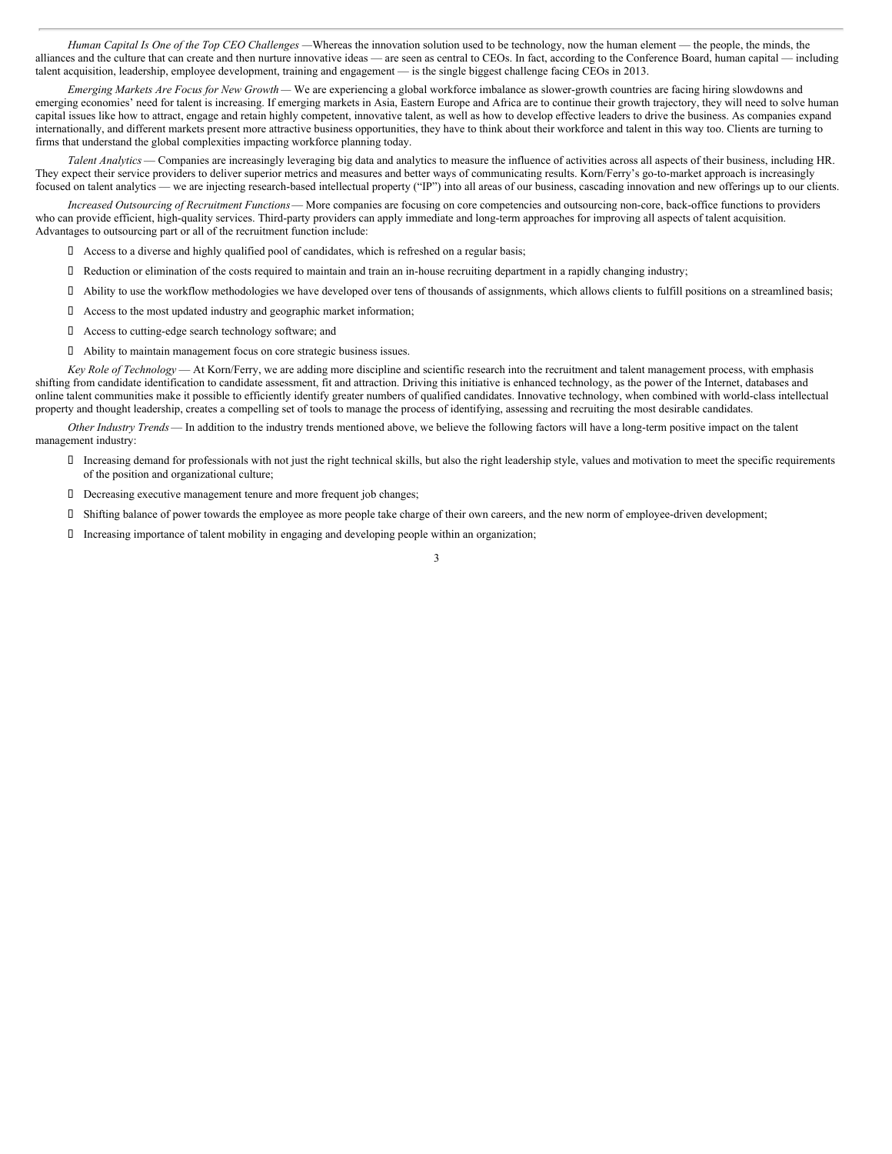*Human Capital Is One of the Top CEO Challenges —*Whereas the innovation solution used to be technology, now the human element — the people, the minds, the alliances and the culture that can create and then nurture innovative ideas — are seen as central to CEOs. In fact, according to the Conference Board, human capital — including talent acquisition, leadership, employee development, training and engagement — is the single biggest challenge facing CEOs in 2013.

*Emerging Markets Are Focus for New Growth —* We are experiencing a global workforce imbalance as slower-growth countries are facing hiring slowdowns and emerging economies' need for talent is increasing. If emerging markets in Asia, Eastern Europe and Africa are to continue their growth trajectory, they will need to solve human capital issues like how to attract, engage and retain highly competent, innovative talent, as well as how to develop effective leaders to drive the business. As companies expand internationally, and different markets present more attractive business opportunities, they have to think about their workforce and talent in this way too. Clients are turning to firms that understand the global complexities impacting workforce planning today.

*Talent Analytics* — Companies are increasingly leveraging big data and analytics to measure the influence of activities across all aspects of their business, including HR. They expect their service providers to deliver superior metrics and measures and better ways of communicating results. Korn/Ferry's go-to-market approach is increasingly focused on talent analytics — we are injecting research-based intellectual property ("IP") into all areas of our business, cascading innovation and new offerings up to our clients.

*Increased Outsourcing of Recruitment Functions*— More companies are focusing on core competencies and outsourcing non-core, back-office functions to providers who can provide efficient, high-quality services. Third-party providers can apply immediate and long-term approaches for improving all aspects of talent acquisition. Advantages to outsourcing part or all of the recruitment function include:

- Access to a diverse and highly qualified pool of candidates, which is refreshed on a regular basis;
- Reduction or elimination of the costs required to maintain and train an in-house recruiting department in a rapidly changing industry;
- Ability to use the workflow methodologies we have developed over tens of thousands of assignments, which allows clients to fulfill positions on a streamlined basis;
- Access to the most updated industry and geographic market information;
- Access to cutting-edge search technology software; and
- Ability to maintain management focus on core strategic business issues.

*Key Role of Technology* — At Korn/Ferry, we are adding more discipline and scientific research into the recruitment and talent management process, with emphasis shifting from candidate identification to candidate assessment, fit and attraction. Driving this initiative is enhanced technology, as the power of the Internet, databases and online talent communities make it possible to efficiently identify greater numbers of qualified candidates. Innovative technology, when combined with world-class intellectual property and thought leadership, creates a compelling set of tools to manage the process of identifying, assessing and recruiting the most desirable candidates.

*Other Industry Trends*— In addition to the industry trends mentioned above, we believe the following factors will have a long-term positive impact on the talent management industry:

- Increasing demand for professionals with not just the right technical skills, but also the right leadership style, values and motivation to meet the specific requirements of the position and organizational culture;
- Decreasing executive management tenure and more frequent job changes;
- Shifting balance of power towards the employee as more people take charge of their own careers, and the new norm of employee-driven development;
- Increasing importance of talent mobility in engaging and developing people within an organization;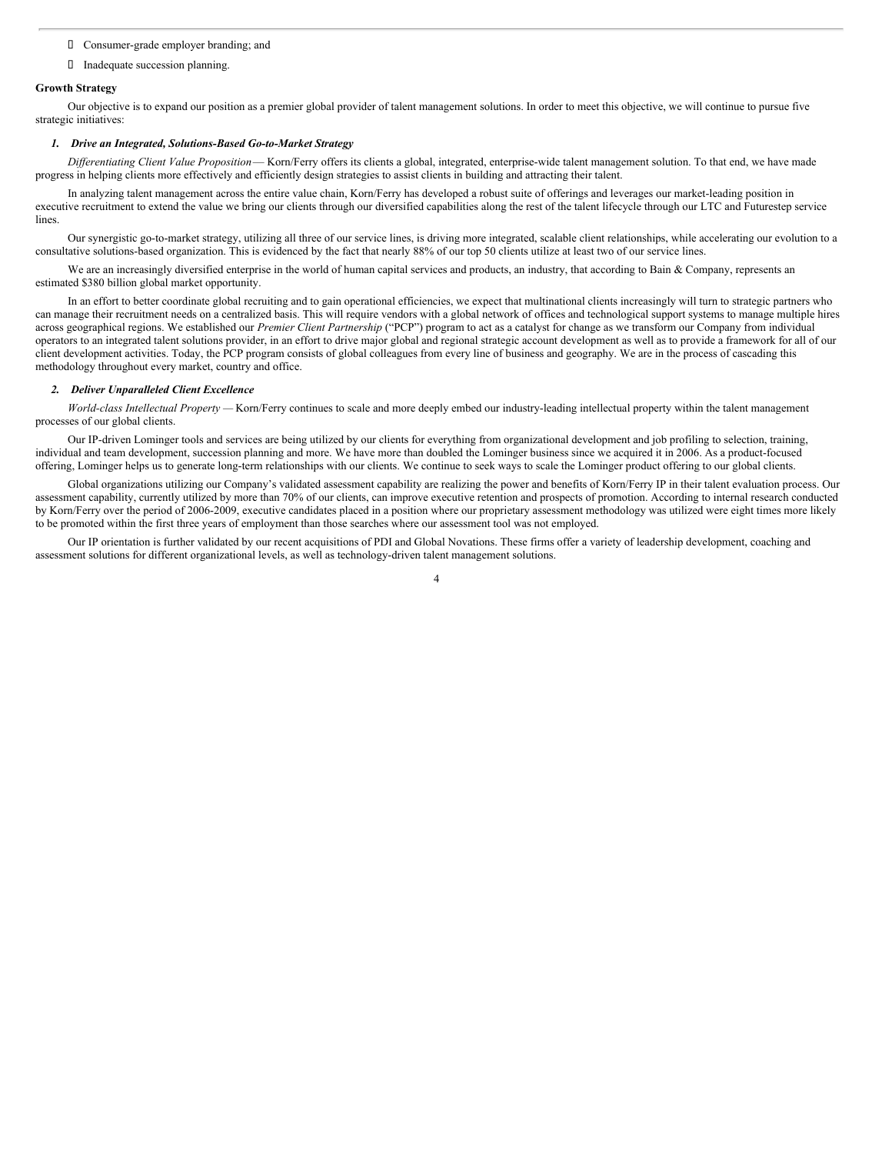Consumer-grade employer branding; and

Inadequate succession planning.

## **Growth Strategy**

Our objective is to expand our position as a premier global provider of talent management solutions. In order to meet this objective, we will continue to pursue five strategic initiatives:

## *1. Drive an Integrated, Solutions-Based Go-to-Market Strategy*

*Dif erentiating Client Value Proposition*— Korn/Ferry offers its clients a global, integrated, enterprise-wide talent management solution. To that end, we have made progress in helping clients more effectively and efficiently design strategies to assist clients in building and attracting their talent.

In analyzing talent management across the entire value chain, Korn/Ferry has developed a robust suite of offerings and leverages our market-leading position in executive recruitment to extend the value we bring our clients through our diversified capabilities along the rest of the talent lifecycle through our LTC and Futurestep service lines.

Our synergistic go-to-market strategy, utilizing all three of our service lines, is driving more integrated, scalable client relationships, while accelerating our evolution to a consultative solutions-based organization. This is evidenced by the fact that nearly 88% of our top 50 clients utilize at least two of our service lines.

We are an increasingly diversified enterprise in the world of human capital services and products, an industry, that according to Bain & Company, represents an estimated \$380 billion global market opportunity.

In an effort to better coordinate global recruiting and to gain operational efficiencies, we expect that multinational clients increasingly will turn to strategic partners who can manage their recruitment needs on a centralized basis. This will require vendors with a global network of offices and technological support systems to manage multiple hires across geographical regions. We established our *Premier Client Partnership* ("PCP") program to act as a catalyst for change as we transform our Company from individual operators to an integrated talent solutions provider, in an effort to drive major global and regional strategic account development as well as to provide a framework for all of our client development activities. Today, the PCP program consists of global colleagues from every line of business and geography. We are in the process of cascading this methodology throughout every market, country and office.

## *2. Deliver Unparalleled Client Excellence*

*World-class Intellectual Property —* Korn/Ferry continues to scale and more deeply embed our industry-leading intellectual property within the talent management processes of our global clients.

Our IP-driven Lominger tools and services are being utilized by our clients for everything from organizational development and job profiling to selection, training, individual and team development, succession planning and more. We have more than doubled the Lominger business since we acquired it in 2006. As a product-focused offering, Lominger helps us to generate long-term relationships with our clients. We continue to seek ways to scale the Lominger product offering to our global clients.

Global organizations utilizing our Company's validated assessment capability are realizing the power and benefits of Korn/Ferry IP in their talent evaluation process. Our assessment capability, currently utilized by more than 70% of our clients, can improve executive retention and prospects of promotion. According to internal research conducted by Korn/Ferry over the period of 2006-2009, executive candidates placed in a position where our proprietary assessment methodology was utilized were eight times more likely to be promoted within the first three years of employment than those searches where our assessment tool was not employed.

Our IP orientation is further validated by our recent acquisitions of PDI and Global Novations. These firms offer a variety of leadership development, coaching and assessment solutions for different organizational levels, as well as technology-driven talent management solutions.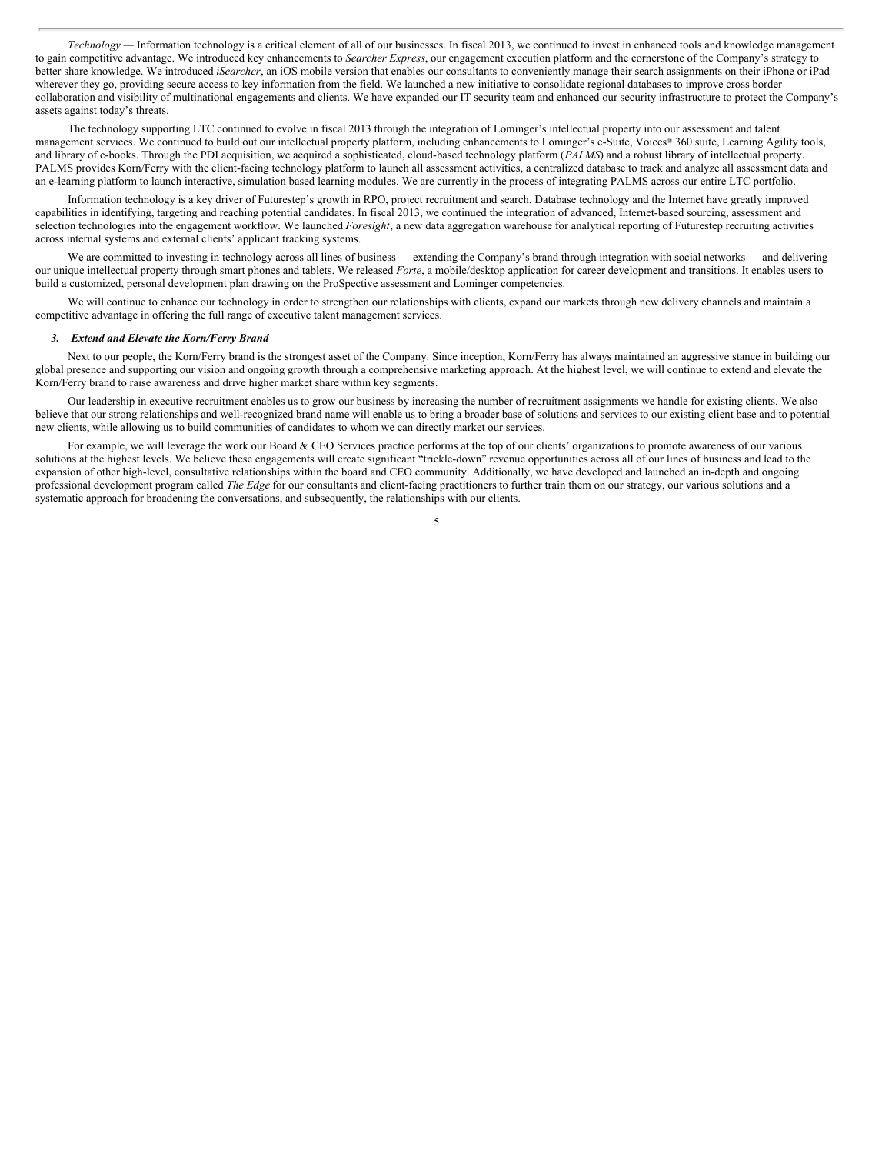*Technology —* Information technology is a critical element of all of our businesses. In fiscal 2013, we continued to invest in enhanced tools and knowledge management to gain competitive advantage. We introduced key enhancements to *Searcher Express*, our engagement execution platform and the cornerstone of the Company's strategy to better share knowledge. We introduced *iSearcher*, an iOS mobile version that enables our consultants to conveniently manage their search assignments on their iPhone or iPad wherever they go, providing secure access to key information from the field. We launched a new initiative to consolidate regional databases to improve cross border collaboration and visibility of multinational engagements and clients. We have expanded our IT security team and enhanced our security infrastructure to protect the Company's assets against today's threats.

The technology supporting LTC continued to evolve in fiscal 2013 through the integration of Lominger's intellectual property into our assessment and talent management services. We continued to build out our intellectual property platform, including enhancements to Lominger's e-Suite, Voices® 360 suite, Learning Agility tools, and library of e-books. Through the PDI acquisition, we acquired a sophisticated, cloud-based technology platform (*PALMS*) and a robust library of intellectual property. PALMS provides Korn/Ferry with the client-facing technology platform to launch all assessment activities, a centralized database to track and analyze all assessment data and an e-learning platform to launch interactive, simulation based learning modules. We are currently in the process of integrating PALMS across our entire LTC portfolio.

Information technology is a key driver of Futurestep's growth in RPO, project recruitment and search. Database technology and the Internet have greatly improved capabilities in identifying, targeting and reaching potential candidates. In fiscal 2013, we continued the integration of advanced, Internet-based sourcing, assessment and selection technologies into the engagement workflow. We launched *Foresight*, a new data aggregation warehouse for analytical reporting of Futurestep recruiting activities across internal systems and external clients' applicant tracking systems.

We are committed to investing in technology across all lines of business — extending the Company's brand through integration with social networks — and delivering our unique intellectual property through smart phones and tablets. We released *Forte*, a mobile/desktop application for career development and transitions. It enables users to build a customized, personal development plan drawing on the ProSpective assessment and Lominger competencies.

We will continue to enhance our technology in order to strengthen our relationships with clients, expand our markets through new delivery channels and maintain a competitive advantage in offering the full range of executive talent management services.

#### *3. Extend and Elevate the Korn/Ferry Brand*

Next to our people, the Korn/Ferry brand is the strongest asset of the Company. Since inception, Korn/Ferry has always maintained an aggressive stance in building our global presence and supporting our vision and ongoing growth through a comprehensive marketing approach. At the highest level, we will continue to extend and elevate the Korn/Ferry brand to raise awareness and drive higher market share within key segments.

Our leadership in executive recruitment enables us to grow our business by increasing the number of recruitment assignments we handle for existing clients. We also believe that our strong relationships and well-recognized brand name will enable us to bring a broader base of solutions and services to our existing client base and to potential new clients, while allowing us to build communities of candidates to whom we can directly market our services.

For example, we will leverage the work our Board & CEO Services practice performs at the top of our clients' organizations to promote awareness of our various solutions at the highest levels. We believe these engagements will create significant "trickle-down" revenue opportunities across all of our lines of business and lead to the expansion of other high-level, consultative relationships within the board and CEO community. Additionally, we have developed and launched an in-depth and ongoing professional development program called *The Edge* for our consultants and client-facing practitioners to further train them on our strategy, our various solutions and a systematic approach for broadening the conversations, and subsequently, the relationships with our clients.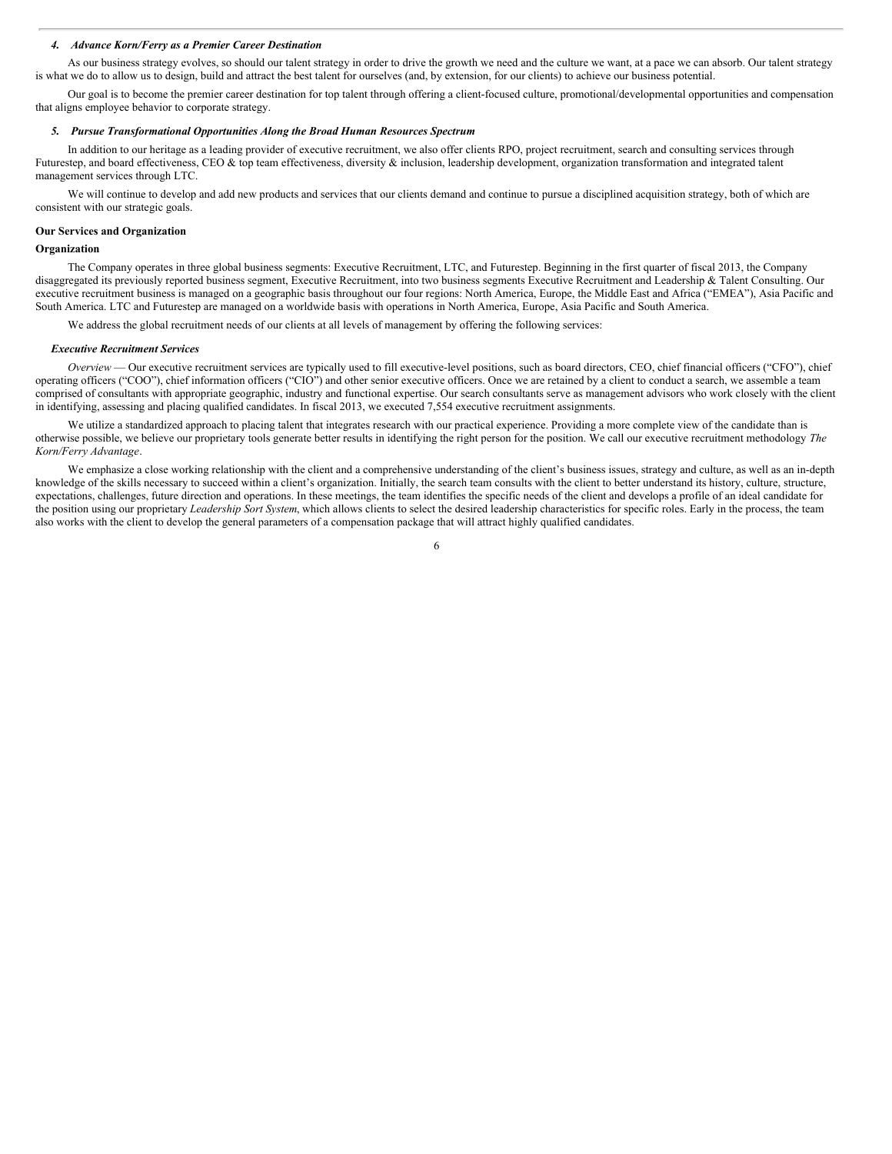#### *4. Advance Korn/Ferry as a Premier Career Destination*

As our business strategy evolves, so should our talent strategy in order to drive the growth we need and the culture we want, at a pace we can absorb. Our talent strategy is what we do to allow us to design, build and attract the best talent for ourselves (and, by extension, for our clients) to achieve our business potential.

Our goal is to become the premier career destination for top talent through offering a client-focused culture, promotional/developmental opportunities and compensation that aligns employee behavior to corporate strategy.

#### *5. Pursue Transformational Opportunities Along the Broad Human Resources Spectrum*

In addition to our heritage as a leading provider of executive recruitment, we also offer clients RPO, project recruitment, search and consulting services through Futurestep, and board effectiveness, CEO & top team effectiveness, diversity & inclusion, leadership development, organization transformation and integrated talent management services through LTC.

We will continue to develop and add new products and services that our clients demand and continue to pursue a disciplined acquisition strategy, both of which are consistent with our strategic goals.

## **Our Services and Organization**

#### **Organization**

The Company operates in three global business segments: Executive Recruitment, LTC, and Futurestep. Beginning in the first quarter of fiscal 2013, the Company disaggregated its previously reported business segment, Executive Recruitment, into two business segments Executive Recruitment and Leadership & Talent Consulting. Our executive recruitment business is managed on a geographic basis throughout our four regions: North America, Europe, the Middle East and Africa ("EMEA"), Asia Pacific and South America. LTC and Futurestep are managed on a worldwide basis with operations in North America, Europe, Asia Pacific and South America.

We address the global recruitment needs of our clients at all levels of management by offering the following services:

#### *Executive Recruitment Services*

*Overview* — Our executive recruitment services are typically used to fill executive-level positions, such as board directors, CEO, chief financial officers ("CFO"), chief operating officers ("COO"), chief information officers ("CIO") and other senior executive officers. Once we are retained by a client to conduct a search, we assemble a team comprised of consultants with appropriate geographic, industry and functional expertise. Our search consultants serve as management advisors who work closely with the client in identifying, assessing and placing qualified candidates. In fiscal 2013, we executed 7,554 executive recruitment assignments.

We utilize a standardized approach to placing talent that integrates research with our practical experience. Providing a more complete view of the candidate than is otherwise possible, we believe our proprietary tools generate better results in identifying the right person for the position. We call our executive recruitment methodology *The Korn/Ferry Advantage*.

We emphasize a close working relationship with the client and a comprehensive understanding of the client's business issues, strategy and culture, as well as an in-depth knowledge of the skills necessary to succeed within a client's organization. Initially, the search team consults with the client to better understand its history, culture, structure, expectations, challenges, future direction and operations. In these meetings, the team identifies the specific needs of the client and develops a profile of an ideal candidate for the position using our proprietary *Leadership Sort System*, which allows clients to select the desired leadership characteristics for specific roles. Early in the process, the team also works with the client to develop the general parameters of a compensation package that will attract highly qualified candidates.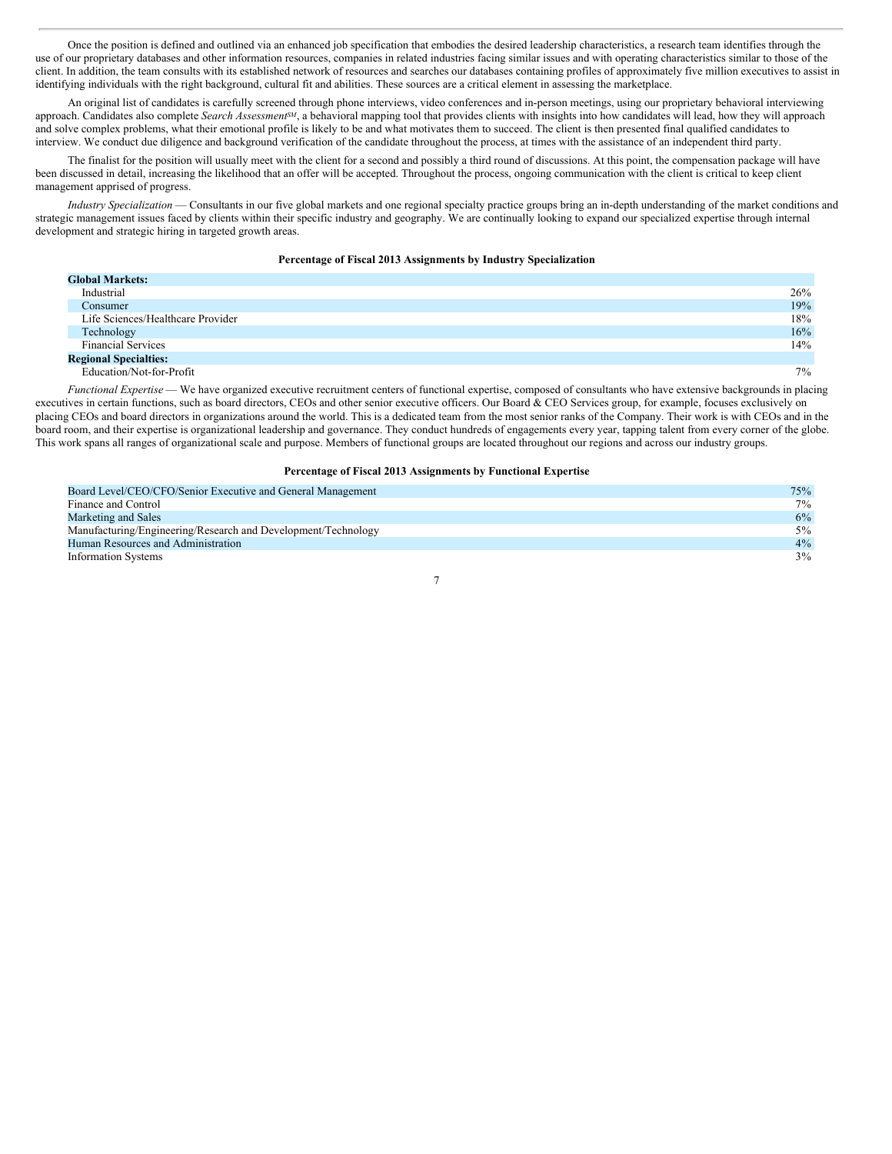Once the position is defined and outlined via an enhanced job specification that embodies the desired leadership characteristics, a research team identifies through the use of our proprietary databases and other information resources, companies in related industries facing similar issues and with operating characteristics similar to those of the client. In addition, the team consults with its established network of resources and searches our databases containing profiles of approximately five million executives to assist in identifying individuals with the right background, cultural fit and abilities. These sources are a critical element in assessing the marketplace.

An original list of candidates is carefully screened through phone interviews, video conferences and in-person meetings, using our proprietary behavioral interviewing approach. Candidates also complete Search Assessment<sup>es</sup>, a behavioral mapping tool that provides clients with insights into how candidates will lead, how they will approach and solve complex problems, what their emotional profile is likely to be and what motivates them to succeed. The client is then presented final qualified candidates to interview. We conduct due diligence and background verification of the candidate throughout the process, at times with the assistance of an independent third party.

The finalist for the position will usually meet with the client for a second and possibly a third round of discussions. At this point, the compensation package will have been discussed in detail, increasing the likelihood that an offer will be accepted. Throughout the process, ongoing communication with the client is critical to keep client management apprised of progress.

*Industry Specialization* — Consultants in our five global markets and one regional specialty practice groups bring an in-depth understanding of the market conditions and strategic management issues faced by clients within their specific industry and geography. We are continually looking to expand our specialized expertise through internal development and strategic hiring in targeted growth areas.

#### **Percentage of Fiscal 2013 Assignments by Industry Specialization**

| <b>Global Markets:</b>            |       |
|-----------------------------------|-------|
| Industrial                        | 26%   |
| Consumer                          | 19%   |
| Life Sciences/Healthcare Provider | 18%   |
| Technology                        | 16%   |
| <b>Financial Services</b>         | 14%   |
| <b>Regional Specialties:</b>      |       |
| Education/Not-for-Profit          | $7\%$ |

*Functional Expertise* — We have organized executive recruitment centers of functional expertise, composed of consultants who have extensive backgrounds in placing executives in certain functions, such as board directors, CEOs and other senior executive officers. Our Board & CEO Services group, for example, focuses exclusively on placing CEOs and board directors in organizations around the world. This is a dedicated team from the most senior ranks of the Company. Their work is with CEOs and in the board room, and their expertise is organizational leadership and governance. They conduct hundreds of engagements every year, tapping talent from every corner of the globe. This work spans all ranges of organizational scale and purpose. Members of functional groups are located throughout our regions and across our industry groups.

## **Percentage of Fiscal 2013 Assignments by Functional Expertise**

| Board Level/CEO/CFO/Senior Executive and General Management   | 75%   |
|---------------------------------------------------------------|-------|
| Finance and Control                                           | $7\%$ |
| Marketing and Sales                                           | 6%    |
| Manufacturing/Engineering/Research and Development/Technology | $5\%$ |
| Human Resources and Administration                            | $4\%$ |
| <b>Information Systems</b>                                    | $3\%$ |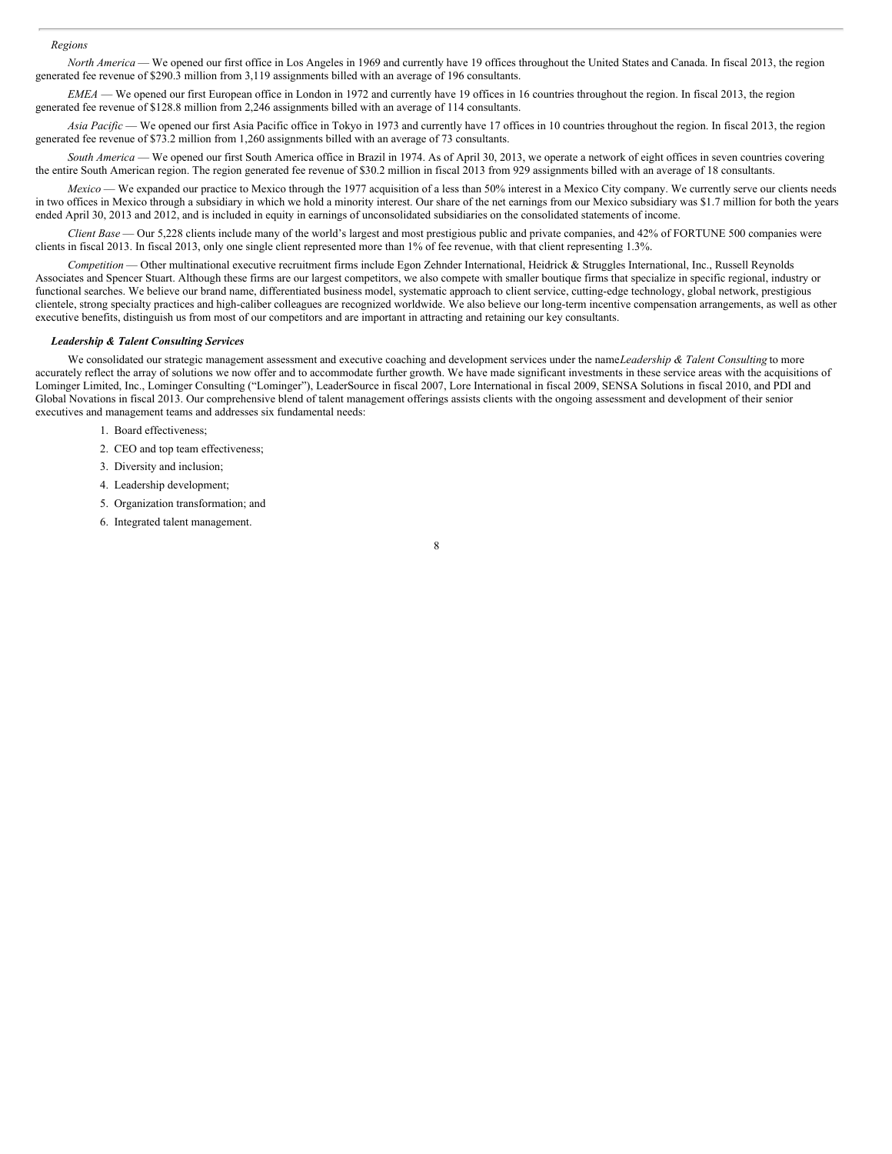#### *Regions*

*North America* — We opened our first office in Los Angeles in 1969 and currently have 19 offices throughout the United States and Canada. In fiscal 2013, the region generated fee revenue of \$290.3 million from 3,119 assignments billed with an average of 196 consultants.

*EMEA* — We opened our first European office in London in 1972 and currently have 19 offices in 16 countries throughout the region. In fiscal 2013, the region generated fee revenue of \$128.8 million from 2,246 assignments billed with an average of 114 consultants.

*Asia Pacific* — We opened our first Asia Pacific office in Tokyo in 1973 and currently have 17 offices in 10 countries throughout the region. In fiscal 2013, the region generated fee revenue of \$73.2 million from 1,260 assignments billed with an average of 73 consultants.

*South America* — We opened our first South America office in Brazil in 1974. As of April 30, 2013, we operate a network of eight offices in seven countries covering the entire South American region. The region generated fee revenue of \$30.2 million in fiscal 2013 from 929 assignments billed with an average of 18 consultants.

*Mexico* — We expanded our practice to Mexico through the 1977 acquisition of a less than 50% interest in a Mexico City company. We currently serve our clients needs in two offices in Mexico through a subsidiary in which we hold a minority interest. Our share of the net earnings from our Mexico subsidiary was \$1.7 million for both the years ended April 30, 2013 and 2012, and is included in equity in earnings of unconsolidated subsidiaries on the consolidated statements of income.

*Client Base* — Our 5,228 clients include many of the world's largest and most prestigious public and private companies, and 42% of FORTUNE 500 companies were clients in fiscal 2013. In fiscal 2013, only one single client represented more than 1% of fee revenue, with that client representing 1.3%.

*Competition* — Other multinational executive recruitment firms include Egon Zehnder International, Heidrick & Struggles International, Inc., Russell Reynolds Associates and Spencer Stuart. Although these firms are our largest competitors, we also compete with smaller boutique firms that specialize in specific regional, industry or functional searches. We believe our brand name, differentiated business model, systematic approach to client service, cutting-edge technology, global network, prestigious clientele, strong specialty practices and high-caliber colleagues are recognized worldwide. We also believe our long-term incentive compensation arrangements, as well as other executive benefits, distinguish us from most of our competitors and are important in attracting and retaining our key consultants.

## *Leadership & Talent Consulting Services*

We consolidated our strategic management assessment and executive coaching and development services under the name*Leadership & Talent Consulting* to more accurately reflect the array of solutions we now offer and to accommodate further growth. We have made significant investments in these service areas with the acquisitions of Lominger Limited, Inc., Lominger Consulting ("Lominger"), LeaderSource in fiscal 2007, Lore International in fiscal 2009, SENSA Solutions in fiscal 2010, and PDI and Global Novations in fiscal 2013. Our comprehensive blend of talent management offerings assists clients with the ongoing assessment and development of their senior executives and management teams and addresses six fundamental needs:

- 1. Board effectiveness;
- 2. CEO and top team effectiveness;
- 3. Diversity and inclusion;
- 4. Leadership development;
- 5. Organization transformation; and
- 6. Integrated talent management.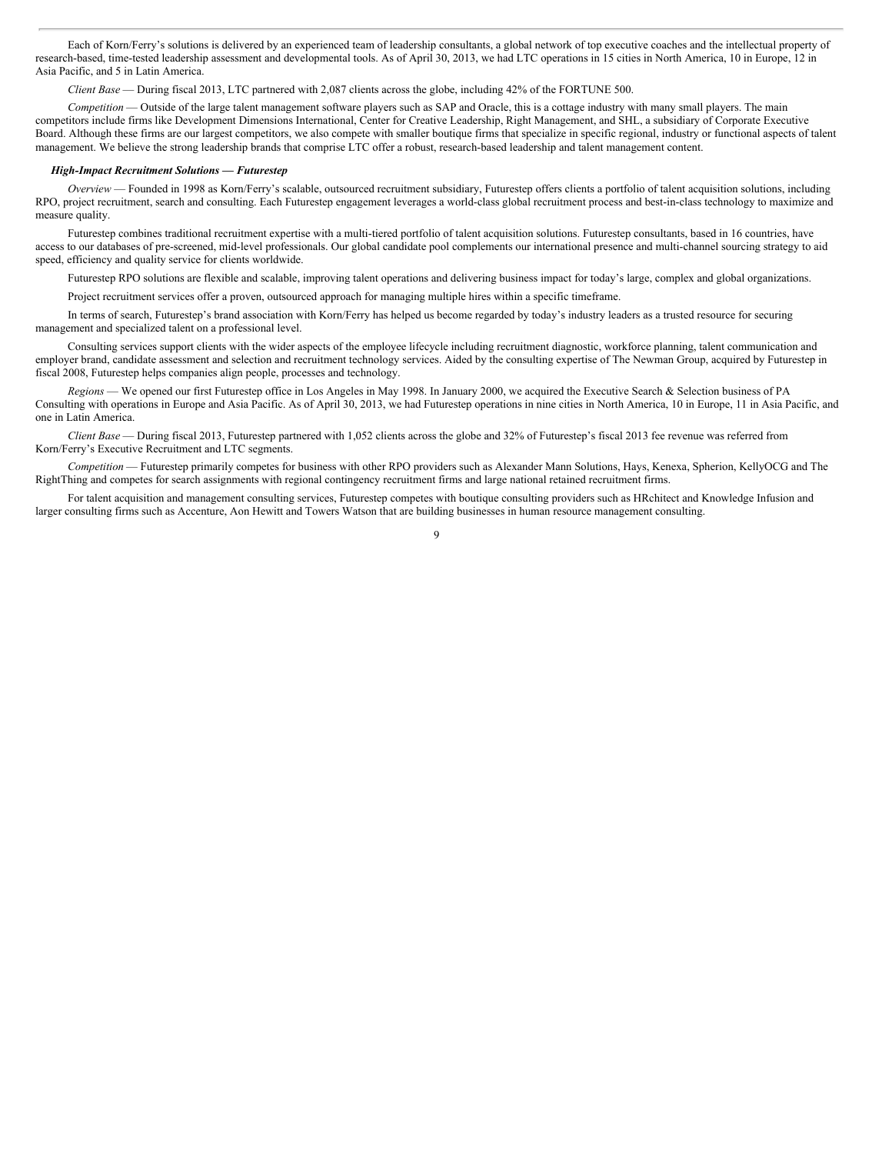Each of Korn/Ferry's solutions is delivered by an experienced team of leadership consultants, a global network of top executive coaches and the intellectual property of research-based, time-tested leadership assessment and developmental tools. As of April 30, 2013, we had LTC operations in 15 cities in North America, 10 in Europe, 12 in Asia Pacific, and 5 in Latin America.

*Client Base* — During fiscal 2013, LTC partnered with 2,087 clients across the globe, including 42% of the FORTUNE 500.

*Competition* — Outside of the large talent management software players such as SAP and Oracle, this is a cottage industry with many small players. The main competitors include firms like Development Dimensions International, Center for Creative Leadership, Right Management, and SHL, a subsidiary of Corporate Executive Board. Although these firms are our largest competitors, we also compete with smaller boutique firms that specialize in specific regional, industry or functional aspects of talent management. We believe the strong leadership brands that comprise LTC offer a robust, research-based leadership and talent management content.

#### *High-Impact Recruitment Solutions — Futurestep*

*Overview* — Founded in 1998 as Korn/Ferry's scalable, outsourced recruitment subsidiary, Futurestep offers clients a portfolio of talent acquisition solutions, including RPO, project recruitment, search and consulting. Each Futurestep engagement leverages a world-class global recruitment process and best-in-class technology to maximize and measure quality.

Futurestep combines traditional recruitment expertise with a multi-tiered portfolio of talent acquisition solutions. Futurestep consultants, based in 16 countries, have access to our databases of pre-screened, mid-level professionals. Our global candidate pool complements our international presence and multi-channel sourcing strategy to aid speed, efficiency and quality service for clients worldwide.

Futurestep RPO solutions are flexible and scalable, improving talent operations and delivering business impact for today's large, complex and global organizations.

Project recruitment services offer a proven, outsourced approach for managing multiple hires within a specific timeframe.

In terms of search, Futurestep's brand association with Korn/Ferry has helped us become regarded by today's industry leaders as a trusted resource for securing management and specialized talent on a professional level.

Consulting services support clients with the wider aspects of the employee lifecycle including recruitment diagnostic, workforce planning, talent communication and employer brand, candidate assessment and selection and recruitment technology services. Aided by the consulting expertise of The Newman Group, acquired by Futurestep in fiscal 2008, Futurestep helps companies align people, processes and technology.

*Regions* — We opened our first Futurestep office in Los Angeles in May 1998. In January 2000, we acquired the Executive Search & Selection business of PA Consulting with operations in Europe and Asia Pacific. As of April 30, 2013, we had Futurestep operations in nine cities in North America, 10 in Europe, 11 in Asia Pacific, and one in Latin America.

*Client Base* — During fiscal 2013, Futurestep partnered with 1,052 clients across the globe and 32% of Futurestep's fiscal 2013 fee revenue was referred from Korn/Ferry's Executive Recruitment and LTC segments.

*Competition* — Futurestep primarily competes for business with other RPO providers such as Alexander Mann Solutions, Hays, Kenexa, Spherion, KellyOCG and The RightThing and competes for search assignments with regional contingency recruitment firms and large national retained recruitment firms.

For talent acquisition and management consulting services, Futurestep competes with boutique consulting providers such as HRchitect and Knowledge Infusion and larger consulting firms such as Accenture, Aon Hewitt and Towers Watson that are building businesses in human resource management consulting.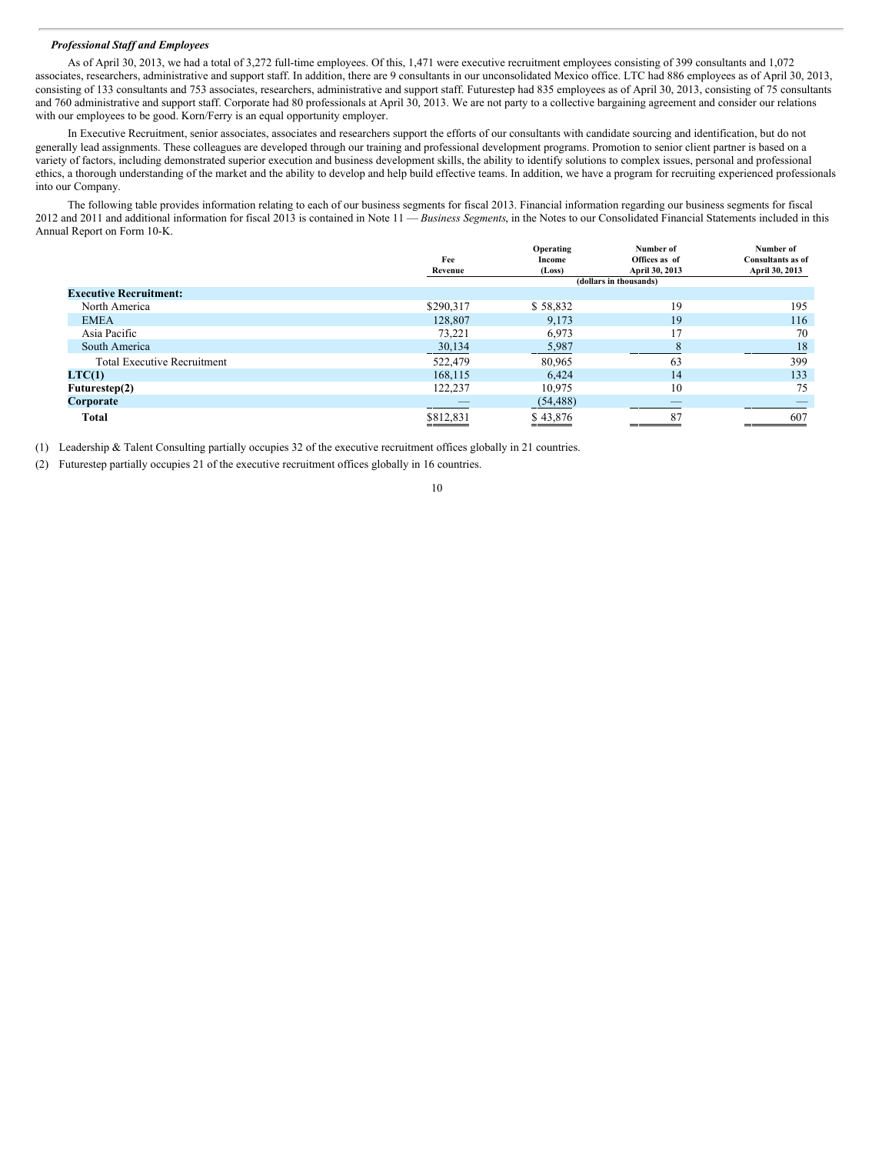#### *Professional Staf and Employees*

As of April 30, 2013, we had a total of 3,272 full-time employees. Of this, 1,471 were executive recruitment employees consisting of 399 consultants and 1,072 associates, researchers, administrative and support staff. In addition, there are 9 consultants in our unconsolidated Mexico office. LTC had 886 employees as of April 30, 2013, consisting of 133 consultants and 753 associates, researchers, administrative and support staff. Futurestep had 835 employees as of April 30, 2013, consisting of 75 consultants and 760 administrative and support staff. Corporate had 80 professionals at April 30, 2013. We are not party to a collective bargaining agreement and consider our relations with our employees to be good. Korn/Ferry is an equal opportunity employer.

In Executive Recruitment, senior associates, associates and researchers support the efforts of our consultants with candidate sourcing and identification, but do not generally lead assignments. These colleagues are developed through our training and professional development programs. Promotion to senior client partner is based on a variety of factors, including demonstrated superior execution and business development skills, the ability to identify solutions to complex issues, personal and professional ethics, a thorough understanding of the market and the ability to develop and help build effective teams. In addition, we have a program for recruiting experienced professionals into our Company.

The following table provides information relating to each of our business segments for fiscal 2013. Financial information regarding our business segments for fiscal 2012 and 2011 and additional information for fiscal 2013 is contained in Note 11 — *Business Segments*, in the Notes to our Consolidated Financial Statements included in this Annual Report on Form 10-K.

|                                    | Fee<br>Revenue | Operating<br>Income<br>(Loss) | Number of<br>Offices as of<br>April 30, 2013 | Number of<br><b>Consultants as of</b><br>April 30, 2013 |
|------------------------------------|----------------|-------------------------------|----------------------------------------------|---------------------------------------------------------|
|                                    |                |                               | (dollars in thousands)                       |                                                         |
| <b>Executive Recruitment:</b>      |                |                               |                                              |                                                         |
| North America                      | \$290,317      | \$58,832                      | 19                                           | 195                                                     |
| <b>EMEA</b>                        | 128,807        | 9,173                         | 19                                           | 116                                                     |
| Asia Pacific                       | 73,221         | 6,973                         | 17                                           | 70                                                      |
| South America                      | 30,134         | 5,987                         |                                              | 18                                                      |
| <b>Total Executive Recruitment</b> | 522,479        | 80,965                        | 63                                           | 399                                                     |
| LTC(1)                             | 168,115        | 6.424                         | 14                                           | 133                                                     |
| Futurestep(2)                      | 122,237        | 10,975                        | 10                                           | 75                                                      |
| Corporate                          |                | (54, 488)                     |                                              |                                                         |
| Total                              | \$812,831      | \$43,876                      | 87                                           | 607                                                     |

(1) Leadership & Talent Consulting partially occupies 32 of the executive recruitment offices globally in 21 countries.

(2) Futurestep partially occupies 21 of the executive recruitment offices globally in 16 countries.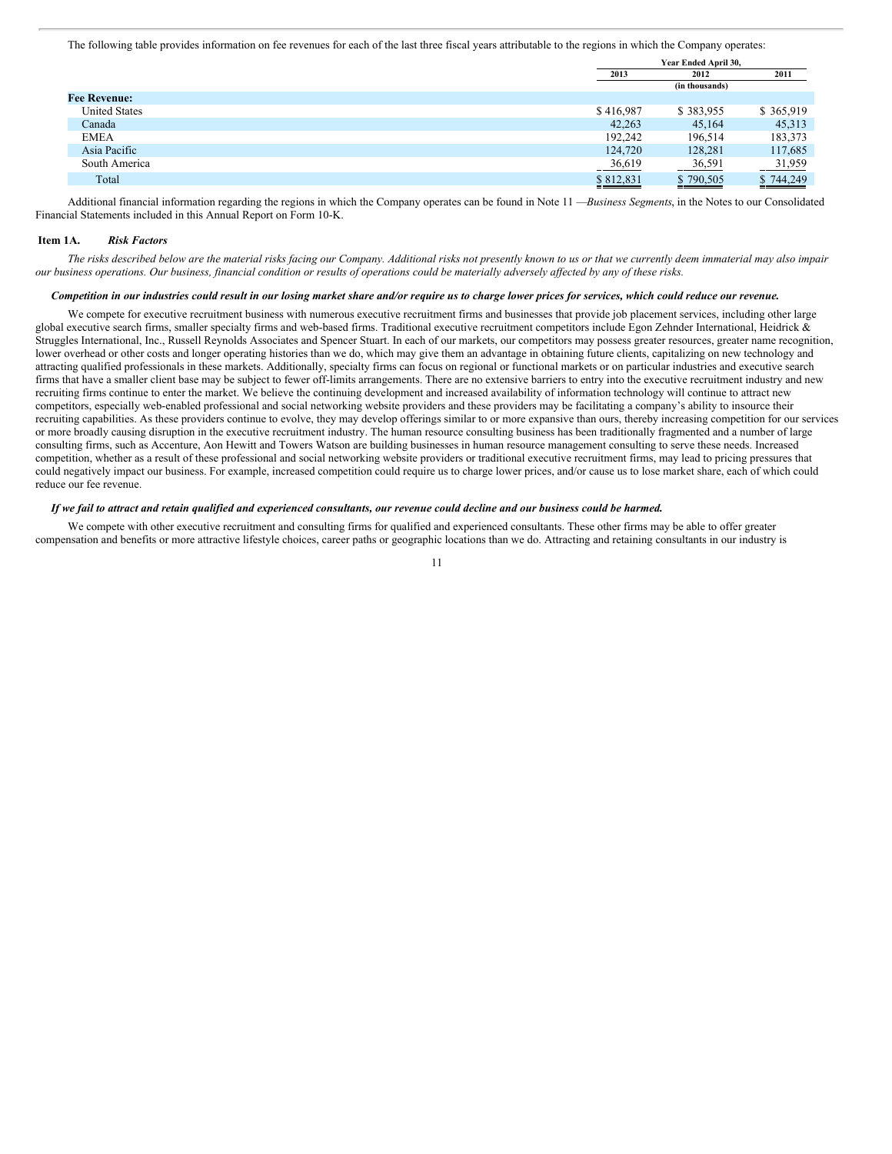The following table provides information on fee revenues for each of the last three fiscal years attributable to the regions in which the Company operates:

|                      |           | Year Ended April 30, |           |  |
|----------------------|-----------|----------------------|-----------|--|
|                      | 2013      | 2012                 |           |  |
|                      |           | (in thousands)       |           |  |
| <b>Fee Revenue:</b>  |           |                      |           |  |
| <b>United States</b> | \$416,987 | \$383,955            | \$365,919 |  |
| Canada               | 42,263    | 45,164               | 45,313    |  |
| <b>EMEA</b>          | 192,242   | 196,514              | 183,373   |  |
| Asia Pacific         | 124,720   | 128,281              | 117,685   |  |
| South America        | 36,619    | 36,591               | 31,959    |  |
| Total                | \$812,831 | \$790,505            | \$744,249 |  |

Additional financial information regarding the regions in which the Company operates can be found in Note 11 —*Business Segments*, in the Notes to our Consolidated Financial Statements included in this Annual Report on Form 10-K.

#### <span id="page-12-0"></span>**Item 1A.** *Risk Factors*

The risks described below are the material risks facing our Company. Additional risks not presently known to us or that we currently deem immaterial may also impair our business operations. Our business, financial condition or results of operations could be materially adversely affected by any of these risks.

## Competition in our industries could result in our losing market share and/or require us to charge lower prices for services, which could reduce our revenue.

We compete for executive recruitment business with numerous executive recruitment firms and businesses that provide job placement services, including other large global executive search firms, smaller specialty firms and web-based firms. Traditional executive recruitment competitors include Egon Zehnder International, Heidrick  $\&$ Struggles International, Inc., Russell Reynolds Associates and Spencer Stuart. In each of our markets, our competitors may possess greater resources, greater name recognition, lower overhead or other costs and longer operating histories than we do, which may give them an advantage in obtaining future clients, capitalizing on new technology and attracting qualified professionals in these markets. Additionally, specialty firms can focus on regional or functional markets or on particular industries and executive search firms that have a smaller client base may be subject to fewer off-limits arrangements. There are no extensive barriers to entry into the executive recruitment industry and new recruiting firms continue to enter the market. We believe the continuing development and increased availability of information technology will continue to attract new competitors, especially web-enabled professional and social networking website providers and these providers may be facilitating a company's ability to insource their recruiting capabilities. As these providers continue to evolve, they may develop offerings similar to or more expansive than ours, thereby increasing competition for our services or more broadly causing disruption in the executive recruitment industry. The human resource consulting business has been traditionally fragmented and a number of large consulting firms, such as Accenture, Aon Hewitt and Towers Watson are building businesses in human resource management consulting to serve these needs. Increased competition, whether as a result of these professional and social networking website providers or traditional executive recruitment firms, may lead to pricing pressures that could negatively impact our business. For example, increased competition could require us to charge lower prices, and/or cause us to lose market share, each of which could reduce our fee revenue.

## If we fail to attract and retain qualified and experienced consultants, our revenue could decline and our business could be harmed.

We compete with other executive recruitment and consulting firms for qualified and experienced consultants. These other firms may be able to offer greater compensation and benefits or more attractive lifestyle choices, career paths or geographic locations than we do. Attracting and retaining consultants in our industry is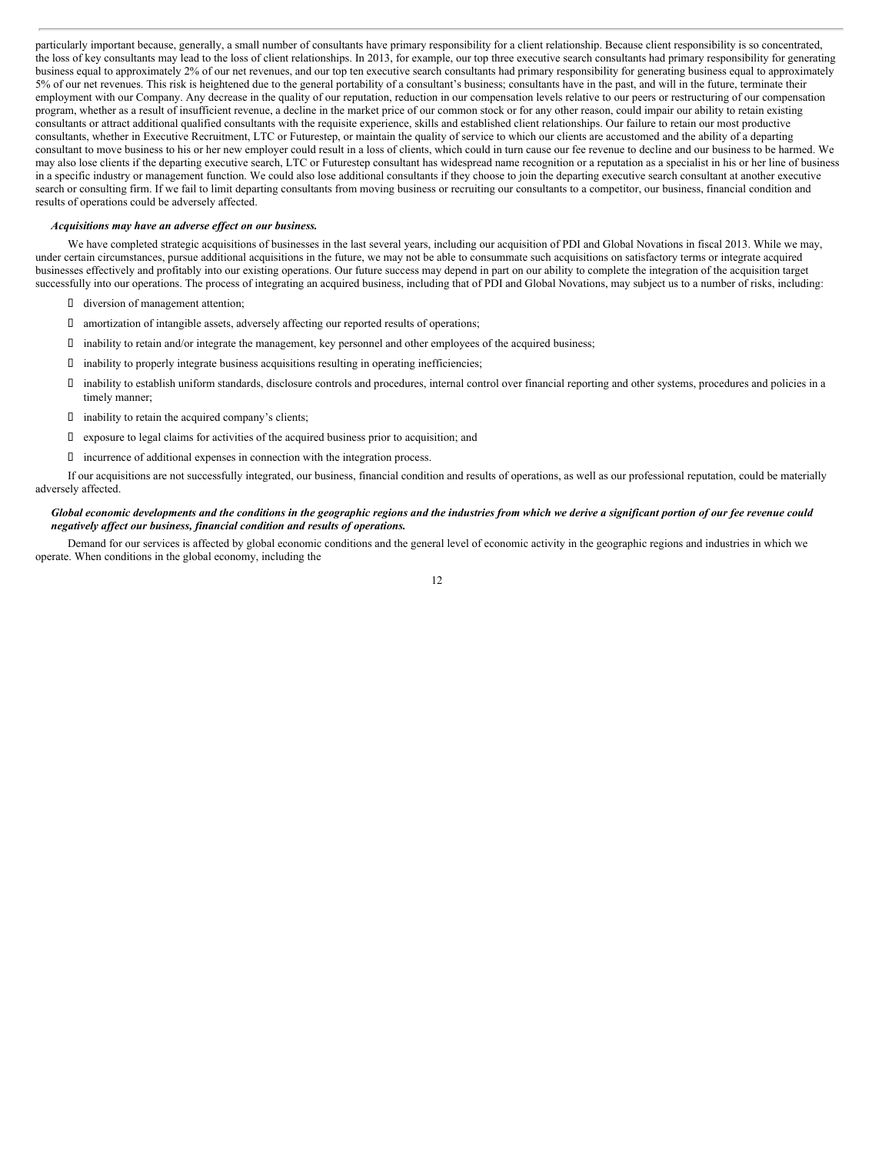particularly important because, generally, a small number of consultants have primary responsibility for a client relationship. Because client responsibility is so concentrated, the loss of key consultants may lead to the loss of client relationships. In 2013, for example, our top three executive search consultants had primary responsibility for generating business equal to approximately 2% of our net revenues, and our top ten executive search consultants had primary responsibility for generating business equal to approximately 5% of our net revenues. This risk is heightened due to the general portability of a consultant's business; consultants have in the past, and will in the future, terminate their employment with our Company. Any decrease in the quality of our reputation, reduction in our compensation levels relative to our peers or restructuring of our compensation program, whether as a result of insufficient revenue, a decline in the market price of our common stock or for any other reason, could impair our ability to retain existing consultants or attract additional qualified consultants with the requisite experience, skills and established client relationships. Our failure to retain our most productive consultants, whether in Executive Recruitment, LTC or Futurestep, or maintain the quality of service to which our clients are accustomed and the ability of a departing consultant to move business to his or her new employer could result in a loss of clients, which could in turn cause our fee revenue to decline and our business to be harmed. We may also lose clients if the departing executive search, LTC or Futurestep consultant has widespread name recognition or a reputation as a specialist in his or her line of business in a specific industry or management function. We could also lose additional consultants if they choose to join the departing executive search consultant at another executive search or consulting firm. If we fail to limit departing consultants from moving business or recruiting our consultants to a competitor, our business, financial condition and results of operations could be adversely affected.

#### *Acquisitions may have an adverse ef ect on our business.*

We have completed strategic acquisitions of businesses in the last several years, including our acquisition of PDI and Global Novations in fiscal 2013. While we may, under certain circumstances, pursue additional acquisitions in the future, we may not be able to consummate such acquisitions on satisfactory terms or integrate acquired businesses effectively and profitably into our existing operations. Our future success may depend in part on our ability to complete the integration of the acquisition target successfully into our operations. The process of integrating an acquired business, including that of PDI and Global Novations, may subject us to a number of risks, including:

- diversion of management attention;
- amortization of intangible assets, adversely affecting our reported results of operations;
- inability to retain and/or integrate the management, key personnel and other employees of the acquired business;
- inability to properly integrate business acquisitions resulting in operating inefficiencies;
- inability to establish uniform standards, disclosure controls and procedures, internal control over financial reporting and other systems, procedures and policies in a timely manner;
- $\Box$  inability to retain the acquired company's clients;
- $\Box$  exposure to legal claims for activities of the acquired business prior to acquisition; and
- incurrence of additional expenses in connection with the integration process.

If our acquisitions are not successfully integrated, our business, financial condition and results of operations, as well as our professional reputation, could be materially adversely affected.

## Global economic developments and the conditions in the geographic regions and the industries from which we derive a significant portion of our fee revenue could *negatively af ect our business, financial condition and results of operations.*

Demand for our services is affected by global economic conditions and the general level of economic activity in the geographic regions and industries in which we operate. When conditions in the global economy, including the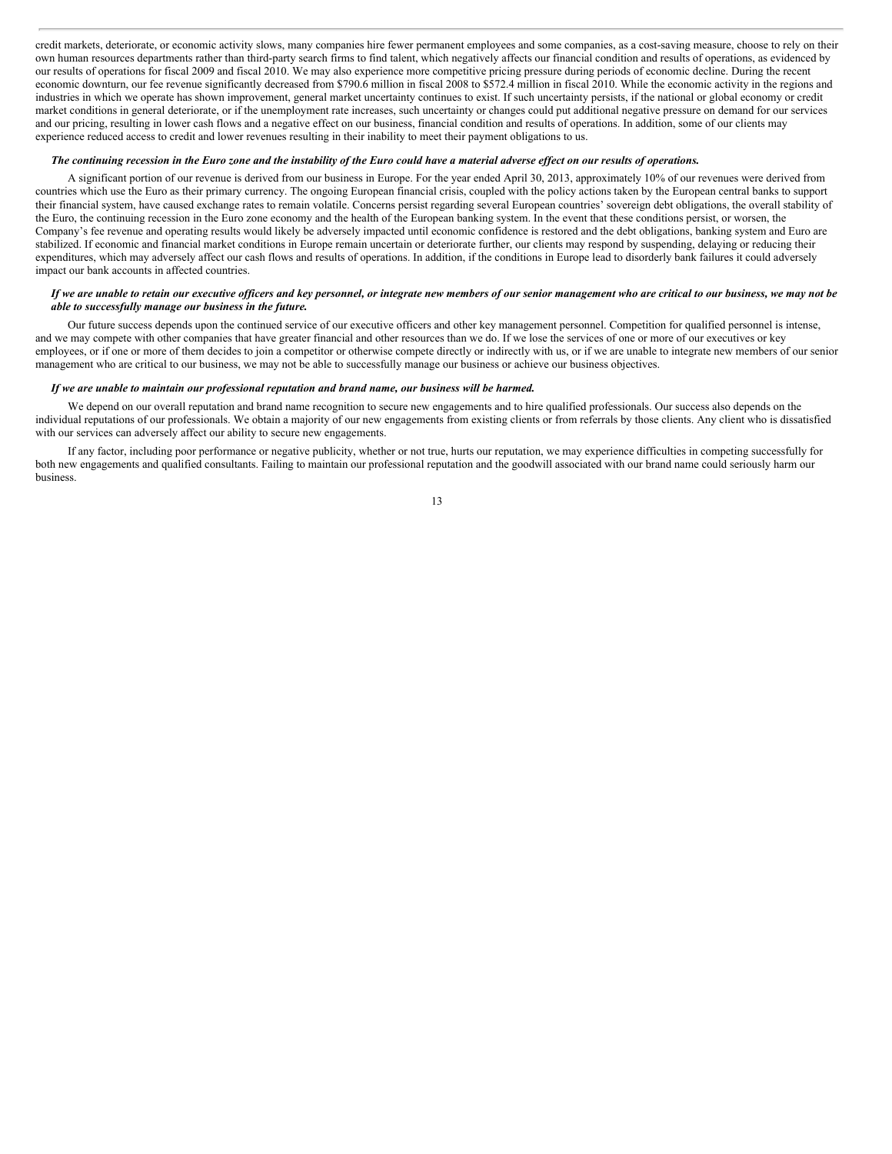credit markets, deteriorate, or economic activity slows, many companies hire fewer permanent employees and some companies, as a cost-saving measure, choose to rely on their own human resources departments rather than third-party search firms to find talent, which negatively affects our financial condition and results of operations, as evidenced by our results of operations for fiscal 2009 and fiscal 2010. We may also experience more competitive pricing pressure during periods of economic decline. During the recent economic downturn, our fee revenue significantly decreased from \$790.6 million in fiscal 2008 to \$572.4 million in fiscal 2010. While the economic activity in the regions and industries in which we operate has shown improvement, general market uncertainty continues to exist. If such uncertainty persists, if the national or global economy or credit market conditions in general deteriorate, or if the unemployment rate increases, such uncertainty or changes could put additional negative pressure on demand for our services and our pricing, resulting in lower cash flows and a negative effect on our business, financial condition and results of operations. In addition, some of our clients may experience reduced access to credit and lower revenues resulting in their inability to meet their payment obligations to us.

#### The continuing recession in the Euro zone and the instability of the Euro could have a material adverse effect on our results of operations.

A significant portion of our revenue is derived from our business in Europe. For the year ended April 30, 2013, approximately 10% of our revenues were derived from countries which use the Euro as their primary currency. The ongoing European financial crisis, coupled with the policy actions taken by the European central banks to support their financial system, have caused exchange rates to remain volatile. Concerns persist regarding several European countries' sovereign debt obligations, the overall stability of the Euro, the continuing recession in the Euro zone economy and the health of the European banking system. In the event that these conditions persist, or worsen, the Company's fee revenue and operating results would likely be adversely impacted until economic confidence is restored and the debt obligations, banking system and Euro are stabilized. If economic and financial market conditions in Europe remain uncertain or deteriorate further, our clients may respond by suspending, delaying or reducing their expenditures, which may adversely affect our cash flows and results of operations. In addition, if the conditions in Europe lead to disorderly bank failures it could adversely impact our bank accounts in affected countries.

#### If we are unable to retain our executive officers and key personnel, or integrate new members of our senior management who are critical to our business, we may not be *able to successfully manage our business in the future.*

Our future success depends upon the continued service of our executive officers and other key management personnel. Competition for qualified personnel is intense, and we may compete with other companies that have greater financial and other resources than we do. If we lose the services of one or more of our executives or key employees, or if one or more of them decides to join a competitor or otherwise compete directly or indirectly with us, or if we are unable to integrate new members of our senior management who are critical to our business, we may not be able to successfully manage our business or achieve our business objectives.

#### *If we are unable to maintain our professional reputation and brand name, our business will be harmed.*

We depend on our overall reputation and brand name recognition to secure new engagements and to hire qualified professionals. Our success also depends on the individual reputations of our professionals. We obtain a majority of our new engagements from existing clients or from referrals by those clients. Any client who is dissatisfied with our services can adversely affect our ability to secure new engagements.

If any factor, including poor performance or negative publicity, whether or not true, hurts our reputation, we may experience difficulties in competing successfully for both new engagements and qualified consultants. Failing to maintain our professional reputation and the goodwill associated with our brand name could seriously harm our business.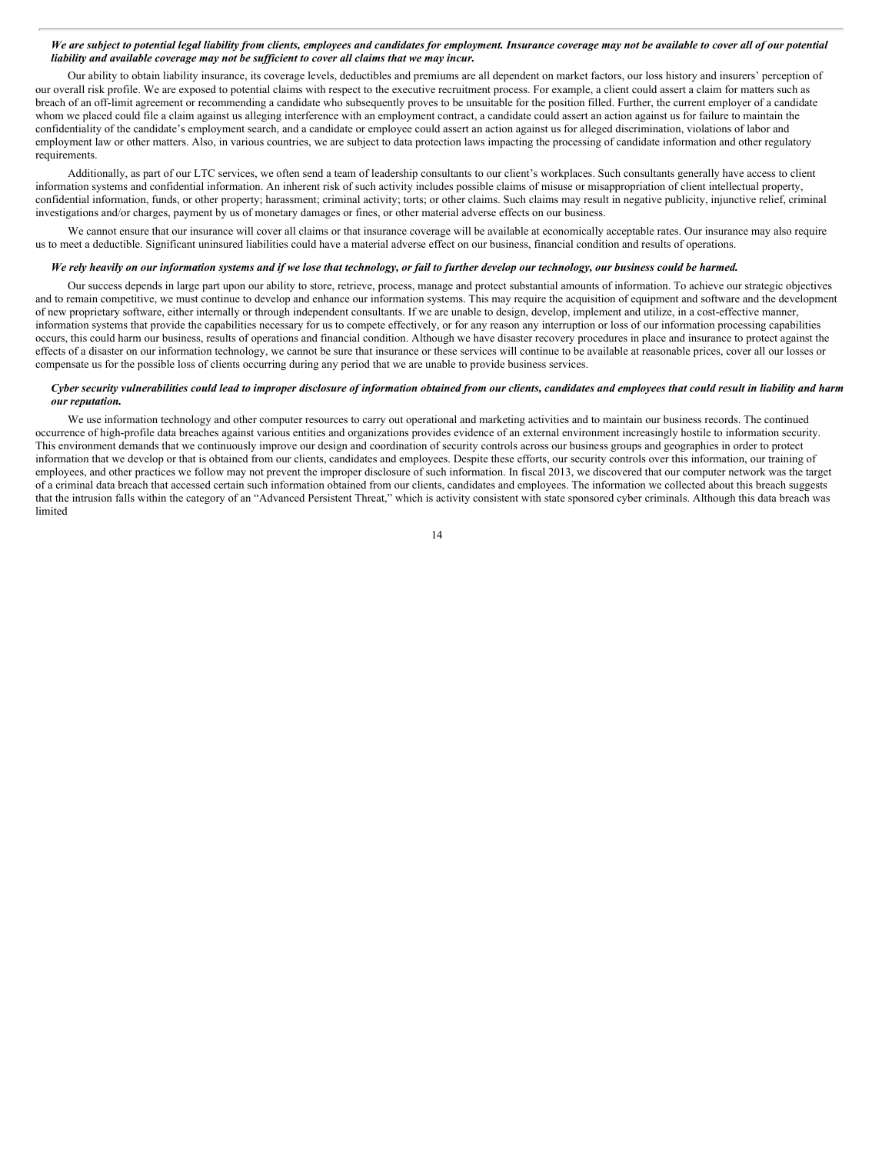## We are subject to potential legal liability from clients, employees and candidates for employment. Insurance coverage may not be available to cover all of our potential *liability and available coverage may not be suf icient to cover all claims that we may incur.*

Our ability to obtain liability insurance, its coverage levels, deductibles and premiums are all dependent on market factors, our loss history and insurers' perception of our overall risk profile. We are exposed to potential claims with respect to the executive recruitment process. For example, a client could assert a claim for matters such as breach of an off-limit agreement or recommending a candidate who subsequently proves to be unsuitable for the position filled. Further, the current employer of a candidate whom we placed could file a claim against us alleging interference with an employment contract, a candidate could assert an action against us for failure to maintain the confidentiality of the candidate's employment search, and a candidate or employee could assert an action against us for alleged discrimination, violations of labor and employment law or other matters. Also, in various countries, we are subject to data protection laws impacting the processing of candidate information and other regulatory requirements.

Additionally, as part of our LTC services, we often send a team of leadership consultants to our client's workplaces. Such consultants generally have access to client information systems and confidential information. An inherent risk of such activity includes possible claims of misuse or misappropriation of client intellectual property, confidential information, funds, or other property; harassment; criminal activity; torts; or other claims. Such claims may result in negative publicity, injunctive relief, criminal investigations and/or charges, payment by us of monetary damages or fines, or other material adverse effects on our business.

We cannot ensure that our insurance will cover all claims or that insurance coverage will be available at economically acceptable rates. Our insurance may also require us to meet a deductible. Significant uninsured liabilities could have a material adverse effect on our business, financial condition and results of operations.

## We rely heavily on our information systems and if we lose that technology, or fail to further develop our technology, our business could be harmed.

Our success depends in large part upon our ability to store, retrieve, process, manage and protect substantial amounts of information. To achieve our strategic objectives and to remain competitive, we must continue to develop and enhance our information systems. This may require the acquisition of equipment and software and the development of new proprietary software, either internally or through independent consultants. If we are unable to design, develop, implement and utilize, in a cost-effective manner, information systems that provide the capabilities necessary for us to compete effectively, or for any reason any interruption or loss of our information processing capabilities occurs, this could harm our business, results of operations and financial condition. Although we have disaster recovery procedures in place and insurance to protect against the effects of a disaster on our information technology, we cannot be sure that insurance or these services will continue to be available at reasonable prices, cover all our losses or compensate us for the possible loss of clients occurring during any period that we are unable to provide business services.

## Cyber security vulnerabilities could lead to improper disclosure of information obtained from our clients, candidates and employees that could result in liability and harm *our reputation.*

We use information technology and other computer resources to carry out operational and marketing activities and to maintain our business records. The continued occurrence of high-profile data breaches against various entities and organizations provides evidence of an external environment increasingly hostile to information security. This environment demands that we continuously improve our design and coordination of security controls across our business groups and geographies in order to protect information that we develop or that is obtained from our clients, candidates and employees. Despite these efforts, our security controls over this information, our training of employees, and other practices we follow may not prevent the improper disclosure of such information. In fiscal 2013, we discovered that our computer network was the target of a criminal data breach that accessed certain such information obtained from our clients, candidates and employees. The information we collected about this breach suggests that the intrusion falls within the category of an "Advanced Persistent Threat," which is activity consistent with state sponsored cyber criminals. Although this data breach was limited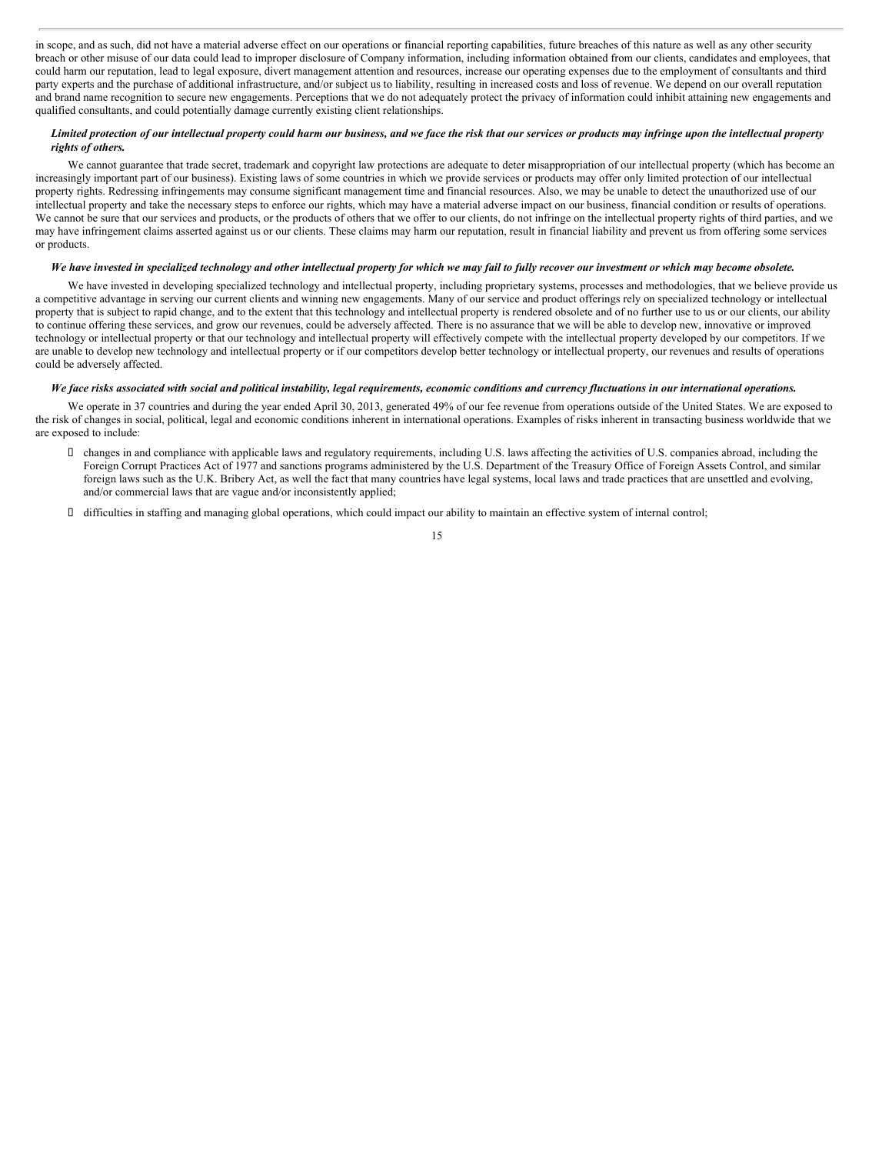in scope, and as such, did not have a material adverse effect on our operations or financial reporting capabilities, future breaches of this nature as well as any other security breach or other misuse of our data could lead to improper disclosure of Company information, including information obtained from our clients, candidates and employees, that could harm our reputation, lead to legal exposure, divert management attention and resources, increase our operating expenses due to the employment of consultants and third party experts and the purchase of additional infrastructure, and/or subject us to liability, resulting in increased costs and loss of revenue. We depend on our overall reputation and brand name recognition to secure new engagements. Perceptions that we do not adequately protect the privacy of information could inhibit attaining new engagements and qualified consultants, and could potentially damage currently existing client relationships.

## Limited protection of our intellectual property could harm our business, and we face the risk that our services or products may infringe upon the intellectual property *rights of others.*

We cannot guarantee that trade secret, trademark and copyright law protections are adequate to deter misappropriation of our intellectual property (which has become an increasingly important part of our business). Existing laws of some countries in which we provide services or products may offer only limited protection of our intellectual property rights. Redressing infringements may consume significant management time and financial resources. Also, we may be unable to detect the unauthorized use of our intellectual property and take the necessary steps to enforce our rights, which may have a material adverse impact on our business, financial condition or results of operations. We cannot be sure that our services and products, or the products of others that we offer to our clients, do not infringe on the intellectual property rights of third parties, and we may have infringement claims asserted against us or our clients. These claims may harm our reputation, result in financial liability and prevent us from offering some services or products.

#### We have invested in specialized technology and other intellectual property for which we may fail to fully recover our investment or which may become obsolete.

We have invested in developing specialized technology and intellectual property, including proprietary systems, processes and methodologies, that we believe provide us a competitive advantage in serving our current clients and winning new engagements. Many of our service and product offerings rely on specialized technology or intellectual property that is subject to rapid change, and to the extent that this technology and intellectual property is rendered obsolete and of no further use to us or our clients, our ability to continue offering these services, and grow our revenues, could be adversely affected. There is no assurance that we will be able to develop new, innovative or improved technology or intellectual property or that our technology and intellectual property will effectively compete with the intellectual property developed by our competitors. If we are unable to develop new technology and intellectual property or if our competitors develop better technology or intellectual property, our revenues and results of operations could be adversely affected.

#### We face risks associated with social and political instability, legal requirements, economic conditions and currency fluctuations in our international operations.

We operate in 37 countries and during the year ended April 30, 2013, generated 49% of our fee revenue from operations outside of the United States. We are exposed to the risk of changes in social, political, legal and economic conditions inherent in international operations. Examples of risks inherent in transacting business worldwide that we are exposed to include:

- changes in and compliance with applicable laws and regulatory requirements, including U.S. laws affecting the activities of U.S. companies abroad, including the Foreign Corrupt Practices Act of 1977 and sanctions programs administered by the U.S. Department of the Treasury Office of Foreign Assets Control, and similar foreign laws such as the U.K. Bribery Act, as well the fact that many countries have legal systems, local laws and trade practices that are unsettled and evolving, and/or commercial laws that are vague and/or inconsistently applied;
- difficulties in staffing and managing global operations, which could impact our ability to maintain an effective system of internal control;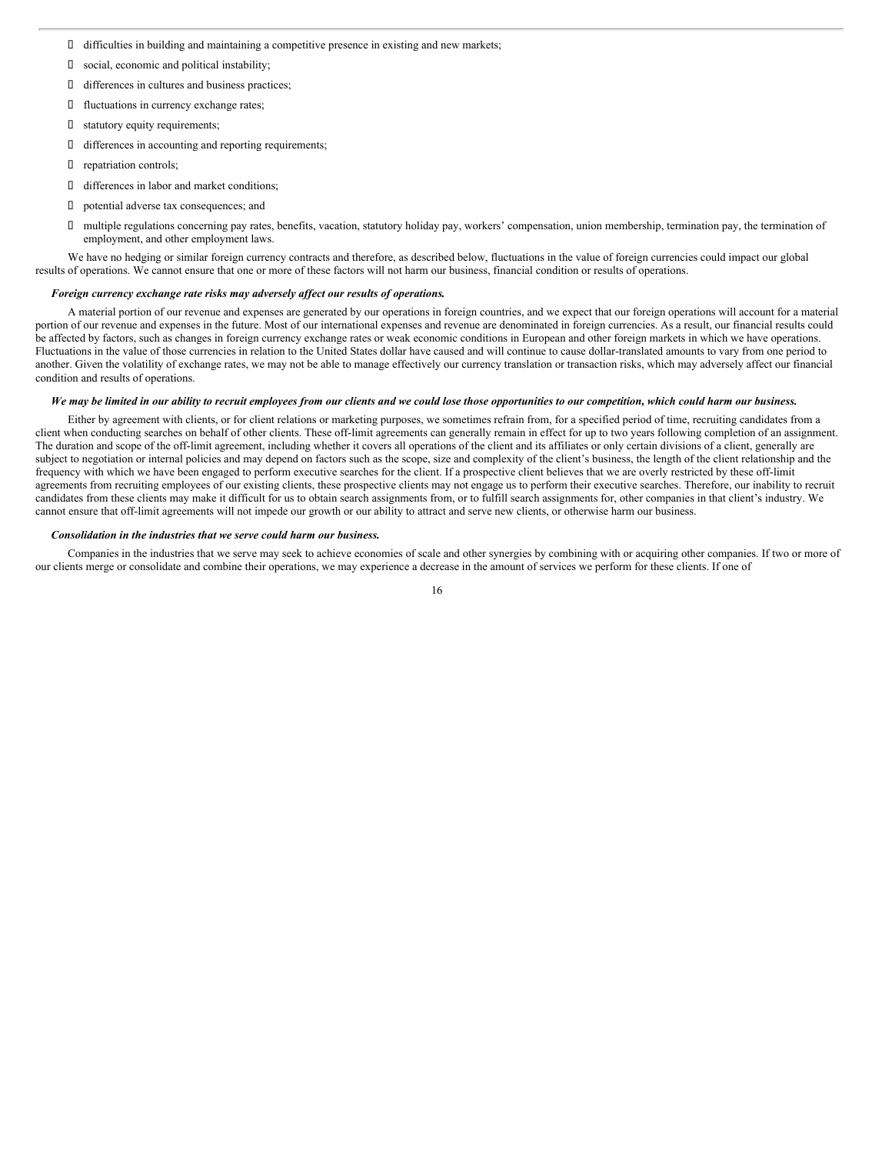- difficulties in building and maintaining a competitive presence in existing and new markets;
- social, economic and political instability;
- differences in cultures and business practices;
- fluctuations in currency exchange rates;
- statutory equity requirements;
- differences in accounting and reporting requirements;
- repatriation controls;
- differences in labor and market conditions;
- potential adverse tax consequences; and
- multiple regulations concerning pay rates, benefits, vacation, statutory holiday pay, workers' compensation, union membership, termination pay, the termination of employment, and other employment laws.

We have no hedging or similar foreign currency contracts and therefore, as described below, fluctuations in the value of foreign currencies could impact our global results of operations. We cannot ensure that one or more of these factors will not harm our business, financial condition or results of operations.

#### *Foreign currency exchange rate risks may adversely af ect our results of operations.*

A material portion of our revenue and expenses are generated by our operations in foreign countries, and we expect that our foreign operations will account for a material portion of our revenue and expenses in the future. Most of our international expenses and revenue are denominated in foreign currencies. As a result, our financial results could be affected by factors, such as changes in foreign currency exchange rates or weak economic conditions in European and other foreign markets in which we have operations. Fluctuations in the value of those currencies in relation to the United States dollar have caused and will continue to cause dollar-translated amounts to vary from one period to another. Given the volatility of exchange rates, we may not be able to manage effectively our currency translation or transaction risks, which may adversely affect our financial condition and results of operations.

## We may be limited in our ability to recruit employees from our clients and we could lose those opportunities to our competition, which could harm our business.

Either by agreement with clients, or for client relations or marketing purposes, we sometimes refrain from, for a specified period of time, recruiting candidates from a client when conducting searches on behalf of other clients. These off-limit agreements can generally remain in effect for up to two years following completion of an assignment. The duration and scope of the off-limit agreement, including whether it covers all operations of the client and its affiliates or only certain divisions of a client, generally are subject to negotiation or internal policies and may depend on factors such as the scope, size and complexity of the client's business, the length of the client relationship and the frequency with which we have been engaged to perform executive searches for the client. If a prospective client believes that we are overly restricted by these off-limit agreements from recruiting employees of our existing clients, these prospective clients may not engage us to perform their executive searches. Therefore, our inability to recruit candidates from these clients may make it difficult for us to obtain search assignments from, or to fulfill search assignments for, other companies in that client's industry. We cannot ensure that off-limit agreements will not impede our growth or our ability to attract and serve new clients, or otherwise harm our business.

## *Consolidation in the industries that we serve could harm our business.*

Companies in the industries that we serve may seek to achieve economies of scale and other synergies by combining with or acquiring other companies. If two or more of our clients merge or consolidate and combine their operations, we may experience a decrease in the amount of services we perform for these clients. If one of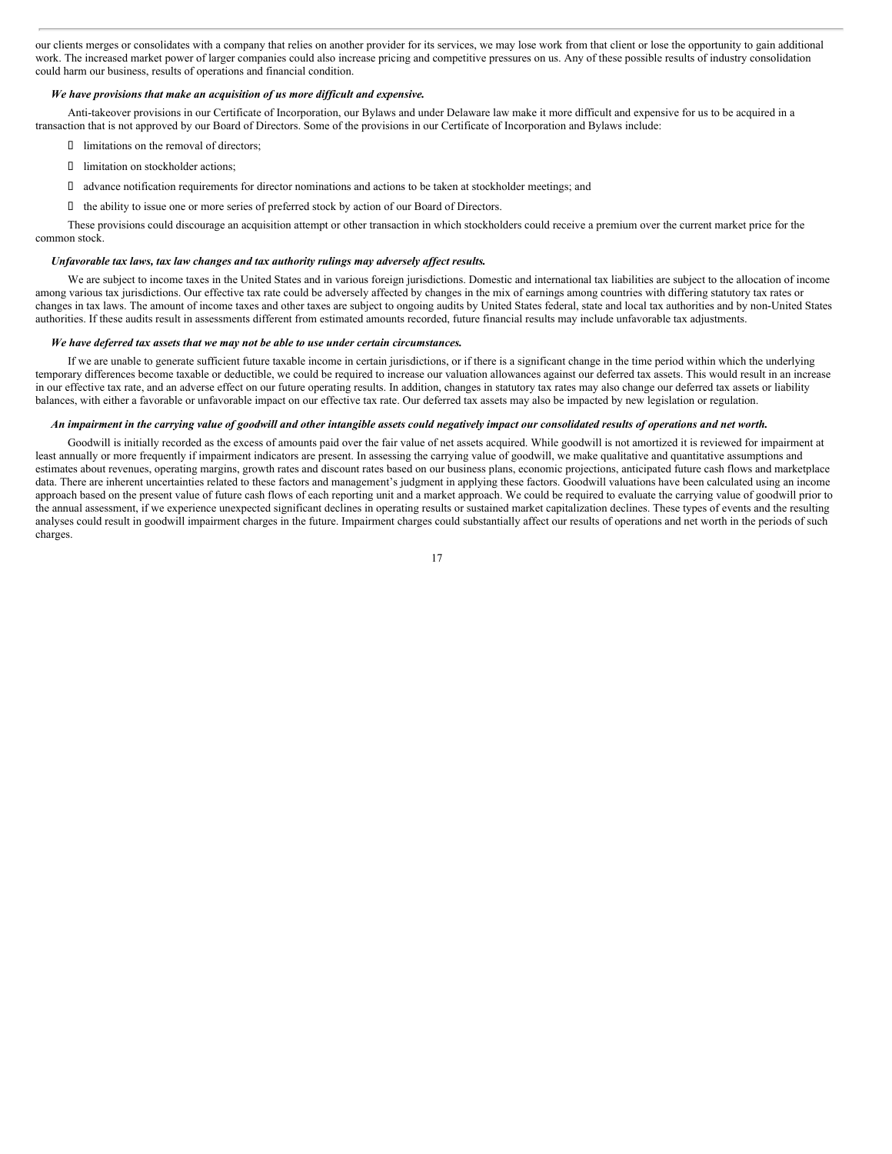our clients merges or consolidates with a company that relies on another provider for its services, we may lose work from that client or lose the opportunity to gain additional work. The increased market power of larger companies could also increase pricing and competitive pressures on us. Any of these possible results of industry consolidation could harm our business, results of operations and financial condition.

## *We have provisions that make an acquisition of us more dif icult and expensive.*

Anti-takeover provisions in our Certificate of Incorporation, our Bylaws and under Delaware law make it more difficult and expensive for us to be acquired in a transaction that is not approved by our Board of Directors. Some of the provisions in our Certificate of Incorporation and Bylaws include:

- limitations on the removal of directors;
- limitation on stockholder actions;
- advance notification requirements for director nominations and actions to be taken at stockholder meetings; and
- the ability to issue one or more series of preferred stock by action of our Board of Directors.

These provisions could discourage an acquisition attempt or other transaction in which stockholders could receive a premium over the current market price for the common stock.

## *Unfavorable tax laws, tax law changes and tax authority rulings may adversely af ect results.*

We are subject to income taxes in the United States and in various foreign jurisdictions. Domestic and international tax liabilities are subject to the allocation of income among various tax jurisdictions. Our effective tax rate could be adversely affected by changes in the mix of earnings among countries with differing statutory tax rates or changes in tax laws. The amount of income taxes and other taxes are subject to ongoing audits by United States federal, state and local tax authorities and by non-United States authorities. If these audits result in assessments different from estimated amounts recorded, future financial results may include unfavorable tax adjustments.

## *We have deferred tax assets that we may not be able to use under certain circumstances.*

If we are unable to generate sufficient future taxable income in certain jurisdictions, or if there is a significant change in the time period within which the underlying temporary differences become taxable or deductible, we could be required to increase our valuation allowances against our deferred tax assets. This would result in an increase in our effective tax rate, and an adverse effect on our future operating results. In addition, changes in statutory tax rates may also change our deferred tax assets or liability balances, with either a favorable or unfavorable impact on our effective tax rate. Our deferred tax assets may also be impacted by new legislation or regulation.

## An impairment in the carrying value of goodwill and other intangible assets could negatively impact our consolidated results of operations and net worth.

Goodwill is initially recorded as the excess of amounts paid over the fair value of net assets acquired. While goodwill is not amortized it is reviewed for impairment at least annually or more frequently if impairment indicators are present. In assessing the carrying value of goodwill, we make qualitative and quantitative assumptions and estimates about revenues, operating margins, growth rates and discount rates based on our business plans, economic projections, anticipated future cash flows and marketplace data. There are inherent uncertainties related to these factors and management's judgment in applying these factors. Goodwill valuations have been calculated using an income approach based on the present value of future cash flows of each reporting unit and a market approach. We could be required to evaluate the carrying value of goodwill prior to the annual assessment, if we experience unexpected significant declines in operating results or sustained market capitalization declines. These types of events and the resulting analyses could result in goodwill impairment charges in the future. Impairment charges could substantially affect our results of operations and net worth in the periods of such charges.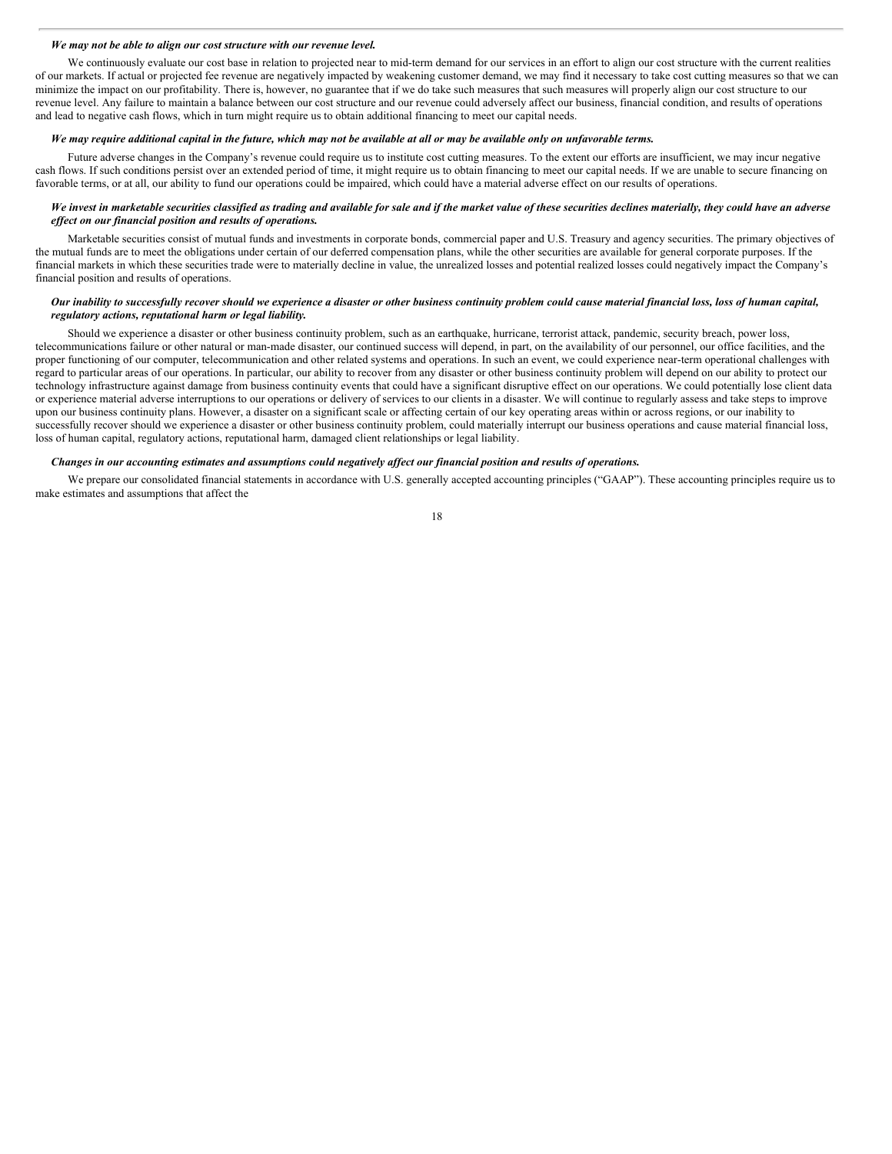#### *We may not be able to align our cost structure with our revenue level.*

We continuously evaluate our cost base in relation to projected near to mid-term demand for our services in an effort to align our cost structure with the current realities of our markets. If actual or projected fee revenue are negatively impacted by weakening customer demand, we may find it necessary to take cost cutting measures so that we can minimize the impact on our profitability. There is, however, no guarantee that if we do take such measures that such measures will properly align our cost structure to our revenue level. Any failure to maintain a balance between our cost structure and our revenue could adversely affect our business, financial condition, and results of operations and lead to negative cash flows, which in turn might require us to obtain additional financing to meet our capital needs.

#### We may require additional capital in the future, which may not be available at all or may be available only on unfavorable terms.

Future adverse changes in the Company's revenue could require us to institute cost cutting measures. To the extent our efforts are insufficient, we may incur negative cash flows. If such conditions persist over an extended period of time, it might require us to obtain financing to meet our capital needs. If we are unable to secure financing on favorable terms, or at all, our ability to fund our operations could be impaired, which could have a material adverse effect on our results of operations.

## We invest in marketable securities classified as trading and available for sale and if the market value of these securities declines materially, they could have an adverse *ef ect on our financial position and results of operations.*

Marketable securities consist of mutual funds and investments in corporate bonds, commercial paper and U.S. Treasury and agency securities. The primary objectives of the mutual funds are to meet the obligations under certain of our deferred compensation plans, while the other securities are available for general corporate purposes. If the financial markets in which these securities trade were to materially decline in value, the unrealized losses and potential realized losses could negatively impact the Company's financial position and results of operations.

## Our inability to successfully recover should we experience a disaster or other business continuity problem could cause material financial loss, loss of human capital, *regulatory actions, reputational harm or legal liability.*

Should we experience a disaster or other business continuity problem, such as an earthquake, hurricane, terrorist attack, pandemic, security breach, power loss, telecommunications failure or other natural or man-made disaster, our continued success will depend, in part, on the availability of our personnel, our office facilities, and the proper functioning of our computer, telecommunication and other related systems and operations. In such an event, we could experience near-term operational challenges with regard to particular areas of our operations. In particular, our ability to recover from any disaster or other business continuity problem will depend on our ability to protect our technology infrastructure against damage from business continuity events that could have a significant disruptive effect on our operations. We could potentially lose client data or experience material adverse interruptions to our operations or delivery of services to our clients in a disaster. We will continue to regularly assess and take steps to improve upon our business continuity plans. However, a disaster on a significant scale or affecting certain of our key operating areas within or across regions, or our inability to successfully recover should we experience a disaster or other business continuity problem, could materially interrupt our business operations and cause material financial loss, loss of human capital, regulatory actions, reputational harm, damaged client relationships or legal liability.

## Changes in our accounting estimates and assumptions could negatively affect our financial position and results of operations.

We prepare our consolidated financial statements in accordance with U.S. generally accepted accounting principles ("GAAP"). These accounting principles require us to make estimates and assumptions that affect the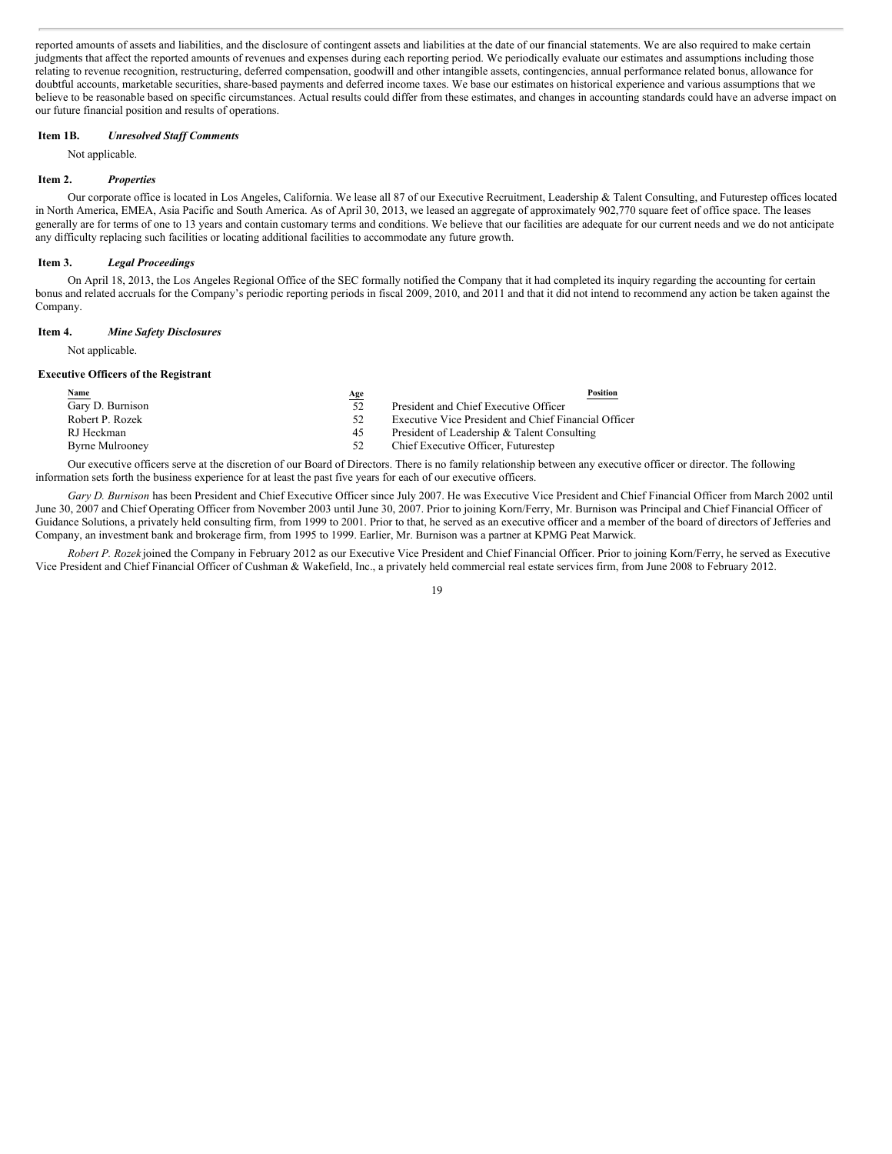reported amounts of assets and liabilities, and the disclosure of contingent assets and liabilities at the date of our financial statements. We are also required to make certain judgments that affect the reported amounts of revenues and expenses during each reporting period. We periodically evaluate our estimates and assumptions including those relating to revenue recognition, restructuring, deferred compensation, goodwill and other intangible assets, contingencies, annual performance related bonus, allowance for doubtful accounts, marketable securities, share-based payments and deferred income taxes. We base our estimates on historical experience and various assumptions that we believe to be reasonable based on specific circumstances. Actual results could differ from these estimates, and changes in accounting standards could have an adverse impact on our future financial position and results of operations.

## <span id="page-20-0"></span>**Item 1B.** *Unresolved Staf Comments*

Not applicable.

#### <span id="page-20-1"></span>**Item 2.** *Properties*

Our corporate office is located in Los Angeles, California. We lease all 87 of our Executive Recruitment, Leadership & Talent Consulting, and Futurestep offices located in North America, EMEA, Asia Pacific and South America. As of April 30, 2013, we leased an aggregate of approximately 902,770 square feet of office space. The leases generally are for terms of one to 13 years and contain customary terms and conditions. We believe that our facilities are adequate for our current needs and we do not anticipate any difficulty replacing such facilities or locating additional facilities to accommodate any future growth.

## <span id="page-20-2"></span>**Item 3.** *Legal Proceedings*

On April 18, 2013, the Los Angeles Regional Office of the SEC formally notified the Company that it had completed its inquiry regarding the accounting for certain bonus and related accruals for the Company's periodic reporting periods in fiscal 2009, 2010, and 2011 and that it did not intend to recommend any action be taken against the Company.

## <span id="page-20-3"></span>**Item 4.** *Mine Safety Disclosures*

Not applicable.

## <span id="page-20-4"></span>**Executive Officers of the Registrant**

| Name                   | Age | <b>Position</b>                                      |
|------------------------|-----|------------------------------------------------------|
| Gary D. Burnison       |     | President and Chief Executive Officer                |
| Robert P. Rozek        | 52  | Executive Vice President and Chief Financial Officer |
| RJ Heckman             | 45  | President of Leadership & Talent Consulting          |
| <b>Byrne Mulrooney</b> |     | Chief Executive Officer, Futurestep                  |

Our executive officers serve at the discretion of our Board of Directors. There is no family relationship between any executive officer or director. The following information sets forth the business experience for at least the past five years for each of our executive officers.

*Gary D. Burnison* has been President and Chief Executive Officer since July 2007. He was Executive Vice President and Chief Financial Officer from March 2002 until June 30, 2007 and Chief Operating Officer from November 2003 until June 30, 2007. Prior to joining Korn/Ferry, Mr. Burnison was Principal and Chief Financial Officer of Guidance Solutions, a privately held consulting firm, from 1999 to 2001. Prior to that, he served as an executive officer and a member of the board of directors of Jefferies and Company, an investment bank and brokerage firm, from 1995 to 1999. Earlier, Mr. Burnison was a partner at KPMG Peat Marwick.

*Robert P. Rozek* joined the Company in February 2012 as our Executive Vice President and Chief Financial Officer. Prior to joining Korn/Ferry, he served as Executive Vice President and Chief Financial Officer of Cushman & Wakefield, Inc., a privately held commercial real estate services firm, from June 2008 to February 2012.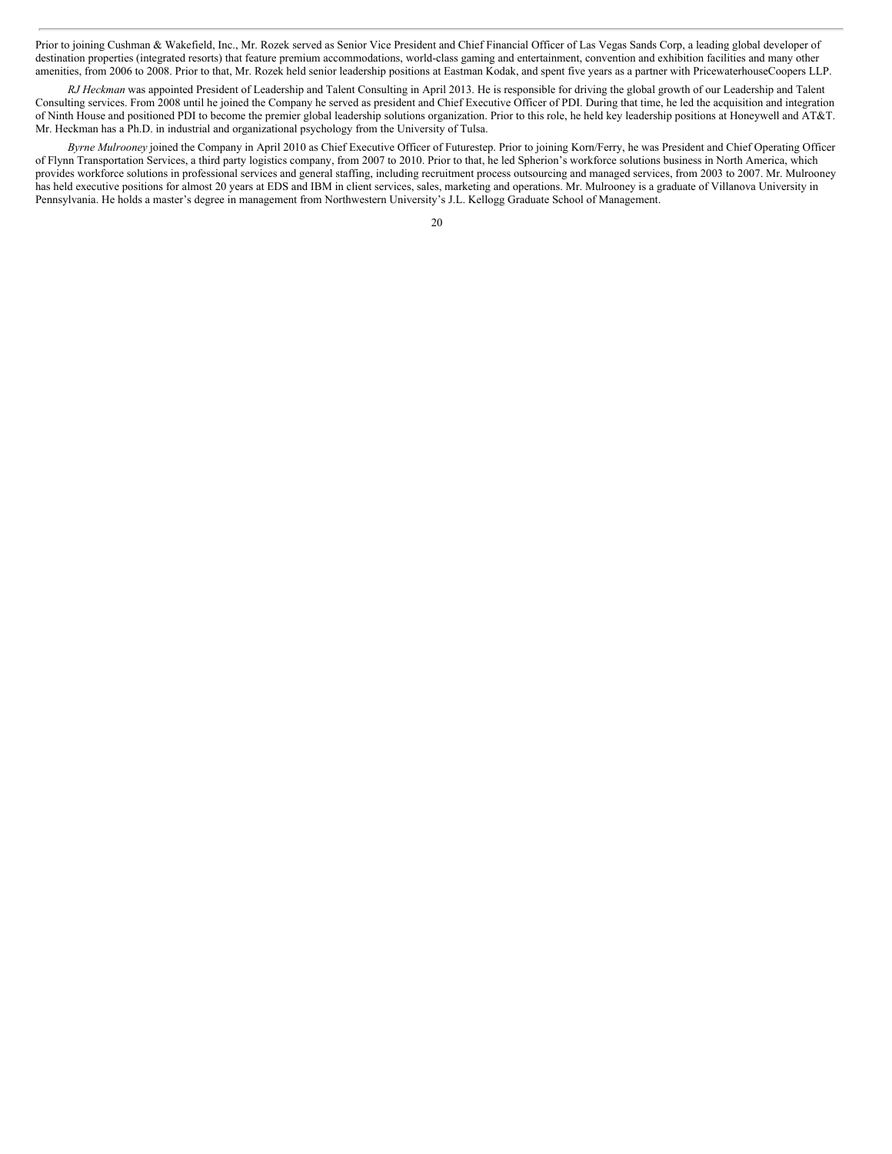Prior to joining Cushman & Wakefield, Inc., Mr. Rozek served as Senior Vice President and Chief Financial Officer of Las Vegas Sands Corp, a leading global developer of destination properties (integrated resorts) that feature premium accommodations, world-class gaming and entertainment, convention and exhibition facilities and many other amenities, from 2006 to 2008. Prior to that, Mr. Rozek held senior leadership positions at Eastman Kodak, and spent five years as a partner with PricewaterhouseCoopers LLP.

*RJ Heckman* was appointed President of Leadership and Talent Consulting in April 2013. He is responsible for driving the global growth of our Leadership and Talent Consulting services. From 2008 until he joined the Company he served as president and Chief Executive Officer of PDI. During that time, he led the acquisition and integration of Ninth House and positioned PDI to become the premier global leadership solutions organization. Prior to this role, he held key leadership positions at Honeywell and AT&T. Mr. Heckman has a Ph.D. in industrial and organizational psychology from the University of Tulsa.

*Byrne Mulrooney* joined the Company in April 2010 as Chief Executive Officer of Futurestep. Prior to joining Korn/Ferry, he was President and Chief Operating Officer of Flynn Transportation Services, a third party logistics company, from 2007 to 2010. Prior to that, he led Spherion's workforce solutions business in North America, which provides workforce solutions in professional services and general staffing, including recruitment process outsourcing and managed services, from 2003 to 2007. Mr. Mulrooney has held executive positions for almost 20 years at EDS and IBM in client services, sales, marketing and operations. Mr. Mulrooney is a graduate of Villanova University in Pennsylvania. He holds a master's degree in management from Northwestern University's J.L. Kellogg Graduate School of Management.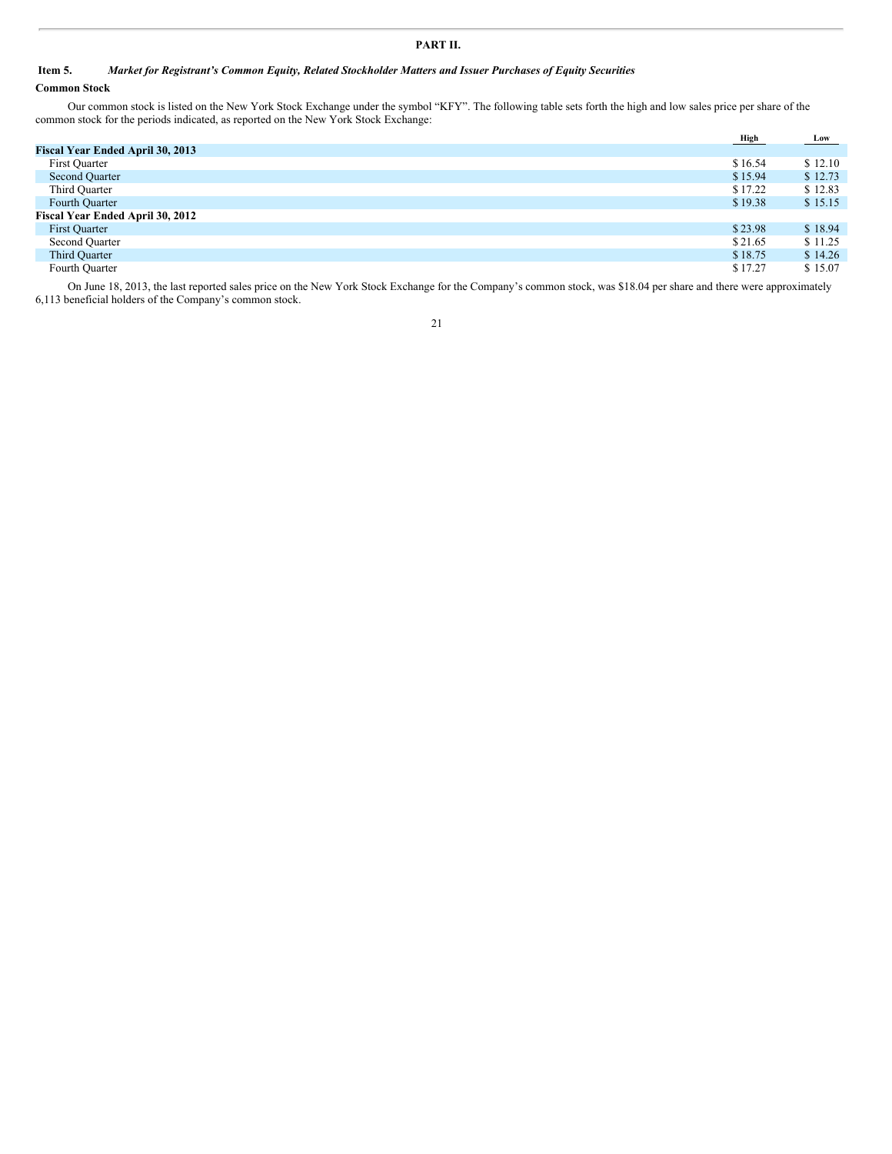# <span id="page-22-0"></span>**PART II.**

# <span id="page-22-1"></span>Item 5. Market for Registrant's Common Equity, Related Stockholder Matters and Issuer Purchases of Equity Securities

## **Common Stock**

Our common stock is listed on the New York Stock Exchange under the symbol "KFY". The following table sets forth the high and low sales price per share of the common stock for the periods indicated, as reported on the New York Stock Exchange:

|                                         | High    | Low     |
|-----------------------------------------|---------|---------|
| <b>Fiscal Year Ended April 30, 2013</b> |         |         |
| First Ouarter                           | \$16.54 | \$12.10 |
| <b>Second Quarter</b>                   | \$15.94 | \$12.73 |
| Third Quarter                           | \$17.22 | \$12.83 |
| Fourth Quarter                          | \$19.38 | \$15.15 |
| Fiscal Year Ended April 30, 2012        |         |         |
| <b>First Quarter</b>                    | \$23.98 | \$18.94 |
| Second Quarter                          | \$21.65 | \$11.25 |
| Third Quarter                           | \$18.75 | \$14.26 |
| Fourth Ouarter                          | \$17.27 | \$15.07 |

On June 18, 2013, the last reported sales price on the New York Stock Exchange for the Company's common stock, was \$18.04 per share and there were approximately 6,113 beneficial holders of the Company's common stock.

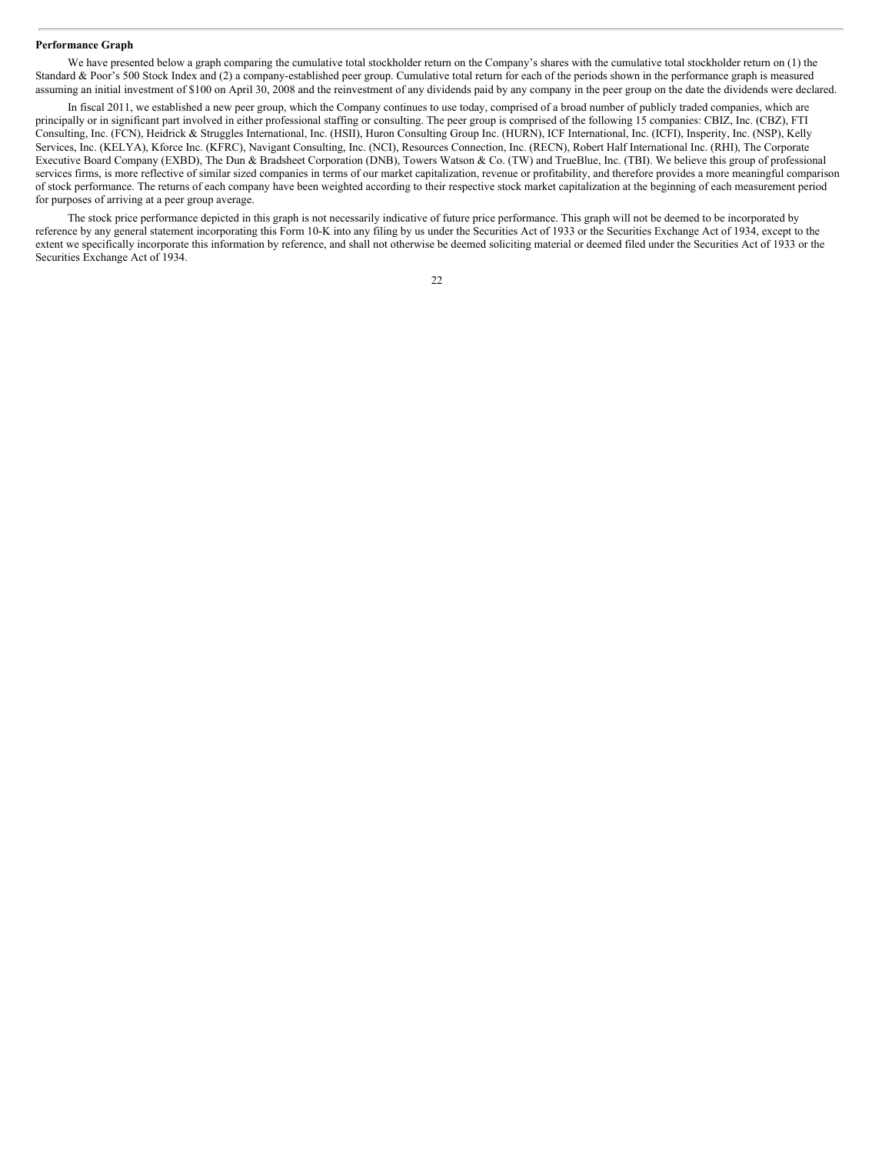#### **Performance Graph**

We have presented below a graph comparing the cumulative total stockholder return on the Company's shares with the cumulative total stockholder return on (1) the Standard & Poor's 500 Stock Index and (2) a company-established peer group. Cumulative total return for each of the periods shown in the performance graph is measured assuming an initial investment of \$100 on April 30, 2008 and the reinvestment of any dividends paid by any company in the peer group on the date the dividends were declared.

In fiscal 2011, we established a new peer group, which the Company continues to use today, comprised of a broad number of publicly traded companies, which are principally or in significant part involved in either professional staffing or consulting. The peer group is comprised of the following 15 companies: CBIZ, Inc. (CBZ), FTI Consulting, Inc. (FCN), Heidrick & Struggles International, Inc. (HSII), Huron Consulting Group Inc. (HURN), ICF International, Inc. (ICFI), Insperity, Inc. (NSP), Kelly Services, Inc. (KELYA), Kforce Inc. (KFRC), Navigant Consulting, Inc. (NCI), Resources Connection, Inc. (RECN), Robert Half International Inc. (RHI), The Corporate Executive Board Company (EXBD), The Dun & Bradsheet Corporation (DNB), Towers Watson & Co. (TW) and TrueBlue, Inc. (TBI). We believe this group of professional services firms, is more reflective of similar sized companies in terms of our market capitalization, revenue or profitability, and therefore provides a more meaningful comparison of stock performance. The returns of each company have been weighted according to their respective stock market capitalization at the beginning of each measurement period for purposes of arriving at a peer group average.

The stock price performance depicted in this graph is not necessarily indicative of future price performance. This graph will not be deemed to be incorporated by reference by any general statement incorporating this Form 10-K into any filing by us under the Securities Act of 1933 or the Securities Exchange Act of 1934, except to the extent we specifically incorporate this information by reference, and shall not otherwise be deemed soliciting material or deemed filed under the Securities Act of 1933 or the Securities Exchange Act of 1934.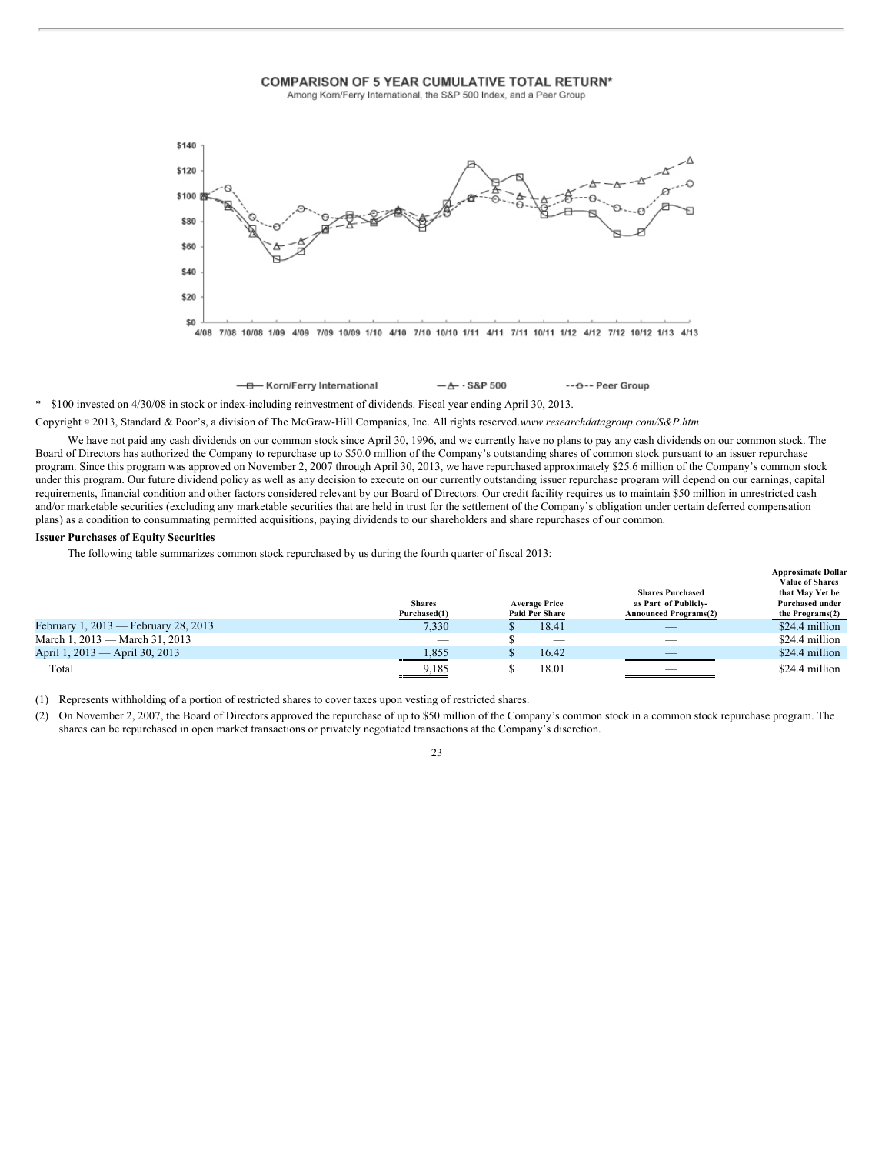# **COMPARISON OF 5 YEAR CUMULATIVE TOTAL RETURN\***

Among Kom/Ferry International, the S&P 500 Index, and a Peer Group



-B-Korn/Ferry International  $-4 -$  S&P 500 -- O-- Peer Group

\* \$100 invested on 4/30/08 in stock or index-including reinvestment of dividends. Fiscal year ending April 30, 2013.

**Approximate Dollar**

Copyright 2013, Standard & Poor's, a division of The McGraw-Hill Companies, Inc. All rights reserved.*www.researchdatagroup.com/S&P.htm* ©

We have not paid any cash dividends on our common stock since April 30, 1996, and we currently have no plans to pay any cash dividends on our common stock. The Board of Directors has authorized the Company to repurchase up to \$50.0 million of the Company's outstanding shares of common stock pursuant to an issuer repurchase program. Since this program was approved on November 2, 2007 through April 30, 2013, we have repurchased approximately \$25.6 million of the Company's common stock under this program. Our future dividend policy as well as any decision to execute on our currently outstanding issuer repurchase program will depend on our earnings, capital requirements, financial condition and other factors considered relevant by our Board of Directors. Our credit facility requires us to maintain \$50 million in unrestricted cash and/or marketable securities (excluding any marketable securities that are held in trust for the settlement of the Company's obligation under certain deferred compensation plans) as a condition to consummating permitted acquisitions, paying dividends to our shareholders and share repurchases of our common.

## **Issuer Purchases of Equity Securities**

The following table summarizes common stock repurchased by us during the fourth quarter of fiscal 2013:

|                                      |                               |                                        | <b>Shares Purchased</b>                              | <b>Value of Shares</b><br>that May Yet be |
|--------------------------------------|-------------------------------|----------------------------------------|------------------------------------------------------|-------------------------------------------|
|                                      | <b>Shares</b><br>Purchased(1) | <b>Average Price</b><br>Paid Per Share | as Part of Publicly-<br><b>Announced Programs(2)</b> | <b>Purchased under</b><br>the Programs(2) |
| February 1, 2013 — February 28, 2013 | 7.330                         | 18.41                                  |                                                      | \$24.4 million                            |
| March 1, 2013 — March 31, 2013       | $\overline{\phantom{a}}$      | $\overline{\phantom{m}}$               | _                                                    | \$24.4 million                            |
| April 1, 2013 — April 30, 2013       | 1,855                         | 16.42                                  | $\overline{\phantom{a}}$                             | \$24.4 million                            |
| Total                                | 9,185                         | 18.01                                  |                                                      | \$24.4 million                            |

(1) Represents withholding of a portion of restricted shares to cover taxes upon vesting of restricted shares.

(2) On November 2, 2007, the Board of Directors approved the repurchase of up to \$50 million of the Company's common stock in a common stock repurchase program. The shares can be repurchased in open market transactions or privately negotiated transactions at the Company's discretion.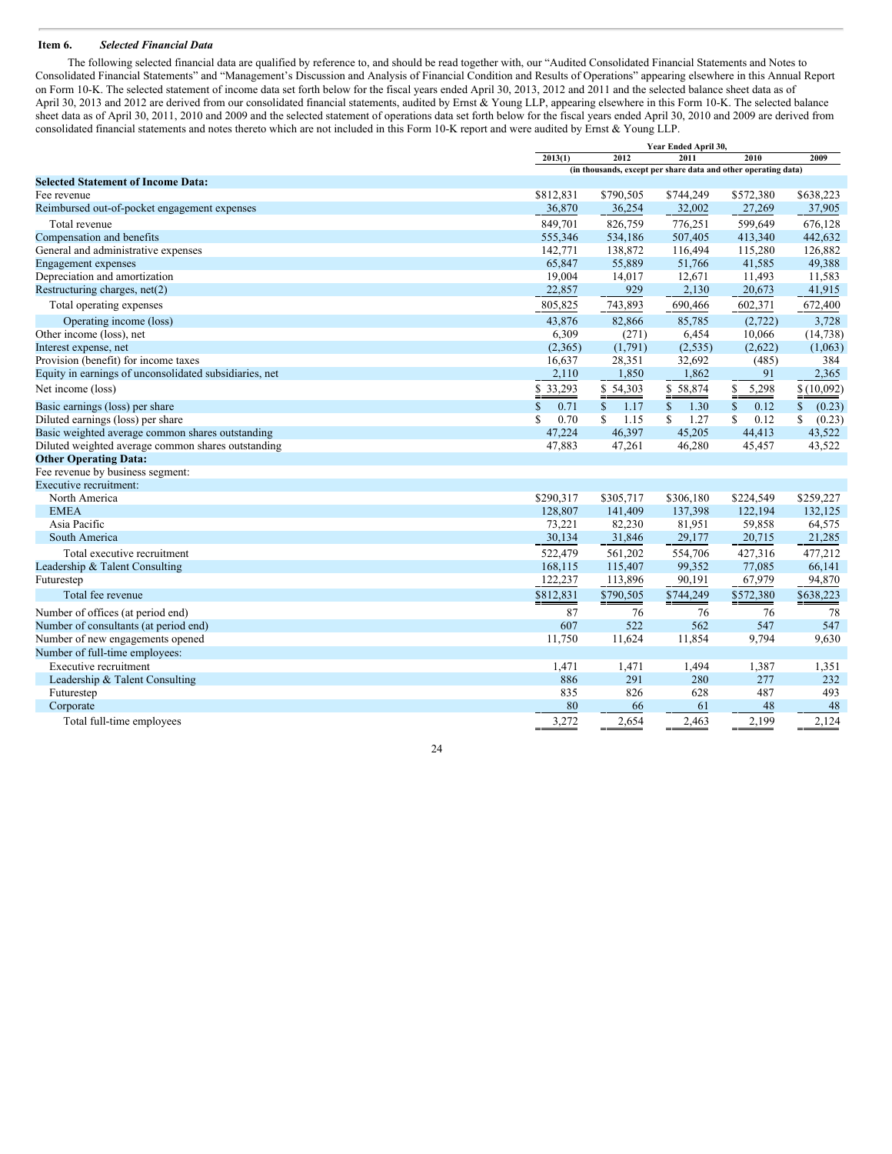#### <span id="page-25-0"></span>**Item 6.** *Selected Financial Data*

The following selected financial data are qualified by reference to, and should be read together with, our "Audited Consolidated Financial Statements and Notes to Consolidated Financial Statements" and "Management's Discussion and Analysis of Financial Condition and Results of Operations" appearing elsewhere in this Annual Report on Form 10-K. The selected statement of income data set forth below for the fiscal years ended April 30, 2013, 2012 and 2011 and the selected balance sheet data as of April 30, 2013 and 2012 are derived from our consolidated financial statements, audited by Ernst & Young LLP, appearing elsewhere in this Form 10-K. The selected balance sheet data as of April 30, 2011, 2010 and 2009 and the selected statement of operations data set forth below for the fiscal years ended April 30, 2010 and 2009 are derived from consolidated financial statements and notes thereto which are not included in this Form 10-K report and were audited by Ernst & Young LLP.

|                                                          |                      | Year Ended April 30,                                           |                      |                        |              |  |
|----------------------------------------------------------|----------------------|----------------------------------------------------------------|----------------------|------------------------|--------------|--|
|                                                          | 2013(1)              | 2012                                                           | 2011                 | 2010                   | 2009         |  |
|                                                          |                      | (in thousands, except per share data and other operating data) |                      |                        |              |  |
| <b>Selected Statement of Income Data:</b><br>Fee revenue | \$812,831            | \$790,505                                                      | \$744,249            | \$572,380              | \$638,223    |  |
| Reimbursed out-of-pocket engagement expenses             | 36,870               | 36,254                                                         | 32,002               | 27,269                 | 37,905       |  |
|                                                          |                      |                                                                |                      |                        |              |  |
| Total revenue                                            | 849,701              | 826,759                                                        | 776,251              | 599,649                | 676,128      |  |
| Compensation and benefits                                | 555,346              | 534,186                                                        | 507,405              | 413,340                | 442,632      |  |
| General and administrative expenses                      | 142,771              | 138,872                                                        | 116,494              | 115,280                | 126,882      |  |
| <b>Engagement</b> expenses                               | 65,847               | 55,889                                                         | 51,766               | 41,585                 | 49,388       |  |
| Depreciation and amortization                            | 19,004               | 14,017                                                         | 12,671               | 11,493                 | 11,583       |  |
| Restructuring charges, net(2)                            | 22,857               | 929                                                            | 2,130                | 20,673                 | 41,915       |  |
| Total operating expenses                                 | 805,825              | 743,893                                                        | 690,466              | 602,371                | 672,400      |  |
| Operating income (loss)                                  | 43,876               | 82,866                                                         | 85,785               | (2,722)                | 3,728        |  |
| Other income (loss), net                                 | 6,309                | (271)                                                          | 6,454                | 10,066                 | (14, 738)    |  |
| Interest expense, net                                    | (2,365)              | (1,791)                                                        | (2, 535)             | (2,622)                | (1,063)      |  |
| Provision (benefit) for income taxes                     | 16,637               | 28,351                                                         | 32,692               | (485)                  | 384          |  |
| Equity in earnings of unconsolidated subsidiaries, net   | 2,110                | 1,850                                                          | 1,862                | 91                     | 2,365        |  |
| Net income (loss)                                        | 33,293<br>\$         | \$54,303                                                       | \$58,874             | $\frac{1}{2}$<br>5,298 | \$(10,092)   |  |
| Basic earnings (loss) per share                          | $\mathbb{S}$<br>0.71 | $\mathbb{S}$<br>1.17                                           | $\mathbb{S}$<br>1.30 | $\mathbb{S}$<br>0.12   | \$<br>(0.23) |  |
| Diluted earnings (loss) per share                        | Ŝ.<br>0.70           | S.<br>1.15                                                     | S.<br>1.27           | S.<br>0.12             | S<br>(0.23)  |  |
| Basic weighted average common shares outstanding         | 47,224               | 46,397                                                         | 45,205               | 44,413                 | 43,522       |  |
| Diluted weighted average common shares outstanding       | 47,883               | 47,261                                                         | 46,280               | 45,457                 | 43,522       |  |
| <b>Other Operating Data:</b>                             |                      |                                                                |                      |                        |              |  |
| Fee revenue by business segment:                         |                      |                                                                |                      |                        |              |  |
| <b>Executive recruitment:</b>                            |                      |                                                                |                      |                        |              |  |
| North America                                            | \$290,317            | \$305,717                                                      | \$306,180            | \$224,549              | \$259,227    |  |
| <b>EMEA</b>                                              | 128,807              | 141,409                                                        | 137,398              | 122,194                | 132,125      |  |
| Asia Pacific                                             | 73,221               | 82,230                                                         | 81,951               | 59,858                 | 64,575       |  |
| South America                                            | 30,134               | 31,846                                                         | 29,177               | 20,715                 | 21,285       |  |
| Total executive recruitment                              | 522,479              | 561,202                                                        | 554,706              | 427,316                | 477,212      |  |
| Leadership & Talent Consulting                           | 168,115              | 115,407                                                        | 99,352               | 77,085                 | 66,141       |  |
| Futurestep                                               | 122,237              | 113,896                                                        | 90,191               | 67,979                 | 94,870       |  |
| Total fee revenue                                        | \$812,831            | \$790,505                                                      | \$744,249            | \$572,380              | \$638,223    |  |
| Number of offices (at period end)                        | 87                   | 76                                                             | 76                   | 76                     | 78           |  |
| Number of consultants (at period end)                    | 607                  | 522                                                            | 562                  | 547                    | 547          |  |
| Number of new engagements opened                         | 11,750               | 11,624                                                         | 11,854               | 9,794                  | 9,630        |  |
| Number of full-time employees:                           |                      |                                                                |                      |                        |              |  |
| <b>Executive recruitment</b>                             | 1,471                | 1,471                                                          | 1,494                | 1,387                  | 1,351        |  |
| Leadership & Talent Consulting                           | 886                  | 291                                                            | 280                  | 277                    | 232          |  |
| Futurestep                                               | 835                  | 826                                                            | 628                  | 487                    | 493          |  |
| Corporate                                                | 80                   | 66                                                             | 61                   | 48                     | 48           |  |
| Total full-time employees                                | 3.272                | 2.654                                                          | 2.463                | 2.199                  | 2.124        |  |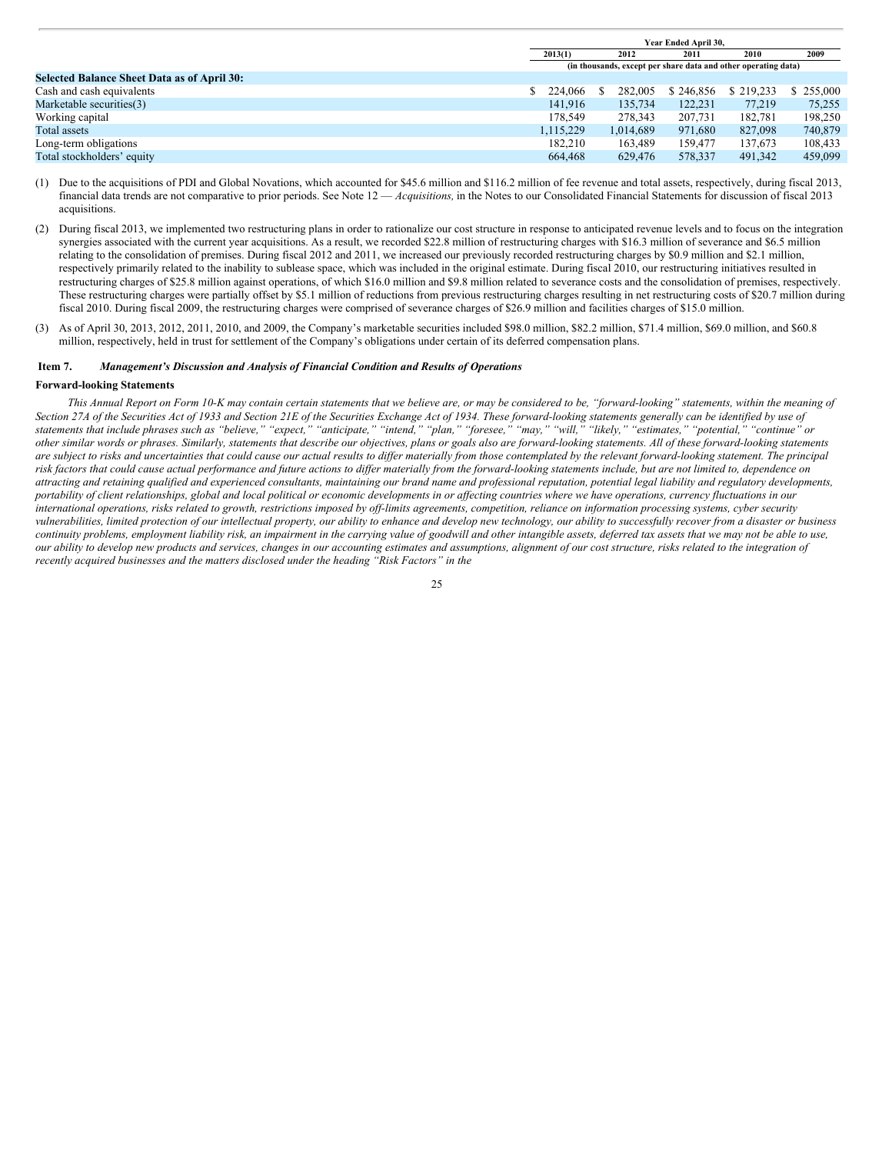|                                                    |           | Year Ended April 30,                                           |           |           |           |  |
|----------------------------------------------------|-----------|----------------------------------------------------------------|-----------|-----------|-----------|--|
|                                                    | 2013(1)   | 2012                                                           | 2011      | 2010      | 2009      |  |
|                                                    |           | (in thousands, except per share data and other operating data) |           |           |           |  |
| <b>Selected Balance Sheet Data as of April 30:</b> |           |                                                                |           |           |           |  |
| Cash and cash equivalents                          | 224,066   | 282,005                                                        | \$246,856 | \$219,233 | \$255,000 |  |
| Marketable securities(3)                           | 141,916   | 135,734                                                        | 122,231   | 77.219    | 75,255    |  |
| Working capital                                    | 178,549   | 278,343                                                        | 207,731   | 182.781   | 198,250   |  |
| Total assets                                       | 1,115,229 | 1,014,689                                                      | 971,680   | 827,098   | 740,879   |  |
| Long-term obligations                              | 182,210   | 163.489                                                        | 159.477   | 137,673   | 108,433   |  |
| Total stockholders' equity                         | 664,468   | 629,476                                                        | 578,337   | 491.342   | 459,099   |  |

- (1) Due to the acquisitions of PDI and Global Novations, which accounted for \$45.6 million and \$116.2 million of fee revenue and total assets, respectively, during fiscal 2013, financial data trends are not comparative to prior periods. See Note 12 — *Acquisitions,* in the Notes to our Consolidated Financial Statements for discussion of fiscal 2013 acquisitions.
- (2) During fiscal 2013, we implemented two restructuring plans in order to rationalize our cost structure in response to anticipated revenue levels and to focus on the integration synergies associated with the current year acquisitions. As a result, we recorded \$22.8 million of restructuring charges with \$16.3 million of severance and \$6.5 million relating to the consolidation of premises. During fiscal 2012 and 2011, we increased our previously recorded restructuring charges by \$0.9 million and \$2.1 million, respectively primarily related to the inability to sublease space, which was included in the original estimate. During fiscal 2010, our restructuring initiatives resulted in restructuring charges of \$25.8 million against operations, of which \$16.0 million and \$9.8 million related to severance costs and the consolidation of premises, respectively. These restructuring charges were partially offset by \$5.1 million of reductions from previous restructuring charges resulting in net restructuring costs of \$20.7 million during fiscal 2010. During fiscal 2009, the restructuring charges were comprised of severance charges of \$26.9 million and facilities charges of \$15.0 million.
- (3) As of April 30, 2013, 2012, 2011, 2010, and 2009, the Company's marketable securities included \$98.0 million, \$82.2 million, \$71.4 million, \$69.0 million, and \$60.8 million, respectively, held in trust for settlement of the Company's obligations under certain of its deferred compensation plans.

## <span id="page-26-0"></span>**Item 7.** *Management's Discussion and Analysis of Financial Condition and Results of Operations*

## **Forward-looking Statements**

This Annual Report on Form 10-K may contain certain statements that we believe are, or may be considered to be, "forward-looking" statements, within the meaning of Section 27A of the Securities Act of 1933 and Section 21E of the Securities Exchange Act of 1934. These forward-looking statements generally can be identified by use of statements that include phrases such as "believe," "expect," "anticipate," "intend," "plan," "foresee," "may," "will," "likely," "estimates," "potential," "continue" or other similar words or phrases. Similarly, statements that describe our objectives, plans or goals also are forward-looking statements. All of these forward-looking statements are subject to risks and uncertainties that could cause our actual results to differ materially from those contemplated by the relevant forward-looking statement. The principal risk factors that could cause actual performance and future actions to differ materially from the forward-looking statements include, but are not limited to, dependence on attracting and retaining qualified and experienced consultants, maintaining our brand name and professional reputation, potential legal liability and regulatory developments, portability of client relationships, global and local political or economic developments in or affecting countries where we have operations, currency fluctuations in our international operations, risks related to growth, restrictions imposed by off-limits agreements, competition, reliance on information processing systems, cyber security vulnerabilities, limited protection of our intellectual property, our ability to enhance and develop new technology, our ability to successfully recover from a disaster or business continuity problems, employment liability risk, an impairment in the carrying value of goodwill and other intangible assets, deferred tax assets that we may not be able to use, our ability to develop new products and services, changes in our accounting estimates and assumptions, alignment of our cost structure, risks related to the integration of *recently acquired businesses and the matters disclosed under the heading "Risk Factors" in the*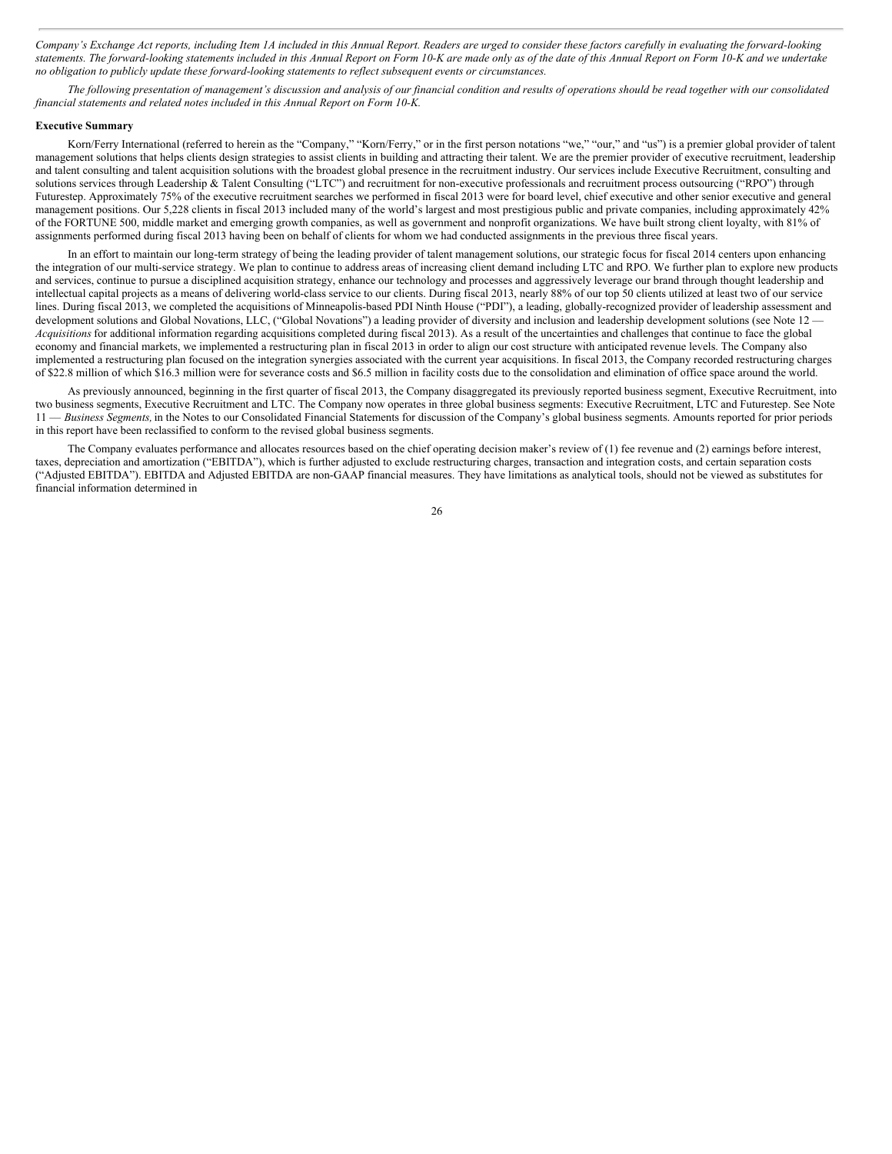Company's Exchange Act reports, including Item 1A included in this Annual Report. Readers are urged to consider these factors carefully in evaluating the forward-looking statements. The forward-looking statements included in this Annual Report on Form 10-K are made only as of the date of this Annual Report on Form 10-K and we undertake *no obligation to publicly update these forward-looking statements to reflect subsequent events or circumstances.*

The following presentation of management's discussion and analysis of our financial condition and results of operations should be read together with our consolidated *financial statements and related notes included in this Annual Report on Form 10-K.*

#### **Executive Summary**

Korn/Ferry International (referred to herein as the "Company," "Korn/Ferry," or in the first person notations "we," "our," and "us") is a premier global provider of talent management solutions that helps clients design strategies to assist clients in building and attracting their talent. We are the premier provider of executive recruitment, leadership and talent consulting and talent acquisition solutions with the broadest global presence in the recruitment industry. Our services include Executive Recruitment, consulting and solutions services through Leadership & Talent Consulting ("LTC") and recruitment for non-executive professionals and recruitment process outsourcing ("RPO") through Futurestep. Approximately 75% of the executive recruitment searches we performed in fiscal 2013 were for board level, chief executive and other senior executive and general management positions. Our 5,228 clients in fiscal 2013 included many of the world's largest and most prestigious public and private companies, including approximately 42% of the FORTUNE 500, middle market and emerging growth companies, as well as government and nonprofit organizations. We have built strong client loyalty, with 81% of assignments performed during fiscal 2013 having been on behalf of clients for whom we had conducted assignments in the previous three fiscal years.

In an effort to maintain our long-term strategy of being the leading provider of talent management solutions, our strategic focus for fiscal 2014 centers upon enhancing the integration of our multi-service strategy. We plan to continue to address areas of increasing client demand including LTC and RPO. We further plan to explore new products and services, continue to pursue a disciplined acquisition strategy, enhance our technology and processes and aggressively leverage our brand through thought leadership and intellectual capital projects as a means of delivering world-class service to our clients. During fiscal 2013, nearly 88% of our top 50 clients utilized at least two of our service lines. During fiscal 2013, we completed the acquisitions of Minneapolis-based PDI Ninth House ("PDI"), a leading, globally-recognized provider of leadership assessment and development solutions and Global Novations, LLC, ("Global Novations") a leading provider of diversity and inclusion and leadership development solutions (see Note 12 *Acquisitions* for additional information regarding acquisitions completed during fiscal 2013). As a result of the uncertainties and challenges that continue to face the global economy and financial markets, we implemented a restructuring plan in fiscal 2013 in order to align our cost structure with anticipated revenue levels. The Company also implemented a restructuring plan focused on the integration synergies associated with the current year acquisitions. In fiscal 2013, the Company recorded restructuring charges of \$22.8 million of which \$16.3 million were for severance costs and \$6.5 million in facility costs due to the consolidation and elimination of office space around the world.

As previously announced, beginning in the first quarter of fiscal 2013, the Company disaggregated its previously reported business segment, Executive Recruitment, into two business segments, Executive Recruitment and LTC. The Company now operates in three global business segments: Executive Recruitment, LTC and Futurestep. See Note 11 — *Business Segments,* in the Notes to our Consolidated Financial Statements for discussion of the Company's global business segments. Amounts reported for prior periods in this report have been reclassified to conform to the revised global business segments.

The Company evaluates performance and allocates resources based on the chief operating decision maker's review of (1) fee revenue and (2) earnings before interest, taxes, depreciation and amortization ("EBITDA"), which is further adjusted to exclude restructuring charges, transaction and integration costs, and certain separation costs ("Adjusted EBITDA"). EBITDA and Adjusted EBITDA are non-GAAP financial measures. They have limitations as analytical tools, should not be viewed as substitutes for financial information determined in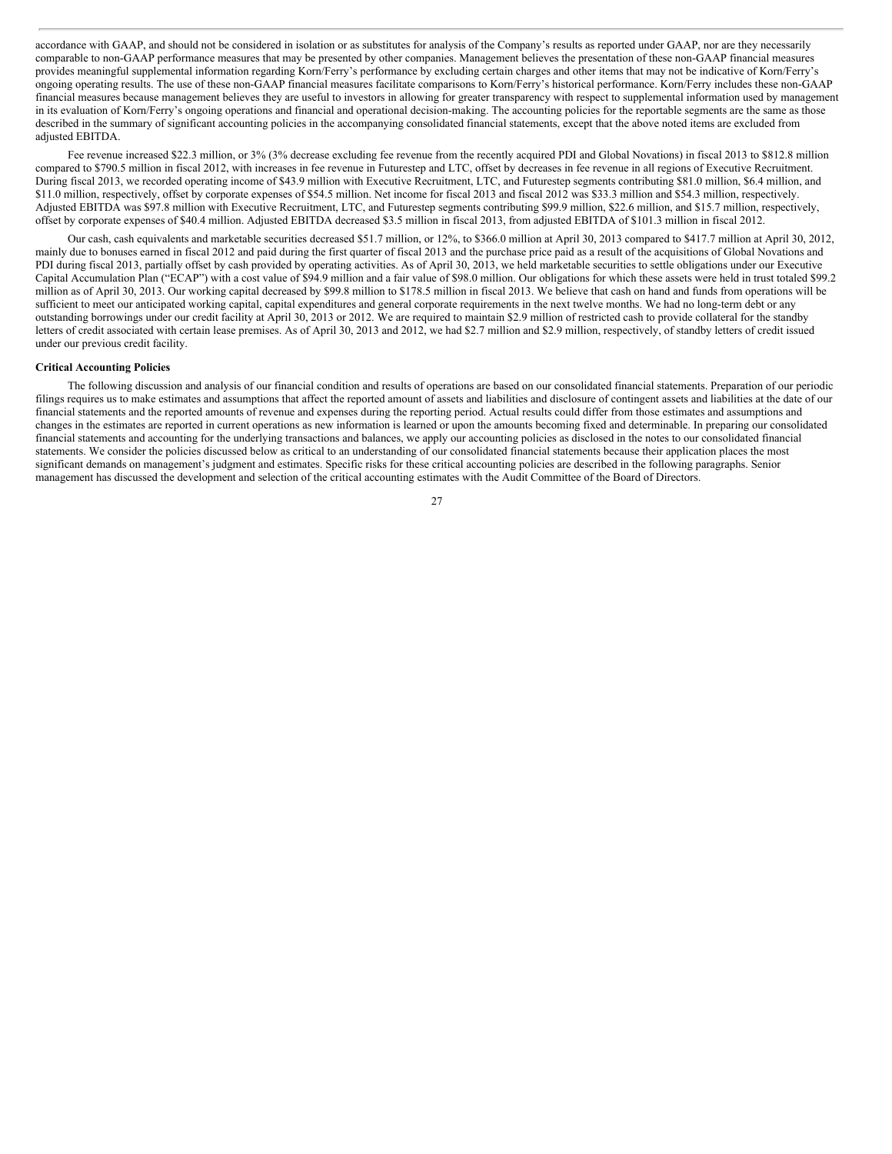accordance with GAAP, and should not be considered in isolation or as substitutes for analysis of the Company's results as reported under GAAP, nor are they necessarily comparable to non-GAAP performance measures that may be presented by other companies. Management believes the presentation of these non-GAAP financial measures provides meaningful supplemental information regarding Korn/Ferry's performance by excluding certain charges and other items that may not be indicative of Korn/Ferry's ongoing operating results. The use of these non-GAAP financial measures facilitate comparisons to Korn/Ferry's historical performance. Korn/Ferry includes these non-GAAP financial measures because management believes they are useful to investors in allowing for greater transparency with respect to supplemental information used by management in its evaluation of Korn/Ferry's ongoing operations and financial and operational decision-making. The accounting policies for the reportable segments are the same as those described in the summary of significant accounting policies in the accompanying consolidated financial statements, except that the above noted items are excluded from adjusted EBITDA.

Fee revenue increased \$22.3 million, or 3% (3% decrease excluding fee revenue from the recently acquired PDI and Global Novations) in fiscal 2013 to \$812.8 million compared to \$790.5 million in fiscal 2012, with increases in fee revenue in Futurestep and LTC, offset by decreases in fee revenue in all regions of Executive Recruitment. During fiscal 2013, we recorded operating income of \$43.9 million with Executive Recruitment, LTC, and Futurestep segments contributing \$81.0 million, \$6.4 million, and \$11.0 million, respectively, offset by corporate expenses of \$54.5 million. Net income for fiscal 2013 and fiscal 2012 was \$33.3 million and \$54.3 million, respectively. Adjusted EBITDA was \$97.8 million with Executive Recruitment, LTC, and Futurestep segments contributing \$99.9 million, \$22.6 million, and \$15.7 million, respectively, offset by corporate expenses of \$40.4 million. Adjusted EBITDA decreased \$3.5 million in fiscal 2013, from adjusted EBITDA of \$101.3 million in fiscal 2012.

Our cash, cash equivalents and marketable securities decreased \$51.7 million, or 12%, to \$366.0 million at April 30, 2013 compared to \$417.7 million at April 30, 2012, mainly due to bonuses earned in fiscal 2012 and paid during the first quarter of fiscal 2013 and the purchase price paid as a result of the acquisitions of Global Novations and PDI during fiscal 2013, partially offset by cash provided by operating activities. As of April 30, 2013, we held marketable securities to settle obligations under our Executive Capital Accumulation Plan ("ECAP") with a cost value of \$94.9 million and a fair value of \$98.0 million. Our obligations for which these assets were held in trust totaled \$99.2 million as of April 30, 2013. Our working capital decreased by \$99.8 million to \$178.5 million in fiscal 2013. We believe that cash on hand and funds from operations will be sufficient to meet our anticipated working capital, capital expenditures and general corporate requirements in the next twelve months. We had no long-term debt or any outstanding borrowings under our credit facility at April 30, 2013 or 2012. We are required to maintain \$2.9 million of restricted cash to provide collateral for the standby letters of credit associated with certain lease premises. As of April 30, 2013 and 2012, we had \$2.7 million and \$2.9 million, respectively, of standby letters of credit issued under our previous credit facility.

#### **Critical Accounting Policies**

The following discussion and analysis of our financial condition and results of operations are based on our consolidated financial statements. Preparation of our periodic filings requires us to make estimates and assumptions that affect the reported amount of assets and liabilities and disclosure of contingent assets and liabilities at the date of our financial statements and the reported amounts of revenue and expenses during the reporting period. Actual results could differ from those estimates and assumptions and changes in the estimates are reported in current operations as new information is learned or upon the amounts becoming fixed and determinable. In preparing our consolidated financial statements and accounting for the underlying transactions and balances, we apply our accounting policies as disclosed in the notes to our consolidated financial statements. We consider the policies discussed below as critical to an understanding of our consolidated financial statements because their application places the most significant demands on management's judgment and estimates. Specific risks for these critical accounting policies are described in the following paragraphs. Senior management has discussed the development and selection of the critical accounting estimates with the Audit Committee of the Board of Directors.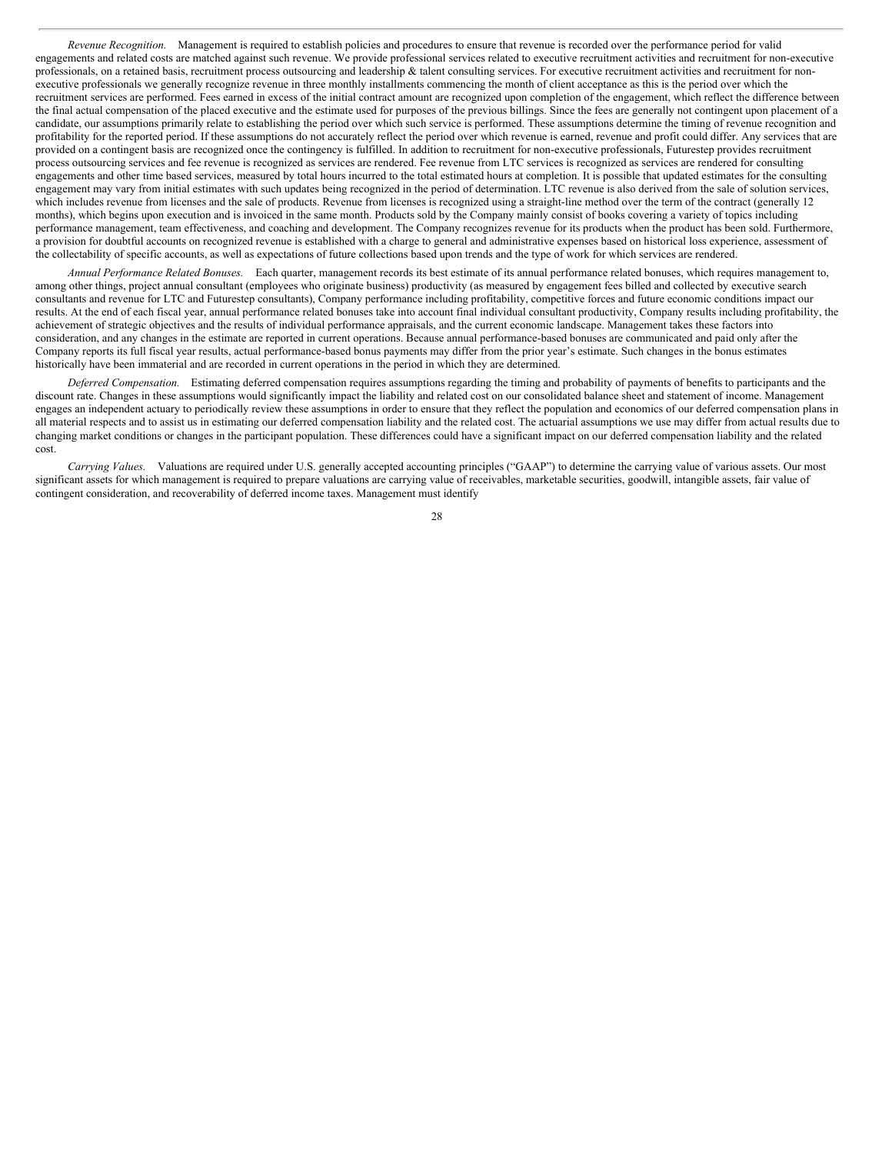*Revenue Recognition.* Management is required to establish policies and procedures to ensure that revenue is recorded over the performance period for valid engagements and related costs are matched against such revenue. We provide professional services related to executive recruitment activities and recruitment for non-executive professionals, on a retained basis, recruitment process outsourcing and leadership & talent consulting services. For executive recruitment activities and recruitment for nonexecutive professionals we generally recognize revenue in three monthly installments commencing the month of client acceptance as this is the period over which the recruitment services are performed. Fees earned in excess of the initial contract amount are recognized upon completion of the engagement, which reflect the difference between the final actual compensation of the placed executive and the estimate used for purposes of the previous billings. Since the fees are generally not contingent upon placement of a candidate, our assumptions primarily relate to establishing the period over which such service is performed. These assumptions determine the timing of revenue recognition and profitability for the reported period. If these assumptions do not accurately reflect the period over which revenue is earned, revenue and profit could differ. Any services that are provided on a contingent basis are recognized once the contingency is fulfilled. In addition to recruitment for non-executive professionals, Futurestep provides recruitment process outsourcing services and fee revenue is recognized as services are rendered. Fee revenue from LTC services is recognized as services are rendered for consulting engagements and other time based services, measured by total hours incurred to the total estimated hours at completion. It is possible that updated estimates for the consulting engagement may vary from initial estimates with such updates being recognized in the period of determination. LTC revenue is also derived from the sale of solution services, which includes revenue from licenses and the sale of products. Revenue from licenses is recognized using a straight-line method over the term of the contract (generally 12 months), which begins upon execution and is invoiced in the same month. Products sold by the Company mainly consist of books covering a variety of topics including performance management, team effectiveness, and coaching and development. The Company recognizes revenue for its products when the product has been sold. Furthermore, a provision for doubtful accounts on recognized revenue is established with a charge to general and administrative expenses based on historical loss experience, assessment of the collectability of specific accounts, as well as expectations of future collections based upon trends and the type of work for which services are rendered.

*Annual Performance Related Bonuses.* Each quarter, management records its best estimate of its annual performance related bonuses, which requires management to, among other things, project annual consultant (employees who originate business) productivity (as measured by engagement fees billed and collected by executive search consultants and revenue for LTC and Futurestep consultants), Company performance including profitability, competitive forces and future economic conditions impact our results. At the end of each fiscal year, annual performance related bonuses take into account final individual consultant productivity, Company results including profitability, the achievement of strategic objectives and the results of individual performance appraisals, and the current economic landscape. Management takes these factors into consideration, and any changes in the estimate are reported in current operations. Because annual performance-based bonuses are communicated and paid only after the Company reports its full fiscal year results, actual performance-based bonus payments may differ from the prior year's estimate. Such changes in the bonus estimates historically have been immaterial and are recorded in current operations in the period in which they are determined.

*Deferred Compensation.* Estimating deferred compensation requires assumptions regarding the timing and probability of payments of benefits to participants and the discount rate. Changes in these assumptions would significantly impact the liability and related cost on our consolidated balance sheet and statement of income. Management engages an independent actuary to periodically review these assumptions in order to ensure that they reflect the population and economics of our deferred compensation plans in all material respects and to assist us in estimating our deferred compensation liability and the related cost. The actuarial assumptions we use may differ from actual results due to changing market conditions or changes in the participant population. These differences could have a significant impact on our deferred compensation liability and the related cost.

*Carrying Values.* Valuations are required under U.S. generally accepted accounting principles ("GAAP") to determine the carrying value of various assets. Our most significant assets for which management is required to prepare valuations are carrying value of receivables, marketable securities, goodwill, intangible assets, fair value of contingent consideration, and recoverability of deferred income taxes. Management must identify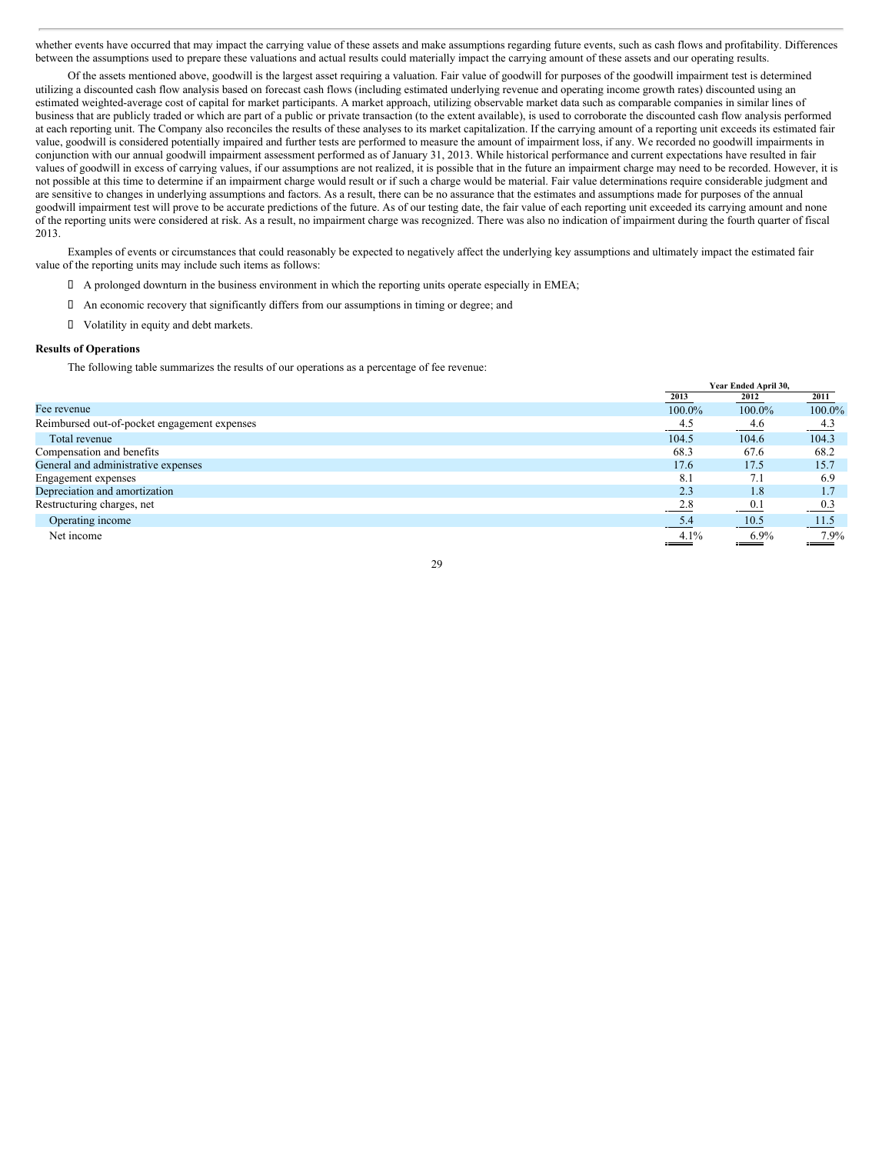whether events have occurred that may impact the carrying value of these assets and make assumptions regarding future events, such as cash flows and profitability. Differences between the assumptions used to prepare these valuations and actual results could materially impact the carrying amount of these assets and our operating results.

Of the assets mentioned above, goodwill is the largest asset requiring a valuation. Fair value of goodwill for purposes of the goodwill impairment test is determined utilizing a discounted cash flow analysis based on forecast cash flows (including estimated underlying revenue and operating income growth rates) discounted using an estimated weighted-average cost of capital for market participants. A market approach, utilizing observable market data such as comparable companies in similar lines of business that are publicly traded or which are part of a public or private transaction (to the extent available), is used to corroborate the discounted cash flow analysis performed at each reporting unit. The Company also reconciles the results of these analyses to its market capitalization. If the carrying amount of a reporting unit exceeds its estimated fair value, goodwill is considered potentially impaired and further tests are performed to measure the amount of impairment loss, if any. We recorded no goodwill impairments in conjunction with our annual goodwill impairment assessment performed as of January 31, 2013. While historical performance and current expectations have resulted in fair values of goodwill in excess of carrying values, if our assumptions are not realized, it is possible that in the future an impairment charge may need to be recorded. However, it is not possible at this time to determine if an impairment charge would result or if such a charge would be material. Fair value determinations require considerable judgment and are sensitive to changes in underlying assumptions and factors. As a result, there can be no assurance that the estimates and assumptions made for purposes of the annual goodwill impairment test will prove to be accurate predictions of the future. As of our testing date, the fair value of each reporting unit exceeded its carrying amount and none of the reporting units were considered at risk. As a result, no impairment charge was recognized. There was also no indication of impairment during the fourth quarter of fiscal 2013.

Examples of events or circumstances that could reasonably be expected to negatively affect the underlying key assumptions and ultimately impact the estimated fair value of the reporting units may include such items as follows:

- $\Box$  A prolonged downturn in the business environment in which the reporting units operate especially in EMEA;
- An economic recovery that significantly differs from our assumptions in timing or degree; and
- Volatility in equity and debt markets.

#### **Results of Operations**

The following table summarizes the results of our operations as a percentage of fee revenue:

|                                              | Year Ended April 30, |         |           |
|----------------------------------------------|----------------------|---------|-----------|
|                                              | 2013                 | 2012    | 2011      |
| Fee revenue                                  | 100.0%               | 100.0%  | $100.0\%$ |
| Reimbursed out-of-pocket engagement expenses | 4.5                  | $-4.6$  | $-4.3$    |
| Total revenue                                | 104.5                | 104.6   | 104.3     |
| Compensation and benefits                    | 68.3                 | 67.6    | 68.2      |
| General and administrative expenses          | 17.6                 | 17.5    | 15.7      |
| Engagement expenses                          | 8.1                  | 7.1     | 6.9       |
| Depreciation and amortization                | 2.3                  | 1.8     | 1.7       |
| Restructuring charges, net                   | 2.8                  | 0.1     | 0.3       |
| Operating income                             | 5.4                  | 10.5    | 11.5      |
| Net income                                   | 4.1%                 | $6.9\%$ | 7.9%      |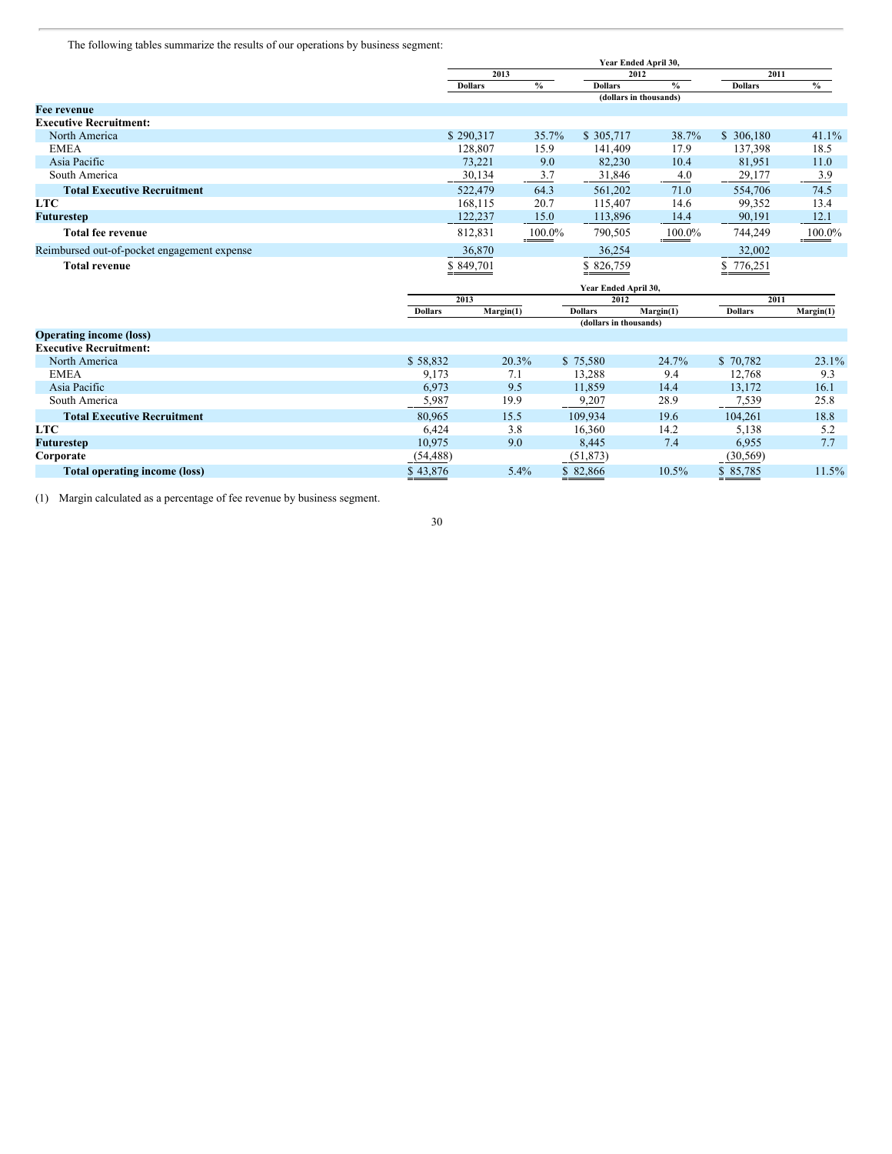The following tables summarize the results of our operations by business segment:

| The following tholes summarize the results of our operations of ousnicss segment. |                |                                 |                    |                        |                |               |
|-----------------------------------------------------------------------------------|----------------|---------------------------------|--------------------|------------------------|----------------|---------------|
|                                                                                   |                |                                 |                    | Year Ended April 30,   |                |               |
|                                                                                   |                | 2013                            |                    | 2012                   |                | 2011          |
|                                                                                   |                | $\frac{0}{6}$<br><b>Dollars</b> | <b>Dollars</b>     | $\frac{0}{2}$          | <b>Dollars</b> | $\frac{0}{6}$ |
|                                                                                   |                |                                 |                    | (dollars in thousands) |                |               |
| <b>Fee revenue</b>                                                                |                |                                 |                    |                        |                |               |
| <b>Executive Recruitment:</b>                                                     |                |                                 |                    |                        |                |               |
| North America                                                                     |                | \$290,317                       | 35.7%<br>\$305,717 | 38.7%                  | \$ 306,180     | 41.1%         |
| <b>EMEA</b>                                                                       |                | 128,807                         | 15.9<br>141,409    | 17.9                   | 137,398        | 18.5          |
| Asia Pacific                                                                      |                | 73,221                          | 9.0<br>82,230      | 10.4                   | 81,951         | 11.0          |
| South America                                                                     |                | 30,134                          | 3.7<br>31,846      | 4.0                    | 29,177         | 3.9           |
| <b>Total Executive Recruitment</b>                                                |                | 522,479                         | 64.3<br>561,202    | 71.0                   | 554,706        | 74.5          |
| <b>LTC</b>                                                                        |                | 168,115                         | 20.7<br>115,407    | 14.6                   | 99,352         | 13.4          |
| <b>Futurestep</b>                                                                 |                | 122,237                         | 15.0<br>113,896    | 14.4                   | 90,191         | 12.1          |
| <b>Total fee revenue</b>                                                          |                | 812,831                         | 100.0%<br>790,505  | 100.0%                 | 744,249        | $100.0\%$     |
| Reimbursed out-of-pocket engagement expense                                       |                | 36,870                          | 36,254             |                        | 32,002         |               |
| <b>Total revenue</b>                                                              |                | \$849,701                       | \$826,759          |                        | \$776,251      |               |
|                                                                                   |                | Year Ended April 30,            |                    |                        |                |               |
|                                                                                   | 2013           |                                 |                    | 2012                   |                | 2011          |
|                                                                                   | <b>Dollars</b> | Margin(1)                       | <b>Dollars</b>     | Margin(1)              | <b>Dollars</b> | Margin(1)     |
|                                                                                   |                |                                 |                    | (dollars in thousands) |                |               |
| <b>Operating income (loss)</b>                                                    |                |                                 |                    |                        |                |               |
| <b>Executive Recruitment:</b>                                                     |                |                                 |                    |                        |                |               |
| North America                                                                     | \$58,832       | 20.3%                           | \$75,580           | 24.7%                  | \$70,782       | 23.1%         |
| <b>EMEA</b>                                                                       | 9,173          | 7.1                             | 13,288             | 9.4                    | 12,768         | 9.3           |
| Asia Pacific                                                                      | 6,973          | 9.5                             | 11,859             | 14.4                   | 13,172         | 16.1          |
| South America                                                                     | 5,987          | 19.9                            | 9,207              | 28.9                   | 7,539          | 25.8          |
| <b>Total Executive Recruitment</b>                                                | 80,965         | 15.5                            | 109,934            | 19.6                   | 104,261        | 18.8          |
| <b>LTC</b>                                                                        | 6,424          | 3.8                             | 16,360             | 14.2                   | 5,138          | 5.2           |
| <b>Futurestep</b>                                                                 | 10,975         | 9.0                             | 8,445              | 7.4                    | 6,955          | 7.7           |
| Corporate                                                                         | (54, 488)      |                                 | (51, 873)          |                        | (30, 569)      |               |
| <b>Total operating income (loss)</b>                                              | \$43,876       | 5.4%                            | \$82,866           | 10.5%                  | \$85,785       | 11.5%         |
|                                                                                   |                |                                 |                    |                        |                |               |

(1) Margin calculated as a percentage of fee revenue by business segment.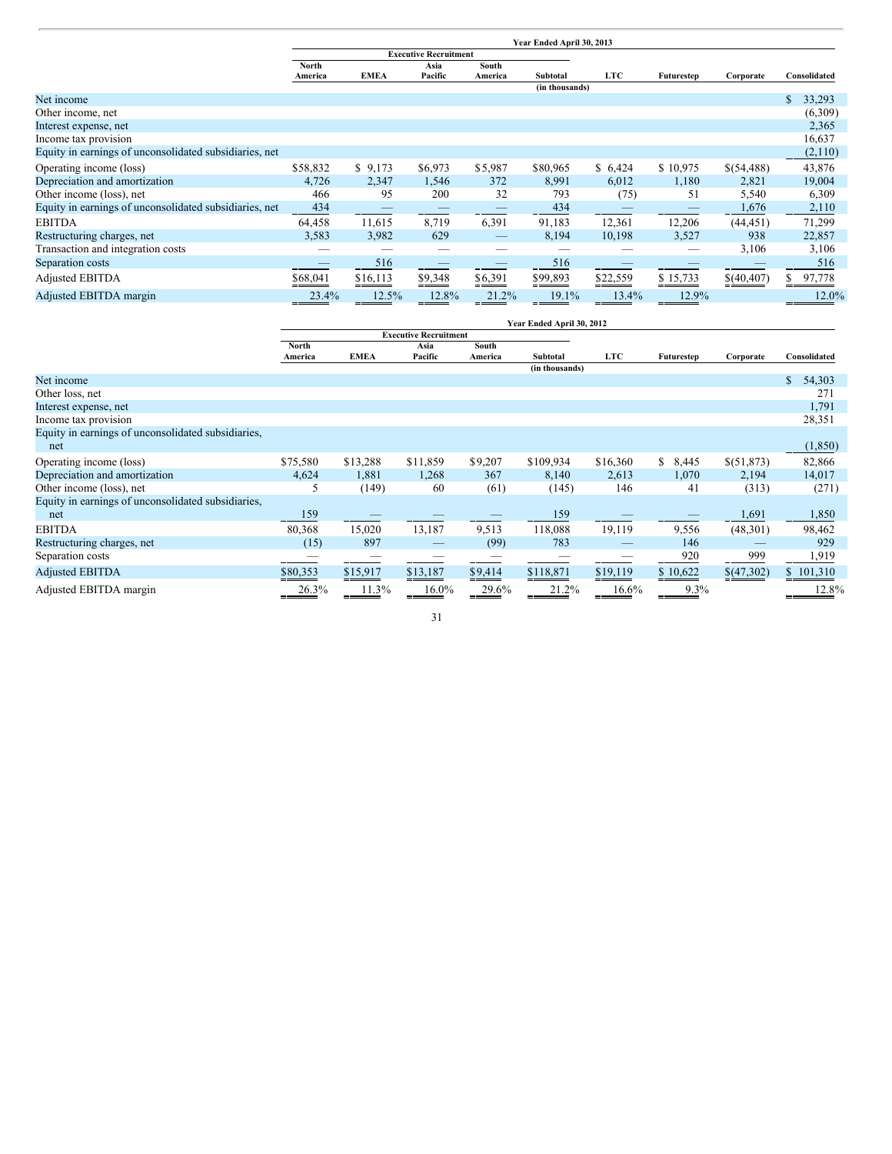|                                                        | Year Ended April 30, 2013    |             |                 |                  |          |            |             |            |              |
|--------------------------------------------------------|------------------------------|-------------|-----------------|------------------|----------|------------|-------------|------------|--------------|
|                                                        | <b>Executive Recruitment</b> |             |                 |                  |          |            |             |            |              |
|                                                        | North<br>America             | <b>EMEA</b> | Asia<br>Pacific | South<br>America | Subtotal | <b>LTC</b> | Futurestep  | Corporate  | Consolidated |
|                                                        | (in thousands)               |             |                 |                  |          |            |             |            |              |
| Net income                                             |                              |             |                 |                  |          |            |             |            | 33,293<br>S. |
| Other income, net                                      |                              |             |                 |                  |          |            |             |            | (6,309)      |
| Interest expense, net                                  |                              |             |                 |                  |          |            |             |            | 2,365        |
| Income tax provision                                   |                              |             |                 |                  |          |            |             |            | 16,637       |
| Equity in earnings of unconsolidated subsidiaries, net |                              |             |                 |                  |          |            |             |            | (2,110)      |
| Operating income (loss)                                | \$58,832                     | \$9,173     | \$6,973         | \$5,987          | \$80,965 | \$6,424    | \$10,975    | \$(54,488) | 43,876       |
| Depreciation and amortization                          | 4,726                        | 2,347       | 1,546           | 372              | 8,991    | 6,012      | 1,180       | 2,821      | 19,004       |
| Other income (loss), net                               | 466                          | 95          | 200             | 32               | 793      | (75)       | 51          | 5,540      | 6,309        |
| Equity in earnings of unconsolidated subsidiaries, net | 434                          |             |                 |                  | 434      |            |             | 1,676      | 2,110        |
| <b>EBITDA</b>                                          | 64,458                       | 11,615      | 8,719           | 6,391            | 91,183   | 12,361     | 12,206      | (44, 451)  | 71,299       |
| Restructuring charges, net                             | 3,583                        | 3,982       | 629             |                  | 8,194    | 10,198     | 3,527       | 938        | 22,857       |
| Transaction and integration costs                      |                              |             |                 |                  |          |            |             | 3,106      | 3,106        |
| Separation costs                                       |                              | 516         |                 |                  | 516      |            |             |            | 516          |
| Adjusted EBITDA                                        | \$68,041                     | \$16,113    | \$9,348         | \$6,391          | \$99,893 | \$22,559   | \$15,733    | \$(40,407) | 97,778<br>S. |
| Adjusted EBITDA margin                                 | 23.4%                        | 12.5%       | 12.8%<br>==     | 21.2%            | 19.1%    | 13.4%      | 12.9%<br>-- |            | 12.0%        |

|                                                    | Year Ended April 30, 2012    |             |          |         |                |            |             |            |              |
|----------------------------------------------------|------------------------------|-------------|----------|---------|----------------|------------|-------------|------------|--------------|
|                                                    | <b>Executive Recruitment</b> |             |          |         |                |            |             |            |              |
|                                                    | North                        |             | Asia     | South   |                |            |             |            |              |
|                                                    | America                      | <b>EMEA</b> | Pacific  | America | Subtotal       | <b>LTC</b> | Futurestep  | Corporate  | Consolidated |
|                                                    |                              |             |          |         | (in thousands) |            |             |            |              |
| Net income                                         |                              |             |          |         |                |            |             |            | 54,303<br>S. |
| Other loss, net                                    |                              |             |          |         |                |            |             |            | 271          |
| Interest expense, net                              |                              |             |          |         |                |            |             |            | 1,791        |
| Income tax provision                               |                              |             |          |         |                |            |             |            | 28,351       |
| Equity in earnings of unconsolidated subsidiaries, |                              |             |          |         |                |            |             |            |              |
| net                                                |                              |             |          |         |                |            |             |            | (1,850)      |
| Operating income (loss)                            | \$75,580                     | \$13,288    | \$11,859 | \$9,207 | \$109,934      | \$16,360   | \$<br>8,445 | \$(51,873) | 82,866       |
| Depreciation and amortization                      | 4,624                        | 1,881       | 1,268    | 367     | 8,140          | 2,613      | 1,070       | 2,194      | 14,017       |
| Other income (loss), net                           | 5                            | (149)       | 60       | (61)    | (145)          | 146        | 41          | (313)      | (271)        |
| Equity in earnings of unconsolidated subsidiaries, |                              |             |          |         |                |            |             |            |              |
| net                                                | 159                          |             |          |         | 159            |            |             | 1,691      | 1,850        |
| <b>EBITDA</b>                                      | 80,368                       | 15,020      | 13,187   | 9,513   | 118,088        | 19,119     | 9,556       | (48,301)   | 98,462       |
| Restructuring charges, net                         | (15)                         | 897         |          | (99)    | 783            |            | 146         |            | 929          |
| Separation costs                                   |                              |             |          |         |                |            | 920         | 999        | 1,919        |
| <b>Adjusted EBITDA</b>                             | \$80,353                     | \$15,917    | \$13,187 | \$9,414 | \$118,871      | \$19,119   | \$10,622    | \$(47,302) | \$101,310    |
| Adjusted EBITDA margin                             | 26.3%                        | 11.3%       | 16.0%    | 29.6%   | 21.2%          | 16.6%      | 9.3%        |            | 12.8%        |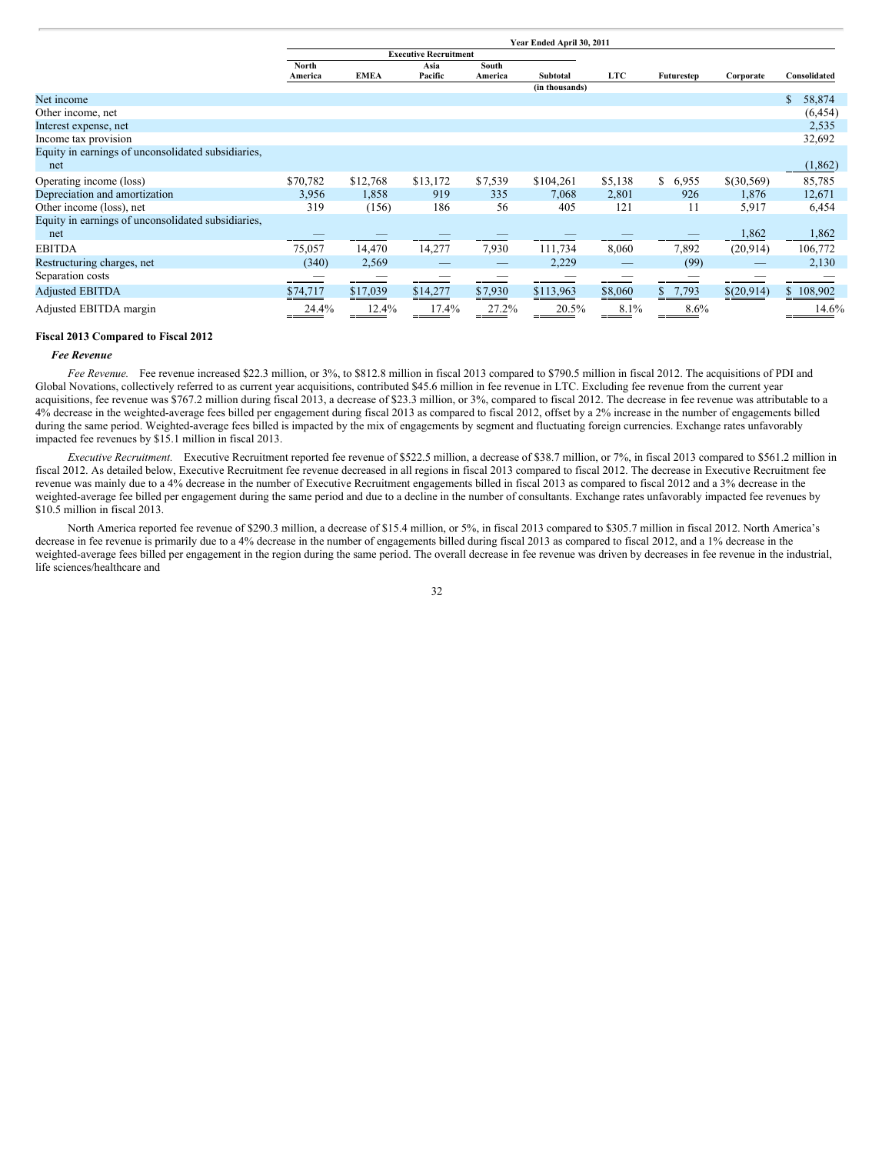|                                                    | Year Ended April 30, 2011    |             |          |         |                |            |             |            |              |
|----------------------------------------------------|------------------------------|-------------|----------|---------|----------------|------------|-------------|------------|--------------|
|                                                    | <b>Executive Recruitment</b> |             |          |         |                |            |             |            |              |
|                                                    | North                        |             | Asia     | South   |                |            |             |            |              |
|                                                    | America                      | <b>EMEA</b> | Pacific  | America | Subtotal       | <b>LTC</b> | Futurestep  | Corporate  | Consolidated |
| Net income                                         |                              |             |          |         | (in thousands) |            |             |            |              |
|                                                    |                              |             |          |         |                |            |             |            | 58,874<br>\$ |
| Other income, net                                  |                              |             |          |         |                |            |             |            | (6, 454)     |
| Interest expense, net                              |                              |             |          |         |                |            |             |            | 2,535        |
| Income tax provision                               |                              |             |          |         |                |            |             |            | 32,692       |
| Equity in earnings of unconsolidated subsidiaries, |                              |             |          |         |                |            |             |            |              |
| net                                                |                              |             |          |         |                |            |             |            | (1,862)      |
| Operating income (loss)                            | \$70,782                     | \$12,768    | \$13,172 | \$7,539 | \$104,261      | \$5,138    | \$<br>6,955 | \$(30,569) | 85,785       |
| Depreciation and amortization                      | 3,956                        | 1,858       | 919      | 335     | 7,068          | 2,801      | 926         | 1,876      | 12,671       |
| Other income (loss), net                           | 319                          | (156)       | 186      | 56      | 405            | 121        | 11          | 5,917      | 6,454        |
| Equity in earnings of unconsolidated subsidiaries, |                              |             |          |         |                |            |             |            |              |
| net                                                |                              |             |          |         |                |            |             | 1,862      | 1,862        |
| <b>EBITDA</b>                                      | 75,057                       | 14,470      | 14,277   | 7,930   | 111,734        | 8,060      | 7,892       | (20,914)   | 106,772      |
| Restructuring charges, net                         | (340)                        | 2,569       |          |         | 2,229          |            | (99)        |            | 2,130        |
| Separation costs                                   |                              |             |          |         |                |            |             |            |              |
| <b>Adjusted EBITDA</b>                             | \$74,717                     | \$17,039    | \$14,277 | \$7,930 | \$113,963      | \$8,060    | 7,793<br>ъ  | \$(20,914) | \$108,902    |
| Adjusted EBITDA margin                             | 24.4%<br>___                 | 12.4%       | 17.4%    | 27.2%   | 20.5%          | 8.1%       | 8.6%<br>--  |            | 14.6%<br>___ |

## **Fiscal 2013 Compared to Fiscal 2012**

## *Fee Revenue*

*Fee Revenue.* Fee revenue increased \$22.3 million, or 3%, to \$812.8 million in fiscal 2013 compared to \$790.5 million in fiscal 2012. The acquisitions of PDI and Global Novations, collectively referred to as current year acquisitions, contributed \$45.6 million in fee revenue in LTC. Excluding fee revenue from the current year acquisitions, fee revenue was \$767.2 million during fiscal 2013, a decrease of \$23.3 million, or 3%, compared to fiscal 2012. The decrease in fee revenue was attributable to a 4% decrease in the weighted-average fees billed per engagement during fiscal 2013 as compared to fiscal 2012, offset by a 2% increase in the number of engagements billed during the same period. Weighted-average fees billed is impacted by the mix of engagements by segment and fluctuating foreign currencies. Exchange rates unfavorably impacted fee revenues by \$15.1 million in fiscal 2013.

*Executive Recruitment.* Executive Recruitment reported fee revenue of \$522.5 million, a decrease of \$38.7 million, or 7%, in fiscal 2013 compared to \$561.2 million in fiscal 2012. As detailed below, Executive Recruitment fee revenue decreased in all regions in fiscal 2013 compared to fiscal 2012. The decrease in Executive Recruitment fee revenue was mainly due to a 4% decrease in the number of Executive Recruitment engagements billed in fiscal 2013 as compared to fiscal 2012 and a 3% decrease in the weighted-average fee billed per engagement during the same period and due to a decline in the number of consultants. Exchange rates unfavorably impacted fee revenues by \$10.5 million in fiscal 2013.

North America reported fee revenue of \$290.3 million, a decrease of \$15.4 million, or 5%, in fiscal 2013 compared to \$305.7 million in fiscal 2012. North America's decrease in fee revenue is primarily due to a 4% decrease in the number of engagements billed during fiscal 2013 as compared to fiscal 2012, and a 1% decrease in the weighted-average fees billed per engagement in the region during the same period. The overall decrease in fee revenue was driven by decreases in fee revenue in the industrial, life sciences/healthcare and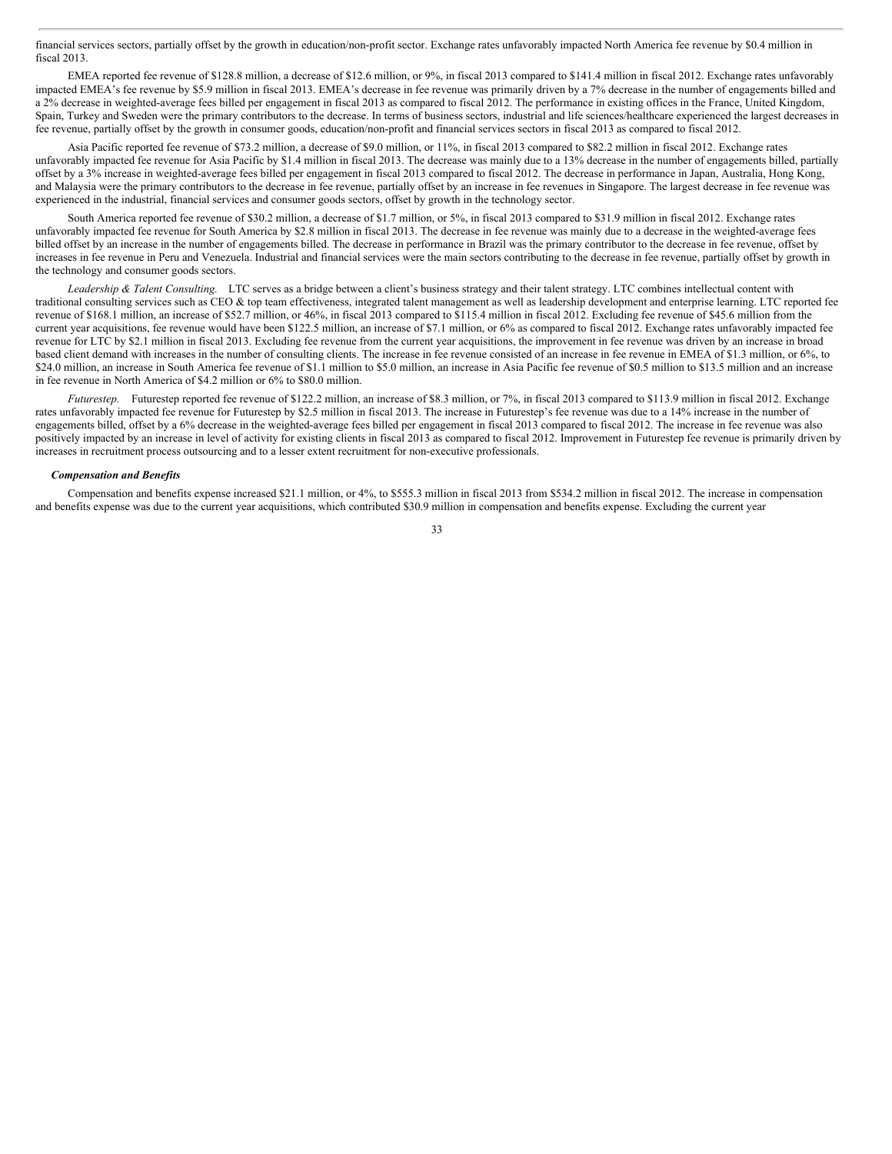financial services sectors, partially offset by the growth in education/non-profit sector. Exchange rates unfavorably impacted North America fee revenue by \$0.4 million in fiscal 2013.

EMEA reported fee revenue of \$128.8 million, a decrease of \$12.6 million, or 9%, in fiscal 2013 compared to \$141.4 million in fiscal 2012. Exchange rates unfavorably impacted EMEA's fee revenue by \$5.9 million in fiscal 2013. EMEA's decrease in fee revenue was primarily driven by a 7% decrease in the number of engagements billed and a 2% decrease in weighted-average fees billed per engagement in fiscal 2013 as compared to fiscal 2012. The performance in existing offices in the France, United Kingdom, Spain, Turkey and Sweden were the primary contributors to the decrease. In terms of business sectors, industrial and life sciences/healthcare experienced the largest decreases in fee revenue, partially offset by the growth in consumer goods, education/non-profit and financial services sectors in fiscal 2013 as compared to fiscal 2012.

Asia Pacific reported fee revenue of \$73.2 million, a decrease of \$9.0 million, or 11%, in fiscal 2013 compared to \$82.2 million in fiscal 2012. Exchange rates unfavorably impacted fee revenue for Asia Pacific by \$1.4 million in fiscal 2013. The decrease was mainly due to a 13% decrease in the number of engagements billed, partially offset by a 3% increase in weighted-average fees billed per engagement in fiscal 2013 compared to fiscal 2012. The decrease in performance in Japan, Australia, Hong Kong, and Malaysia were the primary contributors to the decrease in fee revenue, partially offset by an increase in fee revenues in Singapore. The largest decrease in fee revenue was experienced in the industrial, financial services and consumer goods sectors, offset by growth in the technology sector.

South America reported fee revenue of \$30.2 million, a decrease of \$1.7 million, or 5%, in fiscal 2013 compared to \$31.9 million in fiscal 2012. Exchange rates unfavorably impacted fee revenue for South America by \$2.8 million in fiscal 2013. The decrease in fee revenue was mainly due to a decrease in the weighted-average fees billed offset by an increase in the number of engagements billed. The decrease in performance in Brazil was the primary contributor to the decrease in fee revenue, offset by increases in fee revenue in Peru and Venezuela. Industrial and financial services were the main sectors contributing to the decrease in fee revenue, partially offset by growth in the technology and consumer goods sectors.

*Leadership & Talent Consulting.* LTC serves as a bridge between a client's business strategy and their talent strategy. LTC combines intellectual content with traditional consulting services such as CEO & top team effectiveness, integrated talent management as well as leadership development and enterprise learning. LTC reported fee revenue of \$168.1 million, an increase of \$52.7 million, or 46%, in fiscal 2013 compared to \$115.4 million in fiscal 2012. Excluding fee revenue of \$45.6 million from the current year acquisitions, fee revenue would have been \$122.5 million, an increase of \$7.1 million, or 6% as compared to fiscal 2012. Exchange rates unfavorably impacted fee revenue for LTC by \$2.1 million in fiscal 2013. Excluding fee revenue from the current year acquisitions, the improvement in fee revenue was driven by an increase in broad based client demand with increases in the number of consulting clients. The increase in fee revenue consisted of an increase in fee revenue in EMEA of \$1.3 million, or 6%, to \$24.0 million, an increase in South America fee revenue of \$1.1 million to \$5.0 million, an increase in Asia Pacific fee revenue of \$0.5 million to \$13.5 million and an increase in fee revenue in North America of \$4.2 million or 6% to \$80.0 million.

*Futurestep.* Futurestep reported fee revenue of \$122.2 million, an increase of \$8.3 million, or 7%, in fiscal 2013 compared to \$113.9 million in fiscal 2012. Exchange rates unfavorably impacted fee revenue for Futurestep by \$2.5 million in fiscal 2013. The increase in Futurestep's fee revenue was due to a 14% increase in the number of engagements billed, offset by a 6% decrease in the weighted-average fees billed per engagement in fiscal 2013 compared to fiscal 2012. The increase in fee revenue was also positively impacted by an increase in level of activity for existing clients in fiscal 2013 as compared to fiscal 2012. Improvement in Futurestep fee revenue is primarily driven by increases in recruitment process outsourcing and to a lesser extent recruitment for non-executive professionals.

# *Compensation and Benefits*

Compensation and benefits expense increased \$21.1 million, or 4%, to \$555.3 million in fiscal 2013 from \$534.2 million in fiscal 2012. The increase in compensation and benefits expense was due to the current year acquisitions, which contributed \$30.9 million in compensation and benefits expense. Excluding the current year

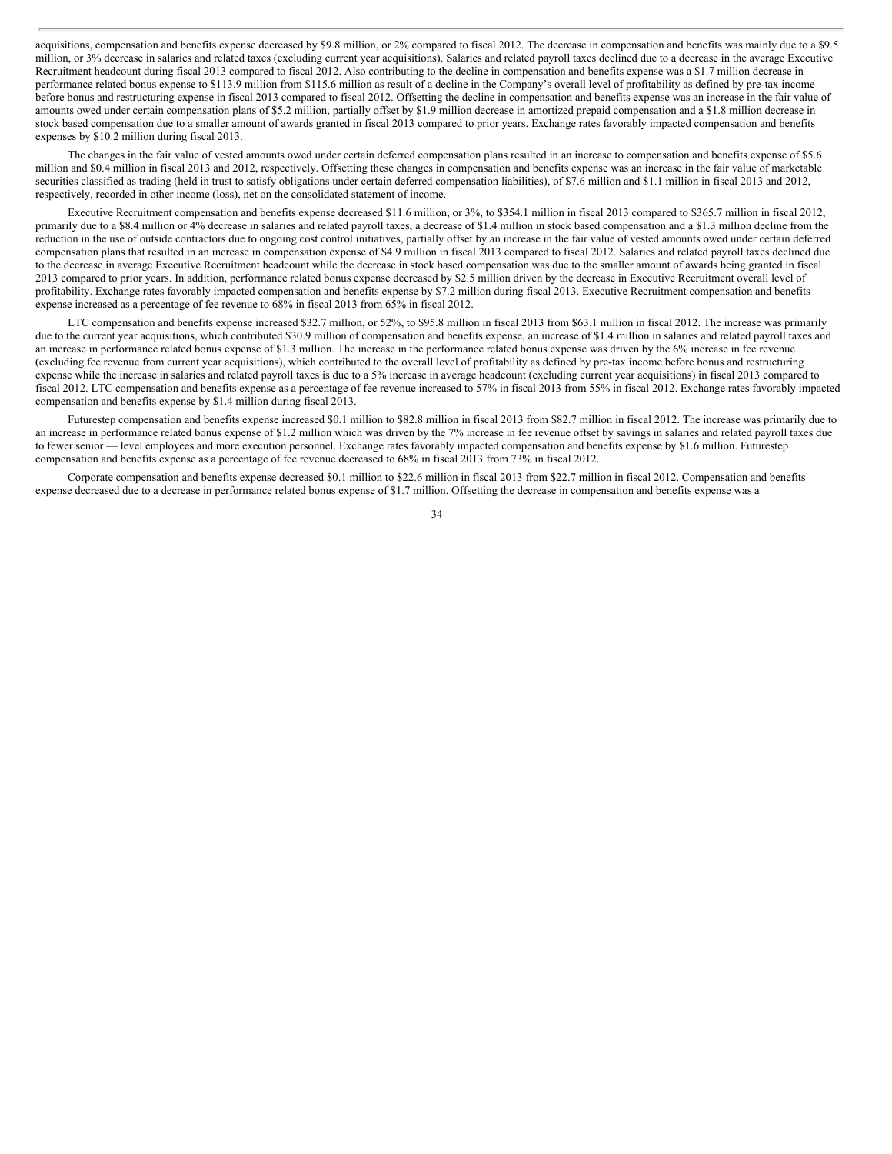acquisitions, compensation and benefits expense decreased by \$9.8 million, or 2% compared to fiscal 2012. The decrease in compensation and benefits was mainly due to a \$9.5 million, or 3% decrease in salaries and related taxes (excluding current year acquisitions). Salaries and related payroll taxes declined due to a decrease in the average Executive Recruitment headcount during fiscal 2013 compared to fiscal 2012. Also contributing to the decline in compensation and benefits expense was a \$1.7 million decrease in performance related bonus expense to \$113.9 million from \$115.6 million as result of a decline in the Company's overall level of profitability as defined by pre-tax income before bonus and restructuring expense in fiscal 2013 compared to fiscal 2012. Offsetting the decline in compensation and benefits expense was an increase in the fair value of amounts owed under certain compensation plans of \$5.2 million, partially offset by \$1.9 million decrease in amortized prepaid compensation and a \$1.8 million decrease in stock based compensation due to a smaller amount of awards granted in fiscal 2013 compared to prior years. Exchange rates favorably impacted compensation and benefits expenses by \$10.2 million during fiscal 2013.

The changes in the fair value of vested amounts owed under certain deferred compensation plans resulted in an increase to compensation and benefits expense of \$5.6 million and \$0.4 million in fiscal 2013 and 2012, respectively. Offsetting these changes in compensation and benefits expense was an increase in the fair value of marketable securities classified as trading (held in trust to satisfy obligations under certain deferred compensation liabilities), of \$7.6 million and \$1.1 million in fiscal 2013 and 2012, respectively, recorded in other income (loss), net on the consolidated statement of income.

Executive Recruitment compensation and benefits expense decreased \$11.6 million, or 3%, to \$354.1 million in fiscal 2013 compared to \$365.7 million in fiscal 2012. primarily due to a \$8.4 million or 4% decrease in salaries and related payroll taxes, a decrease of \$1.4 million in stock based compensation and a \$1.3 million decline from the reduction in the use of outside contractors due to ongoing cost control initiatives, partially offset by an increase in the fair value of vested amounts owed under certain deferred compensation plans that resulted in an increase in compensation expense of \$4.9 million in fiscal 2013 compared to fiscal 2012. Salaries and related payroll taxes declined due to the decrease in average Executive Recruitment headcount while the decrease in stock based compensation was due to the smaller amount of awards being granted in fiscal 2013 compared to prior years. In addition, performance related bonus expense decreased by \$2.5 million driven by the decrease in Executive Recruitment overall level of profitability. Exchange rates favorably impacted compensation and benefits expense by \$7.2 million during fiscal 2013. Executive Recruitment compensation and benefits expense increased as a percentage of fee revenue to 68% in fiscal 2013 from 65% in fiscal 2012.

LTC compensation and benefits expense increased \$32.7 million, or 52%, to \$95.8 million in fiscal 2013 from \$63.1 million in fiscal 2012. The increase was primarily due to the current year acquisitions, which contributed \$30.9 million of compensation and benefits expense, an increase of \$1.4 million in salaries and related payroll taxes and an increase in performance related bonus expense of \$1.3 million. The increase in the performance related bonus expense was driven by the 6% increase in fee revenue (excluding fee revenue from current year acquisitions), which contributed to the overall level of profitability as defined by pre-tax income before bonus and restructuring expense while the increase in salaries and related payroll taxes is due to a 5% increase in average headcount (excluding current year acquisitions) in fiscal 2013 compared to fiscal 2012. LTC compensation and benefits expense as a percentage of fee revenue increased to 57% in fiscal 2013 from 55% in fiscal 2012. Exchange rates favorably impacted compensation and benefits expense by \$1.4 million during fiscal 2013.

Futurestep compensation and benefits expense increased \$0.1 million to \$82.8 million in fiscal 2013 from \$82.7 million in fiscal 2012. The increase was primarily due to an increase in performance related bonus expense of \$1.2 million which was driven by the 7% increase in fee revenue offset by savings in salaries and related payroll taxes due to fewer senior — level employees and more execution personnel. Exchange rates favorably impacted compensation and benefits expense by \$1.6 million. Futurestep compensation and benefits expense as a percentage of fee revenue decreased to 68% in fiscal 2013 from 73% in fiscal 2012.

Corporate compensation and benefits expense decreased \$0.1 million to \$22.6 million in fiscal 2013 from \$22.7 million in fiscal 2012. Compensation and benefits expense decreased due to a decrease in performance related bonus expense of \$1.7 million. Offsetting the decrease in compensation and benefits expense was a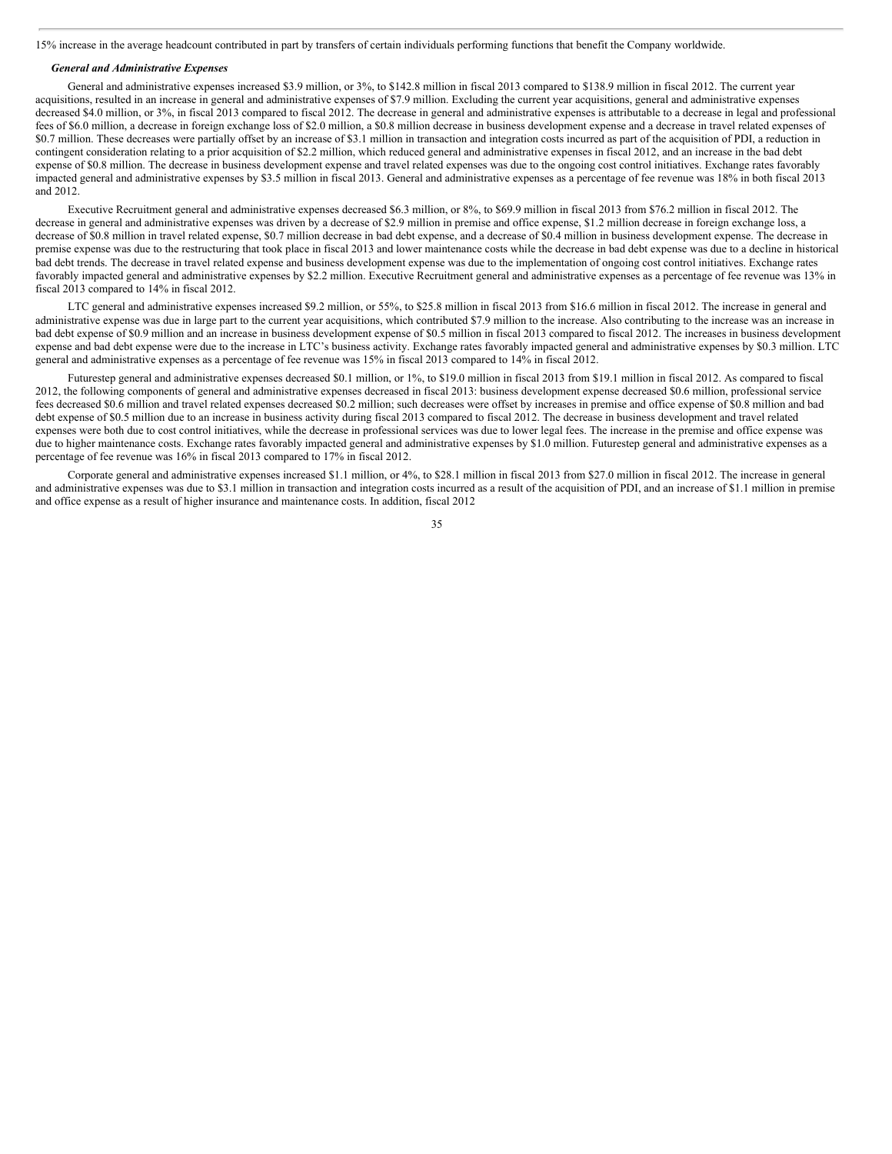15% increase in the average headcount contributed in part by transfers of certain individuals performing functions that benefit the Company worldwide.

#### *General and Administrative Expenses*

General and administrative expenses increased \$3.9 million, or 3%, to \$142.8 million in fiscal 2013 compared to \$138.9 million in fiscal 2012. The current year acquisitions, resulted in an increase in general and administrative expenses of \$7.9 million. Excluding the current year acquisitions, general and administrative expenses decreased \$4.0 million, or 3%, in fiscal 2013 compared to fiscal 2012. The decrease in general and administrative expenses is attributable to a decrease in legal and professional fees of \$6.0 million, a decrease in foreign exchange loss of \$2.0 million, a \$0.8 million decrease in business development expense and a decrease in travel related expenses of \$0.7 million. These decreases were partially offset by an increase of \$3.1 million in transaction and integration costs incurred as part of the acquisition of PDI, a reduction in contingent consideration relating to a prior acquisition of \$2.2 million, which reduced general and administrative expenses in fiscal 2012, and an increase in the bad debt expense of \$0.8 million. The decrease in business development expense and travel related expenses was due to the ongoing cost control initiatives. Exchange rates favorably impacted general and administrative expenses by \$3.5 million in fiscal 2013. General and administrative expenses as a percentage of fee revenue was 18% in both fiscal 2013 and 2012.

Executive Recruitment general and administrative expenses decreased \$6.3 million, or 8%, to \$69.9 million in fiscal 2013 from \$76.2 million in fiscal 2012. The decrease in general and administrative expenses was driven by a decrease of \$2.9 million in premise and office expense, \$1.2 million decrease in foreign exchange loss, a decrease of \$0.8 million in travel related expense, \$0.7 million decrease in bad debt expense, and a decrease of \$0.4 million in business development expense. The decrease in premise expense was due to the restructuring that took place in fiscal 2013 and lower maintenance costs while the decrease in bad debt expense was due to a decline in historical bad debt trends. The decrease in travel related expense and business development expense was due to the implementation of ongoing cost control initiatives. Exchange rates favorably impacted general and administrative expenses by \$2.2 million. Executive Recruitment general and administrative expenses as a percentage of fee revenue was 13% in fiscal 2013 compared to 14% in fiscal 2012.

LTC general and administrative expenses increased \$9.2 million, or 55%, to \$25.8 million in fiscal 2013 from \$16.6 million in fiscal 2012. The increase in general and administrative expense was due in large part to the current year acquisitions, which contributed \$7.9 million to the increase. Also contributing to the increase was an increase in bad debt expense of \$0.9 million and an increase in business development expense of \$0.5 million in fiscal 2013 compared to fiscal 2012. The increases in business development expense and bad debt expense were due to the increase in LTC's business activity. Exchange rates favorably impacted general and administrative expenses by \$0.3 million. LTC general and administrative expenses as a percentage of fee revenue was 15% in fiscal 2013 compared to 14% in fiscal 2012.

Futurestep general and administrative expenses decreased \$0.1 million, or 1%, to \$19.0 million in fiscal 2013 from \$19.1 million in fiscal 2012. As compared to fiscal 2012, the following components of general and administrative expenses decreased in fiscal 2013: business development expense decreased \$0.6 million, professional service fees decreased \$0.6 million and travel related expenses decreased \$0.2 million; such decreases were offset by increases in premise and office expense of \$0.8 million and bad debt expense of \$0.5 million due to an increase in business activity during fiscal 2013 compared to fiscal 2012. The decrease in business development and travel related expenses were both due to cost control initiatives, while the decrease in professional services was due to lower legal fees. The increase in the premise and office expense was due to higher maintenance costs. Exchange rates favorably impacted general and administrative expenses by \$1.0 million. Futurestep general and administrative expenses as a percentage of fee revenue was 16% in fiscal 2013 compared to 17% in fiscal 2012.

Corporate general and administrative expenses increased \$1.1 million, or 4%, to \$28.1 million in fiscal 2013 from \$27.0 million in fiscal 2012. The increase in general and administrative expenses was due to \$3.1 million in transaction and integration costs incurred as a result of the acquisition of PDI, and an increase of \$1.1 million in premise and office expense as a result of higher insurance and maintenance costs. In addition, fiscal 2012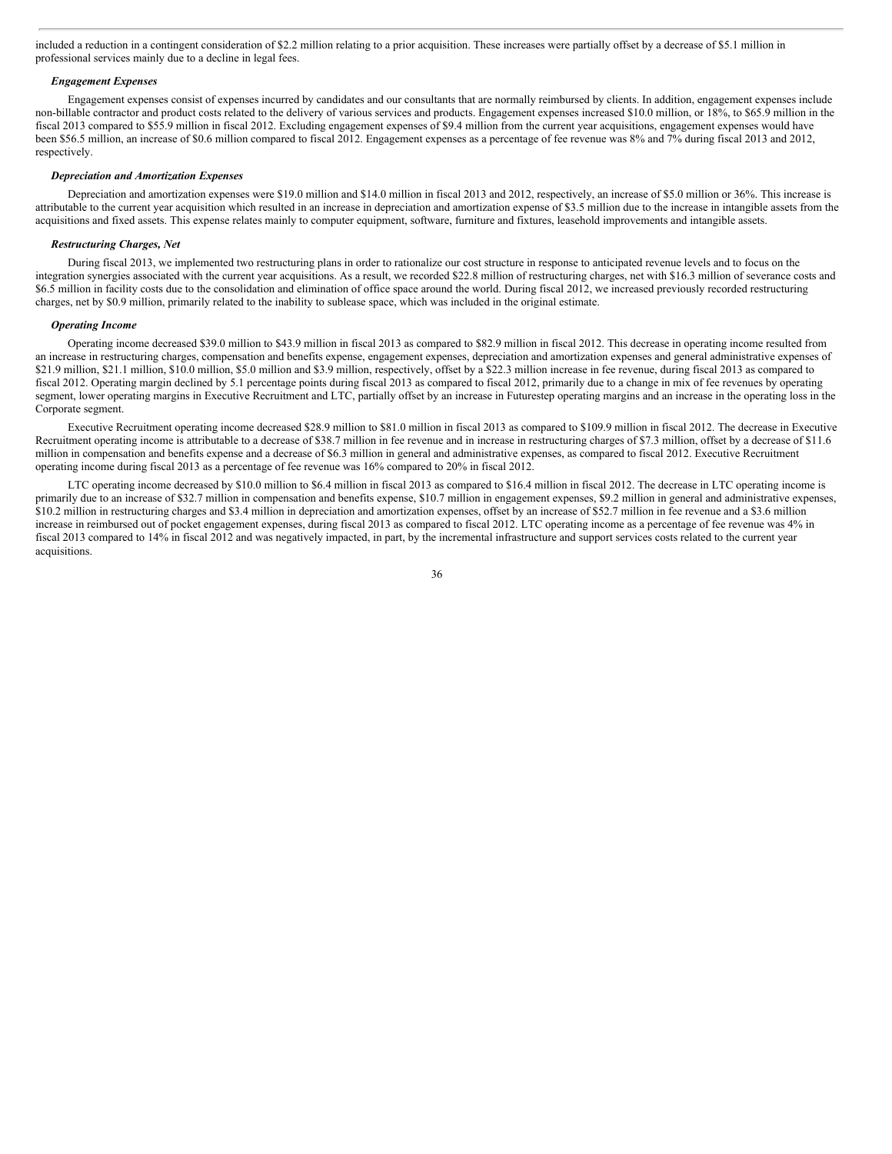included a reduction in a contingent consideration of \$2.2 million relating to a prior acquisition. These increases were partially offset by a decrease of \$5.1 million in professional services mainly due to a decline in legal fees.

## *Engagement Expenses*

Engagement expenses consist of expenses incurred by candidates and our consultants that are normally reimbursed by clients. In addition, engagement expenses include non-billable contractor and product costs related to the delivery of various services and products. Engagement expenses increased \$10.0 million, or 18%, to \$65.9 million in the fiscal 2013 compared to \$55.9 million in fiscal 2012. Excluding engagement expenses of \$9.4 million from the current year acquisitions, engagement expenses would have been \$56.5 million, an increase of \$0.6 million compared to fiscal 2012. Engagement expenses as a percentage of fee revenue was 8% and 7% during fiscal 2013 and 2012, respectively.

### *Depreciation and Amortization Expenses*

Depreciation and amortization expenses were \$19.0 million and \$14.0 million in fiscal 2013 and 2012, respectively, an increase of \$5.0 million or 36%. This increase is attributable to the current year acquisition which resulted in an increase in depreciation and amortization expense of \$3.5 million due to the increase in intangible assets from the acquisitions and fixed assets. This expense relates mainly to computer equipment, software, furniture and fixtures, leasehold improvements and intangible assets.

#### *Restructuring Charges, Net*

During fiscal 2013, we implemented two restructuring plans in order to rationalize our cost structure in response to anticipated revenue levels and to focus on the integration synergies associated with the current year acquisitions. As a result, we recorded \$22.8 million of restructuring charges, net with \$16.3 million of severance costs and \$6.5 million in facility costs due to the consolidation and elimination of office space around the world. During fiscal 2012, we increased previously recorded restructuring charges, net by \$0.9 million, primarily related to the inability to sublease space, which was included in the original estimate.

## *Operating Income*

Operating income decreased \$39.0 million to \$43.9 million in fiscal 2013 as compared to \$82.9 million in fiscal 2012. This decrease in operating income resulted from an increase in restructuring charges, compensation and benefits expense, engagement expenses, depreciation and amortization expenses and general administrative expenses of \$21.9 million, \$21.1 million, \$10.0 million, \$5.0 million and \$3.9 million, respectively, offset by a \$22.3 million increase in fee revenue, during fiscal 2013 as compared to fiscal 2012. Operating margin declined by 5.1 percentage points during fiscal 2013 as compared to fiscal 2012, primarily due to a change in mix of fee revenues by operating segment, lower operating margins in Executive Recruitment and LTC, partially offset by an increase in Futurestep operating margins and an increase in the operating loss in the Corporate segment.

Executive Recruitment operating income decreased \$28.9 million to \$81.0 million in fiscal 2013 as compared to \$109.9 million in fiscal 2012. The decrease in Executive Recruitment operating income is attributable to a decrease of \$38.7 million in fee revenue and in increase in restructuring charges of \$7.3 million, offset by a decrease of \$11.6 million in compensation and benefits expense and a decrease of \$6.3 million in general and administrative expenses, as compared to fiscal 2012. Executive Recruitment operating income during fiscal 2013 as a percentage of fee revenue was 16% compared to 20% in fiscal 2012.

LTC operating income decreased by \$10.0 million to \$6.4 million in fiscal 2013 as compared to \$16.4 million in fiscal 2012. The decrease in LTC operating income is primarily due to an increase of \$32.7 million in compensation and benefits expense, \$10.7 million in engagement expenses, \$9.2 million in general and administrative expenses, \$10.2 million in restructuring charges and \$3.4 million in depreciation and amortization expenses, offset by an increase of \$52.7 million in fee revenue and a \$3.6 million increase in reimbursed out of pocket engagement expenses, during fiscal 2013 as compared to fiscal 2012. LTC operating income as a percentage of fee revenue was 4% in fiscal 2013 compared to 14% in fiscal 2012 and was negatively impacted, in part, by the incremental infrastructure and support services costs related to the current year acquisitions.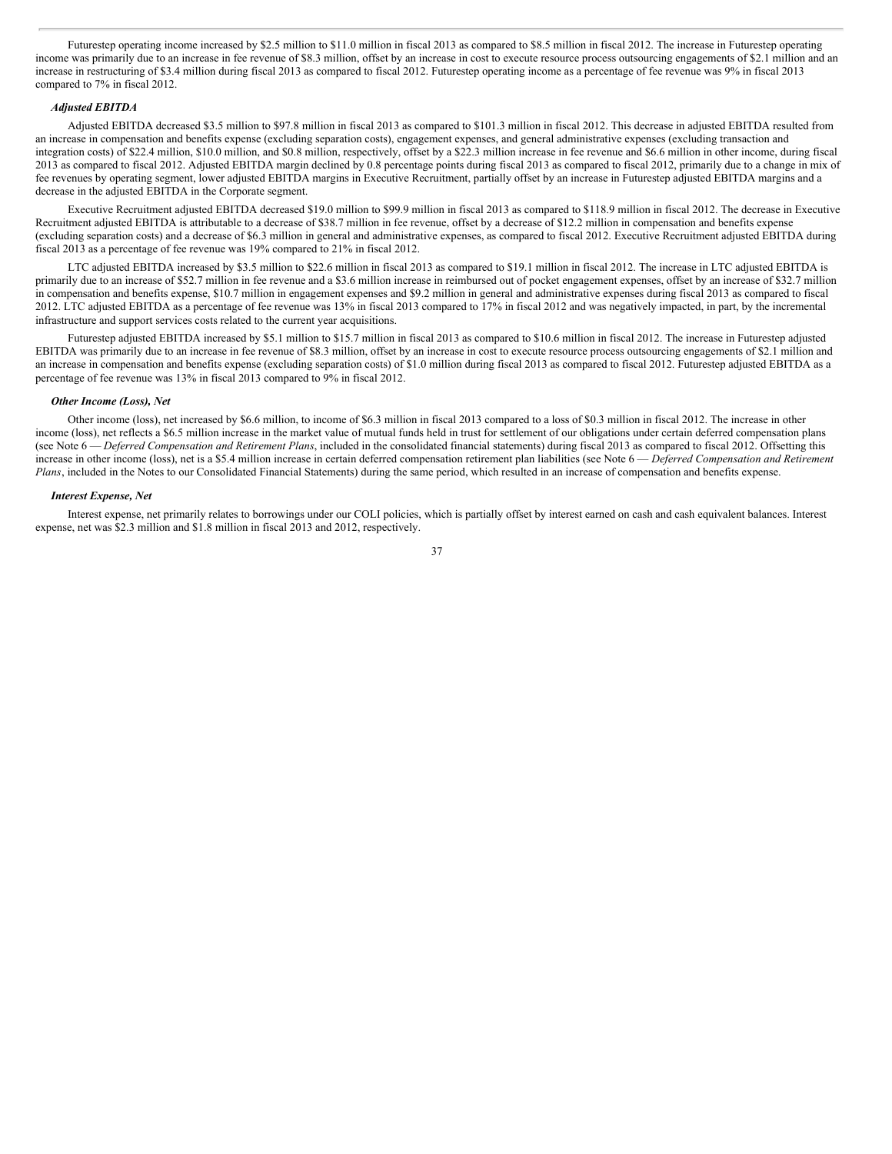Futurestep operating income increased by \$2.5 million to \$11.0 million in fiscal 2013 as compared to \$8.5 million in fiscal 2012. The increase in Futurestep operating income was primarily due to an increase in fee revenue of \$8.3 million, offset by an increase in cost to execute resource process outsourcing engagements of \$2.1 million and an increase in restructuring of \$3.4 million during fiscal 2013 as compared to fiscal 2012. Futurestep operating income as a percentage of fee revenue was 9% in fiscal 2013 compared to 7% in fiscal 2012.

## *Adjusted EBITDA*

Adjusted EBITDA decreased \$3.5 million to \$97.8 million in fiscal 2013 as compared to \$101.3 million in fiscal 2012. This decrease in adjusted EBITDA resulted from an increase in compensation and benefits expense (excluding separation costs), engagement expenses, and general administrative expenses (excluding transaction and integration costs) of \$22.4 million, \$10.0 million, and \$0.8 million, respectively, offset by a \$22.3 million increase in fee revenue and \$6.6 million in other income, during fiscal 2013 as compared to fiscal 2012. Adjusted EBITDA margin declined by 0.8 percentage points during fiscal 2013 as compared to fiscal 2012, primarily due to a change in mix of fee revenues by operating segment, lower adjusted EBITDA margins in Executive Recruitment, partially offset by an increase in Futurestep adjusted EBITDA margins and a decrease in the adjusted EBITDA in the Corporate segment.

Executive Recruitment adjusted EBITDA decreased \$19.0 million to \$99.9 million in fiscal 2013 as compared to \$118.9 million in fiscal 2012. The decrease in Executive Recruitment adjusted EBITDA is attributable to a decrease of \$38.7 million in fee revenue, offset by a decrease of \$12.2 million in compensation and benefits expense (excluding separation costs) and a decrease of \$6.3 million in general and administrative expenses, as compared to fiscal 2012. Executive Recruitment adjusted EBITDA during fiscal 2013 as a percentage of fee revenue was 19% compared to 21% in fiscal 2012.

LTC adjusted EBITDA increased by \$3.5 million to \$22.6 million in fiscal 2013 as compared to \$19.1 million in fiscal 2012. The increase in LTC adjusted EBITDA is primarily due to an increase of \$52.7 million in fee revenue and a \$3.6 million increase in reimbursed out of pocket engagement expenses, offset by an increase of \$32.7 million in compensation and benefits expense, \$10.7 million in engagement expenses and \$9.2 million in general and administrative expenses during fiscal 2013 as compared to fiscal 2012. LTC adjusted EBITDA as a percentage of fee revenue was 13% in fiscal 2013 compared to 17% in fiscal 2012 and was negatively impacted, in part, by the incremental infrastructure and support services costs related to the current year acquisitions.

Futurestep adjusted EBITDA increased by \$5.1 million to \$15.7 million in fiscal 2013 as compared to \$10.6 million in fiscal 2012. The increase in Futurestep adjusted EBITDA was primarily due to an increase in fee revenue of \$8.3 million, offset by an increase in cost to execute resource process outsourcing engagements of \$2.1 million and an increase in compensation and benefits expense (excluding separation costs) of \$1.0 million during fiscal 2013 as compared to fiscal 2012. Futurestep adjusted EBITDA as a percentage of fee revenue was 13% in fiscal 2013 compared to 9% in fiscal 2012.

#### *Other Income (Loss), Net*

Other income (loss), net increased by \$6.6 million, to income of \$6.3 million in fiscal 2013 compared to a loss of \$0.3 million in fiscal 2012. The increase in other income (loss), net reflects a \$6.5 million increase in the market value of mutual funds held in trust for settlement of our obligations under certain deferred compensation plans (see Note 6 — *Deferred Compensation and Retirement Plans*, included in the consolidated financial statements) during fiscal 2013 as compared to fiscal 2012. Offsetting this increase in other income (loss), net is a \$5.4 million increase in certain deferred compensation retirement plan liabilities (see Note 6 — *Deferred Compensation and Retirement Plans*, included in the Notes to our Consolidated Financial Statements) during the same period, which resulted in an increase of compensation and benefits expense.

### *Interest Expense, Net*

Interest expense, net primarily relates to borrowings under our COLI policies, which is partially offset by interest earned on cash and cash equivalent balances. Interest expense, net was \$2.3 million and \$1.8 million in fiscal 2013 and 2012, respectively.

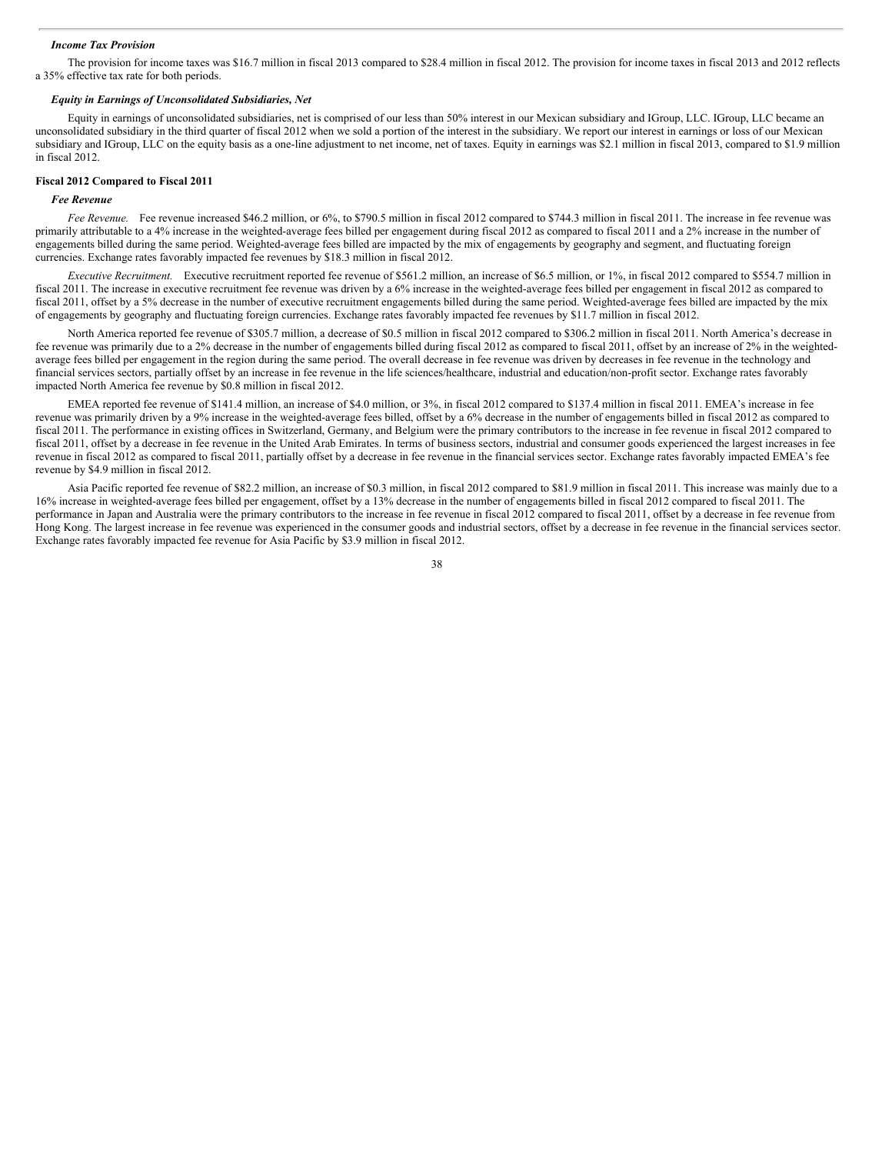#### *Income Tax Provision*

The provision for income taxes was \$16.7 million in fiscal 2013 compared to \$28.4 million in fiscal 2012. The provision for income taxes in fiscal 2013 and 2012 reflects a 35% effective tax rate for both periods.

## *Equity in Earnings of Unconsolidated Subsidiaries, Net*

Equity in earnings of unconsolidated subsidiaries, net is comprised of our less than 50% interest in our Mexican subsidiary and IGroup, LLC. IGroup, LLC became an unconsolidated subsidiary in the third quarter of fiscal 2012 when we sold a portion of the interest in the subsidiary. We report our interest in earnings or loss of our Mexican subsidiary and IGroup, LLC on the equity basis as a one-line adjustment to net income, net of taxes. Equity in earnings was \$2.1 million in fiscal 2013, compared to \$1.9 million in fiscal 2012.

## **Fiscal 2012 Compared to Fiscal 2011**

#### *Fee Revenue*

*Fee Revenue.* Fee revenue increased \$46.2 million, or 6%, to \$790.5 million in fiscal 2012 compared to \$744.3 million in fiscal 2011. The increase in fee revenue was primarily attributable to a 4% increase in the weighted-average fees billed per engagement during fiscal 2012 as compared to fiscal 2011 and a 2% increase in the number of engagements billed during the same period. Weighted-average fees billed are impacted by the mix of engagements by geography and segment, and fluctuating foreign currencies. Exchange rates favorably impacted fee revenues by \$18.3 million in fiscal 2012.

*Executive Recruitment.* Executive recruitment reported fee revenue of \$561.2 million, an increase of \$6.5 million, or 1%, in fiscal 2012 compared to \$554.7 million in fiscal 2011. The increase in executive recruitment fee revenue was driven by a 6% increase in the weighted-average fees billed per engagement in fiscal 2012 as compared to fiscal 2011, offset by a 5% decrease in the number of executive recruitment engagements billed during the same period. Weighted-average fees billed are impacted by the mix of engagements by geography and fluctuating foreign currencies. Exchange rates favorably impacted fee revenues by \$11.7 million in fiscal 2012.

North America reported fee revenue of \$305.7 million, a decrease of \$0.5 million in fiscal 2012 compared to \$306.2 million in fiscal 2011. North America's decrease in fee revenue was primarily due to a 2% decrease in the number of engagements billed during fiscal 2012 as compared to fiscal 2011, offset by an increase of 2% in the weightedaverage fees billed per engagement in the region during the same period. The overall decrease in fee revenue was driven by decreases in fee revenue in the technology and financial services sectors, partially offset by an increase in fee revenue in the life sciences/healthcare, industrial and education/non-profit sector. Exchange rates favorably impacted North America fee revenue by \$0.8 million in fiscal 2012.

EMEA reported fee revenue of \$141.4 million, an increase of \$4.0 million, or 3%, in fiscal 2012 compared to \$137.4 million in fiscal 2011. EMEA's increase in fee revenue was primarily driven by a 9% increase in the weighted-average fees billed, offset by a 6% decrease in the number of engagements billed in fiscal 2012 as compared to fiscal 2011. The performance in existing offices in Switzerland, Germany, and Belgium were the primary contributors to the increase in fee revenue in fiscal 2012 compared to fiscal 2011, offset by a decrease in fee revenue in the United Arab Emirates. In terms of business sectors, industrial and consumer goods experienced the largest increases in fee revenue in fiscal 2012 as compared to fiscal 2011, partially offset by a decrease in fee revenue in the financial services sector. Exchange rates favorably impacted EMEA's fee revenue by \$4.9 million in fiscal 2012.

Asia Pacific reported fee revenue of \$82.2 million, an increase of \$0.3 million, in fiscal 2012 compared to \$81.9 million in fiscal 2011. This increase was mainly due to a 16% increase in weighted-average fees billed per engagement, offset by a 13% decrease in the number of engagements billed in fiscal 2012 compared to fiscal 2011. The performance in Japan and Australia were the primary contributors to the increase in fee revenue in fiscal 2012 compared to fiscal 2011, offset by a decrease in fee revenue from Hong Kong. The largest increase in fee revenue was experienced in the consumer goods and industrial sectors, offset by a decrease in fee revenue in the financial services sector. Exchange rates favorably impacted fee revenue for Asia Pacific by \$3.9 million in fiscal 2012.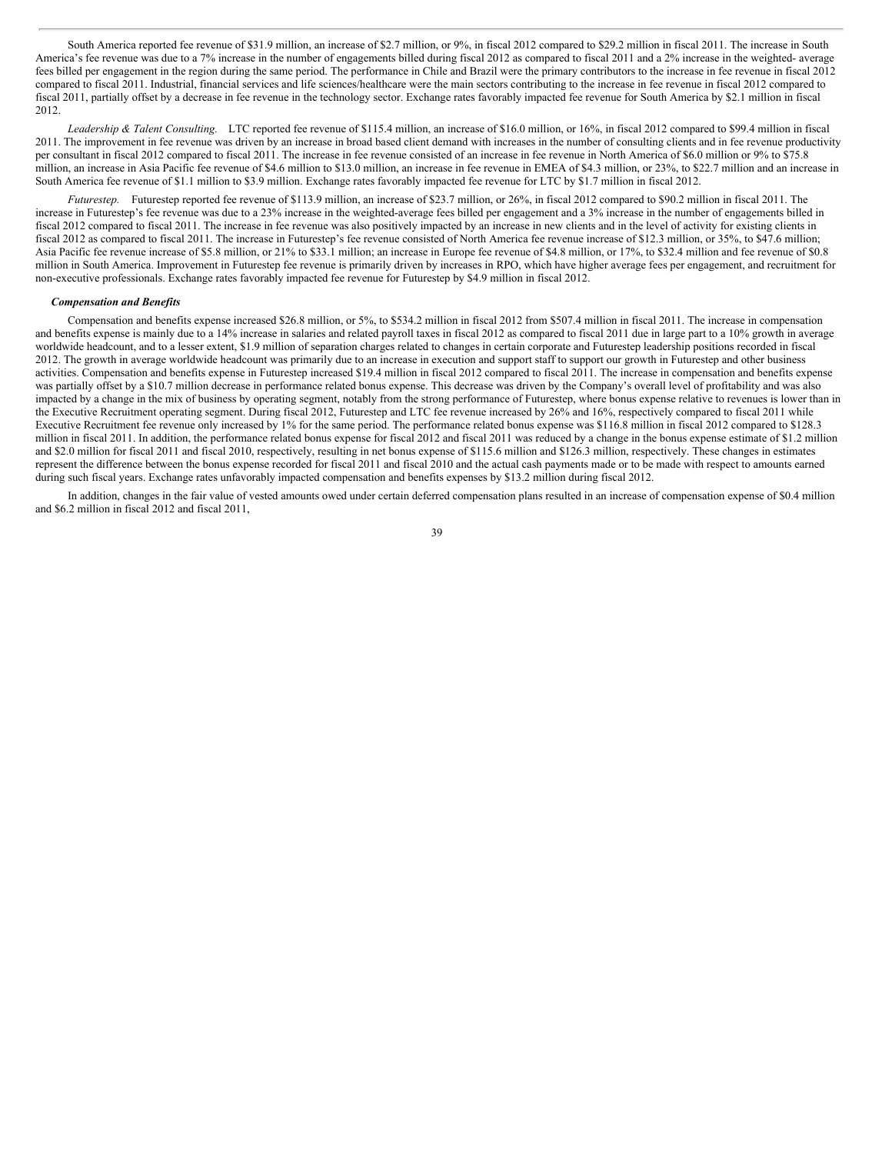South America reported fee revenue of \$31.9 million, an increase of \$2.7 million, or 9%, in fiscal 2012 compared to \$29.2 million in fiscal 2011. The increase in South America's fee revenue was due to a 7% increase in the number of engagements billed during fiscal 2012 as compared to fiscal 2011 and a 2% increase in the weighted- average fees billed per engagement in the region during the same period. The performance in Chile and Brazil were the primary contributors to the increase in fee revenue in fiscal 2012 compared to fiscal 2011. Industrial, financial services and life sciences/healthcare were the main sectors contributing to the increase in fee revenue in fiscal 2012 compared to fiscal 2011, partially offset by a decrease in fee revenue in the technology sector. Exchange rates favorably impacted fee revenue for South America by \$2.1 million in fiscal 2012.

*Leadership & Talent Consulting.* LTC reported fee revenue of \$115.4 million, an increase of \$16.0 million, or 16%, in fiscal 2012 compared to \$99.4 million in fiscal 2011. The improvement in fee revenue was driven by an increase in broad based client demand with increases in the number of consulting clients and in fee revenue productivity per consultant in fiscal 2012 compared to fiscal 2011. The increase in fee revenue consisted of an increase in fee revenue in North America of \$6.0 million or 9% to \$75.8 million, an increase in Asia Pacific fee revenue of \$4.6 million to \$13.0 million, an increase in fee revenue in EMEA of \$4.3 million, or 23%, to \$22.7 million and an increase in South America fee revenue of \$1.1 million to \$3.9 million. Exchange rates favorably impacted fee revenue for LTC by \$1.7 million in fiscal 2012.

*Futurestep.* Futurestep reported fee revenue of \$113.9 million, an increase of \$23.7 million, or 26%, in fiscal 2012 compared to \$90.2 million in fiscal 2011. The increase in Futurestep's fee revenue was due to a 23% increase in the weighted-average fees billed per engagement and a 3% increase in the number of engagements billed in fiscal 2012 compared to fiscal 2011. The increase in fee revenue was also positively impacted by an increase in new clients and in the level of activity for existing clients in fiscal 2012 as compared to fiscal 2011. The increase in Futurestep's fee revenue consisted of North America fee revenue increase of \$12.3 million, or 35%, to \$47.6 million; Asia Pacific fee revenue increase of \$5.8 million, or 21% to \$33.1 million; an increase in Europe fee revenue of \$4.8 million, or 17%, to \$32.4 million and fee revenue of \$0.8 million in South America. Improvement in Futurestep fee revenue is primarily driven by increases in RPO, which have higher average fees per engagement, and recruitment for non-executive professionals. Exchange rates favorably impacted fee revenue for Futurestep by \$4.9 million in fiscal 2012.

### *Compensation and Benefits*

Compensation and benefits expense increased \$26.8 million, or 5%, to \$534.2 million in fiscal 2012 from \$507.4 million in fiscal 2011. The increase in compensation and benefits expense is mainly due to a 14% increase in salaries and related payroll taxes in fiscal 2012 as compared to fiscal 2011 due in large part to a 10% growth in average worldwide headcount, and to a lesser extent, \$1.9 million of separation charges related to changes in certain corporate and Futurestep leadership positions recorded in fiscal 2012. The growth in average worldwide headcount was primarily due to an increase in execution and support staff to support our growth in Futurestep and other business activities. Compensation and benefits expense in Futurestep increased \$19.4 million in fiscal 2012 compared to fiscal 2011. The increase in compensation and benefits expense was partially offset by a \$10.7 million decrease in performance related bonus expense. This decrease was driven by the Company's overall level of profitability and was also impacted by a change in the mix of business by operating segment, notably from the strong performance of Futurestep, where bonus expense relative to revenues is lower than in the Executive Recruitment operating segment. During fiscal 2012, Futurestep and LTC fee revenue increased by 26% and 16%, respectively compared to fiscal 2011 while Executive Recruitment fee revenue only increased by 1% for the same period. The performance related bonus expense was \$116.8 million in fiscal 2012 compared to \$128.3 million in fiscal 2011. In addition, the performance related bonus expense for fiscal 2012 and fiscal 2011 was reduced by a change in the bonus expense estimate of \$1.2 million and \$2.0 million for fiscal 2011 and fiscal 2010, respectively, resulting in net bonus expense of \$115.6 million and \$126.3 million, respectively. These changes in estimates represent the difference between the bonus expense recorded for fiscal 2011 and fiscal 2010 and the actual cash payments made or to be made with respect to amounts earned during such fiscal years. Exchange rates unfavorably impacted compensation and benefits expenses by \$13.2 million during fiscal 2012.

In addition, changes in the fair value of vested amounts owed under certain deferred compensation plans resulted in an increase of compensation expense of \$0.4 million and \$6.2 million in fiscal 2012 and fiscal 2011,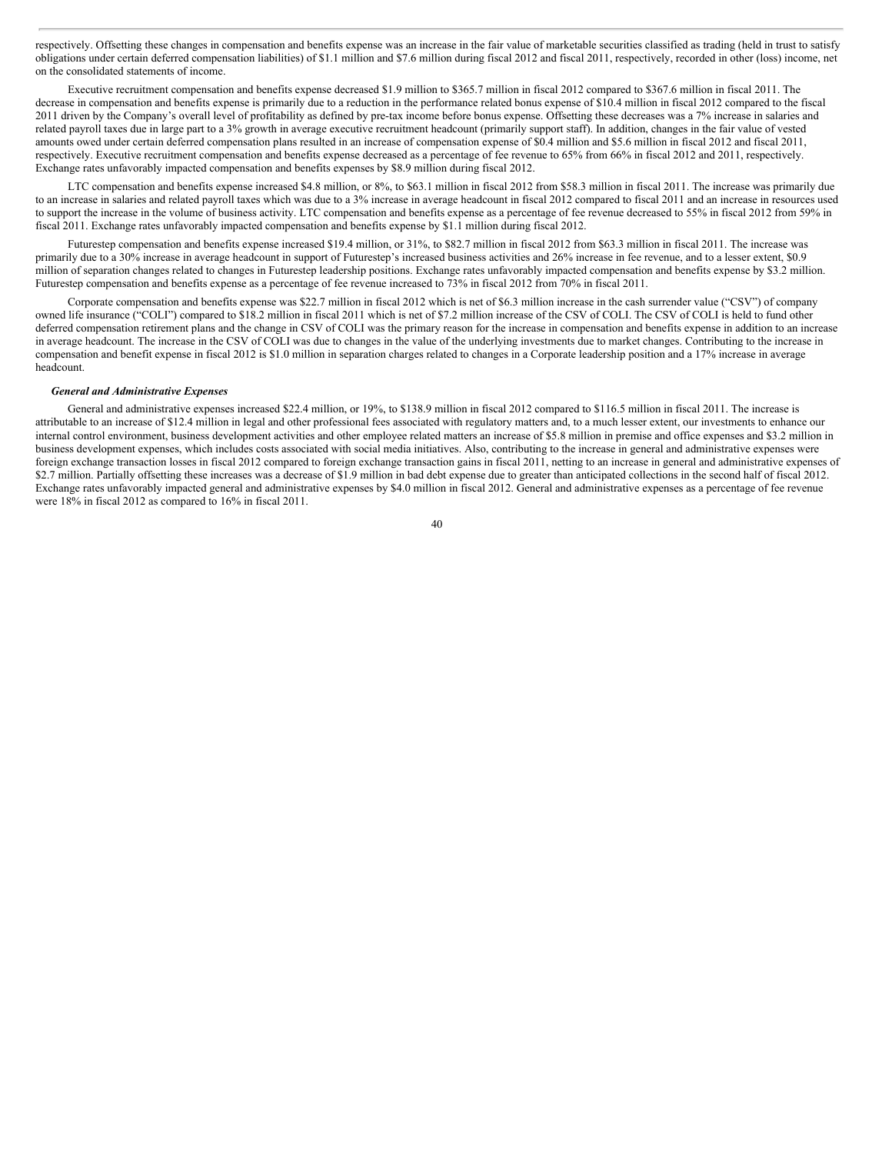respectively. Offsetting these changes in compensation and benefits expense was an increase in the fair value of marketable securities classified as trading (held in trust to satisfy obligations under certain deferred compensation liabilities) of \$1.1 million and \$7.6 million during fiscal 2012 and fiscal 2011, respectively, recorded in other (loss) income, net on the consolidated statements of income.

Executive recruitment compensation and benefits expense decreased \$1.9 million to \$365.7 million in fiscal 2012 compared to \$367.6 million in fiscal 2011. The decrease in compensation and benefits expense is primarily due to a reduction in the performance related bonus expense of \$10.4 million in fiscal 2012 compared to the fiscal 2011 driven by the Company's overall level of profitability as defined by pre-tax income before bonus expense. Offsetting these decreases was a 7% increase in salaries and related payroll taxes due in large part to a 3% growth in average executive recruitment headcount (primarily support staff). In addition, changes in the fair value of vested amounts owed under certain deferred compensation plans resulted in an increase of compensation expense of \$0.4 million and \$5.6 million in fiscal 2012 and fiscal 2011, respectively. Executive recruitment compensation and benefits expense decreased as a percentage of fee revenue to 65% from 66% in fiscal 2012 and 2011, respectively. Exchange rates unfavorably impacted compensation and benefits expenses by \$8.9 million during fiscal 2012.

LTC compensation and benefits expense increased \$4.8 million, or 8%, to \$63.1 million in fiscal 2012 from \$58.3 million in fiscal 2011. The increase was primarily due to an increase in salaries and related payroll taxes which was due to a 3% increase in average headcount in fiscal 2012 compared to fiscal 2011 and an increase in resources used to support the increase in the volume of business activity. LTC compensation and benefits expense as a percentage of fee revenue decreased to 55% in fiscal 2012 from 59% in fiscal 2011. Exchange rates unfavorably impacted compensation and benefits expense by \$1.1 million during fiscal 2012.

Futurestep compensation and benefits expense increased \$19.4 million, or 31%, to \$82.7 million in fiscal 2012 from \$63.3 million in fiscal 2011. The increase was primarily due to a 30% increase in average headcount in support of Futurestep's increased business activities and 26% increase in fee revenue, and to a lesser extent, \$0.9 million of separation changes related to changes in Futurestep leadership positions. Exchange rates unfavorably impacted compensation and benefits expense by \$3.2 million. Futurestep compensation and benefits expense as a percentage of fee revenue increased to 73% in fiscal 2012 from 70% in fiscal 2011.

Corporate compensation and benefits expense was \$22.7 million in fiscal 2012 which is net of \$6.3 million increase in the cash surrender value ("CSV") of company owned life insurance ("COLI") compared to \$18.2 million in fiscal 2011 which is net of \$7.2 million increase of the CSV of COLI. The CSV of COLI is held to fund other deferred compensation retirement plans and the change in CSV of COLI was the primary reason for the increase in compensation and benefits expense in addition to an increase in average headcount. The increase in the CSV of COLI was due to changes in the value of the underlying investments due to market changes. Contributing to the increase in compensation and benefit expense in fiscal 2012 is \$1.0 million in separation charges related to changes in a Corporate leadership position and a 17% increase in average headcount.

#### *General and Administrative Expenses*

General and administrative expenses increased \$22.4 million, or 19%, to \$138.9 million in fiscal 2012 compared to \$116.5 million in fiscal 2011. The increase is attributable to an increase of \$12.4 million in legal and other professional fees associated with regulatory matters and, to a much lesser extent, our investments to enhance our internal control environment, business development activities and other employee related matters an increase of \$5.8 million in premise and office expenses and \$3.2 million in business development expenses, which includes costs associated with social media initiatives. Also, contributing to the increase in general and administrative expenses were foreign exchange transaction losses in fiscal 2012 compared to foreign exchange transaction gains in fiscal 2011, netting to an increase in general and administrative expenses of \$2.7 million. Partially offsetting these increases was a decrease of \$1.9 million in bad debt expense due to greater than anticipated collections in the second half of fiscal 2012. Exchange rates unfavorably impacted general and administrative expenses by \$4.0 million in fiscal 2012. General and administrative expenses as a percentage of fee revenue were 18% in fiscal 2012 as compared to 16% in fiscal 2011.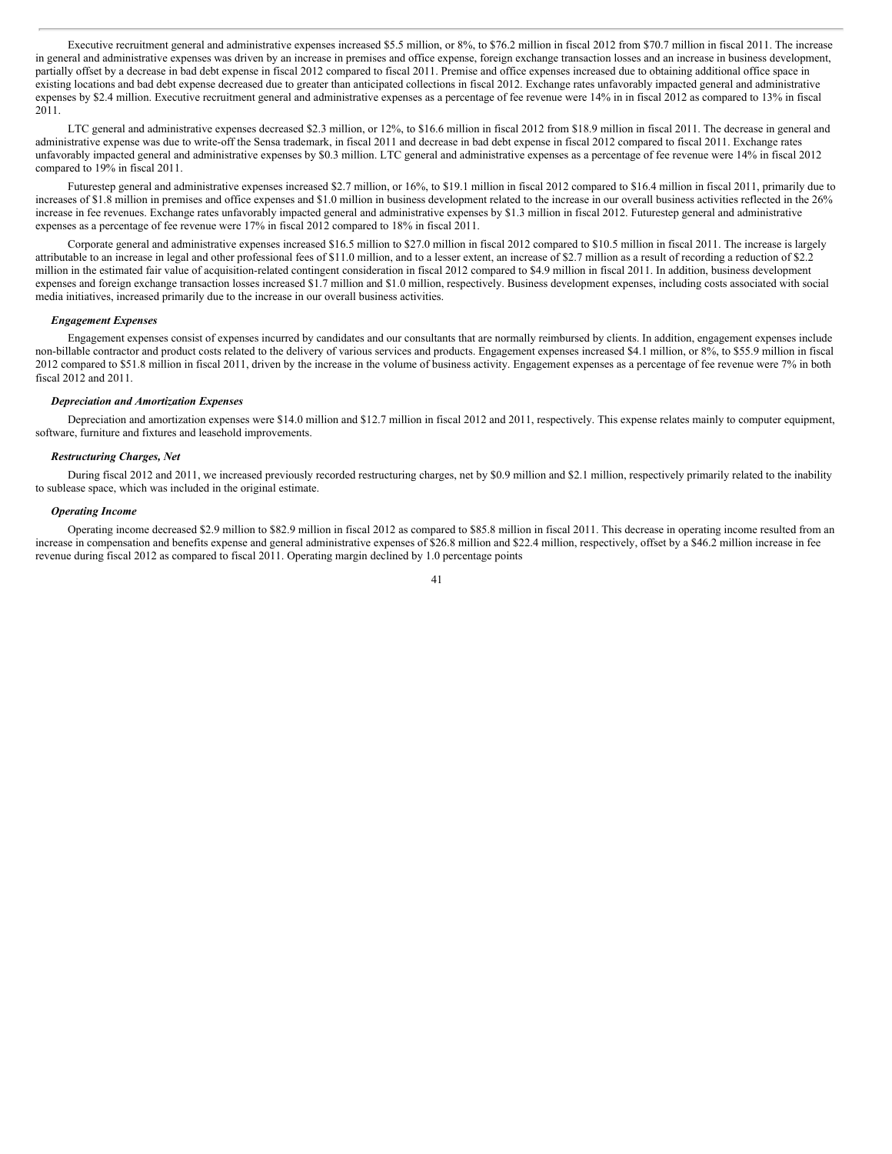Executive recruitment general and administrative expenses increased \$5.5 million, or 8%, to \$76.2 million in fiscal 2012 from \$70.7 million in fiscal 2011. The increase in general and administrative expenses was driven by an increase in premises and office expense, foreign exchange transaction losses and an increase in business development, partially offset by a decrease in bad debt expense in fiscal 2012 compared to fiscal 2011. Premise and office expenses increased due to obtaining additional office space in existing locations and bad debt expense decreased due to greater than anticipated collections in fiscal 2012. Exchange rates unfavorably impacted general and administrative expenses by \$2.4 million. Executive recruitment general and administrative expenses as a percentage of fee revenue were 14% in in fiscal 2012 as compared to 13% in fiscal 2011.

LTC general and administrative expenses decreased \$2.3 million, or 12%, to \$16.6 million in fiscal 2012 from \$18.9 million in fiscal 2011. The decrease in general and administrative expense was due to write-off the Sensa trademark, in fiscal 2011 and decrease in bad debt expense in fiscal 2012 compared to fiscal 2011. Exchange rates unfavorably impacted general and administrative expenses by \$0.3 million. LTC general and administrative expenses as a percentage of fee revenue were 14% in fiscal 2012 compared to 19% in fiscal 2011.

Futurestep general and administrative expenses increased \$2.7 million, or 16%, to \$19.1 million in fiscal 2012 compared to \$16.4 million in fiscal 2011, primarily due to increases of \$1.8 million in premises and office expenses and \$1.0 million in business development related to the increase in our overall business activities reflected in the 26% increase in fee revenues. Exchange rates unfavorably impacted general and administrative expenses by \$1.3 million in fiscal 2012. Futurestep general and administrative expenses as a percentage of fee revenue were 17% in fiscal 2012 compared to 18% in fiscal 2011.

Corporate general and administrative expenses increased \$16.5 million to \$27.0 million in fiscal 2012 compared to \$10.5 million in fiscal 2011. The increase is largely attributable to an increase in legal and other professional fees of \$11.0 million, and to a lesser extent, an increase of \$2.7 million as a result of recording a reduction of \$2.2 million in the estimated fair value of acquisition-related contingent consideration in fiscal 2012 compared to \$4.9 million in fiscal 2011. In addition, business development expenses and foreign exchange transaction losses increased \$1.7 million and \$1.0 million, respectively. Business development expenses, including costs associated with social media initiatives, increased primarily due to the increase in our overall business activities.

## *Engagement Expenses*

Engagement expenses consist of expenses incurred by candidates and our consultants that are normally reimbursed by clients. In addition, engagement expenses include non-billable contractor and product costs related to the delivery of various services and products. Engagement expenses increased \$4.1 million, or 8%, to \$55.9 million in fiscal 2012 compared to \$51.8 million in fiscal 2011, driven by the increase in the volume of business activity. Engagement expenses as a percentage of fee revenue were 7% in both fiscal 2012 and 2011.

## *Depreciation and Amortization Expenses*

Depreciation and amortization expenses were \$14.0 million and \$12.7 million in fiscal 2012 and 2011, respectively. This expense relates mainly to computer equipment, software, furniture and fixtures and leasehold improvements.

### *Restructuring Charges, Net*

During fiscal 2012 and 2011, we increased previously recorded restructuring charges, net by \$0.9 million and \$2.1 million, respectively primarily related to the inability to sublease space, which was included in the original estimate.

#### *Operating Income*

Operating income decreased \$2.9 million to \$82.9 million in fiscal 2012 as compared to \$85.8 million in fiscal 2011. This decrease in operating income resulted from an increase in compensation and benefits expense and general administrative expenses of \$26.8 million and \$22.4 million, respectively, offset by a \$46.2 million increase in fee revenue during fiscal 2012 as compared to fiscal 2011. Operating margin declined by 1.0 percentage points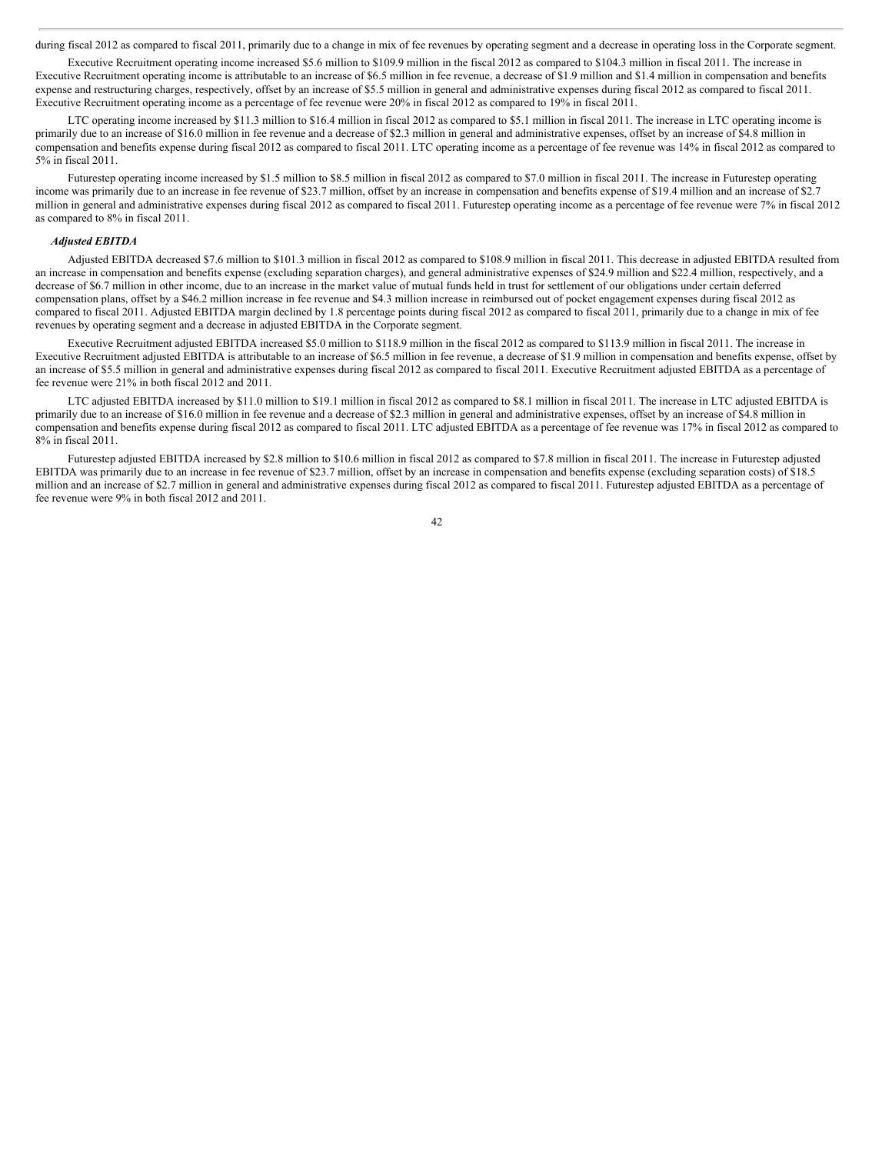during fiscal 2012 as compared to fiscal 2011, primarily due to a change in mix of fee revenues by operating segment and a decrease in operating loss in the Corporate segment.

Executive Recruitment operating income increased \$5.6 million to \$109.9 million in the fiscal 2012 as compared to \$104.3 million in fiscal 2011. The increase in Executive Recruitment operating income is attributable to an increase of \$6.5 million in fee revenue, a decrease of \$1.9 million and \$1.4 million in compensation and benefits expense and restructuring charges, respectively, offset by an increase of \$5.5 million in general and administrative expenses during fiscal 2012 as compared to fiscal 2011. Executive Recruitment operating income as a percentage of fee revenue were 20% in fiscal 2012 as compared to 19% in fiscal 2011.

LTC operating income increased by \$11.3 million to \$16.4 million in fiscal 2012 as compared to \$5.1 million in fiscal 2011. The increase in LTC operating income is primarily due to an increase of \$16.0 million in fee revenue and a decrease of \$2.3 million in general and administrative expenses, offset by an increase of \$4.8 million in compensation and benefits expense during fiscal 2012 as compared to fiscal 2011. LTC operating income as a percentage of fee revenue was 14% in fiscal 2012 as compared to 5% in fiscal 2011.

Futurestep operating income increased by \$1.5 million to \$8.5 million in fiscal 2012 as compared to \$7.0 million in fiscal 2011. The increase in Futurestep operating income was primarily due to an increase in fee revenue of \$23.7 million, offset by an increase in compensation and benefits expense of \$19.4 million and an increase of \$2.7 million in general and administrative expenses during fiscal 2012 as compared to fiscal 2011. Futurestep operating income as a percentage of fee revenue were 7% in fiscal 2012 as compared to 8% in fiscal 2011.

## *Adjusted EBITDA*

Adjusted EBITDA decreased \$7.6 million to \$101.3 million in fiscal 2012 as compared to \$108.9 million in fiscal 2011. This decrease in adjusted EBITDA resulted from an increase in compensation and benefits expense (excluding separation charges), and general administrative expenses of \$24.9 million and \$22.4 million, respectively, and a decrease of \$6.7 million in other income, due to an increase in the market value of mutual funds held in trust for settlement of our obligations under certain deferred compensation plans, offset by a \$46.2 million increase in fee revenue and \$4.3 million increase in reimbursed out of pocket engagement expenses during fiscal 2012 as compared to fiscal 2011. Adjusted EBITDA margin declined by 1.8 percentage points during fiscal 2012 as compared to fiscal 2011, primarily due to a change in mix of fee revenues by operating segment and a decrease in adjusted EBITDA in the Corporate segment.

Executive Recruitment adjusted EBITDA increased \$5.0 million to \$118.9 million in the fiscal 2012 as compared to \$113.9 million in fiscal 2011. The increase in Executive Recruitment adjusted EBITDA is attributable to an increase of \$6.5 million in fee revenue, a decrease of \$1.9 million in compensation and benefits expense, offset by an increase of \$5.5 million in general and administrative expenses during fiscal 2012 as compared to fiscal 2011. Executive Recruitment adjusted EBITDA as a percentage of fee revenue were 21% in both fiscal 2012 and 2011.

LTC adjusted EBITDA increased by \$11.0 million to \$19.1 million in fiscal 2012 as compared to \$8.1 million in fiscal 2011. The increase in LTC adjusted EBITDA is primarily due to an increase of \$16.0 million in fee revenue and a decrease of \$2.3 million in general and administrative expenses, offset by an increase of \$4.8 million in compensation and benefits expense during fiscal 2012 as compared to fiscal 2011. LTC adjusted EBITDA as a percentage of fee revenue was 17% in fiscal 2012 as compared to 8% in fiscal 2011.

Futurestep adjusted EBITDA increased by \$2.8 million to \$10.6 million in fiscal 2012 as compared to \$7.8 million in fiscal 2011. The increase in Futurestep adjusted EBITDA was primarily due to an increase in fee revenue of \$23.7 million, offset by an increase in compensation and benefits expense (excluding separation costs) of \$18.5 million and an increase of \$2.7 million in general and administrative expenses during fiscal 2012 as compared to fiscal 2011. Futurestep adjusted EBITDA as a percentage of fee revenue were 9% in both fiscal 2012 and 2011.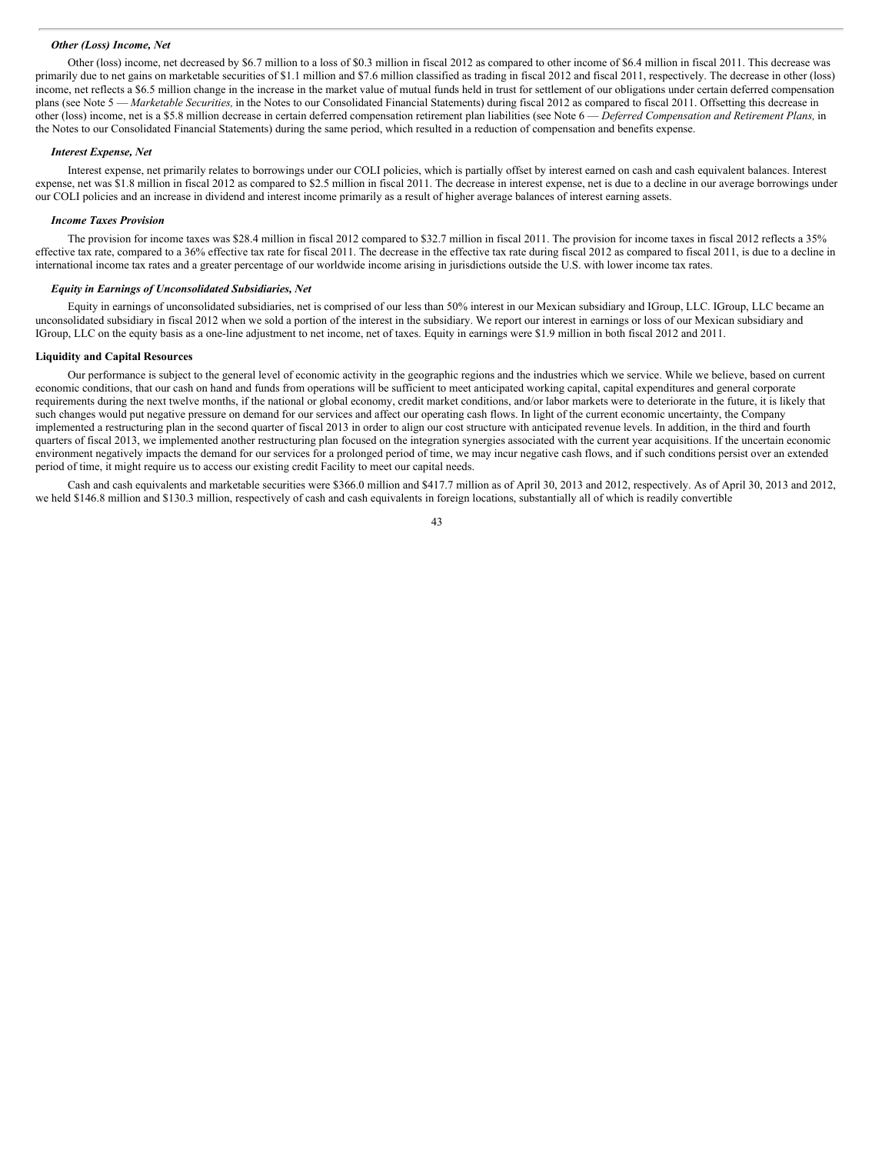#### *Other (Loss) Income, Net*

Other (loss) income, net decreased by \$6.7 million to a loss of \$0.3 million in fiscal 2012 as compared to other income of \$6.4 million in fiscal 2011. This decrease was primarily due to net gains on marketable securities of \$1.1 million and \$7.6 million classified as trading in fiscal 2012 and fiscal 2011, respectively. The decrease in other (loss) income, net reflects a \$6.5 million change in the increase in the market value of mutual funds held in trust for settlement of our obligations under certain deferred compensation plans (see Note 5 — *Marketable Securities,* in the Notes to our Consolidated Financial Statements) during fiscal 2012 as compared to fiscal 2011. Offsetting this decrease in other (loss) income, net is a \$5.8 million decrease in certain deferred compensation retirement plan liabilities (see Note 6 — *Deferred Compensation and Retirement Plans,* in the Notes to our Consolidated Financial Statements) during the same period, which resulted in a reduction of compensation and benefits expense.

#### *Interest Expense, Net*

Interest expense, net primarily relates to borrowings under our COLI policies, which is partially offset by interest earned on cash and cash equivalent balances. Interest expense, net was \$1.8 million in fiscal 2012 as compared to \$2.5 million in fiscal 2011. The decrease in interest expense, net is due to a decline in our average borrowings under our COLI policies and an increase in dividend and interest income primarily as a result of higher average balances of interest earning assets.

#### *Income Taxes Provision*

The provision for income taxes was \$28.4 million in fiscal 2012 compared to \$32.7 million in fiscal 2011. The provision for income taxes in fiscal 2012 reflects a 35% effective tax rate, compared to a 36% effective tax rate for fiscal 2011. The decrease in the effective tax rate during fiscal 2012 as compared to fiscal 2011, is due to a decline in international income tax rates and a greater percentage of our worldwide income arising in jurisdictions outside the U.S. with lower income tax rates.

## *Equity in Earnings of Unconsolidated Subsidiaries, Net*

Equity in earnings of unconsolidated subsidiaries, net is comprised of our less than 50% interest in our Mexican subsidiary and IGroup, LLC. IGroup, LLC became an unconsolidated subsidiary in fiscal 2012 when we sold a portion of the interest in the subsidiary. We report our interest in earnings or loss of our Mexican subsidiary and IGroup, LLC on the equity basis as a one-line adjustment to net income, net of taxes. Equity in earnings were \$1.9 million in both fiscal 2012 and 2011.

#### **Liquidity and Capital Resources**

Our performance is subject to the general level of economic activity in the geographic regions and the industries which we service. While we believe, based on current economic conditions, that our cash on hand and funds from operations will be sufficient to meet anticipated working capital, capital expenditures and general corporate requirements during the next twelve months, if the national or global economy, credit market conditions, and/or labor markets were to deteriorate in the future, it is likely that such changes would put negative pressure on demand for our services and affect our operating cash flows. In light of the current economic uncertainty, the Company implemented a restructuring plan in the second quarter of fiscal 2013 in order to align our cost structure with anticipated revenue levels. In addition, in the third and fourth quarters of fiscal 2013, we implemented another restructuring plan focused on the integration synergies associated with the current year acquisitions. If the uncertain economic environment negatively impacts the demand for our services for a prolonged period of time, we may incur negative cash flows, and if such conditions persist over an extended period of time, it might require us to access our existing credit Facility to meet our capital needs.

Cash and cash equivalents and marketable securities were \$366.0 million and \$417.7 million as of April 30, 2013 and 2012, respectively. As of April 30, 2013 and 2012, we held \$146.8 million and \$130.3 million, respectively of cash and cash equivalents in foreign locations, substantially all of which is readily convertible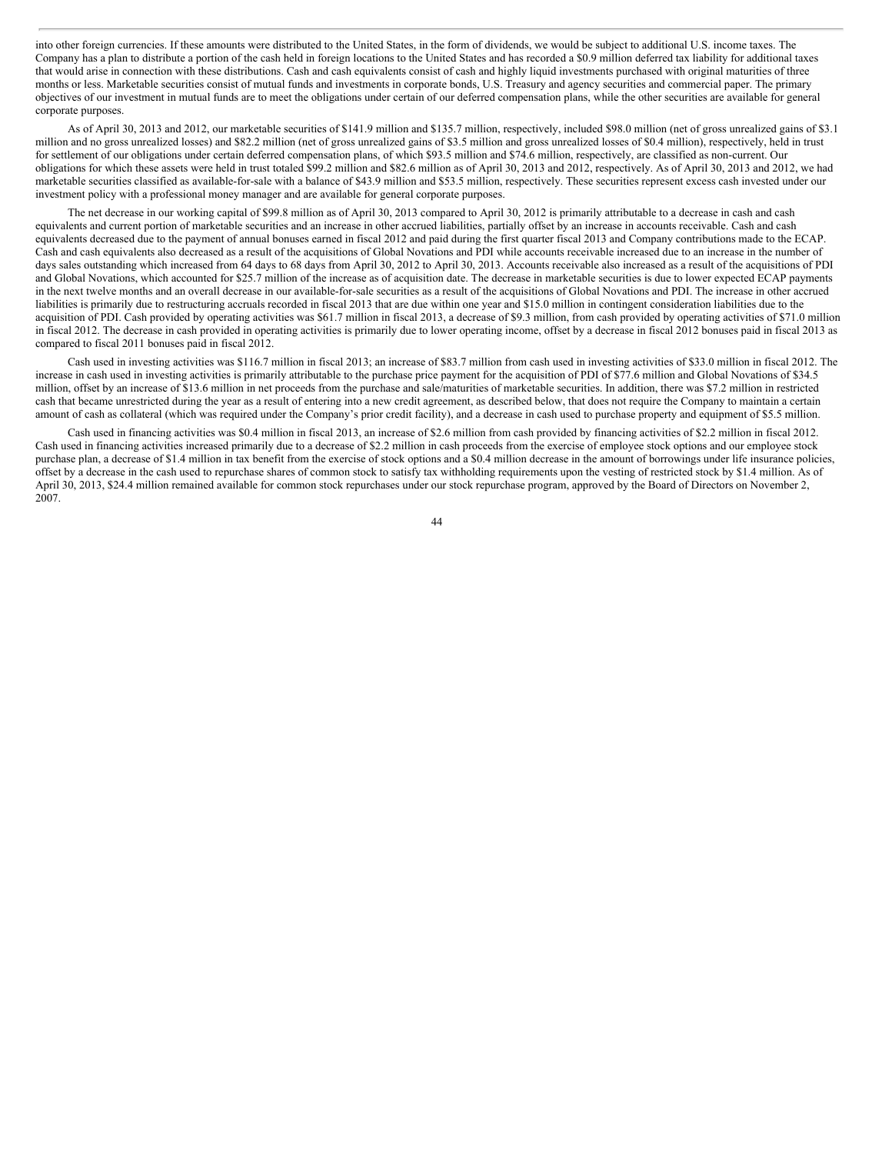into other foreign currencies. If these amounts were distributed to the United States, in the form of dividends, we would be subject to additional U.S. income taxes. The Company has a plan to distribute a portion of the cash held in foreign locations to the United States and has recorded a \$0.9 million deferred tax liability for additional taxes that would arise in connection with these distributions. Cash and cash equivalents consist of cash and highly liquid investments purchased with original maturities of three months or less. Marketable securities consist of mutual funds and investments in corporate bonds, U.S. Treasury and agency securities and commercial paper. The primary objectives of our investment in mutual funds are to meet the obligations under certain of our deferred compensation plans, while the other securities are available for general corporate purposes.

As of April 30, 2013 and 2012, our marketable securities of \$141.9 million and \$135.7 million, respectively, included \$98.0 million (net of gross unrealized gains of \$3.1) million and no gross unrealized losses) and \$82.2 million (net of gross unrealized gains of \$3.5 million and gross unrealized losses of \$0.4 million), respectively, held in trust for settlement of our obligations under certain deferred compensation plans, of which \$93.5 million and \$74.6 million, respectively, are classified as non-current. Our obligations for which these assets were held in trust totaled \$99.2 million and \$82.6 million as of April 30, 2013 and 2012, respectively. As of April 30, 2013 and 2012, we had marketable securities classified as available-for-sale with a balance of \$43.9 million and \$53.5 million, respectively. These securities represent excess cash invested under our investment policy with a professional money manager and are available for general corporate purposes.

The net decrease in our working capital of \$99.8 million as of April 30, 2013 compared to April 30, 2012 is primarily attributable to a decrease in cash and cash equivalents and current portion of marketable securities and an increase in other accrued liabilities, partially offset by an increase in accounts receivable. Cash and cash equivalents decreased due to the payment of annual bonuses earned in fiscal 2012 and paid during the first quarter fiscal 2013 and Company contributions made to the ECAP. Cash and cash equivalents also decreased as a result of the acquisitions of Global Novations and PDI while accounts receivable increased due to an increase in the number of days sales outstanding which increased from 64 days to 68 days from April 30, 2012 to April 30, 2013. Accounts receivable also increased as a result of the acquisitions of PDI and Global Novations, which accounted for \$25.7 million of the increase as of acquisition date. The decrease in marketable securities is due to lower expected ECAP payments in the next twelve months and an overall decrease in our available-for-sale securities as a result of the acquisitions of Global Novations and PDI. The increase in other accrued liabilities is primarily due to restructuring accruals recorded in fiscal 2013 that are due within one year and \$15.0 million in contingent consideration liabilities due to the acquisition of PDI. Cash provided by operating activities was \$61.7 million in fiscal 2013, a decrease of \$9.3 million, from cash provided by operating activities of \$71.0 million in fiscal 2012. The decrease in cash provided in operating activities is primarily due to lower operating income, offset by a decrease in fiscal 2012 bonuses paid in fiscal 2013 as compared to fiscal 2011 bonuses paid in fiscal 2012.

Cash used in investing activities was \$116.7 million in fiscal 2013; an increase of \$83.7 million from cash used in investing activities of \$33.0 million in fiscal 2012. The increase in cash used in investing activities is primarily attributable to the purchase price payment for the acquisition of PDI of \$77.6 million and Global Novations of \$34.5 million, offset by an increase of \$13.6 million in net proceeds from the purchase and sale/maturities of marketable securities. In addition, there was \$7.2 million in restricted cash that became unrestricted during the year as a result of entering into a new credit agreement, as described below, that does not require the Company to maintain a certain amount of cash as collateral (which was required under the Company's prior credit facility), and a decrease in cash used to purchase property and equipment of \$5.5 million.

Cash used in financing activities was \$0.4 million in fiscal 2013, an increase of \$2.6 million from cash provided by financing activities of \$2.2 million in fiscal 2012. Cash used in financing activities increased primarily due to a decrease of \$2.2 million in cash proceeds from the exercise of employee stock options and our employee stock purchase plan, a decrease of \$1.4 million in tax benefit from the exercise of stock options and a \$0.4 million decrease in the amount of borrowings under life insurance policies, offset by a decrease in the cash used to repurchase shares of common stock to satisfy tax withholding requirements upon the vesting of restricted stock by \$1.4 million. As of April 30, 2013, \$24.4 million remained available for common stock repurchases under our stock repurchase program, approved by the Board of Directors on November 2, 2007.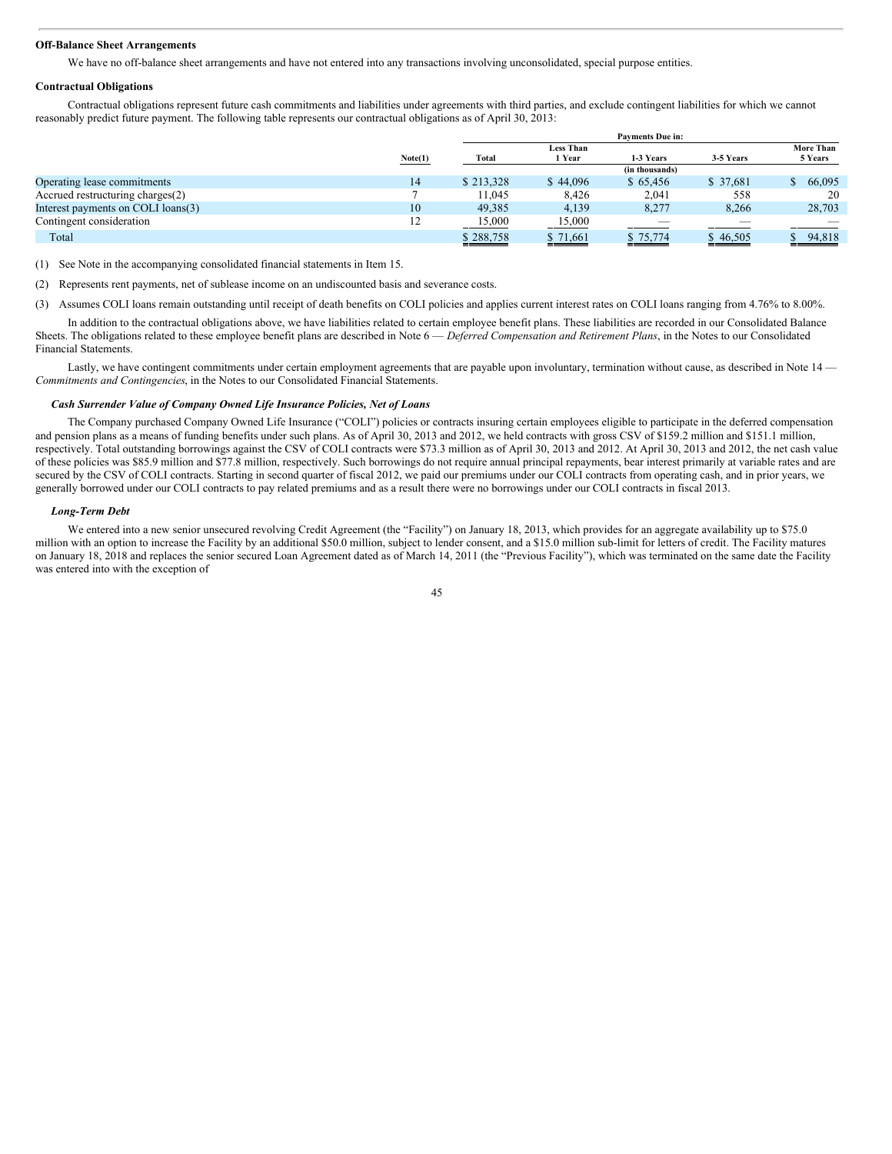## **Off-Balance Sheet Arrangements**

We have no off-balance sheet arrangements and have not entered into any transactions involving unconsolidated, special purpose entities.

### **Contractual Obligations**

Contractual obligations represent future cash commitments and liabilities under agreements with third parties, and exclude contingent liabilities for which we cannot reasonably predict future payment. The following table represents our contractual obligations as of April 30, 2013:

|                                    |         |           |                  | <b>Payments Due in:</b> |           |                  |
|------------------------------------|---------|-----------|------------------|-------------------------|-----------|------------------|
|                                    |         |           | <b>Less Than</b> |                         |           | <b>More Than</b> |
|                                    | Note(1) | Total     | 1 Year           | 1-3 Years               | 3-5 Years | 5 Years          |
|                                    |         |           |                  | (in thousands)          |           |                  |
| Operating lease commitments        | 14      | \$213,328 | \$44,096         | \$65,456                | \$ 37,681 | 66,095           |
| Accrued restructuring charges(2)   |         | 11.045    | 8,426            | 2.041                   | 558       | 20               |
| Interest payments on COLI loans(3) | 10      | 49.385    | 4.139            | 8,277                   | 8,266     | 28,703           |
| Contingent consideration           | 12      | 15,000    | 15,000           | __                      | _         |                  |
| Total                              |         | \$288,758 | \$71,661         | \$75,774                | \$46,505  | 94,818           |

(1) See Note in the accompanying consolidated financial statements in Item 15.

(2) Represents rent payments, net of sublease income on an undiscounted basis and severance costs.

(3) Assumes COLI loans remain outstanding until receipt of death benefits on COLI policies and applies current interest rates on COLI loans ranging from 4.76% to 8.00%.

In addition to the contractual obligations above, we have liabilities related to certain employee benefit plans. These liabilities are recorded in our Consolidated Balance Sheets. The obligations related to these employee benefit plans are described in Note 6 — *Deferred Compensation and Retirement Plans*, in the Notes to our Consolidated Financial Statements.

Lastly, we have contingent commitments under certain employment agreements that are payable upon involuntary, termination without cause, as described in Note 14 — *Commitments and Contingencies*, in the Notes to our Consolidated Financial Statements.

#### *Cash Surrender Value of Company Owned Life Insurance Policies, Net of Loans*

The Company purchased Company Owned Life Insurance ("COLI") policies or contracts insuring certain employees eligible to participate in the deferred compensation and pension plans as a means of funding benefits under such plans. As of April 30, 2013 and 2012, we held contracts with gross CSV of \$159.2 million and \$151.1 million, respectively. Total outstanding borrowings against the CSV of COLI contracts were \$73.3 million as of April 30, 2013 and 2012. At April 30, 2013 and 2012, the net cash value of these policies was \$85.9 million and \$77.8 million, respectively. Such borrowings do not require annual principal repayments, bear interest primarily at variable rates and are secured by the CSV of COLI contracts. Starting in second quarter of fiscal 2012, we paid our premiums under our COLI contracts from operating cash, and in prior years, we generally borrowed under our COLI contracts to pay related premiums and as a result there were no borrowings under our COLI contracts in fiscal 2013.

## *Long-Term Debt*

We entered into a new senior unsecured revolving Credit Agreement (the "Facility") on January 18, 2013, which provides for an aggregate availability up to \$75.0 million with an option to increase the Facility by an additional \$50.0 million, subject to lender consent, and a \$15.0 million sub-limit for letters of credit. The Facility matures on January 18, 2018 and replaces the senior secured Loan Agreement dated as of March 14, 2011 (the "Previous Facility"), which was terminated on the same date the Facility was entered into with the exception of

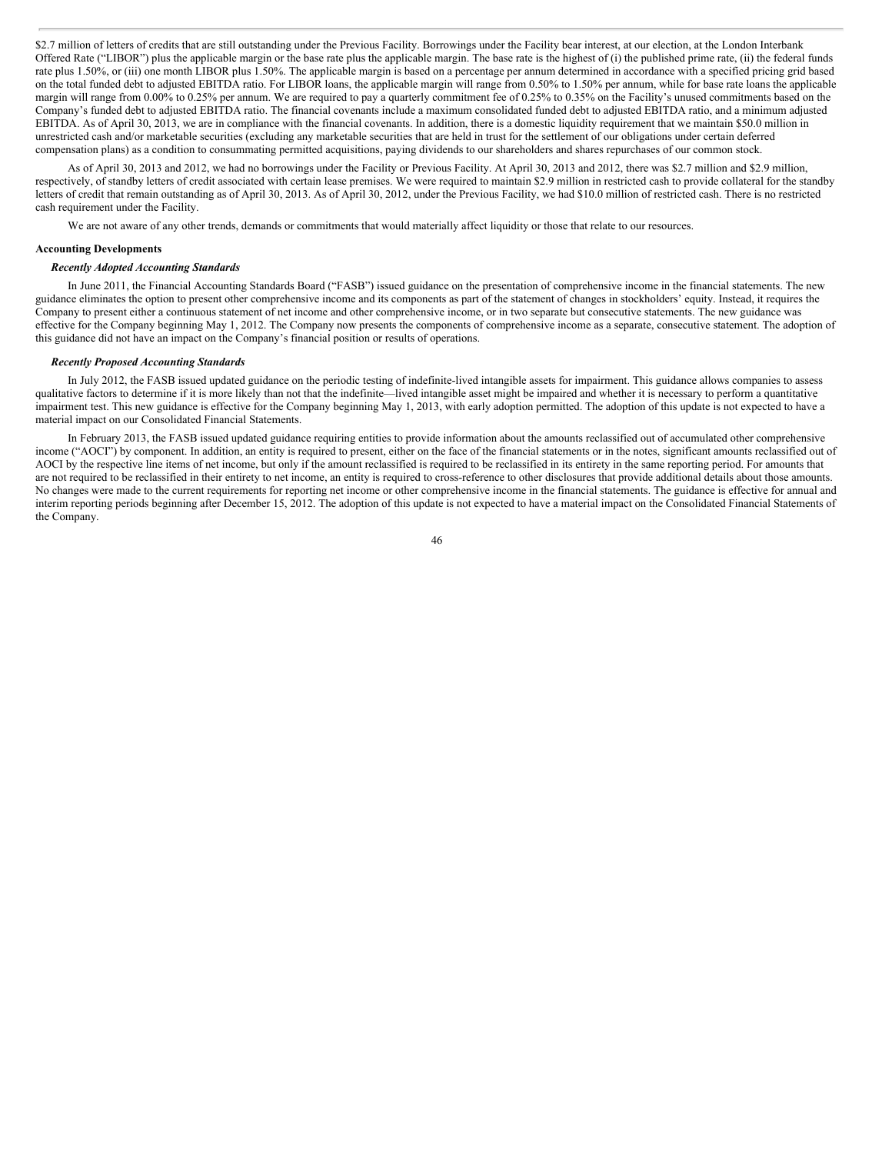\$2.7 million of letters of credits that are still outstanding under the Previous Facility. Borrowings under the Facility bear interest, at our election, at the London Interbank Offered Rate ("LIBOR") plus the applicable margin or the base rate plus the applicable margin. The base rate is the highest of (i) the published prime rate, (ii) the federal funds rate plus 1.50%, or (iii) one month LIBOR plus 1.50%. The applicable margin is based on a percentage per annum determined in accordance with a specified pricing grid based on the total funded debt to adjusted EBITDA ratio. For LIBOR loans, the applicable margin will range from 0.50% to 1.50% per annum, while for base rate loans the applicable margin will range from 0.00% to 0.25% per annum. We are required to pay a quarterly commitment fee of 0.25% to 0.35% on the Facility's unused commitments based on the Company's funded debt to adjusted EBITDA ratio. The financial covenants include a maximum consolidated funded debt to adjusted EBITDA ratio, and a minimum adjusted EBITDA. As of April 30, 2013, we are in compliance with the financial covenants. In addition, there is a domestic liquidity requirement that we maintain \$50.0 million in unrestricted cash and/or marketable securities (excluding any marketable securities that are held in trust for the settlement of our obligations under certain deferred compensation plans) as a condition to consummating permitted acquisitions, paying dividends to our shareholders and shares repurchases of our common stock.

As of April 30, 2013 and 2012, we had no borrowings under the Facility or Previous Facility. At April 30, 2013 and 2012, there was \$2.7 million and \$2.9 million, respectively, of standby letters of credit associated with certain lease premises. We were required to maintain \$2.9 million in restricted cash to provide collateral for the standby letters of credit that remain outstanding as of April 30, 2013. As of April 30, 2012, under the Previous Facility, we had \$10.0 million of restricted cash. There is no restricted cash requirement under the Facility.

We are not aware of any other trends, demands or commitments that would materially affect liquidity or those that relate to our resources.

### **Accounting Developments**

## *Recently Adopted Accounting Standards*

In June 2011, the Financial Accounting Standards Board ("FASB") issued guidance on the presentation of comprehensive income in the financial statements. The new guidance eliminates the option to present other comprehensive income and its components as part of the statement of changes in stockholders' equity. Instead, it requires the Company to present either a continuous statement of net income and other comprehensive income, or in two separate but consecutive statements. The new guidance was effective for the Company beginning May 1, 2012. The Company now presents the components of comprehensive income as a separate, consecutive statement. The adoption of this guidance did not have an impact on the Company's financial position or results of operations.

## *Recently Proposed Accounting Standards*

In July 2012, the FASB issued updated guidance on the periodic testing of indefinite-lived intangible assets for impairment. This guidance allows companies to assess qualitative factors to determine if it is more likely than not that the indefinite—lived intangible asset might be impaired and whether it is necessary to perform a quantitative impairment test. This new guidance is effective for the Company beginning May 1, 2013, with early adoption permitted. The adoption of this update is not expected to have a material impact on our Consolidated Financial Statements.

In February 2013, the FASB issued updated guidance requiring entities to provide information about the amounts reclassified out of accumulated other comprehensive income ("AOCI") by component. In addition, an entity is required to present, either on the face of the financial statements or in the notes, significant amounts reclassified out of AOCI by the respective line items of net income, but only if the amount reclassified is required to be reclassified in its entirety in the same reporting period. For amounts that are not required to be reclassified in their entirety to net income, an entity is required to cross-reference to other disclosures that provide additional details about those amounts. No changes were made to the current requirements for reporting net income or other comprehensive income in the financial statements. The guidance is effective for annual and interim reporting periods beginning after December 15, 2012. The adoption of this update is not expected to have a material impact on the Consolidated Financial Statements of the Company.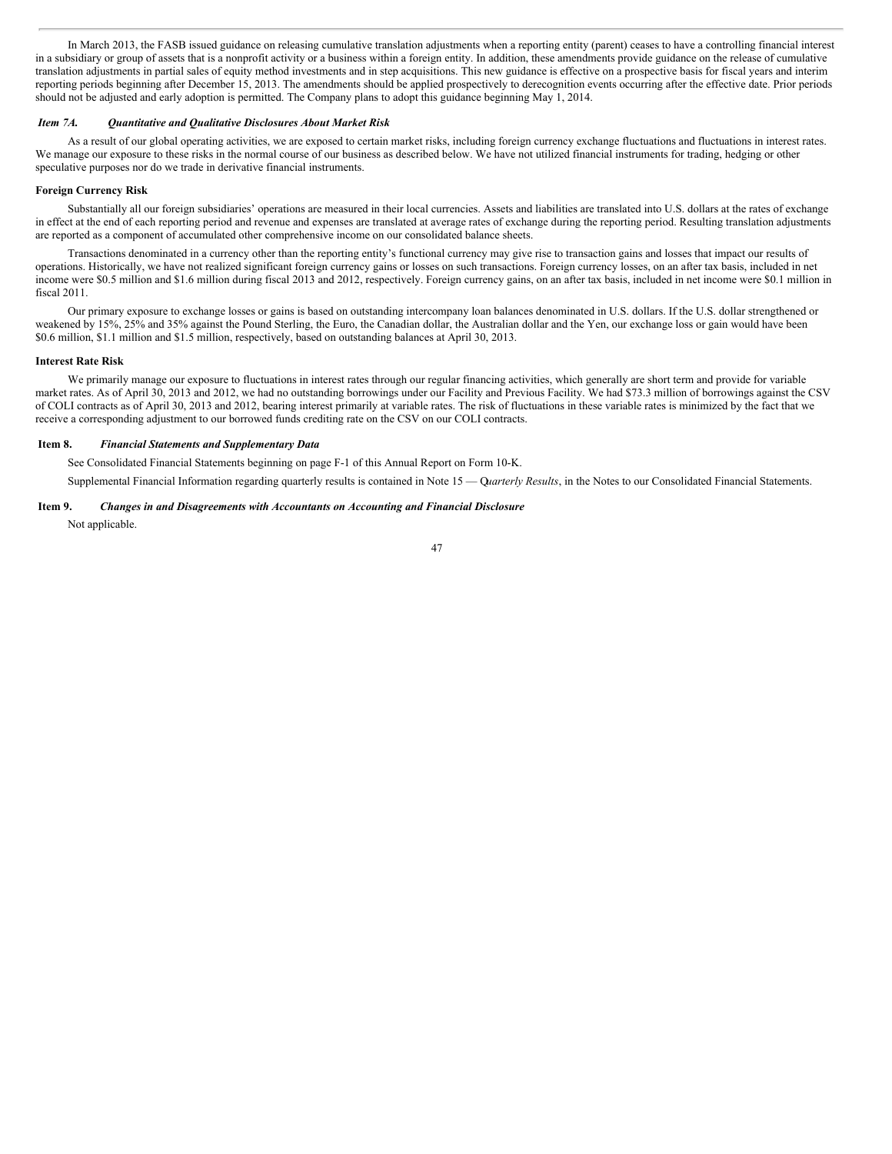In March 2013, the FASB issued guidance on releasing cumulative translation adjustments when a reporting entity (parent) ceases to have a controlling financial interest in a subsidiary or group of assets that is a nonprofit activity or a business within a foreign entity. In addition, these amendments provide guidance on the release of cumulative translation adjustments in partial sales of equity method investments and in step acquisitions. This new guidance is effective on a prospective basis for fiscal years and interim reporting periods beginning after December 15, 2013. The amendments should be applied prospectively to derecognition events occurring after the effective date. Prior periods should not be adjusted and early adoption is permitted. The Company plans to adopt this guidance beginning May 1, 2014.

## *Item 7A. Quantitative and Qualitative Disclosures About Market Risk*

As a result of our global operating activities, we are exposed to certain market risks, including foreign currency exchange fluctuations and fluctuations in interest rates. We manage our exposure to these risks in the normal course of our business as described below. We have not utilized financial instruments for trading, hedging or other speculative purposes nor do we trade in derivative financial instruments.

## **Foreign Currency Risk**

Substantially all our foreign subsidiaries' operations are measured in their local currencies. Assets and liabilities are translated into U.S. dollars at the rates of exchange in effect at the end of each reporting period and revenue and expenses are translated at average rates of exchange during the reporting period. Resulting translation adjustments are reported as a component of accumulated other comprehensive income on our consolidated balance sheets.

Transactions denominated in a currency other than the reporting entity's functional currency may give rise to transaction gains and losses that impact our results of operations. Historically, we have not realized significant foreign currency gains or losses on such transactions. Foreign currency losses, on an after tax basis, included in net income were \$0.5 million and \$1.6 million during fiscal 2013 and 2012, respectively. Foreign currency gains, on an after tax basis, included in net income were \$0.1 million in fiscal 2011.

Our primary exposure to exchange losses or gains is based on outstanding intercompany loan balances denominated in U.S. dollars. If the U.S. dollar strengthened or weakened by 15%, 25% and 35% against the Pound Sterling, the Euro, the Canadian dollar, the Australian dollar and the Yen, our exchange loss or gain would have been \$0.6 million, \$1.1 million and \$1.5 million, respectively, based on outstanding balances at April 30, 2013.

#### **Interest Rate Risk**

We primarily manage our exposure to fluctuations in interest rates through our regular financing activities, which generally are short term and provide for variable market rates. As of April 30, 2013 and 2012, we had no outstanding borrowings under our Facility and Previous Facility. We had \$73.3 million of borrowings against the CSV of COLI contracts as of April 30, 2013 and 2012, bearing interest primarily at variable rates. The risk of fluctuations in these variable rates is minimized by the fact that we receive a corresponding adjustment to our borrowed funds crediting rate on the CSV on our COLI contracts.

#### **Item 8.** *Financial Statements and Supplementary Data*

See Consolidated Financial Statements beginning on page F-1 of this Annual Report on Form 10-K.

Supplemental Financial Information regarding quarterly results is contained in Note 15 — Q*uarterly Results*, in the Notes to our Consolidated Financial Statements.

## **Item 9.** *Changes in and Disagreements with Accountants on Accounting and Financial Disclosure*

Not applicable.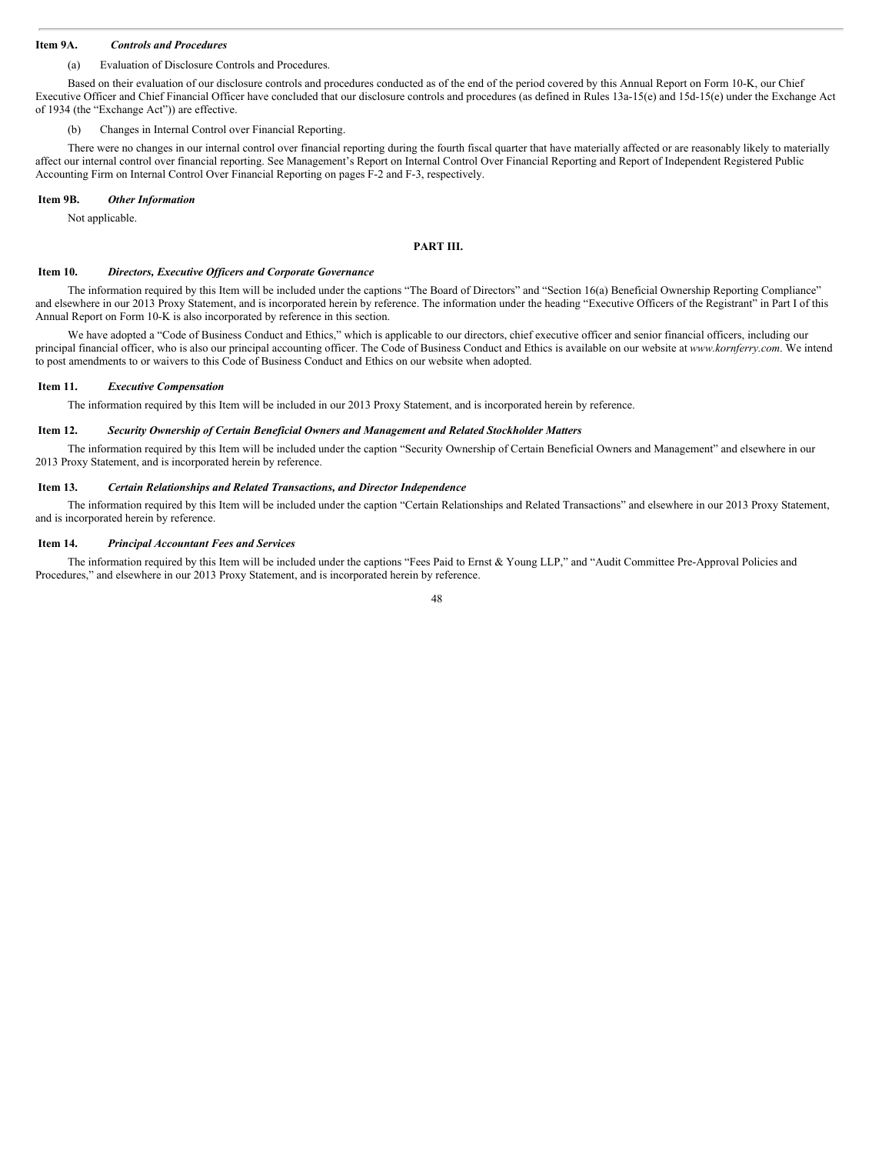## **Item 9A.** *Controls and Procedures*

## (a) Evaluation of Disclosure Controls and Procedures.

Based on their evaluation of our disclosure controls and procedures conducted as of the end of the period covered by this Annual Report on Form 10-K, our Chief Executive Officer and Chief Financial Officer have concluded that our disclosure controls and procedures (as defined in Rules 13a-15(e) and 15d-15(e) under the Exchange Act of 1934 (the "Exchange Act")) are effective.

(b) Changes in Internal Control over Financial Reporting.

There were no changes in our internal control over financial reporting during the fourth fiscal quarter that have materially affected or are reasonably likely to materially affect our internal control over financial reporting. See Management's Report on Internal Control Over Financial Reporting and Report of Independent Registered Public Accounting Firm on Internal Control Over Financial Reporting on pages F-2 and F-3, respectively.

## **Item 9B.** *Other Information*

Not applicable.

## **PART III.**

### **Item 10.** *Directors, Executive Of icers and Corporate Governance*

The information required by this Item will be included under the captions "The Board of Directors" and "Section 16(a) Beneficial Ownership Reporting Compliance" and elsewhere in our 2013 Proxy Statement, and is incorporated herein by reference. The information under the heading "Executive Officers of the Registrant" in Part I of this Annual Report on Form 10-K is also incorporated by reference in this section.

We have adopted a "Code of Business Conduct and Ethics," which is applicable to our directors, chief executive officer and senior financial officers, including our principal financial officer, who is also our principal accounting officer. The Code of Business Conduct and Ethics is available on our website at *www.kornferry.com*. We intend to post amendments to or waivers to this Code of Business Conduct and Ethics on our website when adopted.

#### **Item 11.** *Executive Compensation*

The information required by this Item will be included in our 2013 Proxy Statement, and is incorporated herein by reference.

## **Item 12.** *Security Ownership of Certain Beneficial Owners and Management and Related Stockholder Matters*

The information required by this Item will be included under the caption "Security Ownership of Certain Beneficial Owners and Management" and elsewhere in our 2013 Proxy Statement, and is incorporated herein by reference.

## **Item 13.** *Certain Relationships and Related Transactions, and Director Independence*

The information required by this Item will be included under the caption "Certain Relationships and Related Transactions" and elsewhere in our 2013 Proxy Statement, and is incorporated herein by reference.

## **Item 14.** *Principal Accountant Fees and Services*

The information required by this Item will be included under the captions "Fees Paid to Ernst & Young LLP," and "Audit Committee Pre-Approval Policies and Procedures," and elsewhere in our 2013 Proxy Statement, and is incorporated herein by reference.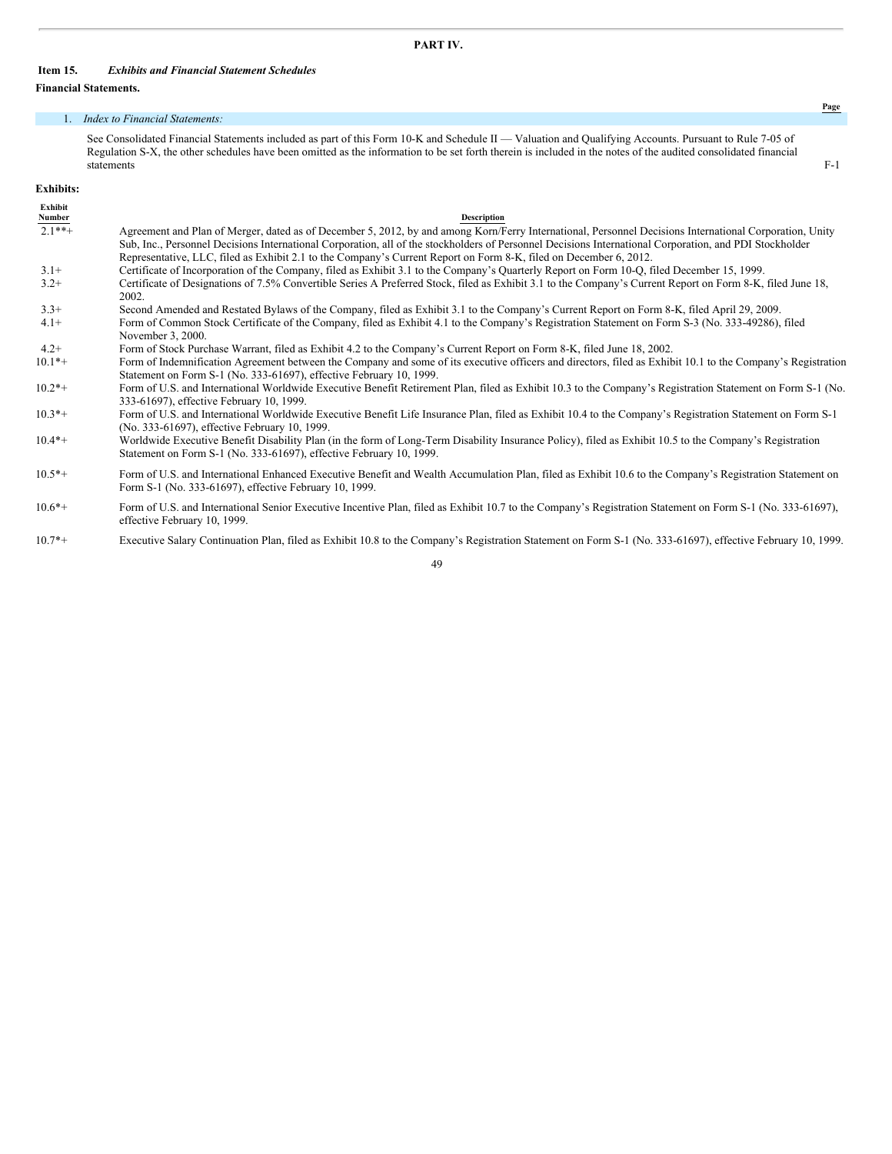## **PART IV.**

**Financial Statements.**

## 1. *Index to Financial Statements:*

See Consolidated Financial Statements included as part of this Form 10-K and Schedule II — Valuation and Qualifying Accounts. Pursuant to Rule 7-05 of Regulation S-X, the other schedules have been omitted as the information to be set forth therein is included in the notes of the audited consolidated financial statements F-1

| <b>Exhibits:</b>         |                                                                                                                                                                                                                                                                                                                                                                                                                                         |
|--------------------------|-----------------------------------------------------------------------------------------------------------------------------------------------------------------------------------------------------------------------------------------------------------------------------------------------------------------------------------------------------------------------------------------------------------------------------------------|
| <b>Exhibit</b><br>Number | <b>Description</b>                                                                                                                                                                                                                                                                                                                                                                                                                      |
| $2.1***$                 | Agreement and Plan of Merger, dated as of December 5, 2012, by and among Korn/Ferry International, Personnel Decisions International Corporation, Unity<br>Sub, Inc., Personnel Decisions International Corporation, all of the stockholders of Personnel Decisions International Corporation, and PDI Stockholder<br>Representative, LLC, filed as Exhibit 2.1 to the Company's Current Report on Form 8-K, filed on December 6, 2012. |
| $3.1+$                   | Certificate of Incorporation of the Company, filed as Exhibit 3.1 to the Company's Quarterly Report on Form 10-Q, filed December 15, 1999.                                                                                                                                                                                                                                                                                              |
| $3.2+$                   | Certificate of Designations of 7.5% Convertible Series A Preferred Stock, filed as Exhibit 3.1 to the Company's Current Report on Form 8-K, filed June 18,<br>2002.                                                                                                                                                                                                                                                                     |
| $3.3+$                   | Second Amended and Restated Bylaws of the Company, filed as Exhibit 3.1 to the Company's Current Report on Form 8-K, filed April 29, 2009.                                                                                                                                                                                                                                                                                              |
| $4.1+$                   | Form of Common Stock Certificate of the Company, filed as Exhibit 4.1 to the Company's Registration Statement on Form S-3 (No. 333-49286), filed<br>November 3, 2000.                                                                                                                                                                                                                                                                   |
| $4.2+$                   | Form of Stock Purchase Warrant, filed as Exhibit 4.2 to the Company's Current Report on Form 8-K, filed June 18, 2002.                                                                                                                                                                                                                                                                                                                  |
| $10.1*+$                 | Form of Indemnification Agreement between the Company and some of its executive officers and directors, filed as Exhibit 10.1 to the Company's Registration<br>Statement on Form S-1 (No. 333-61697), effective February 10, 1999.                                                                                                                                                                                                      |
| $10.2*+$                 | Form of U.S. and International Worldwide Executive Benefit Retirement Plan, filed as Exhibit 10.3 to the Company's Registration Statement on Form S-1 (No.<br>333-61697), effective February 10, 1999.                                                                                                                                                                                                                                  |
| $10.3*+$                 | Form of U.S. and International Worldwide Executive Benefit Life Insurance Plan, filed as Exhibit 10.4 to the Company's Registration Statement on Form S-1<br>(No. 333-61697), effective February 10, 1999.                                                                                                                                                                                                                              |
| $10.4*+$                 | Worldwide Executive Benefit Disability Plan (in the form of Long-Term Disability Insurance Policy), filed as Exhibit 10.5 to the Company's Registration<br>Statement on Form S-1 (No. 333-61697), effective February 10, 1999.                                                                                                                                                                                                          |
| $10.5*+$                 | Form of U.S. and International Enhanced Executive Benefit and Wealth Accumulation Plan, filed as Exhibit 10.6 to the Company's Registration Statement on<br>Form S-1 (No. 333-61697), effective February 10, 1999.                                                                                                                                                                                                                      |
| $10.6*+$                 | Form of U.S. and International Senior Executive Incentive Plan, filed as Exhibit 10.7 to the Company's Registration Statement on Form S-1 (No. 333-61697),<br>effective February 10, 1999.                                                                                                                                                                                                                                              |

10.7\*+ Executive Salary Continuation Plan, filed as Exhibit 10.8 to the Company's Registration Statement on Form S-1 (No. 333-61697), effective February 10, 1999.

49

**Page**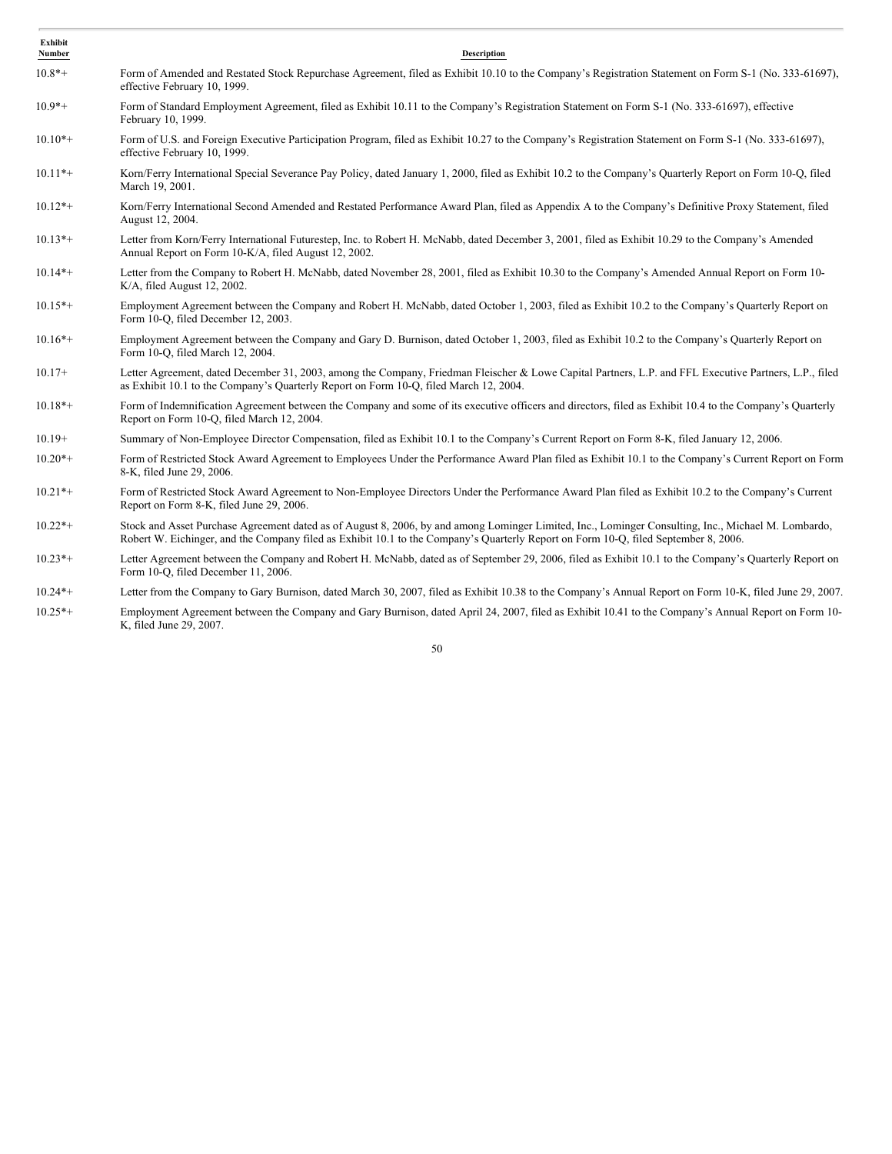| Exhibit<br>Number | Description                                                                                                                                                                                                                                                                                |
|-------------------|--------------------------------------------------------------------------------------------------------------------------------------------------------------------------------------------------------------------------------------------------------------------------------------------|
| $10.8*+$          | Form of Amended and Restated Stock Repurchase Agreement, filed as Exhibit 10.10 to the Company's Registration Statement on Form S-1 (No. 333-61697),<br>effective February 10, 1999.                                                                                                       |
| $10.9*+$          | Form of Standard Employment Agreement, filed as Exhibit 10.11 to the Company's Registration Statement on Form S-1 (No. 333-61697), effective<br>February 10, 1999.                                                                                                                         |
| $10.10*+$         | Form of U.S. and Foreign Executive Participation Program, filed as Exhibit 10.27 to the Company's Registration Statement on Form S-1 (No. 333-61697),<br>effective February 10, 1999.                                                                                                      |
| $10.11*+$         | Korn/Ferry International Special Severance Pay Policy, dated January 1, 2000, filed as Exhibit 10.2 to the Company's Quarterly Report on Form 10-Q, filed<br>March 19, 2001.                                                                                                               |
| $10.12*+$         | Korn/Ferry International Second Amended and Restated Performance Award Plan, filed as Appendix A to the Company's Definitive Proxy Statement, filed<br>August 12, 2004.                                                                                                                    |
| $10.13*+$         | Letter from Korn/Ferry International Futurestep, Inc. to Robert H. McNabb, dated December 3, 2001, filed as Exhibit 10.29 to the Company's Amended<br>Annual Report on Form 10-K/A, filed August 12, 2002.                                                                                 |
| $10.14*+$         | Letter from the Company to Robert H. McNabb, dated November 28, 2001, filed as Exhibit 10.30 to the Company's Amended Annual Report on Form 10-<br>K/A, filed August 12, 2002.                                                                                                             |
| $10.15*+$         | Employment Agreement between the Company and Robert H. McNabb, dated October 1, 2003, filed as Exhibit 10.2 to the Company's Quarterly Report on<br>Form 10-O, filed December 12, 2003.                                                                                                    |
| $10.16*+$         | Employment Agreement between the Company and Gary D. Burnison, dated October 1, 2003, filed as Exhibit 10.2 to the Company's Quarterly Report on<br>Form 10-O, filed March 12, 2004.                                                                                                       |
| $10.17+$          | Letter Agreement, dated December 31, 2003, among the Company, Friedman Fleischer & Lowe Capital Partners, L.P. and FFL Executive Partners, L.P., filed<br>as Exhibit 10.1 to the Company's Quarterly Report on Form 10-Q, filed March 12, 2004.                                            |
| $10.18*+$         | Form of Indemnification Agreement between the Company and some of its executive officers and directors, filed as Exhibit 10.4 to the Company's Quarterly<br>Report on Form 10-Q, filed March 12, 2004.                                                                                     |
| $10.19+$          | Summary of Non-Employee Director Compensation, filed as Exhibit 10.1 to the Company's Current Report on Form 8-K, filed January 12, 2006.                                                                                                                                                  |
| $10.20*+$         | Form of Restricted Stock Award Agreement to Employees Under the Performance Award Plan filed as Exhibit 10.1 to the Company's Current Report on Form<br>8-K, filed June 29, 2006.                                                                                                          |
| $10.21*+$         | Form of Restricted Stock Award Agreement to Non-Employee Directors Under the Performance Award Plan filed as Exhibit 10.2 to the Company's Current<br>Report on Form 8-K, filed June 29, 2006.                                                                                             |
| $10.22*+$         | Stock and Asset Purchase Agreement dated as of August 8, 2006, by and among Lominger Limited, Inc., Lominger Consulting, Inc., Michael M. Lombardo,<br>Robert W. Eichinger, and the Company filed as Exhibit 10.1 to the Company's Quarterly Report on Form 10-Q, filed September 8, 2006. |
| $10.23*+$         | Letter Agreement between the Company and Robert H. McNabb, dated as of September 29, 2006, filed as Exhibit 10.1 to the Company's Quarterly Report on<br>Form 10-Q, filed December 11, 2006.                                                                                               |
| $10.24*+$         | Letter from the Company to Gary Burnison, dated March 30, 2007, filed as Exhibit 10.38 to the Company's Annual Report on Form 10-K, filed June 29, 2007.                                                                                                                                   |

10.25\*+ Employment Agreement between the Company and Gary Burnison, dated April 24, 2007, filed as Exhibit 10.41 to the Company's Annual Report on Form 10- K, filed June 29, 2007.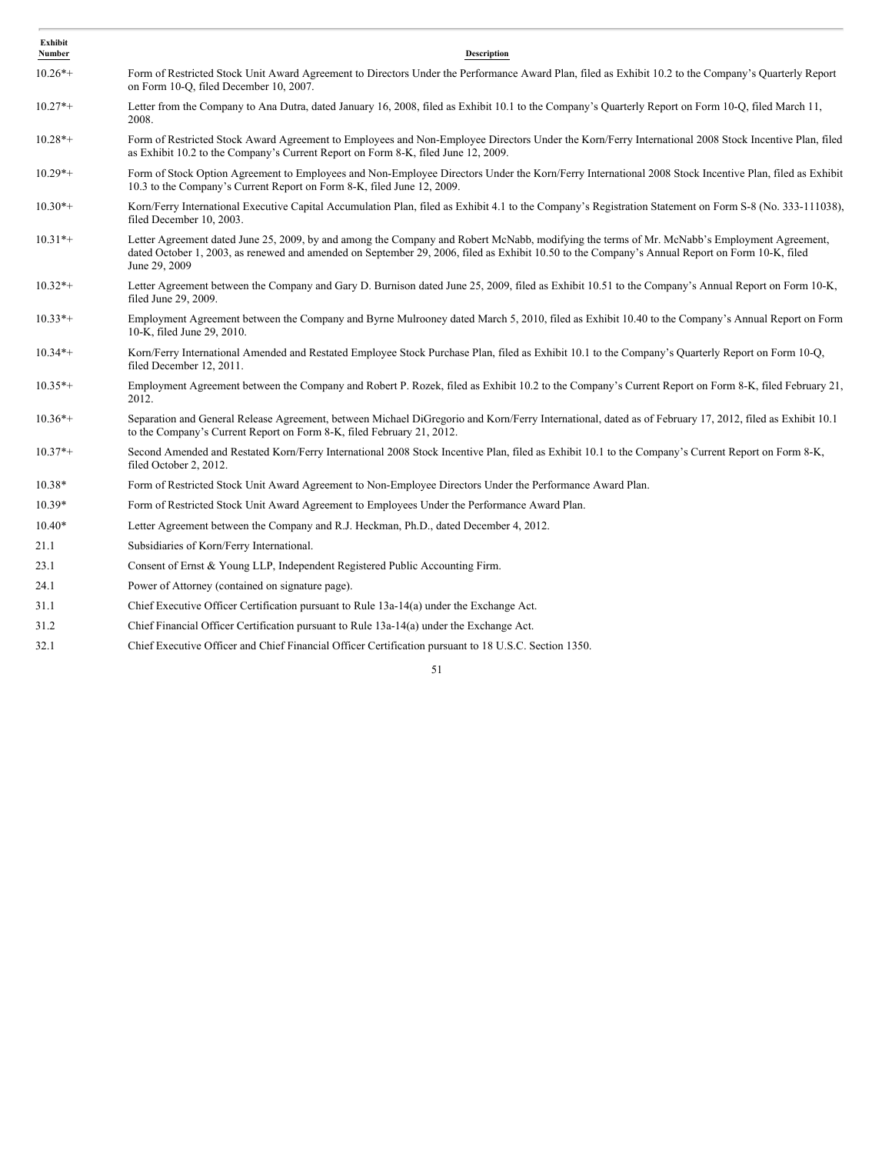| Exhibit<br>Number | <b>Description</b>                                                                                                                                                                                                                                                                                             |
|-------------------|----------------------------------------------------------------------------------------------------------------------------------------------------------------------------------------------------------------------------------------------------------------------------------------------------------------|
| $10.26*+$         | Form of Restricted Stock Unit Award Agreement to Directors Under the Performance Award Plan, filed as Exhibit 10.2 to the Company's Quarterly Report<br>on Form 10-Q, filed December 10, 2007.                                                                                                                 |
| $10.27*+$         | Letter from the Company to Ana Dutra, dated January 16, 2008, filed as Exhibit 10.1 to the Company's Quarterly Report on Form 10-Q, filed March 11,<br>2008.                                                                                                                                                   |
| $10.28*+$         | Form of Restricted Stock Award Agreement to Employees and Non-Employee Directors Under the Korn/Ferry International 2008 Stock Incentive Plan, filed<br>as Exhibit 10.2 to the Company's Current Report on Form 8-K, filed June 12, 2009.                                                                      |
| $10.29*+$         | Form of Stock Option Agreement to Employees and Non-Employee Directors Under the Korn/Ferry International 2008 Stock Incentive Plan, filed as Exhibit<br>10.3 to the Company's Current Report on Form 8-K, filed June 12, 2009.                                                                                |
| $10.30*+$         | Korn/Ferry International Executive Capital Accumulation Plan, filed as Exhibit 4.1 to the Company's Registration Statement on Form S-8 (No. 333-111038),<br>filed December 10, 2003.                                                                                                                           |
| $10.31*+$         | Letter Agreement dated June 25, 2009, by and among the Company and Robert McNabb, modifying the terms of Mr. McNabb's Employment Agreement,<br>dated October 1, 2003, as renewed and amended on September 29, 2006, filed as Exhibit 10.50 to the Company's Annual Report on Form 10-K, filed<br>June 29, 2009 |
| $10.32*+$         | Letter Agreement between the Company and Gary D. Burnison dated June 25, 2009, filed as Exhibit 10.51 to the Company's Annual Report on Form 10-K,<br>filed June 29, 2009.                                                                                                                                     |
| $10.33*+$         | Employment Agreement between the Company and Byrne Mulrooney dated March 5, 2010, filed as Exhibit 10.40 to the Company's Annual Report on Form<br>10-K, filed June 29, 2010.                                                                                                                                  |
| $10.34*+$         | Korn/Ferry International Amended and Restated Employee Stock Purchase Plan, filed as Exhibit 10.1 to the Company's Quarterly Report on Form 10-Q,<br>filed December 12, 2011.                                                                                                                                  |
| $10.35*+$         | Employment Agreement between the Company and Robert P. Rozek, filed as Exhibit 10.2 to the Company's Current Report on Form 8-K, filed February 21,<br>2012.                                                                                                                                                   |
| $10.36*+$         | Separation and General Release Agreement, between Michael DiGregorio and Korn/Ferry International, dated as of February 17, 2012, filed as Exhibit 10.1<br>to the Company's Current Report on Form 8-K, filed February 21, 2012.                                                                               |
| $10.37*+$         | Second Amended and Restated Korn/Ferry International 2008 Stock Incentive Plan, filed as Exhibit 10.1 to the Company's Current Report on Form 8-K,<br>filed October 2, 2012.                                                                                                                                   |
| $10.38*$          | Form of Restricted Stock Unit Award Agreement to Non-Employee Directors Under the Performance Award Plan.                                                                                                                                                                                                      |
| $10.39*$          | Form of Restricted Stock Unit Award Agreement to Employees Under the Performance Award Plan.                                                                                                                                                                                                                   |
| $10.40*$          | Letter Agreement between the Company and R.J. Heckman, Ph.D., dated December 4, 2012.                                                                                                                                                                                                                          |
| 21.1              | Subsidiaries of Korn/Ferry International.                                                                                                                                                                                                                                                                      |
| 23.1              | Consent of Ernst & Young LLP, Independent Registered Public Accounting Firm.                                                                                                                                                                                                                                   |
| 24.1              | Power of Attorney (contained on signature page).                                                                                                                                                                                                                                                               |
| 31.1              | Chief Executive Officer Certification pursuant to Rule $13a-14(a)$ under the Exchange Act.                                                                                                                                                                                                                     |
| 31.2              | Chief Financial Officer Certification pursuant to Rule 13a-14(a) under the Exchange Act.                                                                                                                                                                                                                       |

32.1 Chief Executive Officer and Chief Financial Officer Certification pursuant to 18 U.S.C. Section 1350.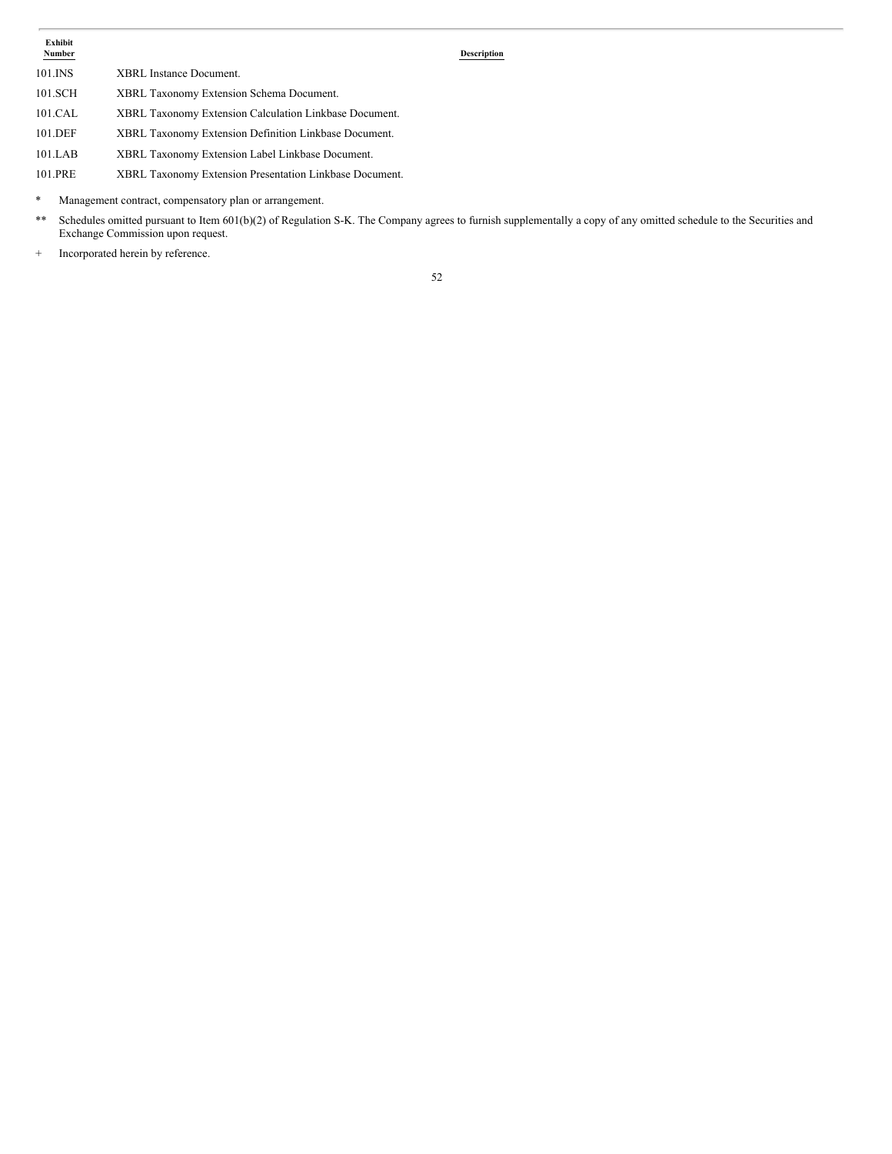| Exhibit<br><b>Number</b> | Description                                             |
|--------------------------|---------------------------------------------------------|
| 101.INS                  | <b>XBRL</b> Instance Document.                          |
| 101.SCH                  | XBRL Taxonomy Extension Schema Document.                |
| 101.CAL                  | XBRL Taxonomy Extension Calculation Linkbase Document.  |
| 101.DEF                  | XBRL Taxonomy Extension Definition Linkbase Document.   |
| 101.LAB                  | XBRL Taxonomy Extension Label Linkbase Document.        |
| 101.PRE                  | XBRL Taxonomy Extension Presentation Linkbase Document. |

\* Management contract, compensatory plan or arrangement.

\*\* Schedules omitted pursuant to Item 601(b)(2) of Regulation S-K. The Company agrees to furnish supplementally a copy of any omitted schedule to the Securities and Exchange Commission upon request.

+ Incorporated herein by reference.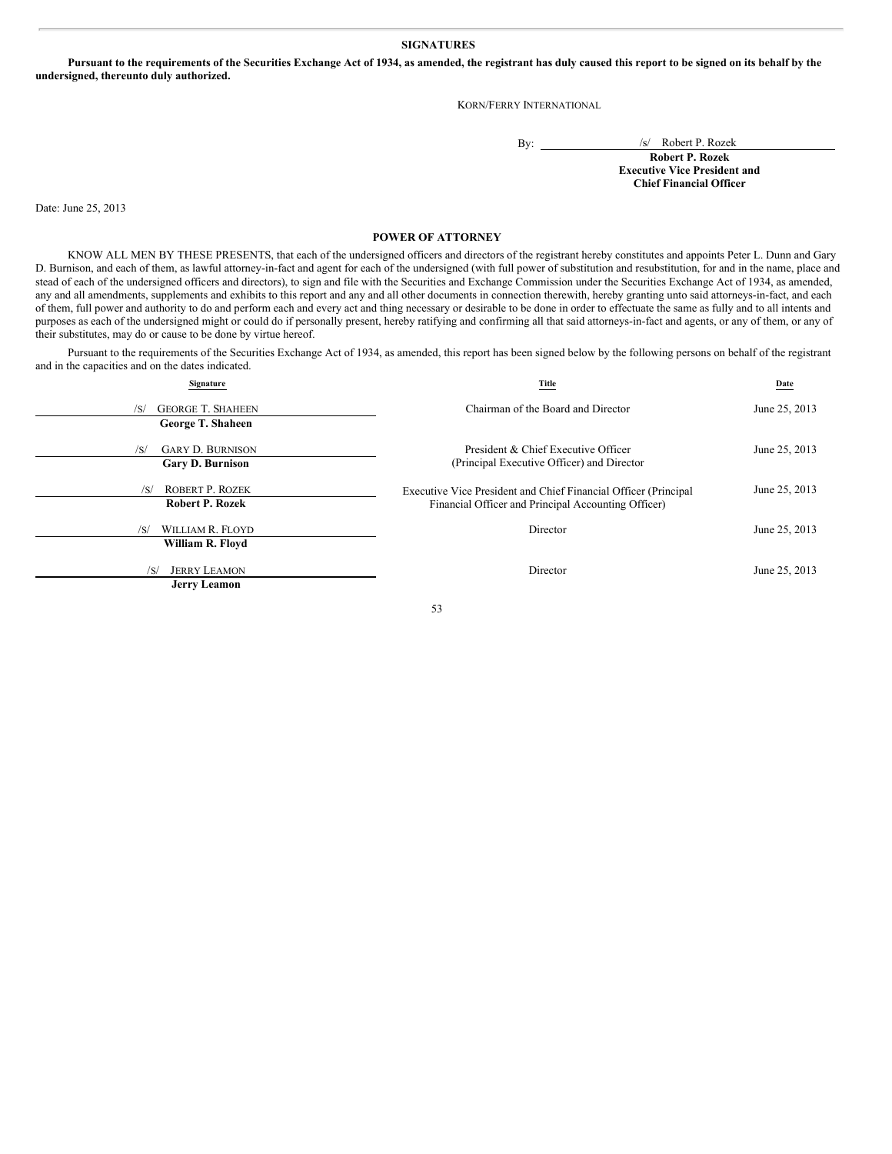**SIGNATURES**

Pursuant to the requirements of the Securities Exchange Act of 1934, as amended, the registrant has duly caused this report to be signed on its behalf by the **undersigned, thereunto duly authorized.**

KORN/FERRY INTERNATIONAL

By:  $\qquad$  /s/ Robert P. Rozek

**Robert P. Rozek Executive Vice President and Chief Financial Officer**

Date: June 25, 2013

## **POWER OF ATTORNEY**

KNOW ALL MEN BY THESE PRESENTS, that each of the undersigned officers and directors of the registrant hereby constitutes and appoints Peter L. Dunn and Gary D. Burnison, and each of them, as lawful attorney-in-fact and agent for each of the undersigned (with full power of substitution and resubstitution, for and in the name, place and stead of each of the undersigned officers and directors), to sign and file with the Securities and Exchange Commission under the Securities Exchange Act of 1934, as amended, any and all amendments, supplements and exhibits to this report and any and all other documents in connection therewith, hereby granting unto said attorneys-in-fact, and each of them, full power and authority to do and perform each and every act and thing necessary or desirable to be done in order to effectuate the same as fully and to all intents and purposes as each of the undersigned might or could do if personally present, hereby ratifying and confirming all that said attorneys-in-fact and agents, or any of them, or any of their substitutes, may do or cause to be done by virtue hereof.

Pursuant to the requirements of the Securities Exchange Act of 1934, as amended, this report has been signed below by the following persons on behalf of the registrant and in the capacities and on the dates indicated.

| Signature                                                 | Title                                                                                                                  | Date          |
|-----------------------------------------------------------|------------------------------------------------------------------------------------------------------------------------|---------------|
| <b>GEORGE T. SHAHEEN</b><br>/S/<br>George T. Shaheen      | Chairman of the Board and Director                                                                                     | June 25, 2013 |
| <b>GARY D. BURNISON</b><br>/S/<br><b>Gary D. Burnison</b> | President & Chief Executive Officer<br>(Principal Executive Officer) and Director                                      | June 25, 2013 |
| ROBERT P. ROZEK<br>/S/<br><b>Robert P. Rozek</b>          | Executive Vice President and Chief Financial Officer (Principal<br>Financial Officer and Principal Accounting Officer) | June 25, 2013 |
| WILLIAM R. FLOYD<br>/S/<br>William R. Floyd               | Director                                                                                                               | June 25, 2013 |
| <b>JERRY LEAMON</b><br>/S/<br><b>Jerry Leamon</b>         | Director                                                                                                               | June 25, 2013 |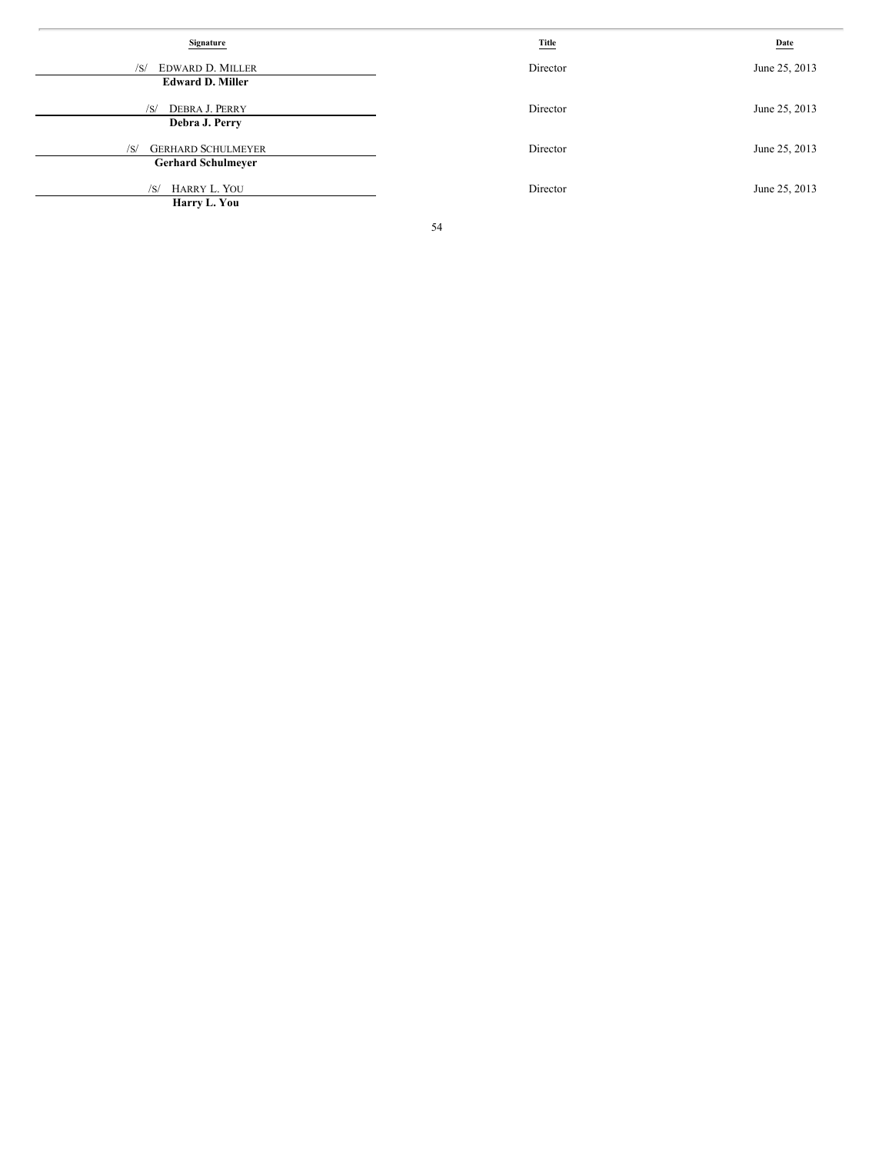| Signature                                                     | Title    | Date          |
|---------------------------------------------------------------|----------|---------------|
| EDWARD D. MILLER<br>/S/<br><b>Edward D. Miller</b>            | Director | June 25, 2013 |
| <b>DEBRA J. PERRY</b><br>/S/<br>Debra J. Perry                | Director | June 25, 2013 |
| <b>GERHARD SCHULMEYER</b><br>/S/<br><b>Gerhard Schulmeyer</b> | Director | June 25, 2013 |
| HARRY L. YOU<br>/S/<br>Harry L. You                           | Director | June 25, 2013 |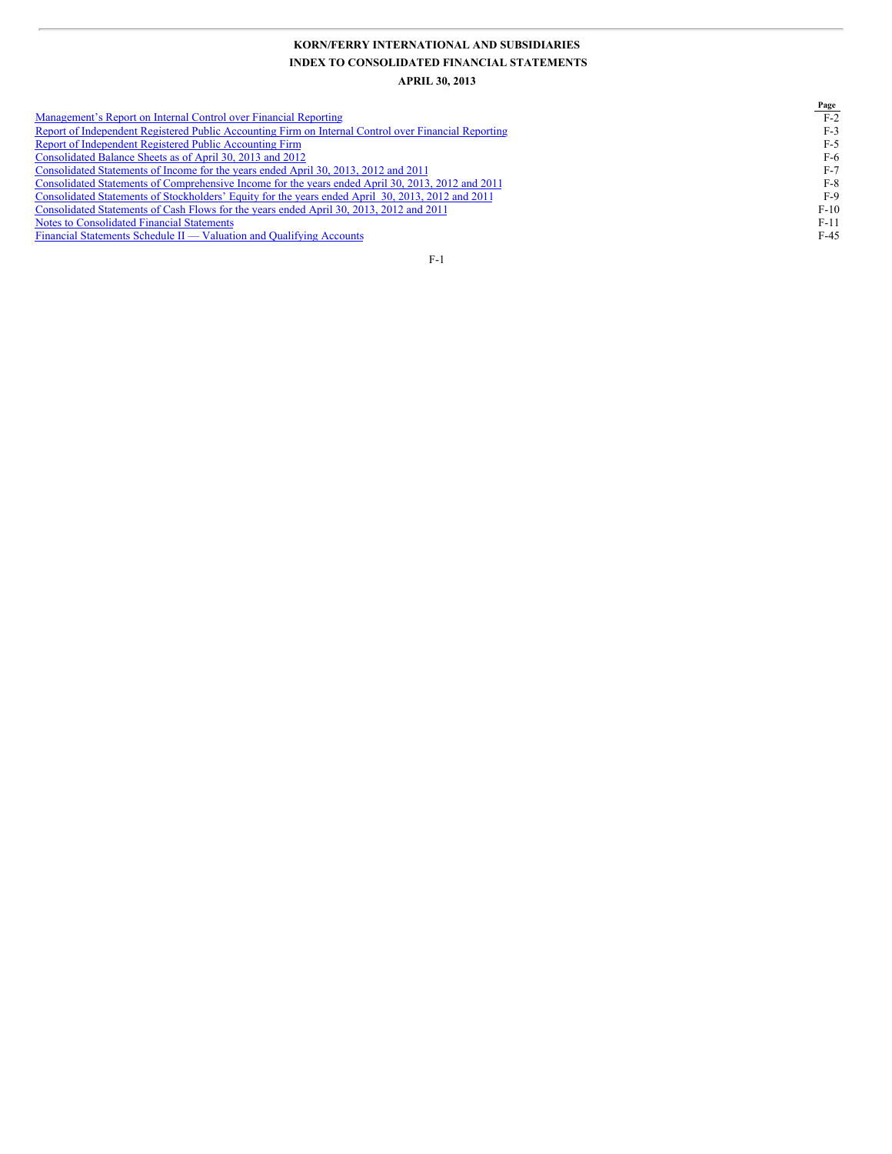# **KORN/FERRY INTERNATIONAL AND SUBSIDIARIES INDEX TO CONSOLIDATED FINANCIAL STATEMENTS**

**APRIL 30, 2013**

|                                                                                                      | Page   |
|------------------------------------------------------------------------------------------------------|--------|
| Management's Report on Internal Control over Financial Reporting                                     | $F-2$  |
| Report of Independent Registered Public Accounting Firm on Internal Control over Financial Reporting | $F-3$  |
| Report of Independent Registered Public Accounting Firm                                              | F-5    |
| Consolidated Balance Sheets as of April 30, 2013 and 2012                                            | F-6    |
| Consolidated Statements of Income for the years ended April 30, 2013, 2012 and 2011                  | $F-7$  |
| Consolidated Statements of Comprehensive Income for the years ended April 30, 2013, 2012 and 2011    | $F-8$  |
| Consolidated Statements of Stockholders' Equity for the years ended April 30, 2013, 2012 and 2011    | $F-9$  |
| Consolidated Statements of Cash Flows for the years ended April 30, 2013, 2012 and 2011              | $F-10$ |
| <b>Notes to Consolidated Financial Statements</b>                                                    | $F-11$ |
| Financial Statements Schedule II — Valuation and Qualifying Accounts                                 | $F-45$ |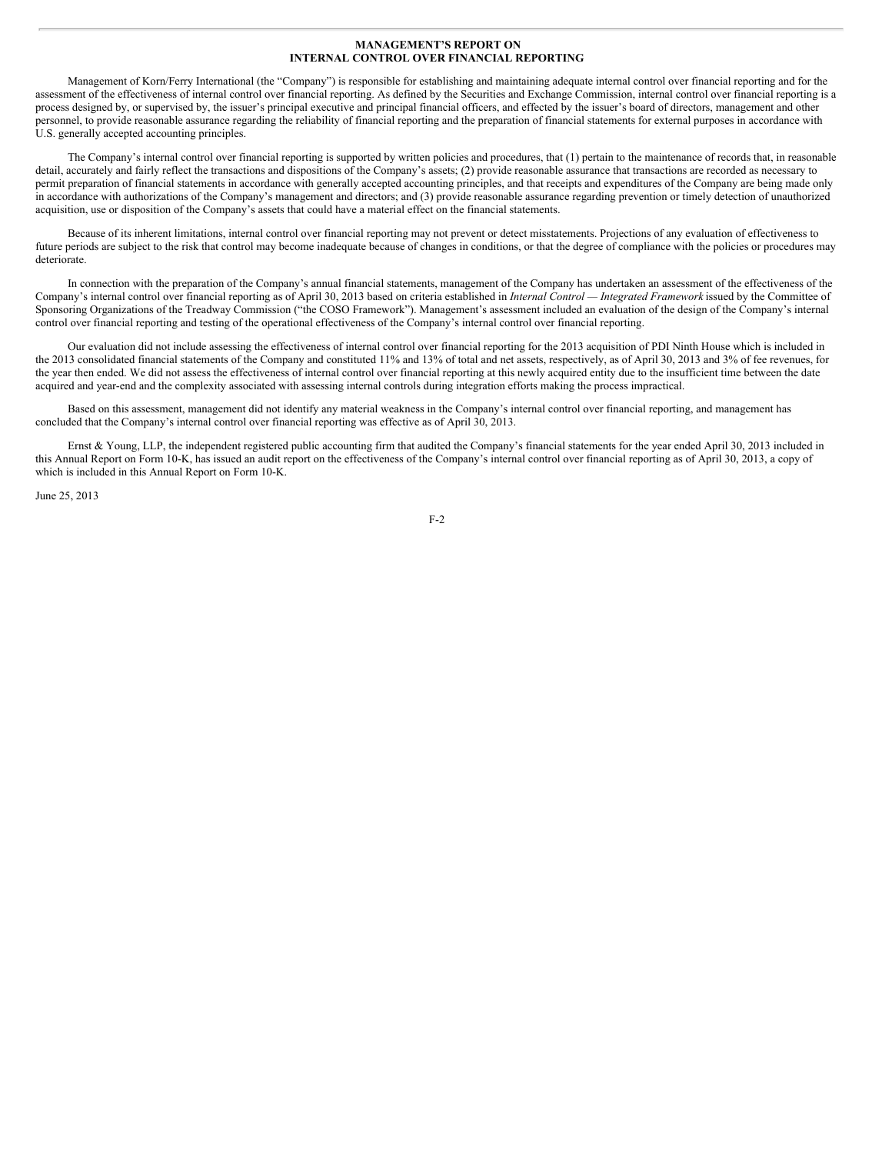## <span id="page-57-0"></span>**MANAGEMENT'S REPORT ON INTERNAL CONTROL OVER FINANCIAL REPORTING**

Management of Korn/Ferry International (the "Company") is responsible for establishing and maintaining adequate internal control over financial reporting and for the assessment of the effectiveness of internal control over financial reporting. As defined by the Securities and Exchange Commission, internal control over financial reporting is a process designed by, or supervised by, the issuer's principal executive and principal financial officers, and effected by the issuer's board of directors, management and other personnel, to provide reasonable assurance regarding the reliability of financial reporting and the preparation of financial statements for external purposes in accordance with U.S. generally accepted accounting principles.

The Company's internal control over financial reporting is supported by written policies and procedures, that (1) pertain to the maintenance of records that, in reasonable detail, accurately and fairly reflect the transactions and dispositions of the Company's assets; (2) provide reasonable assurance that transactions are recorded as necessary to permit preparation of financial statements in accordance with generally accepted accounting principles, and that receipts and expenditures of the Company are being made only in accordance with authorizations of the Company's management and directors; and (3) provide reasonable assurance regarding prevention or timely detection of unauthorized acquisition, use or disposition of the Company's assets that could have a material effect on the financial statements.

Because of its inherent limitations, internal control over financial reporting may not prevent or detect misstatements. Projections of any evaluation of effectiveness to future periods are subject to the risk that control may become inadequate because of changes in conditions, or that the degree of compliance with the policies or procedures may deteriorate.

In connection with the preparation of the Company's annual financial statements, management of the Company has undertaken an assessment of the effectiveness of the Company's internal control over financial reporting as of April 30, 2013 based on criteria established in *Internal Control — Integrated Framework* issued by the Committee of Sponsoring Organizations of the Treadway Commission ("the COSO Framework"). Management's assessment included an evaluation of the design of the Company's internal control over financial reporting and testing of the operational effectiveness of the Company's internal control over financial reporting.

Our evaluation did not include assessing the effectiveness of internal control over financial reporting for the 2013 acquisition of PDI Ninth House which is included in the 2013 consolidated financial statements of the Company and constituted 11% and 13% of total and net assets, respectively, as of April 30, 2013 and 3% of fee revenues, for the year then ended. We did not assess the effectiveness of internal control over financial reporting at this newly acquired entity due to the insufficient time between the date acquired and year-end and the complexity associated with assessing internal controls during integration efforts making the process impractical.

Based on this assessment, management did not identify any material weakness in the Company's internal control over financial reporting, and management has concluded that the Company's internal control over financial reporting was effective as of April 30, 2013.

Ernst & Young, LLP, the independent registered public accounting firm that audited the Company's financial statements for the year ended April 30, 2013 included in this Annual Report on Form 10-K, has issued an audit report on the effectiveness of the Company's internal control over financial reporting as of April 30, 2013, a copy of which is included in this Annual Report on Form 10-K.

June 25, 2013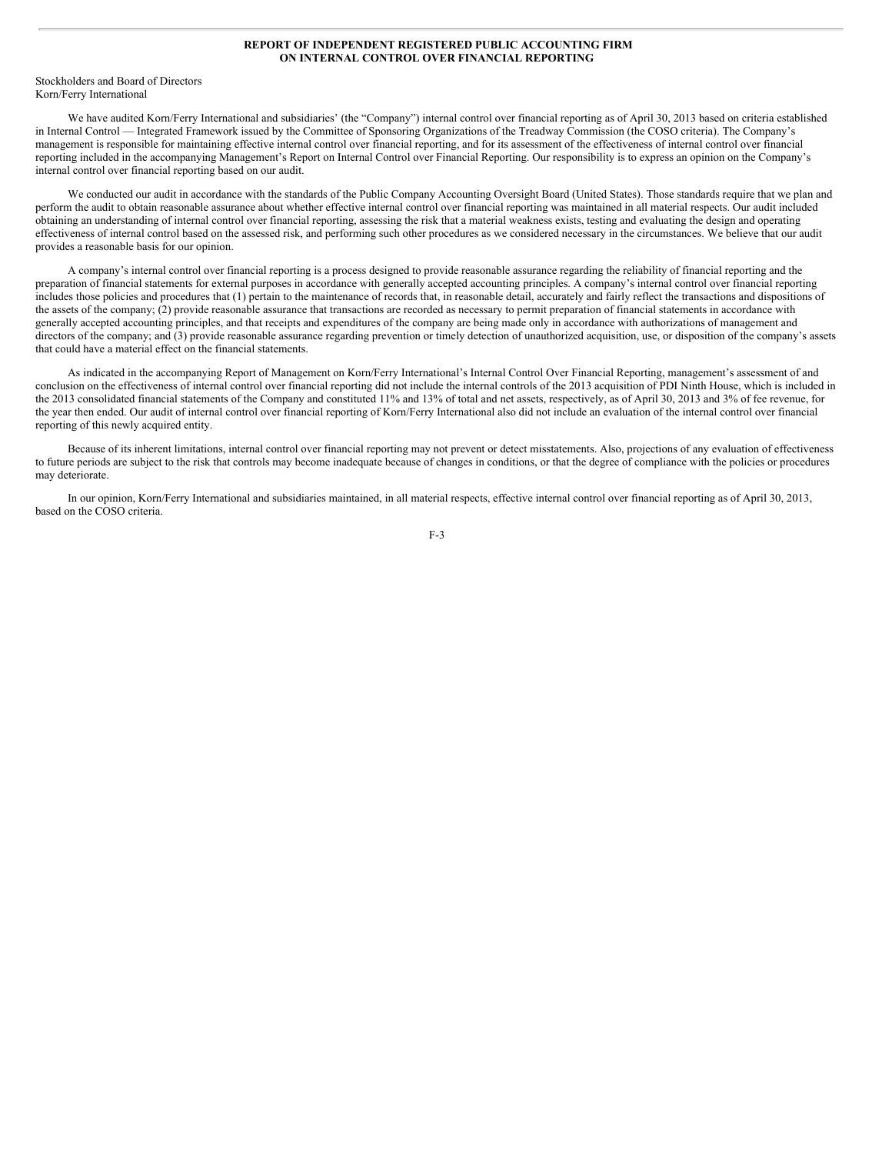## <span id="page-58-0"></span>**REPORT OF INDEPENDENT REGISTERED PUBLIC ACCOUNTING FIRM ON INTERNAL CONTROL OVER FINANCIAL REPORTING**

Stockholders and Board of Directors Korn/Ferry International

We have audited Korn/Ferry International and subsidiaries' (the "Company") internal control over financial reporting as of April 30, 2013 based on criteria established in Internal Control — Integrated Framework issued by the Committee of Sponsoring Organizations of the Treadway Commission (the COSO criteria). The Company's management is responsible for maintaining effective internal control over financial reporting, and for its assessment of the effectiveness of internal control over financial reporting included in the accompanying Management's Report on Internal Control over Financial Reporting. Our responsibility is to express an opinion on the Company's internal control over financial reporting based on our audit.

We conducted our audit in accordance with the standards of the Public Company Accounting Oversight Board (United States). Those standards require that we plan and perform the audit to obtain reasonable assurance about whether effective internal control over financial reporting was maintained in all material respects. Our audit included obtaining an understanding of internal control over financial reporting, assessing the risk that a material weakness exists, testing and evaluating the design and operating effectiveness of internal control based on the assessed risk, and performing such other procedures as we considered necessary in the circumstances. We believe that our audit provides a reasonable basis for our opinion.

A company's internal control over financial reporting is a process designed to provide reasonable assurance regarding the reliability of financial reporting and the preparation of financial statements for external purposes in accordance with generally accepted accounting principles. A company's internal control over financial reporting includes those policies and procedures that (1) pertain to the maintenance of records that, in reasonable detail, accurately and fairly reflect the transactions and dispositions of the assets of the company; (2) provide reasonable assurance that transactions are recorded as necessary to permit preparation of financial statements in accordance with generally accepted accounting principles, and that receipts and expenditures of the company are being made only in accordance with authorizations of management and directors of the company; and (3) provide reasonable assurance regarding prevention or timely detection of unauthorized acquisition, use, or disposition of the company's assets that could have a material effect on the financial statements.

As indicated in the accompanying Report of Management on Korn/Ferry International's Internal Control Over Financial Reporting, management's assessment of and conclusion on the effectiveness of internal control over financial reporting did not include the internal controls of the 2013 acquisition of PDI Ninth House, which is included in the 2013 consolidated financial statements of the Company and constituted 11% and 13% of total and net assets, respectively, as of April 30, 2013 and 3% of fee revenue, for the year then ended. Our audit of internal control over financial reporting of Korn/Ferry International also did not include an evaluation of the internal control over financial reporting of this newly acquired entity.

Because of its inherent limitations, internal control over financial reporting may not prevent or detect misstatements. Also, projections of any evaluation of effectiveness to future periods are subject to the risk that controls may become inadequate because of changes in conditions, or that the degree of compliance with the policies or procedures may deteriorate.

In our opinion, Korn/Ferry International and subsidiaries maintained, in all material respects, effective internal control over financial reporting as of April 30, 2013, based on the COSO criteria.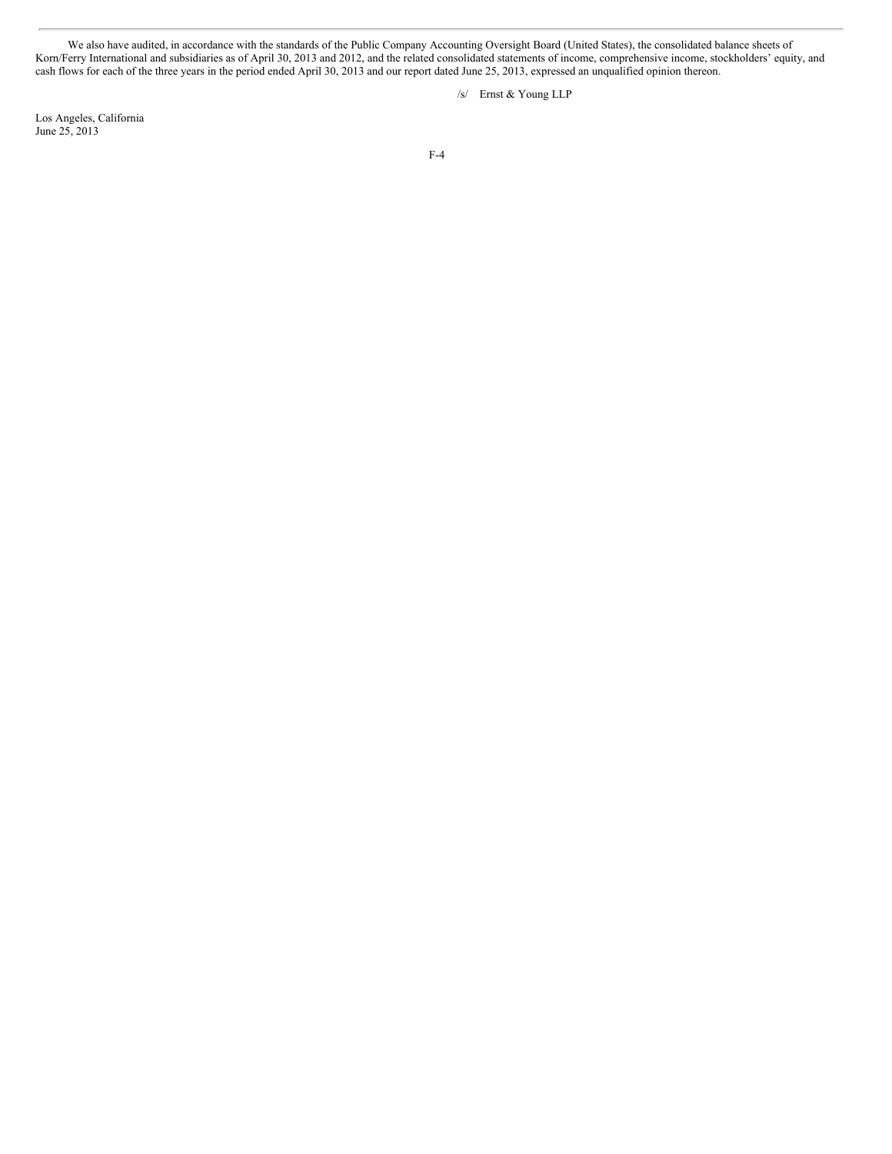We also have audited, in accordance with the standards of the Public Company Accounting Oversight Board (United States), the consolidated balance sheets of Korn/Ferry International and subsidiaries as of April 30, 2013 and 2012, and the related consolidated statements of income, comprehensive income, stockholders' equity, and cash flows for each of the three years in the period ended April 30, 2013 and our report dated June 25, 2013, expressed an unqualified opinion thereon.

Los Angeles, California June 25, 2013

<sup>/</sup>s/ Ernst & Young LLP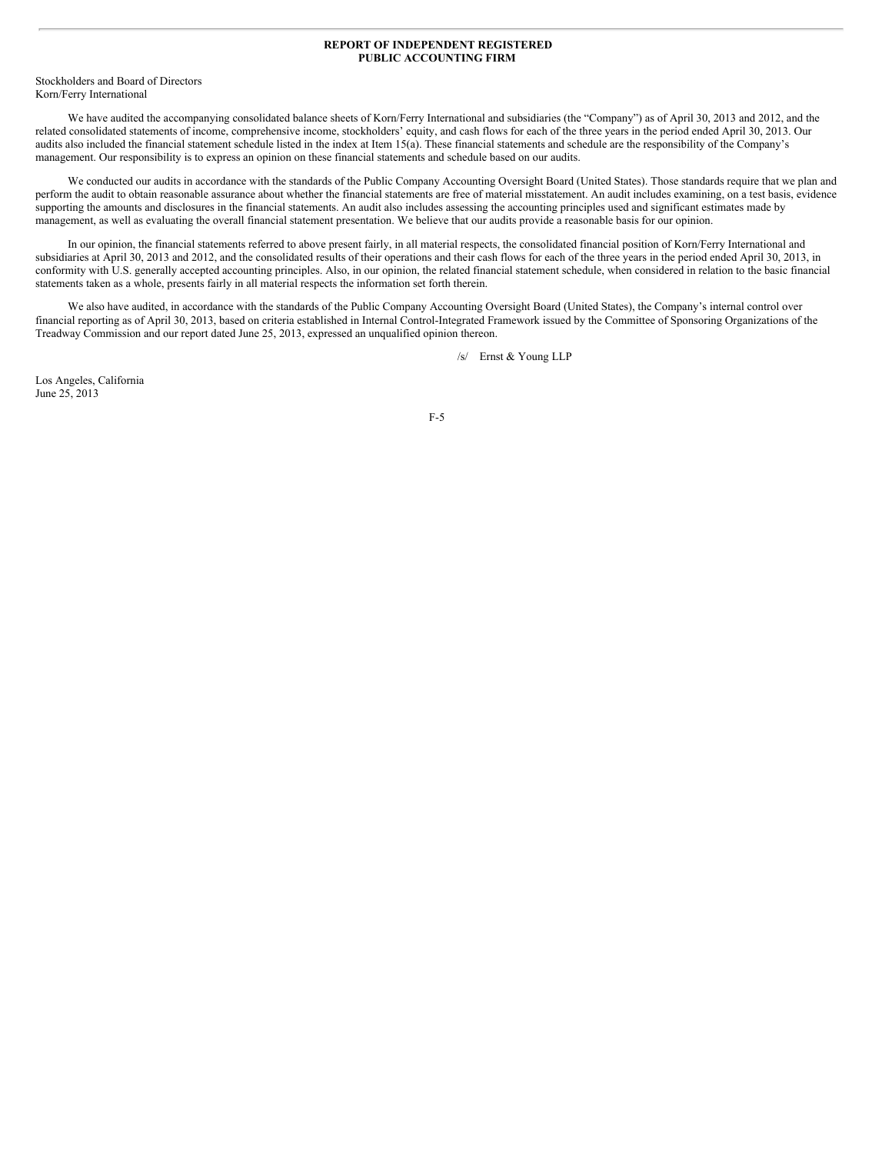## <span id="page-60-0"></span>**REPORT OF INDEPENDENT REGISTERED PUBLIC ACCOUNTING FIRM**

Stockholders and Board of Directors Korn/Ferry International

We have audited the accompanying consolidated balance sheets of Korn/Ferry International and subsidiaries (the "Company") as of April 30, 2013 and 2012, and the related consolidated statements of income, comprehensive income, stockholders' equity, and cash flows for each of the three years in the period ended April 30, 2013. Our audits also included the financial statement schedule listed in the index at Item 15(a). These financial statements and schedule are the responsibility of the Company's management. Our responsibility is to express an opinion on these financial statements and schedule based on our audits.

We conducted our audits in accordance with the standards of the Public Company Accounting Oversight Board (United States). Those standards require that we plan and perform the audit to obtain reasonable assurance about whether the financial statements are free of material misstatement. An audit includes examining, on a test basis, evidence supporting the amounts and disclosures in the financial statements. An audit also includes assessing the accounting principles used and significant estimates made by management, as well as evaluating the overall financial statement presentation. We believe that our audits provide a reasonable basis for our opinion.

In our opinion, the financial statements referred to above present fairly, in all material respects, the consolidated financial position of Korn/Ferry International and subsidiaries at April 30, 2013 and 2012, and the consolidated results of their operations and their cash flows for each of the three years in the period ended April 30, 2013, in conformity with U.S. generally accepted accounting principles. Also, in our opinion, the related financial statement schedule, when considered in relation to the basic financial statements taken as a whole, presents fairly in all material respects the information set forth therein.

We also have audited, in accordance with the standards of the Public Company Accounting Oversight Board (United States), the Company's internal control over financial reporting as of April 30, 2013, based on criteria established in Internal Control-Integrated Framework issued by the Committee of Sponsoring Organizations of the Treadway Commission and our report dated June 25, 2013, expressed an unqualified opinion thereon.

F-5

/s/ Ernst & Young LLP

Los Angeles, California June 25, 2013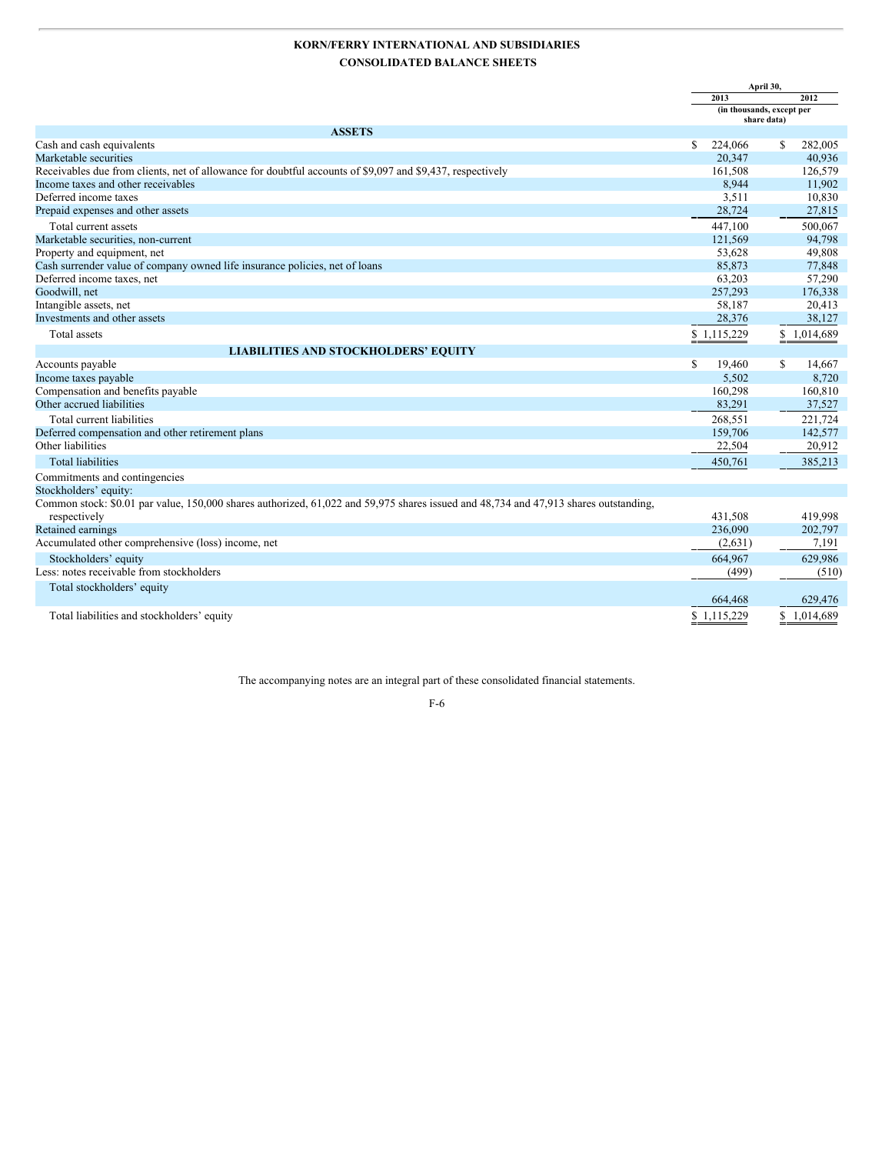## <span id="page-61-0"></span>**KORN/FERRY INTERNATIONAL AND SUBSIDIARIES CONSOLIDATED BALANCE SHEETS**

|                                                                                                                                                      |               | April 30,                                |
|------------------------------------------------------------------------------------------------------------------------------------------------------|---------------|------------------------------------------|
|                                                                                                                                                      | 2013          | 2012                                     |
|                                                                                                                                                      |               | (in thousands, except per<br>share data) |
| <b>ASSETS</b>                                                                                                                                        |               |                                          |
| Cash and cash equivalents                                                                                                                            | \$<br>224,066 | S<br>282,005                             |
| Marketable securities                                                                                                                                | 20,347        | 40,936                                   |
| Receivables due from clients, net of allowance for doubtful accounts of \$9,097 and \$9,437, respectively                                            | 161,508       | 126,579                                  |
| Income taxes and other receivables                                                                                                                   | 8,944         | 11,902                                   |
| Deferred income taxes                                                                                                                                | 3,511         | 10,830                                   |
| Prepaid expenses and other assets                                                                                                                    | 28,724        | 27,815                                   |
| Total current assets                                                                                                                                 | 447.100       | 500,067                                  |
| Marketable securities, non-current                                                                                                                   | 121,569       | 94,798                                   |
| Property and equipment, net                                                                                                                          | 53,628        | 49,808                                   |
| Cash surrender value of company owned life insurance policies, net of loans                                                                          | 85,873        | 77,848                                   |
| Deferred income taxes, net                                                                                                                           | 63,203        | 57,290                                   |
| Goodwill, net                                                                                                                                        | 257,293       | 176,338                                  |
| Intangible assets, net                                                                                                                               | 58,187        | 20,413                                   |
| Investments and other assets                                                                                                                         | 28,376        | 38,127                                   |
| Total assets                                                                                                                                         | \$1,115,229   | \$1,014,689                              |
| <b>LIABILITIES AND STOCKHOLDERS' EQUITY</b>                                                                                                          |               |                                          |
| Accounts payable                                                                                                                                     | \$<br>19,460  | S<br>14,667                              |
| Income taxes payable                                                                                                                                 | 5,502         | 8,720                                    |
| Compensation and benefits payable                                                                                                                    | 160,298       | 160,810                                  |
| Other accrued liabilities                                                                                                                            | 83,291        | 37,527                                   |
| Total current liabilities                                                                                                                            | 268,551       | 221.724                                  |
| Deferred compensation and other retirement plans                                                                                                     | 159,706       | 142,577                                  |
| Other liabilities                                                                                                                                    | 22,504        | 20,912                                   |
| <b>Total liabilities</b>                                                                                                                             | 450,761       | 385,213                                  |
| Commitments and contingencies                                                                                                                        |               |                                          |
| Stockholders' equity:                                                                                                                                |               |                                          |
| Common stock: \$0.01 par value, 150,000 shares authorized, 61,022 and 59,975 shares issued and 48,734 and 47,913 shares outstanding,<br>respectively | 431,508       | 419,998                                  |
| Retained earnings                                                                                                                                    | 236,090       | 202,797                                  |
| Accumulated other comprehensive (loss) income, net                                                                                                   | (2,631)       | 7,191                                    |
|                                                                                                                                                      | 664,967       | 629,986                                  |
| Stockholders' equity<br>Less: notes receivable from stockholders                                                                                     |               |                                          |
|                                                                                                                                                      | (499)         | (510)                                    |
| Total stockholders' equity                                                                                                                           | 664,468       | 629,476                                  |
| Total liabilities and stockholders' equity                                                                                                           | \$1,115,229   | \$1,014,689                              |

The accompanying notes are an integral part of these consolidated financial statements.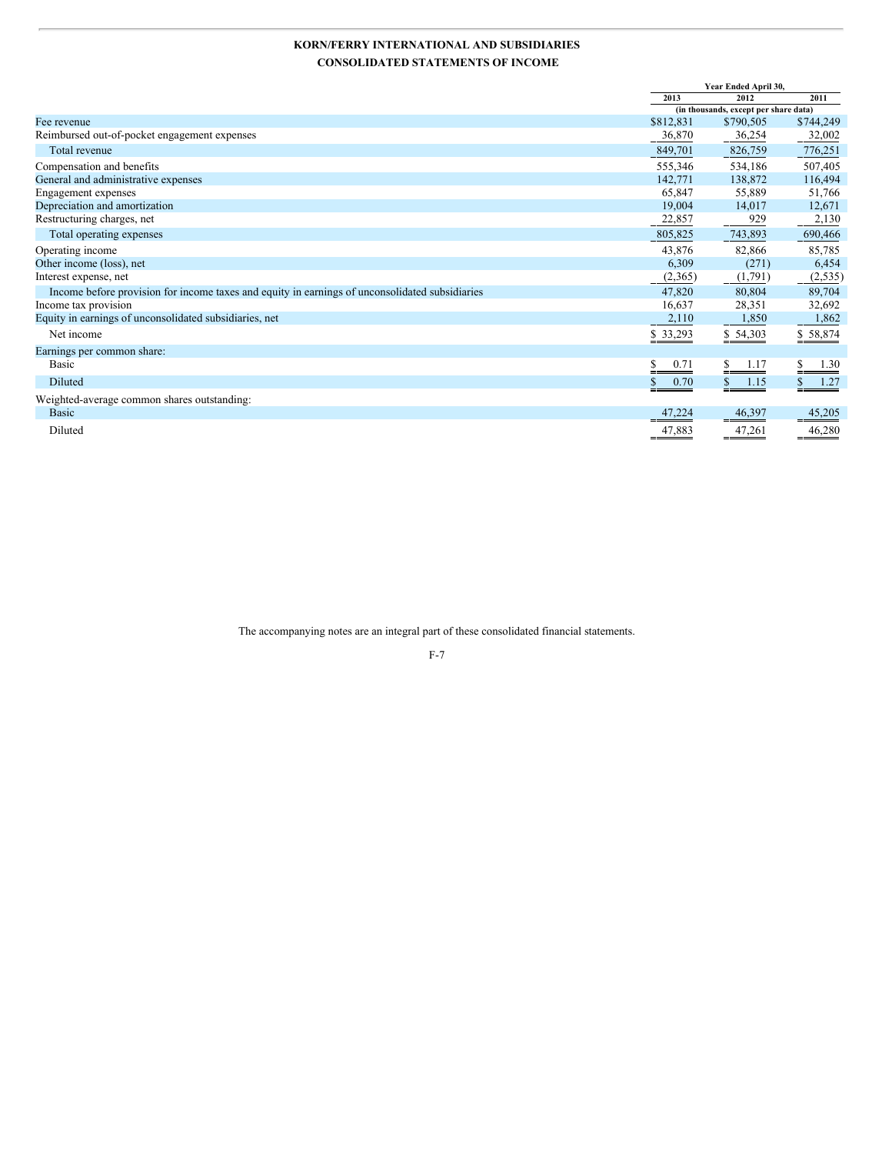## <span id="page-62-0"></span>**KORN/FERRY INTERNATIONAL AND SUBSIDIARIES CONSOLIDATED STATEMENTS OF INCOME**

|                                                                                                |           | Year Ended April 30,                  |           |  |
|------------------------------------------------------------------------------------------------|-----------|---------------------------------------|-----------|--|
|                                                                                                | 2013      | 2012                                  | 2011      |  |
|                                                                                                |           | (in thousands, except per share data) |           |  |
| Fee revenue                                                                                    | \$812,831 | \$790,505                             | \$744,249 |  |
| Reimbursed out-of-pocket engagement expenses                                                   | 36,870    | 36,254                                | 32,002    |  |
| Total revenue                                                                                  | 849,701   | 826,759                               | 776,251   |  |
| Compensation and benefits                                                                      | 555,346   | 534,186                               | 507,405   |  |
| General and administrative expenses                                                            | 142,771   | 138,872                               | 116,494   |  |
| Engagement expenses                                                                            | 65,847    | 55,889                                | 51,766    |  |
| Depreciation and amortization                                                                  | 19,004    | 14,017                                | 12,671    |  |
| Restructuring charges, net                                                                     | 22,857    | 929                                   | 2,130     |  |
| Total operating expenses                                                                       | 805,825   | 743,893                               | 690,466   |  |
| Operating income                                                                               | 43,876    | 82,866                                | 85,785    |  |
| Other income (loss), net                                                                       | 6,309     | (271)                                 | 6,454     |  |
| Interest expense, net                                                                          | (2,365)   | (1,791)                               | (2, 535)  |  |
| Income before provision for income taxes and equity in earnings of unconsolidated subsidiaries | 47,820    | 80,804                                | 89,704    |  |
| Income tax provision                                                                           | 16,637    | 28,351                                | 32,692    |  |
| Equity in earnings of unconsolidated subsidiaries, net                                         | 2,110     | 1,850                                 | 1,862     |  |
| Net income                                                                                     | \$33,293  | \$ 54,303                             | \$58,874  |  |
| Earnings per common share:                                                                     |           |                                       |           |  |
| Basic                                                                                          | 0.71      | 1.17                                  | S<br>1.30 |  |
| Diluted                                                                                        | 0.70      | 1.15                                  | 1.27      |  |
| Weighted-average common shares outstanding:                                                    |           |                                       |           |  |
| <b>Basic</b>                                                                                   | 47,224    | 46,397                                | 45,205    |  |
| Diluted                                                                                        | 47,883    | 47,261                                | 46,280    |  |

The accompanying notes are an integral part of these consolidated financial statements.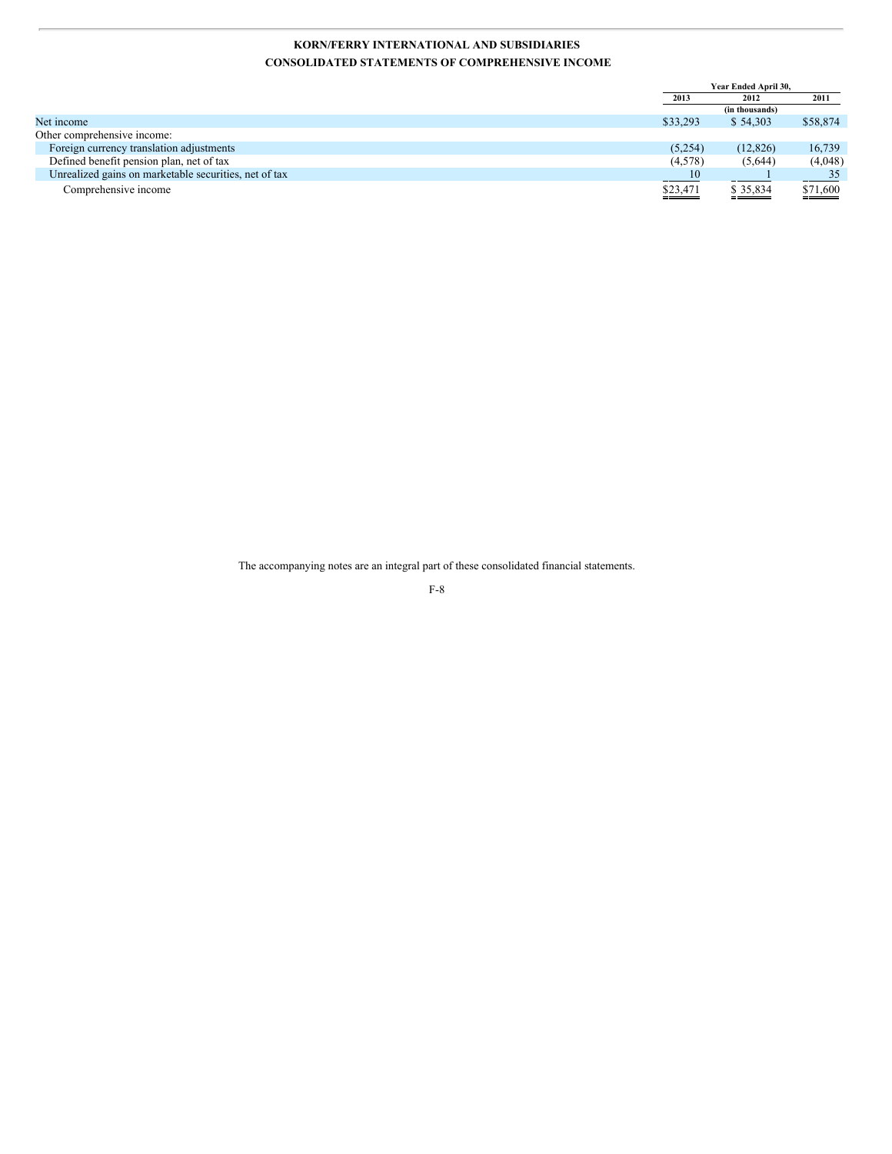## <span id="page-63-0"></span>**KORN/FERRY INTERNATIONAL AND SUBSIDIARIES CONSOLIDATED STATEMENTS OF COMPREHENSIVE INCOME**

|                                                       |                 | Year Ended April 30, |          |  |
|-------------------------------------------------------|-----------------|----------------------|----------|--|
|                                                       | 2013            | 2012                 |          |  |
|                                                       |                 | (in thousands)       |          |  |
| Net income                                            | \$33,293        | \$54,303             | \$58,874 |  |
| Other comprehensive income:                           |                 |                      |          |  |
| Foreign currency translation adjustments              | (5,254)         | (12, 826)            | 16,739   |  |
| Defined benefit pension plan, net of tax              | (4,578)         | (5,644)              | (4,048)  |  |
| Unrealized gains on marketable securities, net of tax | $\frac{10}{10}$ |                      |          |  |
| Comprehensive income                                  | \$23,471        | \$35,834             | \$71,600 |  |

The accompanying notes are an integral part of these consolidated financial statements.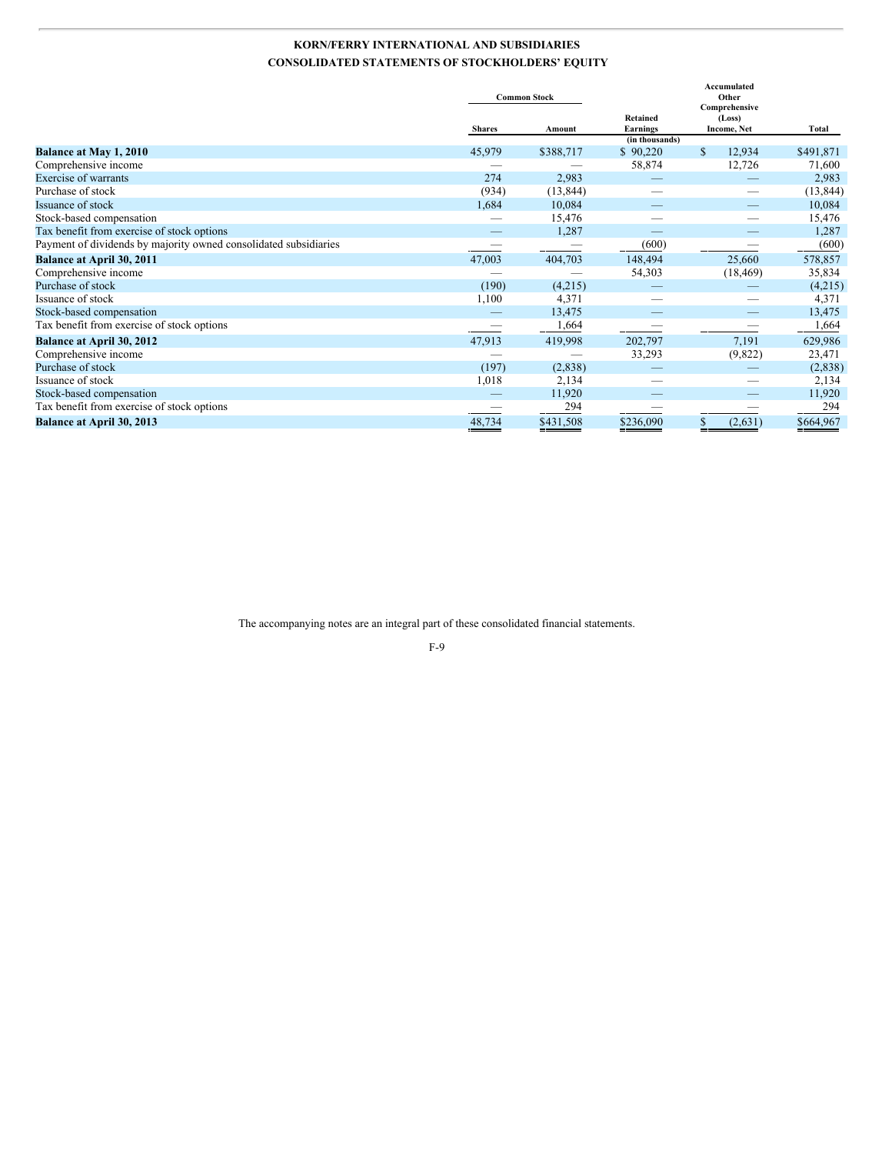## <span id="page-64-0"></span>**KORN/FERRY INTERNATIONAL AND SUBSIDIARIES CONSOLIDATED STATEMENTS OF STOCKHOLDERS' EQUITY**

|                                                                  | <b>Common Stock</b> |           |                      | Accumulated<br>Other<br>Comprehensive |           |
|------------------------------------------------------------------|---------------------|-----------|----------------------|---------------------------------------|-----------|
|                                                                  | <b>Shares</b>       | Amount    | Retained<br>Earnings | (Loss)<br>Income, Net                 | Total     |
|                                                                  |                     |           | (in thousands)       |                                       |           |
| <b>Balance at May 1, 2010</b>                                    | 45,979              | \$388,717 | \$90,220             | $\mathbb{S}$<br>12,934                | \$491,871 |
| Comprehensive income                                             |                     |           | 58,874               | 12,726                                | 71,600    |
| <b>Exercise of warrants</b>                                      | 274                 | 2,983     |                      |                                       | 2,983     |
| Purchase of stock                                                | (934)               | (13, 844) |                      |                                       | (13, 844) |
| Issuance of stock                                                | 1,684               | 10,084    |                      |                                       | 10,084    |
| Stock-based compensation                                         | -                   | 15,476    | -                    | -                                     | 15,476    |
| Tax benefit from exercise of stock options                       |                     | 1,287     |                      |                                       | 1,287     |
| Payment of dividends by majority owned consolidated subsidiaries |                     |           | (600)                |                                       | (600)     |
| Balance at April 30, 2011                                        | 47,003              | 404,703   | 148,494              | 25,660                                | 578,857   |
| Comprehensive income                                             |                     |           | 54,303               | (18, 469)                             | 35,834    |
| Purchase of stock                                                | (190)               | (4,215)   |                      |                                       | (4,215)   |
| Issuance of stock                                                | 1,100               | 4,371     | --                   |                                       | 4,371     |
| Stock-based compensation                                         |                     | 13,475    |                      |                                       | 13,475    |
| Tax benefit from exercise of stock options                       |                     | 1,664     |                      |                                       | 1,664     |
| Balance at April 30, 2012                                        | 47,913              | 419,998   | 202,797              | 7,191                                 | 629,986   |
| Comprehensive income                                             |                     |           | 33,293               | (9,822)                               | 23,471    |
| Purchase of stock                                                | (197)               | (2,838)   |                      |                                       | (2,838)   |
| Issuance of stock                                                | 1,018               | 2,134     |                      | --                                    | 2,134     |
| Stock-based compensation                                         |                     | 11,920    |                      |                                       | 11,920    |
| Tax benefit from exercise of stock options                       |                     | 294       |                      |                                       | 294       |
| Balance at April 30, 2013                                        | 48,734              | \$431,508 | \$236,090            | (2,631)<br>\$                         | \$664,967 |

The accompanying notes are an integral part of these consolidated financial statements.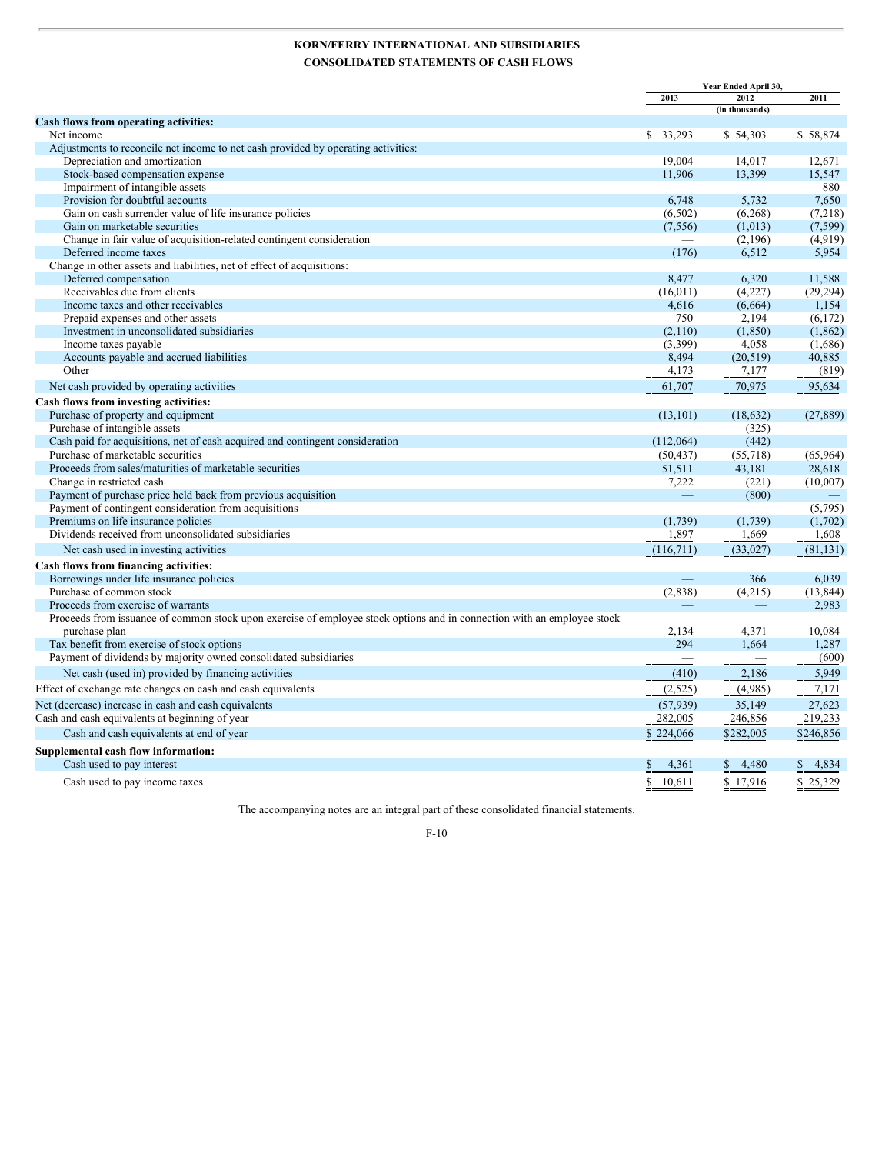## <span id="page-65-0"></span>**KORN/FERRY INTERNATIONAL AND SUBSIDIARIES CONSOLIDATED STATEMENTS OF CASH FLOWS**

|                                                                                                                         | Year Ended April 30, |                          |           |
|-------------------------------------------------------------------------------------------------------------------------|----------------------|--------------------------|-----------|
|                                                                                                                         | 2013                 | 2012                     | 2011      |
|                                                                                                                         |                      | (in thousands)           |           |
| Cash flows from operating activities:                                                                                   |                      |                          |           |
| Net income                                                                                                              | \$33,293             | \$54,303                 | \$58,874  |
| Adjustments to reconcile net income to net cash provided by operating activities:                                       |                      |                          |           |
| Depreciation and amortization                                                                                           | 19.004               | 14.017                   | 12,671    |
| Stock-based compensation expense                                                                                        | 11,906               | 13,399                   | 15,547    |
| Impairment of intangible assets                                                                                         |                      |                          | 880       |
| Provision for doubtful accounts                                                                                         | 6,748                | 5,732                    | 7,650     |
| Gain on cash surrender value of life insurance policies                                                                 | (6,502)              | (6,268)                  | (7,218)   |
| Gain on marketable securities                                                                                           | (7, 556)             | (1,013)                  | (7, 599)  |
| Change in fair value of acquisition-related contingent consideration                                                    |                      | (2,196)                  | (4, 919)  |
| Deferred income taxes                                                                                                   | (176)                | 6,512                    | 5,954     |
| Change in other assets and liabilities, net of effect of acquisitions:                                                  |                      |                          |           |
| Deferred compensation                                                                                                   | 8,477                | 6,320                    | 11,588    |
| Receivables due from clients                                                                                            | (16, 011)            | (4,227)                  | (29, 294) |
| Income taxes and other receivables                                                                                      | 4,616                | (6,664)                  | 1,154     |
| Prepaid expenses and other assets                                                                                       | 750                  | 2,194                    | (6,172)   |
| Investment in unconsolidated subsidiaries                                                                               | (2,110)              | (1, 850)                 | (1,862)   |
| Income taxes payable                                                                                                    | (3,399)              | 4,058                    | (1,686)   |
| Accounts payable and accrued liabilities                                                                                | 8,494                | (20, 519)                | 40,885    |
| Other                                                                                                                   | 4,173                | 7,177                    | (819)     |
| Net cash provided by operating activities                                                                               | 61,707               | 70,975                   | 95,634    |
| Cash flows from investing activities:                                                                                   |                      |                          |           |
| Purchase of property and equipment                                                                                      | (13, 101)            | (18, 632)                | (27, 889) |
| Purchase of intangible assets                                                                                           |                      | (325)                    |           |
| Cash paid for acquisitions, net of cash acquired and contingent consideration                                           | (112,064)            | (442)                    |           |
| Purchase of marketable securities                                                                                       | (50, 437)            | (55,718)                 | (65,964)  |
| Proceeds from sales/maturities of marketable securities                                                                 | 51,511               | 43,181                   | 28,618    |
| Change in restricted cash                                                                                               | 7,222                | (221)                    | (10,007)  |
| Payment of purchase price held back from previous acquisition                                                           |                      | (800)                    |           |
| Payment of contingent consideration from acquisitions                                                                   |                      |                          | (5,795)   |
| Premiums on life insurance policies                                                                                     | (1,739)              | (1,739)                  | (1,702)   |
| Dividends received from unconsolidated subsidiaries                                                                     | 1,897                | 1,669                    | 1,608     |
| Net cash used in investing activities                                                                                   | (116,711)            |                          | (81, 131) |
|                                                                                                                         |                      | (33,027)                 |           |
| Cash flows from financing activities:                                                                                   |                      |                          |           |
| Borrowings under life insurance policies                                                                                | $\sim$               | 366                      | 6,039     |
| Purchase of common stock                                                                                                | (2,838)              | (4,215)                  | (13, 844) |
| Proceeds from exercise of warrants                                                                                      |                      |                          | 2,983     |
| Proceeds from issuance of common stock upon exercise of employee stock options and in connection with an employee stock |                      |                          |           |
| purchase plan                                                                                                           | 2,134                | 4,371                    | 10,084    |
| Tax benefit from exercise of stock options                                                                              | 294                  | 1,664                    | 1,287     |
| Payment of dividends by majority owned consolidated subsidiaries                                                        |                      | $\overline{\phantom{0}}$ | (600)     |
| Net cash (used in) provided by financing activities                                                                     | (410)                | 2,186                    | 5,949     |
| Effect of exchange rate changes on cash and cash equivalents                                                            | (2,525)              | (4,985)                  | 7,171     |
| Net (decrease) increase in cash and cash equivalents                                                                    | (57, 939)            | 35,149                   | 27,623    |
| Cash and cash equivalents at beginning of year                                                                          | 282,005              | 246,856                  | 219,233   |
|                                                                                                                         |                      |                          |           |
| Cash and cash equivalents at end of year                                                                                | \$224,066            | \$282,005                | \$246,856 |
| Supplemental cash flow information:                                                                                     |                      |                          |           |
| Cash used to pay interest                                                                                               | 4,361                | 4,480                    | 4,834     |
| Cash used to pay income taxes                                                                                           | \$<br>10,611         | \$17,916                 | \$25,329  |
|                                                                                                                         |                      |                          |           |

The accompanying notes are an integral part of these consolidated financial statements.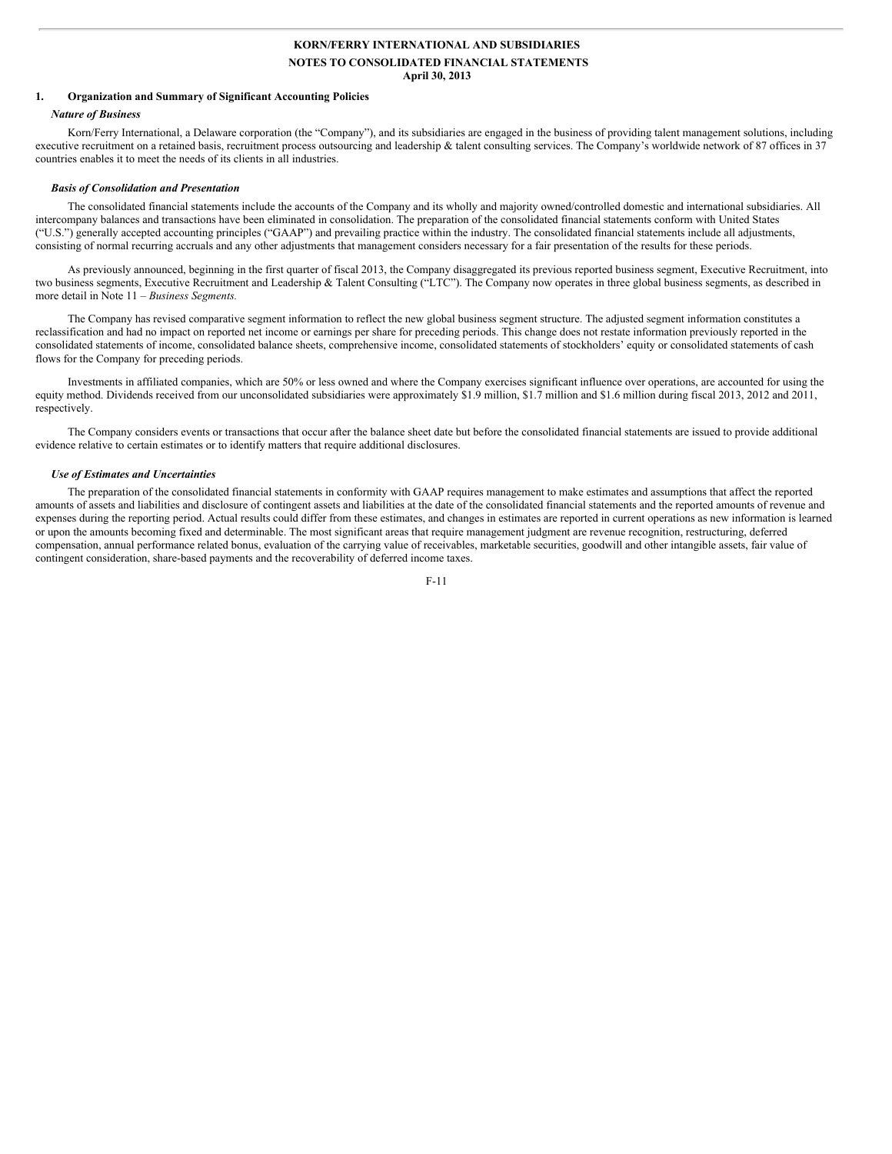## **1. Organization and Summary of Significant Accounting Policies**

## <span id="page-66-0"></span>*Nature of Business*

Korn/Ferry International, a Delaware corporation (the "Company"), and its subsidiaries are engaged in the business of providing talent management solutions, including executive recruitment on a retained basis, recruitment process outsourcing and leadership & talent consulting services. The Company's worldwide network of 87 offices in 37 countries enables it to meet the needs of its clients in all industries.

## *Basis of Consolidation and Presentation*

The consolidated financial statements include the accounts of the Company and its wholly and majority owned/controlled domestic and international subsidiaries. All intercompany balances and transactions have been eliminated in consolidation. The preparation of the consolidated financial statements conform with United States ("U.S.") generally accepted accounting principles ("GAAP") and prevailing practice within the industry. The consolidated financial statements include all adjustments, consisting of normal recurring accruals and any other adjustments that management considers necessary for a fair presentation of the results for these periods.

As previously announced, beginning in the first quarter of fiscal 2013, the Company disaggregated its previous reported business segment, Executive Recruitment, into two business segments, Executive Recruitment and Leadership & Talent Consulting ("LTC"). The Company now operates in three global business segments, as described in more detail in Note 11 – *Business Segments.*

The Company has revised comparative segment information to reflect the new global business segment structure. The adjusted segment information constitutes a reclassification and had no impact on reported net income or earnings per share for preceding periods. This change does not restate information previously reported in the consolidated statements of income, consolidated balance sheets, comprehensive income, consolidated statements of stockholders' equity or consolidated statements of cash flows for the Company for preceding periods.

Investments in affiliated companies, which are 50% or less owned and where the Company exercises significant influence over operations, are accounted for using the equity method. Dividends received from our unconsolidated subsidiaries were approximately \$1.9 million, \$1.7 million and \$1.6 million during fiscal 2013, 2012 and 2011, respectively.

The Company considers events or transactions that occur after the balance sheet date but before the consolidated financial statements are issued to provide additional evidence relative to certain estimates or to identify matters that require additional disclosures.

## *Use of Estimates and Uncertainties*

The preparation of the consolidated financial statements in conformity with GAAP requires management to make estimates and assumptions that affect the reported amounts of assets and liabilities and disclosure of contingent assets and liabilities at the date of the consolidated financial statements and the reported amounts of revenue and expenses during the reporting period. Actual results could differ from these estimates, and changes in estimates are reported in current operations as new information is learned or upon the amounts becoming fixed and determinable. The most significant areas that require management judgment are revenue recognition, restructuring, deferred compensation, annual performance related bonus, evaluation of the carrying value of receivables, marketable securities, goodwill and other intangible assets, fair value of contingent consideration, share-based payments and the recoverability of deferred income taxes.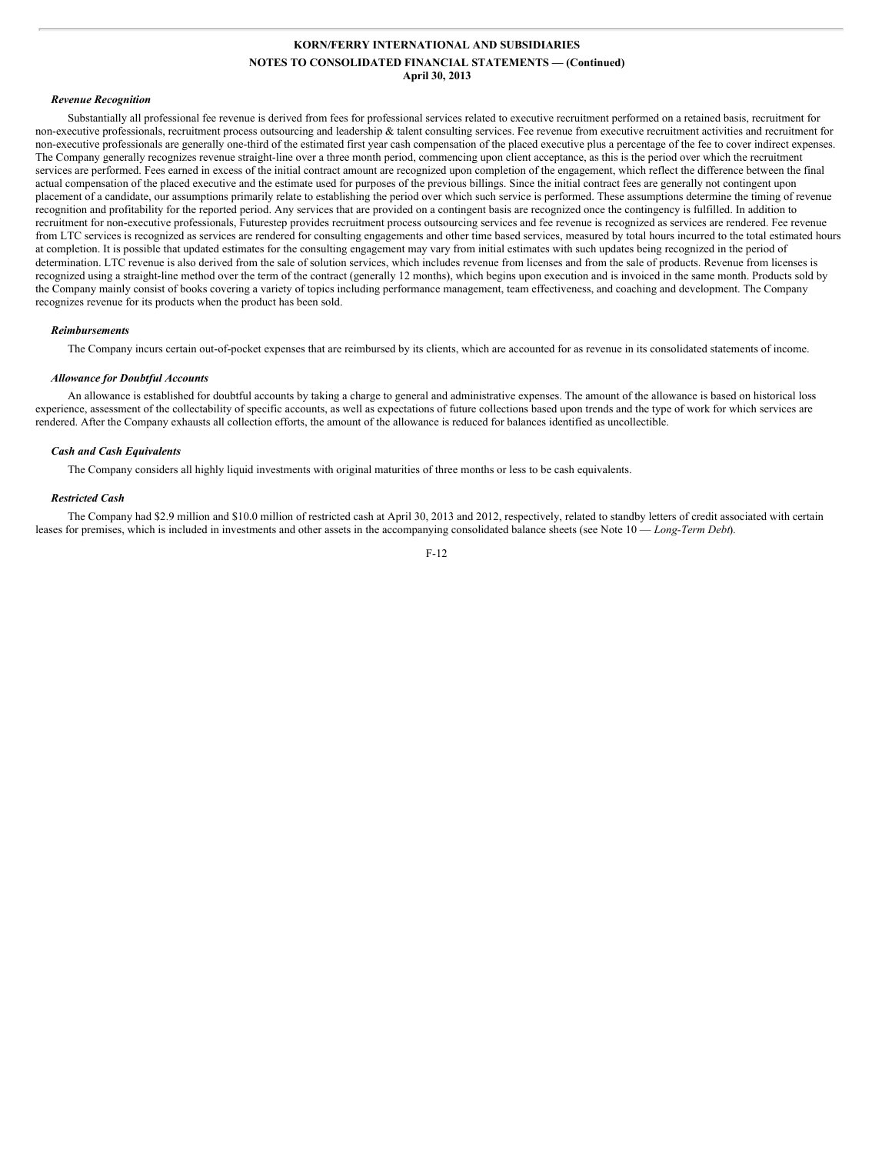### *Revenue Recognition*

Substantially all professional fee revenue is derived from fees for professional services related to executive recruitment performed on a retained basis, recruitment for non-executive professionals, recruitment process outsourcing and leadership & talent consulting services. Fee revenue from executive recruitment activities and recruitment for non-executive professionals are generally one-third of the estimated first year cash compensation of the placed executive plus a percentage of the fee to cover indirect expenses. The Company generally recognizes revenue straight-line over a three month period, commencing upon client acceptance, as this is the period over which the recruitment services are performed. Fees earned in excess of the initial contract amount are recognized upon completion of the engagement, which reflect the difference between the final actual compensation of the placed executive and the estimate used for purposes of the previous billings. Since the initial contract fees are generally not contingent upon placement of a candidate, our assumptions primarily relate to establishing the period over which such service is performed. These assumptions determine the timing of revenue recognition and profitability for the reported period. Any services that are provided on a contingent basis are recognized once the contingency is fulfilled. In addition to recruitment for non-executive professionals, Futurestep provides recruitment process outsourcing services and fee revenue is recognized as services are rendered. Fee revenue from LTC services is recognized as services are rendered for consulting engagements and other time based services, measured by total hours incurred to the total estimated hours at completion. It is possible that updated estimates for the consulting engagement may vary from initial estimates with such updates being recognized in the period of determination. LTC revenue is also derived from the sale of solution services, which includes revenue from licenses and from the sale of products. Revenue from licenses is recognized using a straight-line method over the term of the contract (generally 12 months), which begins upon execution and is invoiced in the same month. Products sold by the Company mainly consist of books covering a variety of topics including performance management, team effectiveness, and coaching and development. The Company recognizes revenue for its products when the product has been sold.

### *Reimbursements*

The Company incurs certain out-of-pocket expenses that are reimbursed by its clients, which are accounted for as revenue in its consolidated statements of income.

### *Allowance for Doubtful Accounts*

An allowance is established for doubtful accounts by taking a charge to general and administrative expenses. The amount of the allowance is based on historical loss experience, assessment of the collectability of specific accounts, as well as expectations of future collections based upon trends and the type of work for which services are rendered. After the Company exhausts all collection efforts, the amount of the allowance is reduced for balances identified as uncollectible.

### *Cash and Cash Equivalents*

The Company considers all highly liquid investments with original maturities of three months or less to be cash equivalents.

#### *Restricted Cash*

The Company had \$2.9 million and \$10.0 million of restricted cash at April 30, 2013 and 2012, respectively, related to standby letters of credit associated with certain leases for premises, which is included in investments and other assets in the accompanying consolidated balance sheets (see Note 10 — *Long-Term Debt*).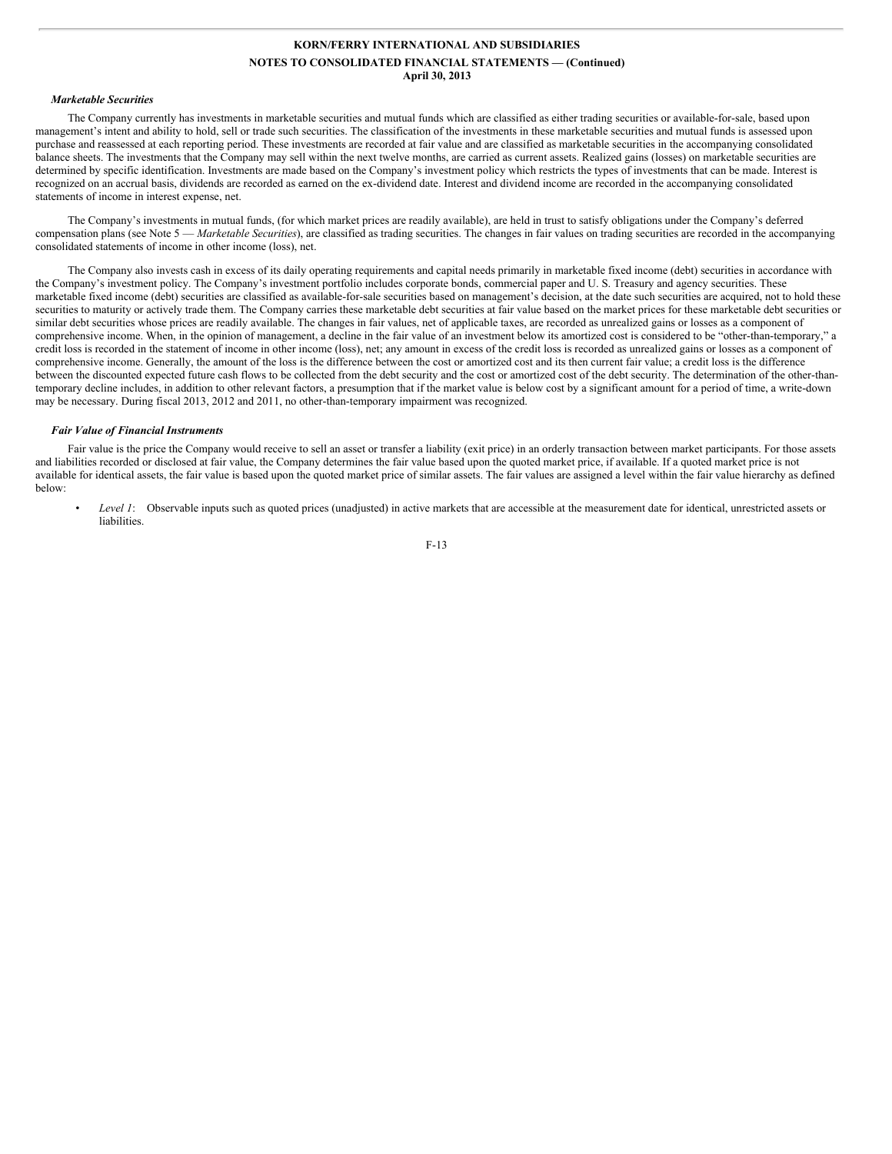### *Marketable Securities*

The Company currently has investments in marketable securities and mutual funds which are classified as either trading securities or available-for-sale, based upon management's intent and ability to hold, sell or trade such securities. The classification of the investments in these marketable securities and mutual funds is assessed upon purchase and reassessed at each reporting period. These investments are recorded at fair value and are classified as marketable securities in the accompanying consolidated balance sheets. The investments that the Company may sell within the next twelve months, are carried as current assets. Realized gains (losses) on marketable securities are determined by specific identification. Investments are made based on the Company's investment policy which restricts the types of investments that can be made. Interest is recognized on an accrual basis, dividends are recorded as earned on the ex-dividend date. Interest and dividend income are recorded in the accompanying consolidated statements of income in interest expense, net.

The Company's investments in mutual funds, (for which market prices are readily available), are held in trust to satisfy obligations under the Company's deferred compensation plans (see Note 5 — Marketable Securities), are classified as trading securities. The changes in fair values on trading securities are recorded in the accompanying consolidated statements of income in other income (loss), net.

The Company also invests cash in excess of its daily operating requirements and capital needs primarily in marketable fixed income (debt) securities in accordance with the Company's investment policy. The Company's investment portfolio includes corporate bonds, commercial paper and U. S. Treasury and agency securities. These marketable fixed income (debt) securities are classified as available-for-sale securities based on management's decision, at the date such securities are acquired, not to hold these securities to maturity or actively trade them. The Company carries these marketable debt securities at fair value based on the market prices for these marketable debt securities or similar debt securities whose prices are readily available. The changes in fair values, net of applicable taxes, are recorded as unrealized gains or losses as a component of comprehensive income. When, in the opinion of management, a decline in the fair value of an investment below its amortized cost is considered to be "other-than-temporary," a credit loss is recorded in the statement of income in other income (loss), net; any amount in excess of the credit loss is recorded as unrealized gains or losses as a component of comprehensive income. Generally, the amount of the loss is the difference between the cost or amortized cost and its then current fair value; a credit loss is the difference between the discounted expected future cash flows to be collected from the debt security and the cost or amortized cost of the debt security. The determination of the other-thantemporary decline includes, in addition to other relevant factors, a presumption that if the market value is below cost by a significant amount for a period of time, a write-down may be necessary. During fiscal 2013, 2012 and 2011, no other-than-temporary impairment was recognized.

## *Fair Value of Financial Instruments*

Fair value is the price the Company would receive to sell an asset or transfer a liability (exit price) in an orderly transaction between market participants. For those assets and liabilities recorded or disclosed at fair value, the Company determines the fair value based upon the quoted market price, if available. If a quoted market price is not available for identical assets, the fair value is based upon the quoted market price of similar assets. The fair values are assigned a level within the fair value hierarchy as defined below:

• *Level 1*: Observable inputs such as quoted prices (unadjusted) in active markets that are accessible at the measurement date for identical, unrestricted assets or liabilities.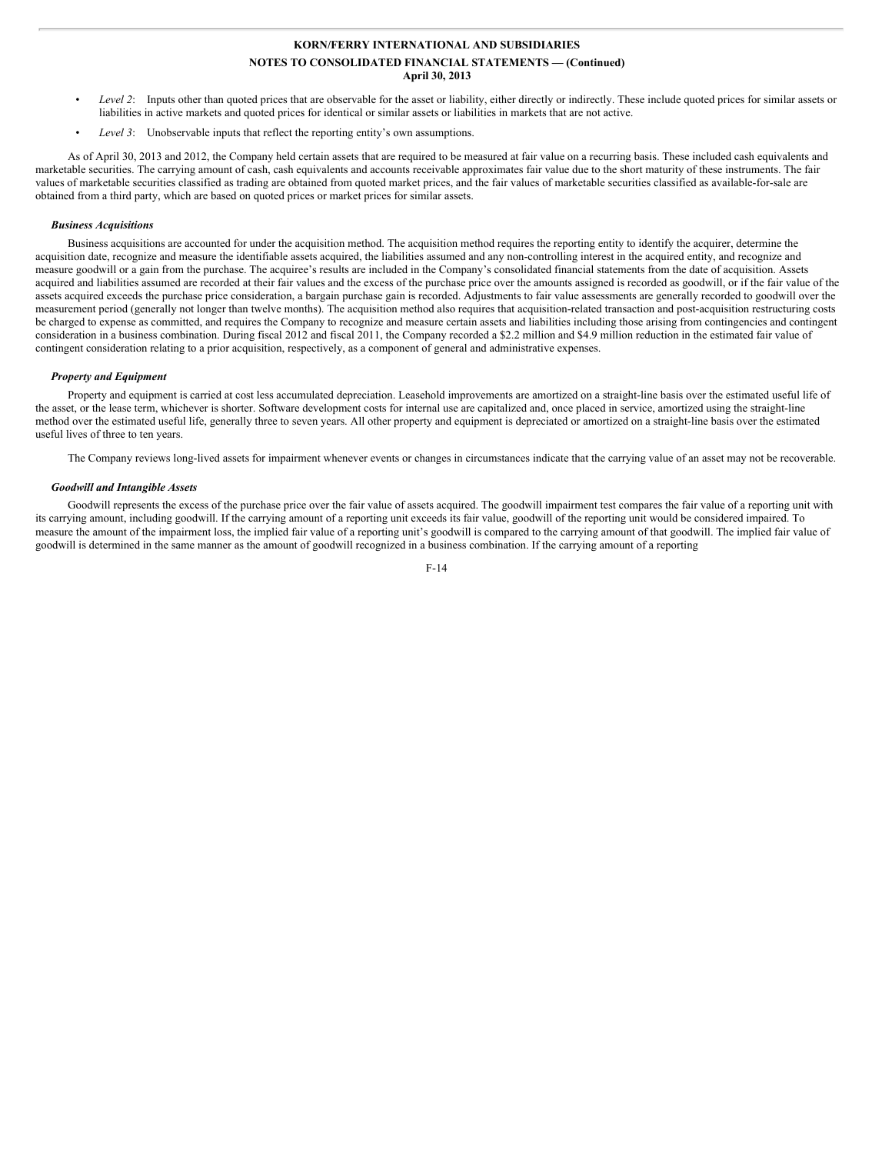- Level 2: Inputs other than quoted prices that are observable for the asset or liability, either directly or indirectly. These include quoted prices for similar assets or liabilities in active markets and quoted prices for identical or similar assets or liabilities in markets that are not active.
- Level 3: Unobservable inputs that reflect the reporting entity's own assumptions.

As of April 30, 2013 and 2012, the Company held certain assets that are required to be measured at fair value on a recurring basis. These included cash equivalents and marketable securities. The carrying amount of cash, cash equivalents and accounts receivable approximates fair value due to the short maturity of these instruments. The fair values of marketable securities classified as trading are obtained from quoted market prices, and the fair values of marketable securities classified as available-for-sale are obtained from a third party, which are based on quoted prices or market prices for similar assets.

### *Business Acquisitions*

Business acquisitions are accounted for under the acquisition method. The acquisition method requires the reporting entity to identify the acquirer, determine the acquisition date, recognize and measure the identifiable assets acquired, the liabilities assumed and any non-controlling interest in the acquired entity, and recognize and measure goodwill or a gain from the purchase. The acquiree's results are included in the Company's consolidated financial statements from the date of acquisition. Assets acquired and liabilities assumed are recorded at their fair values and the excess of the purchase price over the amounts assigned is recorded as goodwill, or if the fair value of the assets acquired exceeds the purchase price consideration, a bargain purchase gain is recorded. Adjustments to fair value assessments are generally recorded to goodwill over the measurement period (generally not longer than twelve months). The acquisition method also requires that acquisition-related transaction and post-acquisition restructuring costs be charged to expense as committed, and requires the Company to recognize and measure certain assets and liabilities including those arising from contingencies and contingent consideration in a business combination. During fiscal 2012 and fiscal 2011, the Company recorded a \$2.2 million and \$4.9 million reduction in the estimated fair value of contingent consideration relating to a prior acquisition, respectively, as a component of general and administrative expenses.

## *Property and Equipment*

Property and equipment is carried at cost less accumulated depreciation. Leasehold improvements are amortized on a straight-line basis over the estimated useful life of the asset, or the lease term, whichever is shorter. Software development costs for internal use are capitalized and, once placed in service, amortized using the straight-line method over the estimated useful life, generally three to seven years. All other property and equipment is depreciated or amortized on a straight-line basis over the estimated useful lives of three to ten years.

The Company reviews long-lived assets for impairment whenever events or changes in circumstances indicate that the carrying value of an asset may not be recoverable.

### *Goodwill and Intangible Assets*

Goodwill represents the excess of the purchase price over the fair value of assets acquired. The goodwill impairment test compares the fair value of a reporting unit with its carrying amount, including goodwill. If the carrying amount of a reporting unit exceeds its fair value, goodwill of the reporting unit would be considered impaired. To measure the amount of the impairment loss, the implied fair value of a reporting unit's goodwill is compared to the carrying amount of that goodwill. The implied fair value of goodwill is determined in the same manner as the amount of goodwill recognized in a business combination. If the carrying amount of a reporting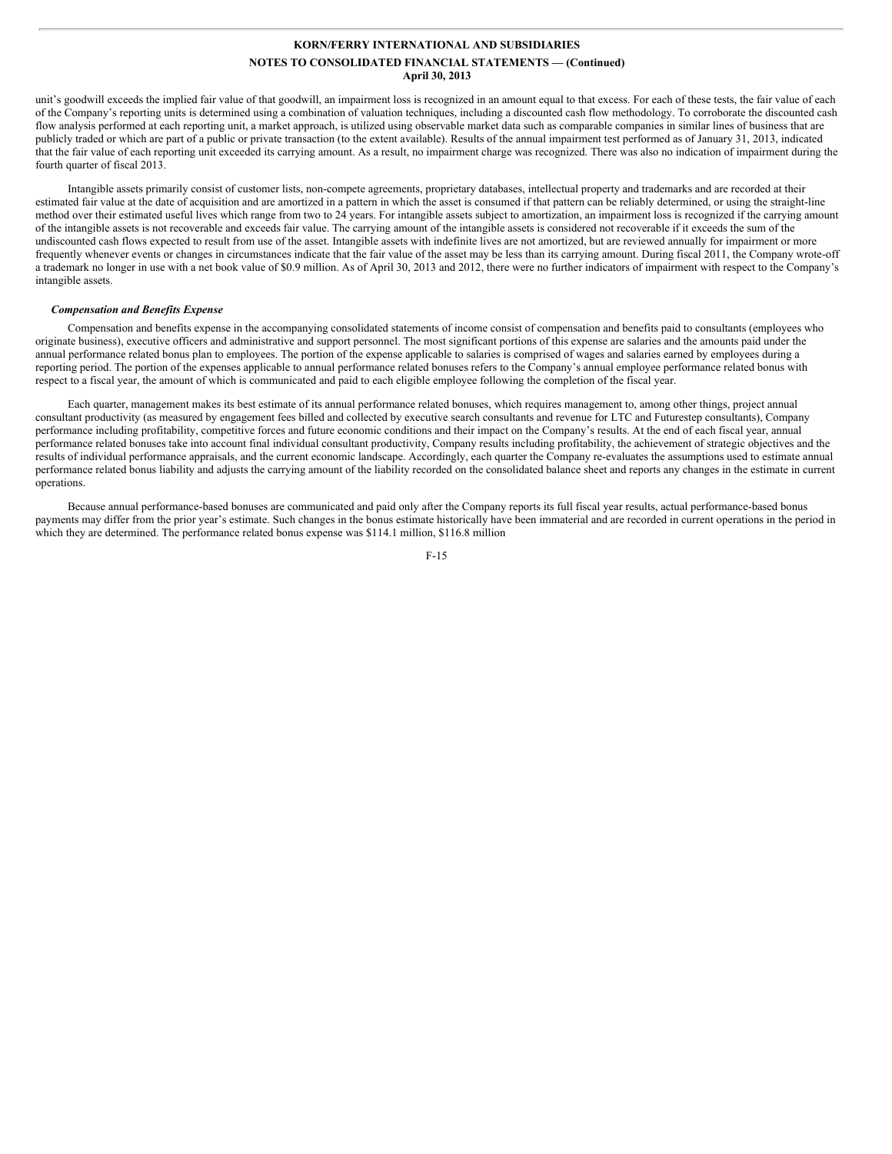unit's goodwill exceeds the implied fair value of that goodwill, an impairment loss is recognized in an amount equal to that excess. For each of these tests, the fair value of each of the Company's reporting units is determined using a combination of valuation techniques, including a discounted cash flow methodology. To corroborate the discounted cash flow analysis performed at each reporting unit, a market approach, is utilized using observable market data such as comparable companies in similar lines of business that are publicly traded or which are part of a public or private transaction (to the extent available). Results of the annual impairment test performed as of January 31, 2013, indicated that the fair value of each reporting unit exceeded its carrying amount. As a result, no impairment charge was recognized. There was also no indication of impairment during the fourth quarter of fiscal 2013.

Intangible assets primarily consist of customer lists, non-compete agreements, proprietary databases, intellectual property and trademarks and are recorded at their estimated fair value at the date of acquisition and are amortized in a pattern in which the asset is consumed if that pattern can be reliably determined, or using the straight-line method over their estimated useful lives which range from two to 24 years. For intangible assets subject to amortization, an impairment loss is recognized if the carrying amount of the intangible assets is not recoverable and exceeds fair value. The carrying amount of the intangible assets is considered not recoverable if it exceeds the sum of the undiscounted cash flows expected to result from use of the asset. Intangible assets with indefinite lives are not amortized, but are reviewed annually for impairment or more frequently whenever events or changes in circumstances indicate that the fair value of the asset may be less than its carrying amount. During fiscal 2011, the Company wrote-off a trademark no longer in use with a net book value of \$0.9 million. As of April 30, 2013 and 2012, there were no further indicators of impairment with respect to the Company's intangible assets.

## *Compensation and Benefits Expense*

Compensation and benefits expense in the accompanying consolidated statements of income consist of compensation and benefits paid to consultants (employees who originate business), executive officers and administrative and support personnel. The most significant portions of this expense are salaries and the amounts paid under the annual performance related bonus plan to employees. The portion of the expense applicable to salaries is comprised of wages and salaries earned by employees during a reporting period. The portion of the expenses applicable to annual performance related bonuses refers to the Company's annual employee performance related bonus with respect to a fiscal year, the amount of which is communicated and paid to each eligible employee following the completion of the fiscal year.

Each quarter, management makes its best estimate of its annual performance related bonuses, which requires management to, among other things, project annual consultant productivity (as measured by engagement fees billed and collected by executive search consultants and revenue for LTC and Futurestep consultants), Company performance including profitability, competitive forces and future economic conditions and their impact on the Company's results. At the end of each fiscal year, annual performance related bonuses take into account final individual consultant productivity, Company results including profitability, the achievement of strategic objectives and the results of individual performance appraisals, and the current economic landscape. Accordingly, each quarter the Company re-evaluates the assumptions used to estimate annual performance related bonus liability and adjusts the carrying amount of the liability recorded on the consolidated balance sheet and reports any changes in the estimate in current operations.

Because annual performance-based bonuses are communicated and paid only after the Company reports its full fiscal year results, actual performance-based bonus payments may differ from the prior year's estimate. Such changes in the bonus estimate historically have been immaterial and are recorded in current operations in the period in which they are determined. The performance related bonus expense was \$114.1 million, \$116.8 million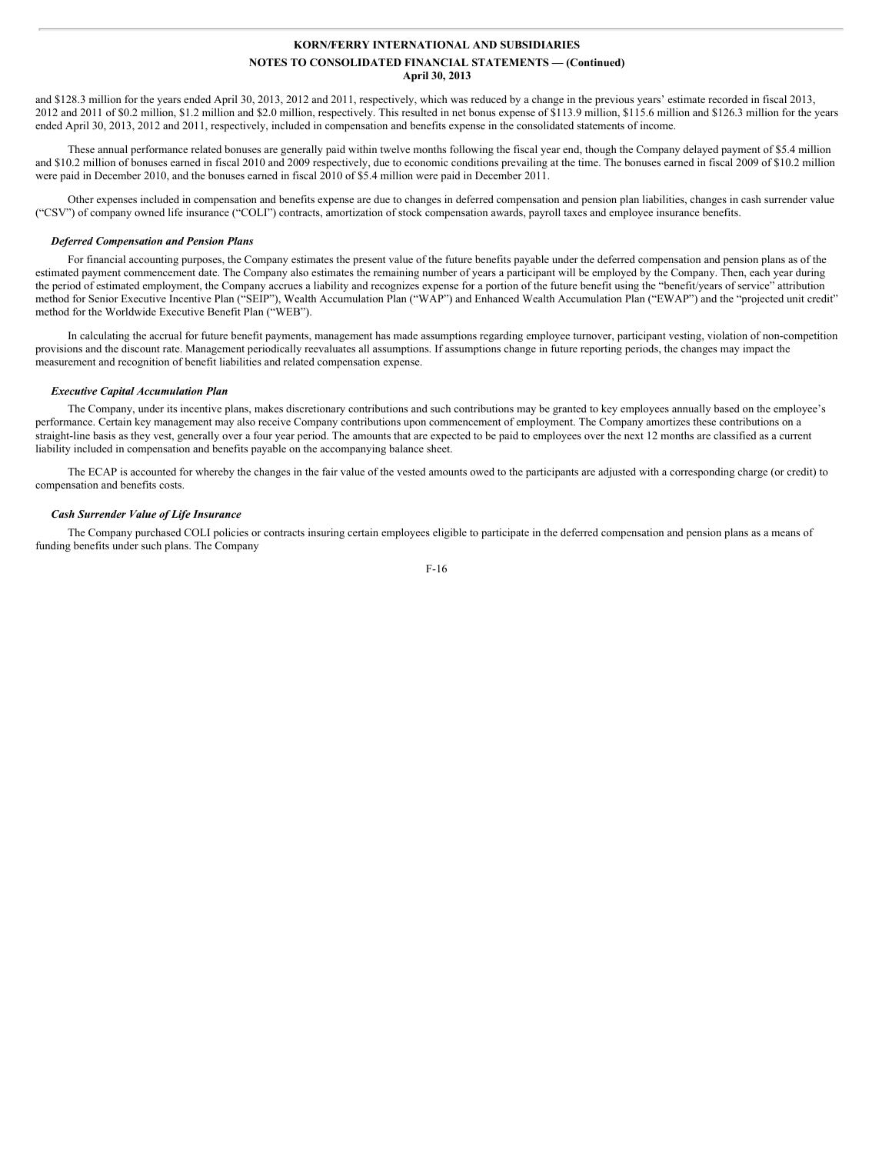and \$128.3 million for the years ended April 30, 2013, 2012 and 2011, respectively, which was reduced by a change in the previous years' estimate recorded in fiscal 2013, 2012 and 2011 of \$0.2 million, \$1.2 million and \$2.0 million, respectively. This resulted in net bonus expense of \$113.9 million, \$115.6 million and \$126.3 million for the years ended April 30, 2013, 2012 and 2011, respectively, included in compensation and benefits expense in the consolidated statements of income.

These annual performance related bonuses are generally paid within twelve months following the fiscal year end, though the Company delayed payment of \$5.4 million and \$10.2 million of bonuses earned in fiscal 2010 and 2009 respectively, due to economic conditions prevailing at the time. The bonuses earned in fiscal 2009 of \$10.2 million were paid in December 2010, and the bonuses earned in fiscal 2010 of \$5.4 million were paid in December 2011.

Other expenses included in compensation and benefits expense are due to changes in deferred compensation and pension plan liabilities, changes in cash surrender value ("CSV") of company owned life insurance ("COLI") contracts, amortization of stock compensation awards, payroll taxes and employee insurance benefits.

### *Deferred Compensation and Pension Plans*

For financial accounting purposes, the Company estimates the present value of the future benefits payable under the deferred compensation and pension plans as of the estimated payment commencement date. The Company also estimates the remaining number of years a participant will be employed by the Company. Then, each year during the period of estimated employment, the Company accrues a liability and recognizes expense for a portion of the future benefit using the "benefit/years of service" attribution method for Senior Executive Incentive Plan ("SEIP"), Wealth Accumulation Plan ("WAP") and Enhanced Wealth Accumulation Plan ("EWAP") and the "projected unit credit" method for the Worldwide Executive Benefit Plan ("WEB").

In calculating the accrual for future benefit payments, management has made assumptions regarding employee turnover, participant vesting, violation of non-competition provisions and the discount rate. Management periodically reevaluates all assumptions. If assumptions change in future reporting periods, the changes may impact the measurement and recognition of benefit liabilities and related compensation expense.

### *Executive Capital Accumulation Plan*

The Company, under its incentive plans, makes discretionary contributions and such contributions may be granted to key employees annually based on the employee's performance. Certain key management may also receive Company contributions upon commencement of employment. The Company amortizes these contributions on a straight-line basis as they vest, generally over a four year period. The amounts that are expected to be paid to employees over the next 12 months are classified as a current liability included in compensation and benefits payable on the accompanying balance sheet.

The ECAP is accounted for whereby the changes in the fair value of the vested amounts owed to the participants are adjusted with a corresponding charge (or credit) to compensation and benefits costs.

## *Cash Surrender Value of Life Insurance*

The Company purchased COLI policies or contracts insuring certain employees eligible to participate in the deferred compensation and pension plans as a means of funding benefits under such plans. The Company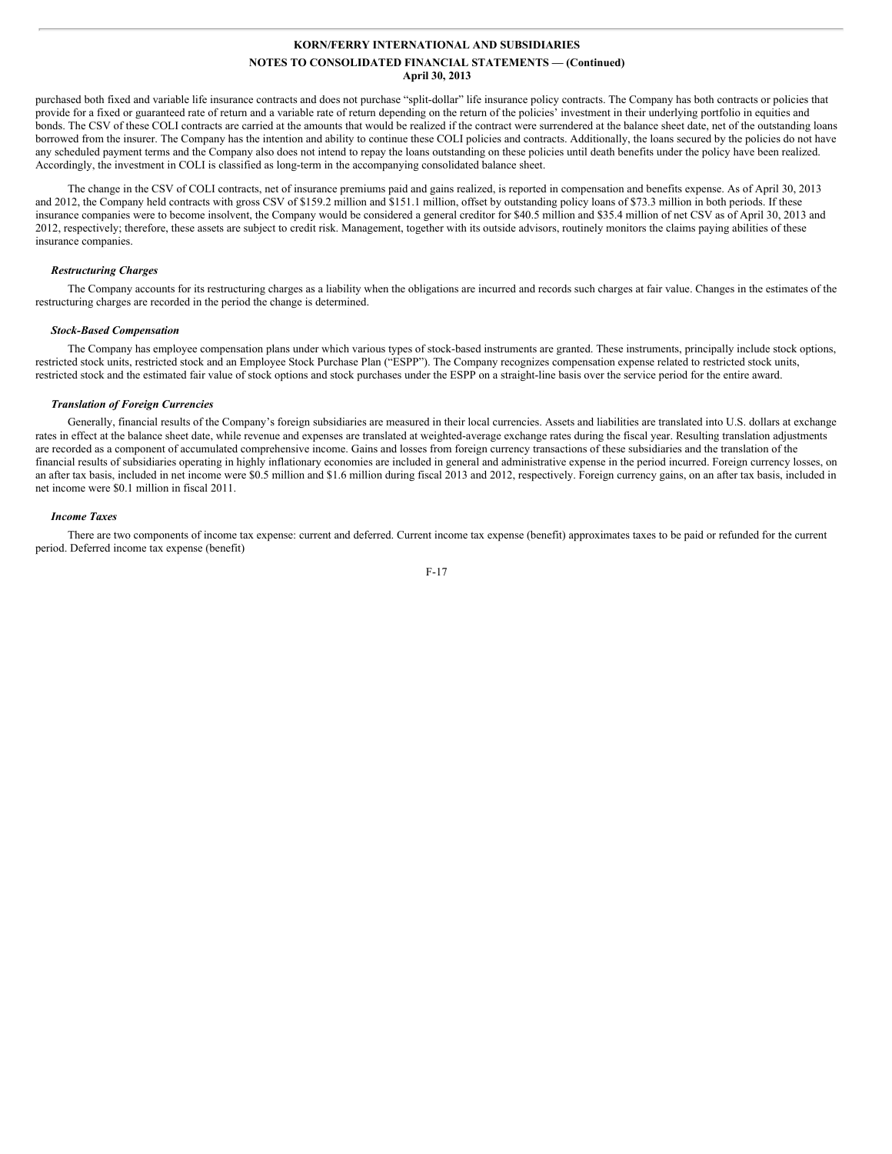purchased both fixed and variable life insurance contracts and does not purchase "split-dollar" life insurance policy contracts. The Company has both contracts or policies that provide for a fixed or guaranteed rate of return and a variable rate of return depending on the return of the policies' investment in their underlying portfolio in equities and bonds. The CSV of these COLI contracts are carried at the amounts that would be realized if the contract were surrendered at the balance sheet date, net of the outstanding loans borrowed from the insurer. The Company has the intention and ability to continue these COLI policies and contracts. Additionally, the loans secured by the policies do not have any scheduled payment terms and the Company also does not intend to repay the loans outstanding on these policies until death benefits under the policy have been realized. Accordingly, the investment in COLI is classified as long-term in the accompanying consolidated balance sheet.

The change in the CSV of COLI contracts, net of insurance premiums paid and gains realized, is reported in compensation and benefits expense. As of April 30, 2013 and 2012, the Company held contracts with gross CSV of \$159.2 million and \$151.1 million, offset by outstanding policy loans of \$73.3 million in both periods. If these insurance companies were to become insolvent, the Company would be considered a general creditor for \$40.5 million and \$35.4 million of net CSV as of April 30, 2013 and 2012, respectively; therefore, these assets are subject to credit risk. Management, together with its outside advisors, routinely monitors the claims paying abilities of these insurance companies.

### *Restructuring Charges*

The Company accounts for its restructuring charges as a liability when the obligations are incurred and records such charges at fair value. Changes in the estimates of the restructuring charges are recorded in the period the change is determined.

#### *Stock-Based Compensation*

The Company has employee compensation plans under which various types of stock-based instruments are granted. These instruments, principally include stock options, restricted stock units, restricted stock and an Employee Stock Purchase Plan ("ESPP"). The Company recognizes compensation expense related to restricted stock units, restricted stock and the estimated fair value of stock options and stock purchases under the ESPP on a straight-line basis over the service period for the entire award.

#### *Translation of Foreign Currencies*

Generally, financial results of the Company's foreign subsidiaries are measured in their local currencies. Assets and liabilities are translated into U.S. dollars at exchange rates in effect at the balance sheet date, while revenue and expenses are translated at weighted-average exchange rates during the fiscal year. Resulting translation adjustments are recorded as a component of accumulated comprehensive income. Gains and losses from foreign currency transactions of these subsidiaries and the translation of the financial results of subsidiaries operating in highly inflationary economies are included in general and administrative expense in the period incurred. Foreign currency losses, on an after tax basis, included in net income were \$0.5 million and \$1.6 million during fiscal 2013 and 2012, respectively. Foreign currency gains, on an after tax basis, included in net income were \$0.1 million in fiscal 2011.

#### *Income Taxes*

There are two components of income tax expense: current and deferred. Current income tax expense (benefit) approximates taxes to be paid or refunded for the current period. Deferred income tax expense (benefit)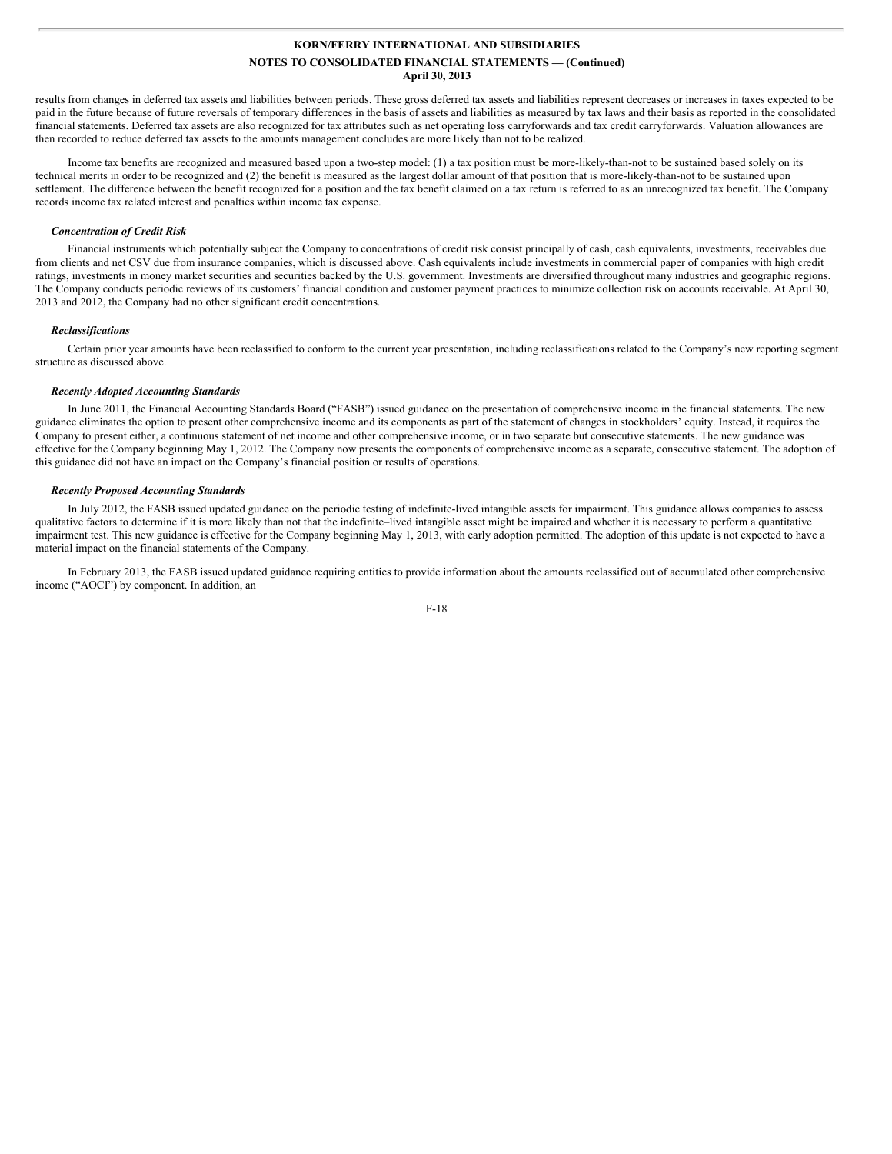results from changes in deferred tax assets and liabilities between periods. These gross deferred tax assets and liabilities represent decreases or increases in taxes expected to be paid in the future because of future reversals of temporary differences in the basis of assets and liabilities as measured by tax laws and their basis as reported in the consolidated financial statements. Deferred tax assets are also recognized for tax attributes such as net operating loss carryforwards and tax credit carryforwards. Valuation allowances are then recorded to reduce deferred tax assets to the amounts management concludes are more likely than not to be realized.

Income tax benefits are recognized and measured based upon a two-step model: (1) a tax position must be more-likely-than-not to be sustained based solely on its technical merits in order to be recognized and (2) the benefit is measured as the largest dollar amount of that position that is more-likely-than-not to be sustained upon settlement. The difference between the benefit recognized for a position and the tax benefit claimed on a tax return is referred to as an unrecognized tax benefit. The Company records income tax related interest and penalties within income tax expense.

#### *Concentration of Credit Risk*

Financial instruments which potentially subject the Company to concentrations of credit risk consist principally of cash, cash equivalents, investments, receivables due from clients and net CSV due from insurance companies, which is discussed above. Cash equivalents include investments in commercial paper of companies with high credit ratings, investments in money market securities and securities backed by the U.S. government. Investments are diversified throughout many industries and geographic regions. The Company conducts periodic reviews of its customers' financial condition and customer payment practices to minimize collection risk on accounts receivable. At April 30, 2013 and 2012, the Company had no other significant credit concentrations.

#### *Reclassifications*

Certain prior year amounts have been reclassified to conform to the current year presentation, including reclassifications related to the Company's new reporting segment structure as discussed above.

#### *Recently Adopted Accounting Standards*

In June 2011, the Financial Accounting Standards Board ("FASB") issued guidance on the presentation of comprehensive income in the financial statements. The new guidance eliminates the option to present other comprehensive income and its components as part of the statement of changes in stockholders' equity. Instead, it requires the Company to present either, a continuous statement of net income and other comprehensive income, or in two separate but consecutive statements. The new guidance was effective for the Company beginning May 1, 2012. The Company now presents the components of comprehensive income as a separate, consecutive statement. The adoption of this guidance did not have an impact on the Company's financial position or results of operations.

#### *Recently Proposed Accounting Standards*

In July 2012, the FASB issued updated guidance on the periodic testing of indefinite-lived intangible assets for impairment. This guidance allows companies to assess qualitative factors to determine if it is more likely than not that the indefinite–lived intangible asset might be impaired and whether it is necessary to perform a quantitative impairment test. This new guidance is effective for the Company beginning May 1, 2013, with early adoption permitted. The adoption of this update is not expected to have a material impact on the financial statements of the Company.

In February 2013, the FASB issued updated guidance requiring entities to provide information about the amounts reclassified out of accumulated other comprehensive income ("AOCI") by component. In addition, an

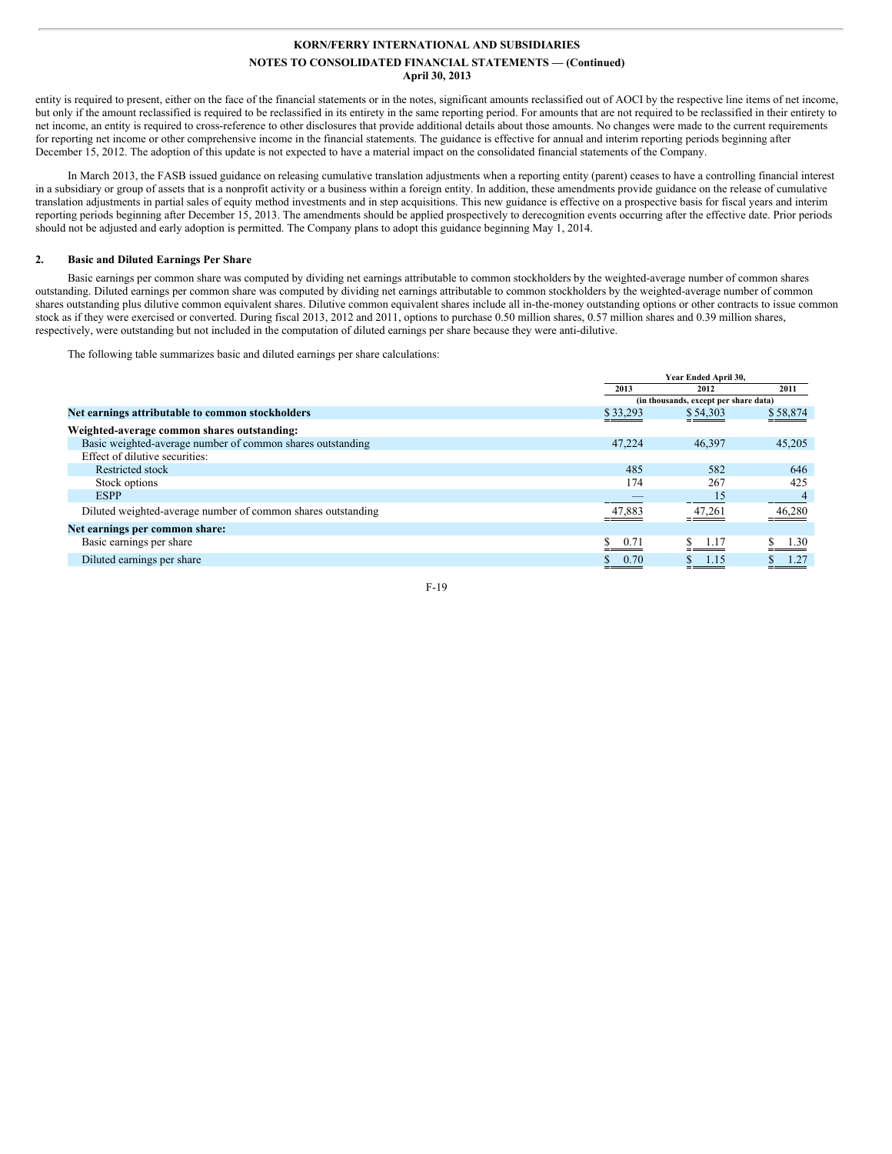entity is required to present, either on the face of the financial statements or in the notes, significant amounts reclassified out of AOCI by the respective line items of net income, but only if the amount reclassified is required to be reclassified in its entirety in the same reporting period. For amounts that are not required to be reclassified in their entirety to net income, an entity is required to cross-reference to other disclosures that provide additional details about those amounts. No changes were made to the current requirements for reporting net income or other comprehensive income in the financial statements. The guidance is effective for annual and interim reporting periods beginning after December 15, 2012. The adoption of this update is not expected to have a material impact on the consolidated financial statements of the Company.

In March 2013, the FASB issued guidance on releasing cumulative translation adjustments when a reporting entity (parent) ceases to have a controlling financial interest in a subsidiary or group of assets that is a nonprofit activity or a business within a foreign entity. In addition, these amendments provide guidance on the release of cumulative translation adjustments in partial sales of equity method investments and in step acquisitions. This new guidance is effective on a prospective basis for fiscal years and interim reporting periods beginning after December 15, 2013. The amendments should be applied prospectively to derecognition events occurring after the effective date. Prior periods should not be adjusted and early adoption is permitted. The Company plans to adopt this guidance beginning May 1, 2014.

### **2. Basic and Diluted Earnings Per Share**

Basic earnings per common share was computed by dividing net earnings attributable to common stockholders by the weighted-average number of common shares outstanding. Diluted earnings per common share was computed by dividing net earnings attributable to common stockholders by the weighted-average number of common shares outstanding plus dilutive common equivalent shares. Dilutive common equivalent shares include all in-the-money outstanding options or other contracts to issue common stock as if they were exercised or converted. During fiscal 2013, 2012 and 2011, options to purchase 0.50 million shares, 0.57 million shares and 0.39 million shares, respectively, were outstanding but not included in the computation of diluted earnings per share because they were anti-dilutive.

The following table summarizes basic and diluted earnings per share calculations:

|                                                              |          | Year Ended April 30,                  |          |  |  |
|--------------------------------------------------------------|----------|---------------------------------------|----------|--|--|
|                                                              | 2013     | 2012                                  |          |  |  |
|                                                              |          | (in thousands, except per share data) |          |  |  |
| Net earnings attributable to common stockholders             | \$33,293 | \$54,303                              | \$58,874 |  |  |
| Weighted-average common shares outstanding:                  |          |                                       |          |  |  |
| Basic weighted-average number of common shares outstanding   | 47.224   | 46,397                                | 45,205   |  |  |
| Effect of dilutive securities:                               |          |                                       |          |  |  |
| Restricted stock                                             | 485      | 582                                   | 646      |  |  |
| Stock options                                                | 174      | 267                                   | 425      |  |  |
| <b>ESPP</b>                                                  |          |                                       |          |  |  |
| Diluted weighted-average number of common shares outstanding | 47,883   | 47,261                                | 46,280   |  |  |
| Net earnings per common share:                               |          |                                       |          |  |  |
| Basic earnings per share                                     | 0.71     |                                       | 1.30     |  |  |
| Diluted earnings per share                                   | 0.70     | 1.15                                  | 1.27     |  |  |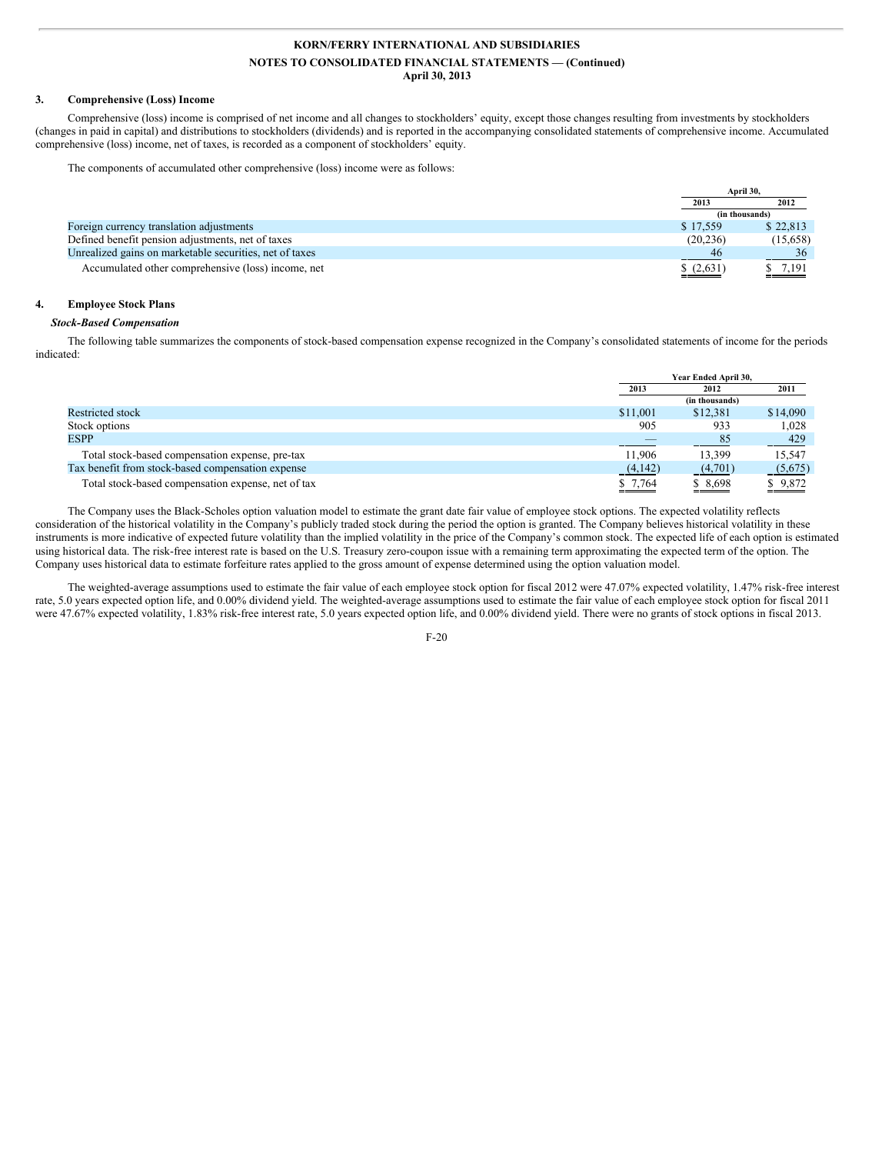### **3. Comprehensive (Loss) Income**

Comprehensive (loss) income is comprised of net income and all changes to stockholders' equity, except those changes resulting from investments by stockholders (changes in paid in capital) and distributions to stockholders (dividends) and is reported in the accompanying consolidated statements of comprehensive income. Accumulated comprehensive (loss) income, net of taxes, is recorded as a component of stockholders' equity.

The components of accumulated other comprehensive (loss) income were as follows:

|                                                         |            | April 30,      |
|---------------------------------------------------------|------------|----------------|
|                                                         | 2013       | 2012           |
|                                                         |            | (in thousands) |
| Foreign currency translation adjustments                | \$17.559   | \$22,813       |
| Defined benefit pension adjustments, net of taxes       | (20, 236)  | (15,658)       |
| Unrealized gains on marketable securities, net of taxes | 46         | 36             |
| Accumulated other comprehensive (loss) income, net      | \$ (2,631) | \$7,191        |

#### **4. Employee Stock Plans**

#### *Stock-Based Compensation*

The following table summarizes the components of stock-based compensation expense recognized in the Company's consolidated statements of income for the periods indicated:

|                                                    | Year Ended April 30,     |                |          |  |
|----------------------------------------------------|--------------------------|----------------|----------|--|
|                                                    | 2013                     | 2012           | 2011     |  |
|                                                    |                          | (in thousands) |          |  |
| <b>Restricted stock</b>                            | \$11,001                 | \$12,381       | \$14,090 |  |
| Stock options                                      | 905                      | 933            | 1.028    |  |
| <b>ESPP</b>                                        | $\overline{\phantom{a}}$ | 85             | 429      |  |
| Total stock-based compensation expense, pre-tax    | 11.906                   | 13.399         | 15.547   |  |
| Tax benefit from stock-based compensation expense  | (4,142)                  | (4,701)        | (5,675)  |  |
| Total stock-based compensation expense, net of tax | $\frac{$7,764}{}$        | \$8,698        | \$9,872  |  |

The Company uses the Black-Scholes option valuation model to estimate the grant date fair value of employee stock options. The expected volatility reflects consideration of the historical volatility in the Company's publicly traded stock during the period the option is granted. The Company believes historical volatility in these instruments is more indicative of expected future volatility than the implied volatility in the price of the Company's common stock. The expected life of each option is estimated using historical data. The risk-free interest rate is based on the U.S. Treasury zero-coupon issue with a remaining term approximating the expected term of the option. The Company uses historical data to estimate forfeiture rates applied to the gross amount of expense determined using the option valuation model.

The weighted-average assumptions used to estimate the fair value of each employee stock option for fiscal 2012 were 47.07% expected volatility, 1.47% risk-free interest rate, 5.0 years expected option life, and 0.00% dividend yield. The weighted-average assumptions used to estimate the fair value of each employee stock option for fiscal 2011 were 47.67% expected volatility, 1.83% risk-free interest rate, 5.0 years expected option life, and 0.00% dividend yield. There were no grants of stock options in fiscal 2013.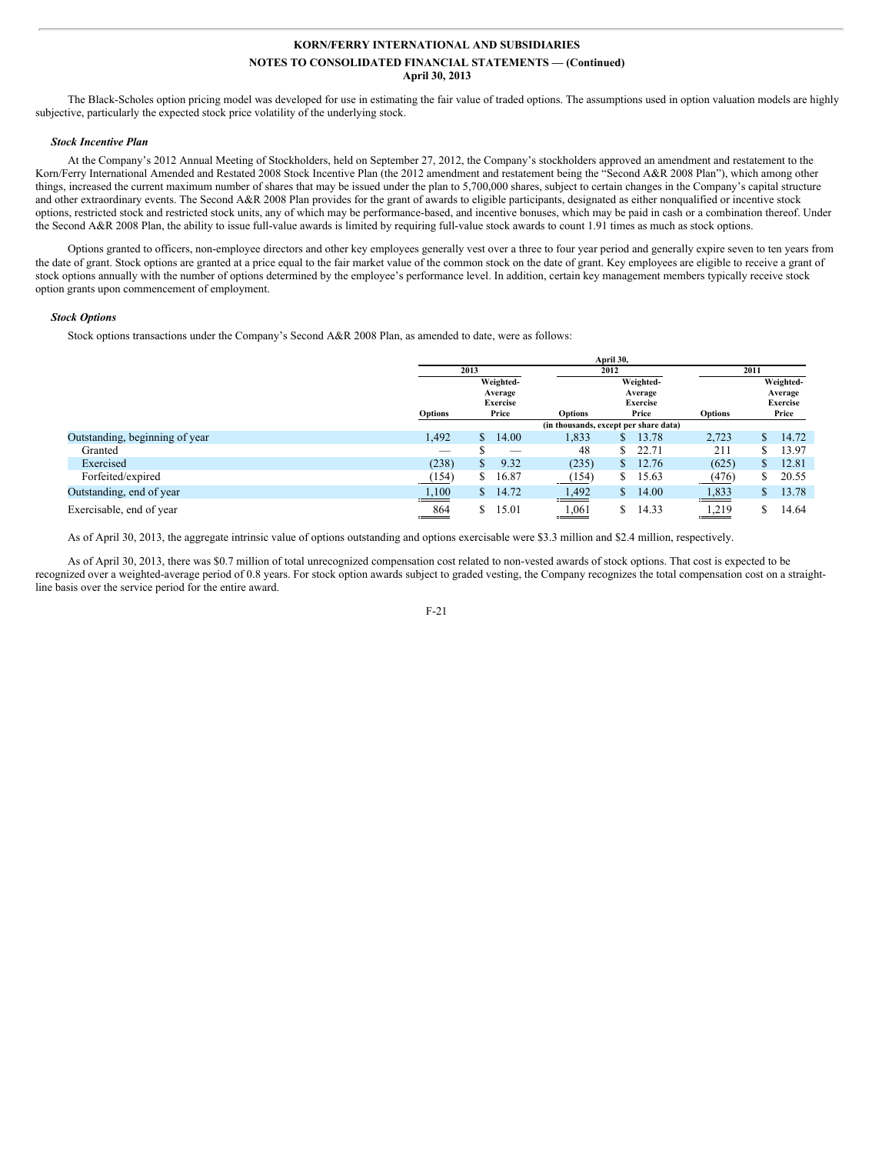The Black-Scholes option pricing model was developed for use in estimating the fair value of traded options. The assumptions used in option valuation models are highly subjective, particularly the expected stock price volatility of the underlying stock.

### *Stock Incentive Plan*

At the Company's 2012 Annual Meeting of Stockholders, held on September 27, 2012, the Company's stockholders approved an amendment and restatement to the Korn/Ferry International Amended and Restated 2008 Stock Incentive Plan (the 2012 amendment and restatement being the "Second A&R 2008 Plan"), which among other things, increased the current maximum number of shares that may be issued under the plan to 5,700,000 shares, subject to certain changes in the Company's capital structure and other extraordinary events. The Second A&R 2008 Plan provides for the grant of awards to eligible participants, designated as either nonqualified or incentive stock options, restricted stock and restricted stock units, any of which may be performance-based, and incentive bonuses, which may be paid in cash or a combination thereof. Under the Second A&R 2008 Plan, the ability to issue full-value awards is limited by requiring full-value stock awards to count 1.91 times as much as stock options.

Options granted to officers, non-employee directors and other key employees generally vest over a three to four year period and generally expire seven to ten years from the date of grant. Stock options are granted at a price equal to the fair market value of the common stock on the date of grant. Key employees are eligible to receive a grant of stock options annually with the number of options determined by the employee's performance level. In addition, certain key management members typically receive stock option grants upon commencement of employment.

#### *Stock Options*

Stock options transactions under the Company's Second A&R 2008 Plan, as amended to date, were as follows:

|                                |                |                |                                                  |                                       | April 30,      |                                           |                |              |                                           |
|--------------------------------|----------------|----------------|--------------------------------------------------|---------------------------------------|----------------|-------------------------------------------|----------------|--------------|-------------------------------------------|
|                                |                | 2013           |                                                  |                                       | 2012           |                                           |                | 2011         |                                           |
|                                | <b>Options</b> |                | Weighted-<br>Average<br><b>Exercise</b><br>Price | <b>Options</b>                        |                | Weighted-<br>Average<br>Exercise<br>Price | <b>Options</b> |              | Weighted-<br>Average<br>Exercise<br>Price |
|                                |                |                |                                                  | (in thousands, except per share data) |                |                                           |                |              |                                           |
| Outstanding, beginning of year | 1,492          | $\mathbb{S}^-$ | 14.00                                            | 1,833                                 | $\mathbb{S}$   | 13.78                                     | 2,723          | S.           | 14.72                                     |
| Granted                        | _              |                | _                                                | 48                                    | S.             | 22.71                                     | 211            | S.           | 13.97                                     |
| Exercised                      | (238)          | \$             | 9.32                                             | (235)                                 | S.             | 12.76                                     | (625)          | \$           | 12.81                                     |
| Forfeited/expired              | (154)          | S.             | 16.87                                            | (154)                                 | S.             | 15.63                                     | (476)          | S.           | 20.55                                     |
| Outstanding, end of year       | 1,100          |                | \$14.72                                          | 1,492                                 | $\mathbb{S}^-$ | 14.00                                     | 1,833          | $\mathbb{S}$ | 13.78                                     |
| Exercisable, end of year       | 864<br>_____   | S.             | 15.01                                            | 1,061                                 | S.             | 14.33                                     | 1,219          | \$           | 14.64                                     |

As of April 30, 2013, the aggregate intrinsic value of options outstanding and options exercisable were \$3.3 million and \$2.4 million, respectively.

As of April 30, 2013, there was \$0.7 million of total unrecognized compensation cost related to non-vested awards of stock options. That cost is expected to be recognized over a weighted-average period of 0.8 years. For stock option awards subject to graded vesting, the Company recognizes the total compensation cost on a straightline basis over the service period for the entire award.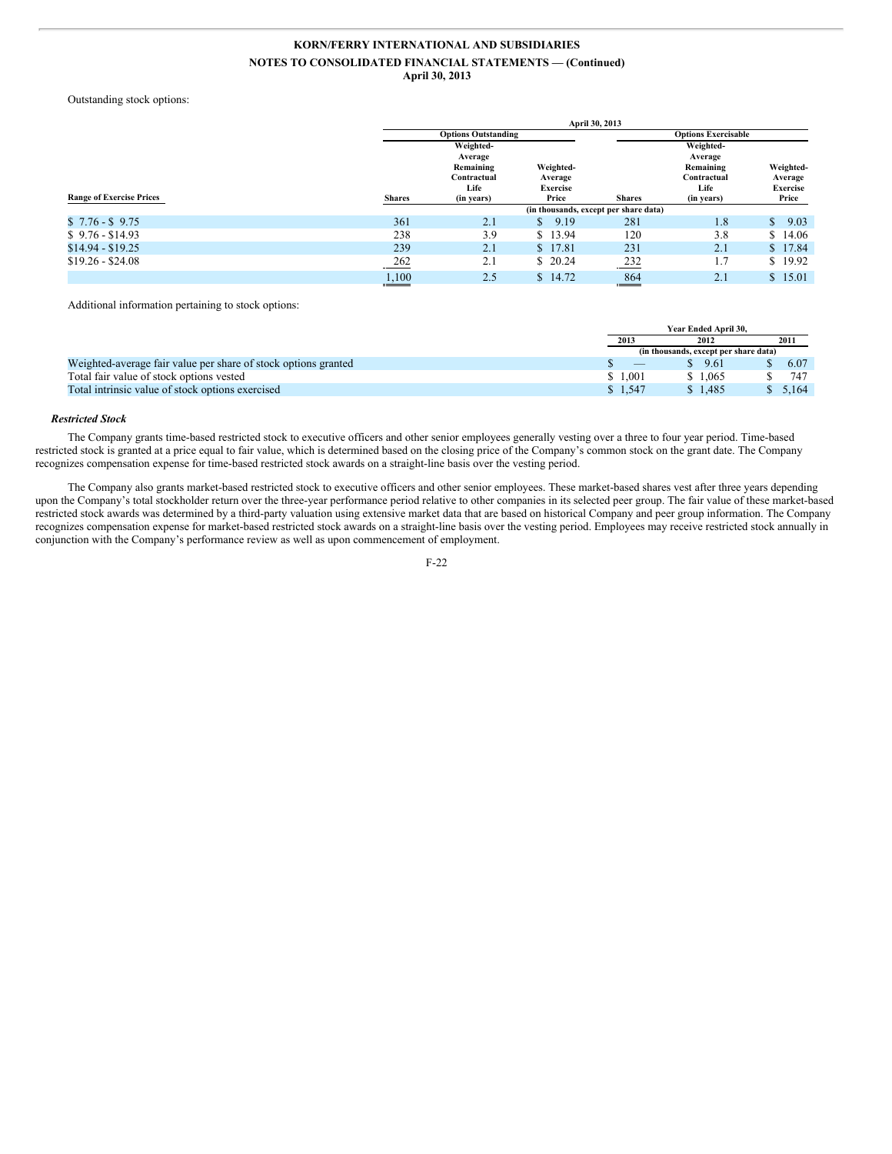Outstanding stock options:

|                                 |               | April 30, 2013             |                                       |               |                            |                      |  |  |  |
|---------------------------------|---------------|----------------------------|---------------------------------------|---------------|----------------------------|----------------------|--|--|--|
|                                 |               | <b>Options Outstanding</b> |                                       |               | <b>Options Exercisable</b> |                      |  |  |  |
|                                 |               | Weighted-                  |                                       |               | Weighted-                  |                      |  |  |  |
|                                 |               | Average                    |                                       |               | Average                    |                      |  |  |  |
|                                 |               | Remaining                  | Weighted-                             |               | Remaining                  | Weighted-            |  |  |  |
|                                 |               | Contractual                | Average                               |               | Contractual                | Average              |  |  |  |
|                                 |               | Life                       | <b>Exercise</b>                       |               | Life                       | <b>Exercise</b>      |  |  |  |
| <b>Range of Exercise Prices</b> | <b>Shares</b> | (in years)                 | Price                                 | <b>Shares</b> | (in years)                 | Price                |  |  |  |
|                                 |               |                            | (in thousands, except per share data) |               |                            |                      |  |  |  |
| $$7.76-S9.75$                   | 361           | 2.1                        | 9.19<br>\$.                           | 281           | 1.8                        | 9.03<br>$\mathbf{s}$ |  |  |  |
| $$9.76 - $14.93$                | 238           | 3.9                        | \$13.94                               | 120           | 3.8                        | \$14.06              |  |  |  |
| $$14.94 - $19.25$               | 239           | 2.1                        | \$17.81                               | 231           | 2.1                        | \$17.84              |  |  |  |
| $$19.26 - $24.08$               | 262           | 2.1                        | \$20.24                               | 232           | 1.7                        | \$19.92              |  |  |  |
|                                 | 1.100         | 2.5                        | 14.72<br>S.                           | 864           | 2.1                        | \$15.01              |  |  |  |

Additional information pertaining to stock options:

|                                                                | Year Ended April 30.                  |   |         |      |       |
|----------------------------------------------------------------|---------------------------------------|---|---------|------|-------|
|                                                                | 2013<br>2012                          |   |         | 2011 |       |
|                                                                | (in thousands, except per share data) |   |         |      |       |
| Weighted-average fair value per share of stock options granted |                                       | _ | 9.61    |      | 6.07  |
| Total fair value of stock options vested                       | \$1.001                               |   | \$1.065 |      | 747   |
| Total intrinsic value of stock options exercised               | \$1.547                               |   | 1.485   |      | 5.164 |

#### *Restricted Stock*

The Company grants time-based restricted stock to executive officers and other senior employees generally vesting over a three to four year period. Time-based restricted stock is granted at a price equal to fair value, which is determined based on the closing price of the Company's common stock on the grant date. The Company recognizes compensation expense for time-based restricted stock awards on a straight-line basis over the vesting period.

The Company also grants market-based restricted stock to executive officers and other senior employees. These market-based shares vest after three years depending upon the Company's total stockholder return over the three-year performance period relative to other companies in its selected peer group. The fair value of these market-based restricted stock awards was determined by a third-party valuation using extensive market data that are based on historical Company and peer group information. The Company recognizes compensation expense for market-based restricted stock awards on a straight-line basis over the vesting period. Employees may receive restricted stock annually in conjunction with the Company's performance review as well as upon commencement of employment.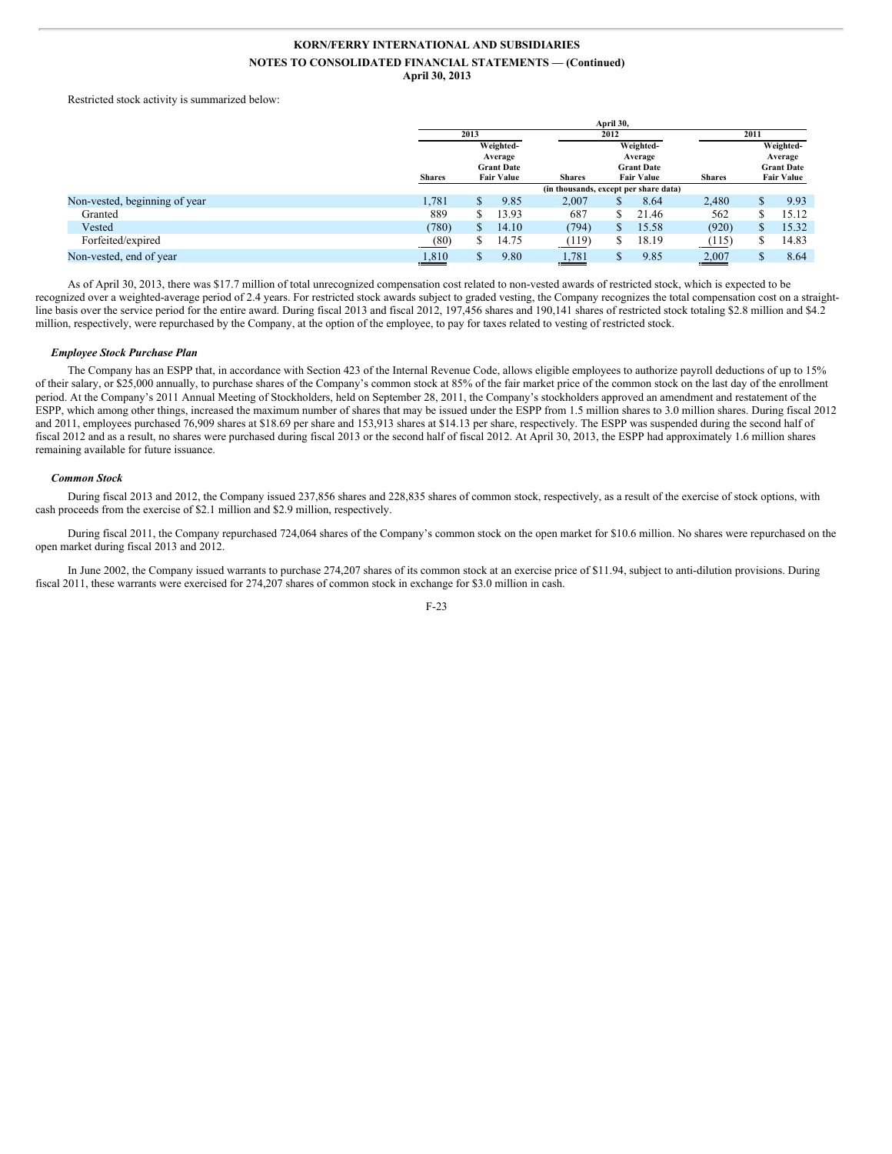Restricted stock activity is summarized below:

|                               |               |      |                   |                                       | April 30, |                   |                 |      |                   |  |
|-------------------------------|---------------|------|-------------------|---------------------------------------|-----------|-------------------|-----------------|------|-------------------|--|
|                               |               | 2013 |                   |                                       | 2012      |                   |                 | 2011 |                   |  |
|                               |               |      | Weighted-         |                                       |           | Weighted-         |                 |      | Weighted-         |  |
|                               |               |      | Average           |                                       |           | Average           |                 |      | Average           |  |
|                               |               |      | <b>Grant Date</b> |                                       |           | <b>Grant Date</b> |                 |      | <b>Grant Date</b> |  |
|                               | <b>Shares</b> |      | <b>Fair Value</b> | <b>Shares</b>                         |           | <b>Fair Value</b> | <b>Shares</b>   |      | <b>Fair Value</b> |  |
|                               |               |      |                   | (in thousands, except per share data) |           |                   |                 |      |                   |  |
| Non-vested, beginning of year | 1,781         | S.   | 9.85              | 2,007                                 |           | 8.64              | 2,480           | \$   | 9.93              |  |
| Granted                       | 889           | S.   | 13.93             | 687                                   | \$        | 21.46             | 562             |      | 15.12             |  |
| Vested                        | (780)         | S.   | 14.10             | (794)                                 | S.        | 15.58             | (920)           | a.   | 15.32             |  |
| Forfeited/expired             | (80)          | S.   | 14.75             | (119)                                 | S         | 18.19             | (115)           | \$   | 14.83             |  |
| Non-vested, end of year       | 1,810         | S.   | 9.80              | 1,781<br><b>Property</b> 2004         | \$.       | 9.85              | 2,007<br>$\sim$ | D    | 8.64              |  |
|                               |               |      |                   |                                       |           |                   |                 |      |                   |  |

As of April 30, 2013, there was \$17.7 million of total unrecognized compensation cost related to non-vested awards of restricted stock, which is expected to be recognized over a weighted-average period of 2.4 years. For restricted stock awards subject to graded vesting, the Company recognizes the total compensation cost on a straightline basis over the service period for the entire award. During fiscal 2013 and fiscal 2012, 197,456 shares and 190,141 shares of restricted stock totaling \$2.8 million and \$4.2 million, respectively, were repurchased by the Company, at the option of the employee, to pay for taxes related to vesting of restricted stock.

#### *Employee Stock Purchase Plan*

The Company has an ESPP that, in accordance with Section 423 of the Internal Revenue Code, allows eligible employees to authorize payroll deductions of up to 15% of their salary, or \$25,000 annually, to purchase shares of the Company's common stock at 85% of the fair market price of the common stock on the last day of the enrollment period. At the Company's 2011 Annual Meeting of Stockholders, held on September 28, 2011, the Company's stockholders approved an amendment and restatement of the ESPP, which among other things, increased the maximum number of shares that may be issued under the ESPP from 1.5 million shares to 3.0 million shares. During fiscal 2012 and 2011, employees purchased 76,909 shares at \$18.69 per share and 153,913 shares at \$14.13 per share, respectively. The ESPP was suspended during the second half of fiscal 2012 and as a result, no shares were purchased during fiscal 2013 or the second half of fiscal 2012. At April 30, 2013, the ESPP had approximately 1.6 million shares remaining available for future issuance.

### *Common Stock*

During fiscal 2013 and 2012, the Company issued 237,856 shares and 228,835 shares of common stock, respectively, as a result of the exercise of stock options, with cash proceeds from the exercise of \$2.1 million and \$2.9 million, respectively.

During fiscal 2011, the Company repurchased 724,064 shares of the Company's common stock on the open market for \$10.6 million. No shares were repurchased on the open market during fiscal 2013 and 2012.

In June 2002, the Company issued warrants to purchase 274,207 shares of its common stock at an exercise price of \$11.94, subject to anti-dilution provisions. During fiscal 2011, these warrants were exercised for 274,207 shares of common stock in exchange for \$3.0 million in cash.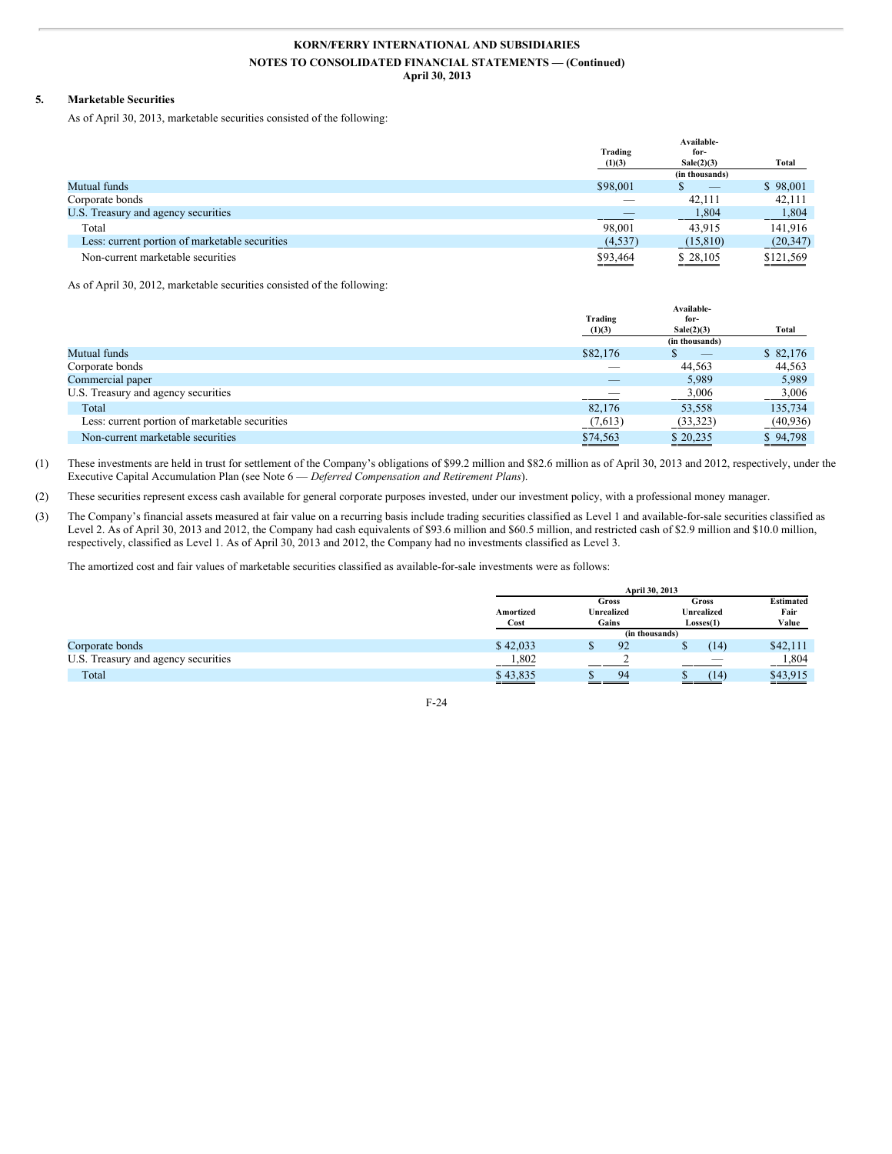### **5. Marketable Securities**

As of April 30, 2013, marketable securities consisted of the following:

|          | Available-     |           |
|----------|----------------|-----------|
| Trading  | for-           |           |
| (1)(3)   | Sale(2)(3)     | Total     |
|          | (in thousands) |           |
| \$98,001 |                | \$98,001  |
|          | 42,111         | 42,111    |
| _        |                | 1,804     |
| 98,001   | 43.915         | 141.916   |
| (4, 537) | (15, 810)      | (20, 347) |
| \$93,464 | \$28,105       | \$121,569 |
|          |                | 1,804     |

As of April 30, 2012, marketable securities consisted of the following:

|                                                |          | Available-                      |              |
|------------------------------------------------|----------|---------------------------------|--------------|
|                                                | Trading  | for-                            |              |
|                                                | (1)(3)   | Sale(2)(3)                      | <b>Total</b> |
|                                                |          | (in thousands)                  |              |
| Mutual funds                                   | \$82,176 | $\hspace{0.1mm}-\hspace{0.1mm}$ | \$82,176     |
| Corporate bonds                                |          | 44,563                          | 44,563       |
| Commercial paper                               |          | 5,989                           | 5,989        |
| U.S. Treasury and agency securities            |          | 3,006                           | 3,006        |
| Total                                          | 82,176   | 53,558                          | 135,734      |
| Less: current portion of marketable securities | (7,613)  | (33, 323)                       | (40, 936)    |
| Non-current marketable securities              | \$74,563 | \$20,235                        | \$94,798     |
|                                                |          |                                 |              |

(1) These investments are held in trust for settlement of the Company's obligations of \$99.2 million and \$82.6 million as of April 30, 2013 and 2012, respectively, under the Executive Capital Accumulation Plan (see Note 6 — *Deferred Compensation and Retirement Plans*).

(2) These securities represent excess cash available for general corporate purposes invested, under our investment policy, with a professional money manager.

(3) The Company's financial assets measured at fair value on a recurring basis include trading securities classified as Level 1 and available-for-sale securities classified as Level 2. As of April 30, 2013 and 2012, the Company had cash equivalents of \$93.6 million and \$60.5 million, and restricted cash of \$2.9 million and \$10.0 million, respectively, classified as Level 1. As of April 30, 2013 and 2012, the Company had no investments classified as Level 3.

The amortized cost and fair values of marketable securities classified as available-for-sale investments were as follows:

|                                     |                   | April 30, 2013    |                   |                  |  |  |  |
|-------------------------------------|-------------------|-------------------|-------------------|------------------|--|--|--|
|                                     |                   | Gross             | Gross             | <b>Estimated</b> |  |  |  |
|                                     | Amortized         | <b>Unrealized</b> | <b>Unrealized</b> | Fair             |  |  |  |
|                                     | Cost              | Gains             | Losses(1)         | Value            |  |  |  |
|                                     |                   | (in thousands)    |                   |                  |  |  |  |
| Corporate bonds                     | \$42,033          | 92                | (14)              | \$42,111         |  |  |  |
| U.S. Treasury and agency securities | 1,802             |                   | _                 | $-1,804$         |  |  |  |
| Total                               | \$43,835<br>_____ | 94<br>____        | (14)              | \$43,915         |  |  |  |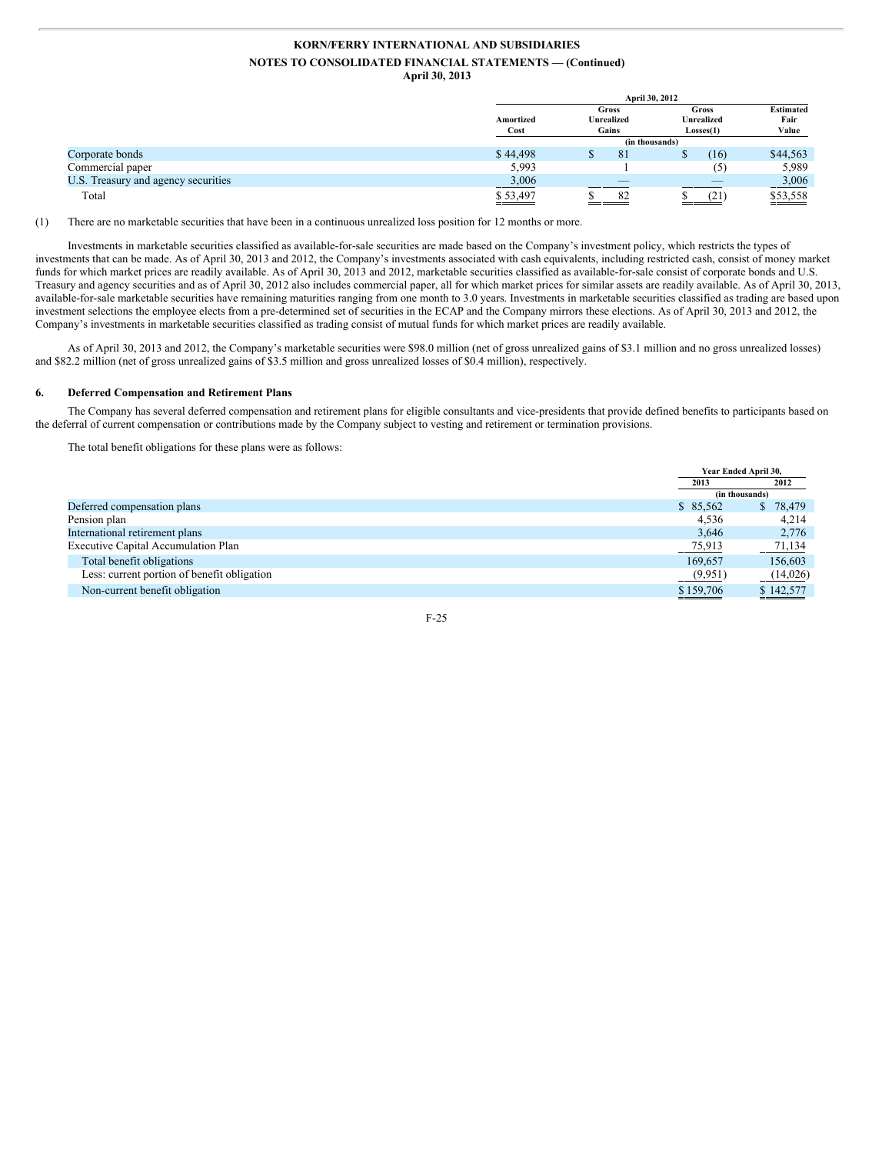|                                     |                     | April 30, 2012           |           |                            |                          |  |  |  |
|-------------------------------------|---------------------|--------------------------|-----------|----------------------------|--------------------------|--|--|--|
|                                     | Gross<br>Unrealized | Amortized                |           | Gross<br><b>Unrealized</b> | <b>Estimated</b><br>Fair |  |  |  |
|                                     | Cost                | Gains                    | Losses(1) | Value                      |                          |  |  |  |
|                                     |                     | (in thousands)           |           |                            |                          |  |  |  |
| Corporate bonds                     | \$44,498            | 81<br>٨D                 | (16)      | \$44,563                   |                          |  |  |  |
| Commercial paper                    | 5,993               |                          | (5)       | 5,989                      |                          |  |  |  |
| U.S. Treasury and agency securities | 3,006               | $\overline{\phantom{a}}$ | _         | 3,006                      |                          |  |  |  |
| Total                               | \$53,497            | 82                       | (21)      | \$53,558                   |                          |  |  |  |

(1) There are no marketable securities that have been in a continuous unrealized loss position for 12 months or more.

Investments in marketable securities classified as available-for-sale securities are made based on the Company's investment policy, which restricts the types of investments that can be made. As of April 30, 2013 and 2012, the Company's investments associated with cash equivalents, including restricted cash, consist of money market funds for which market prices are readily available. As of April 30, 2013 and 2012, marketable securities classified as available-for-sale consist of corporate bonds and U.S. Treasury and agency securities and as of April 30, 2012 also includes commercial paper, all for which market prices for similar assets are readily available. As of April 30, 2013, available-for-sale marketable securities have remaining maturities ranging from one month to 3.0 years. Investments in marketable securities classified as trading are based upon investment selections the employee elects from a pre-determined set of securities in the ECAP and the Company mirrors these elections. As of April 30, 2013 and 2012, the Company's investments in marketable securities classified as trading consist of mutual funds for which market prices are readily available.

As of April 30, 2013 and 2012, the Company's marketable securities were \$98.0 million (net of gross unrealized gains of \$3.1 million and no gross unrealized losses) and \$82.2 million (net of gross unrealized gains of \$3.5 million and gross unrealized losses of \$0.4 million), respectively.

### **6. Deferred Compensation and Retirement Plans**

The Company has several deferred compensation and retirement plans for eligible consultants and vice-presidents that provide defined benefits to participants based on the deferral of current compensation or contributions made by the Company subject to vesting and retirement or termination provisions.

The total benefit obligations for these plans were as follows:

|                                             |           | Year Ended April 30, |
|---------------------------------------------|-----------|----------------------|
|                                             | 2013      | 2012                 |
|                                             |           | (in thousands)       |
| Deferred compensation plans                 | \$85,562  | 78,479<br>S          |
| Pension plan                                | 4.536     | 4,214                |
| International retirement plans              | 3.646     | 2,776                |
| <b>Executive Capital Accumulation Plan</b>  | 75,913    | 71,134               |
| Total benefit obligations                   | 169,657   | 156,603              |
| Less: current portion of benefit obligation | (9,951)   | (14,026)             |
| Non-current benefit obligation              | \$159,706 | \$142,577            |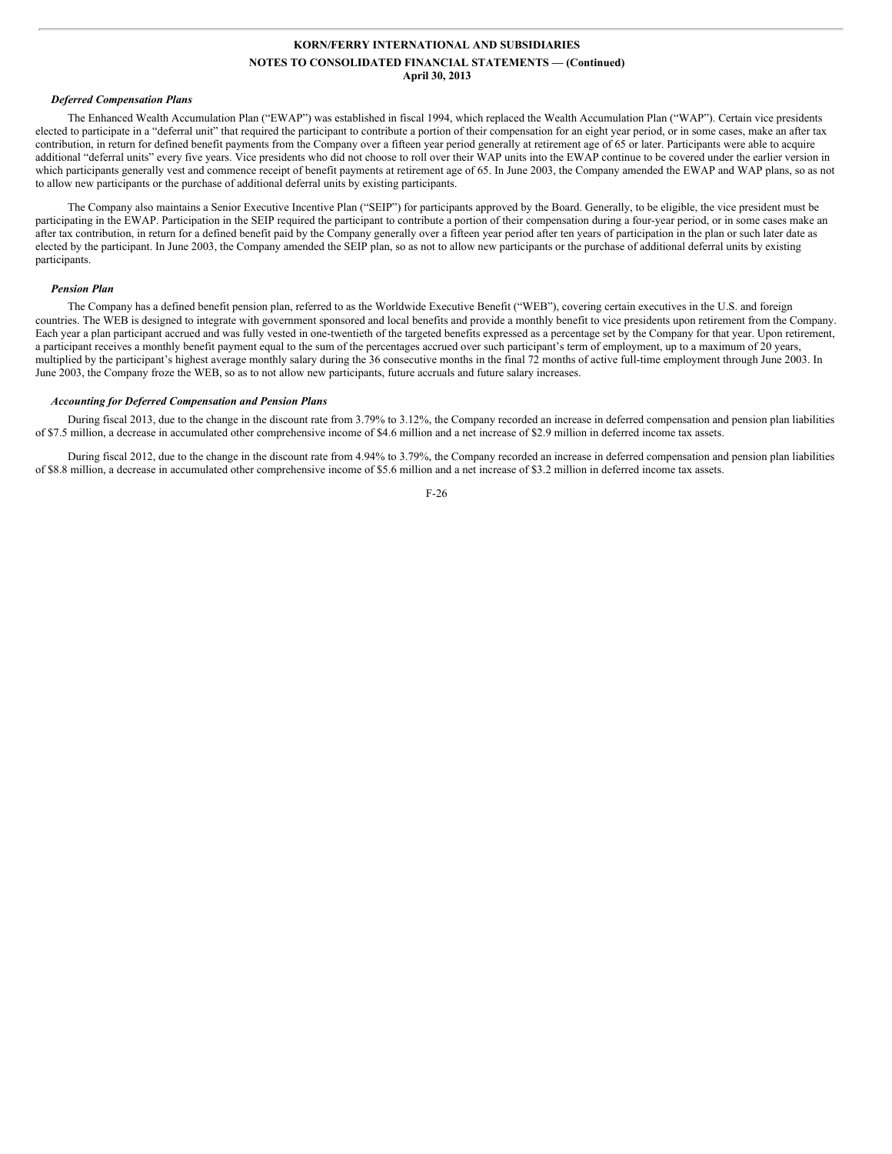#### *Deferred Compensation Plans*

The Enhanced Wealth Accumulation Plan ("EWAP") was established in fiscal 1994, which replaced the Wealth Accumulation Plan ("WAP"). Certain vice presidents elected to participate in a "deferral unit" that required the participant to contribute a portion of their compensation for an eight year period, or in some cases, make an after tax contribution, in return for defined benefit payments from the Company over a fifteen year period generally at retirement age of 65 or later. Participants were able to acquire additional "deferral units" every five years. Vice presidents who did not choose to roll over their WAP units into the EWAP continue to be covered under the earlier version in which participants generally vest and commence receipt of benefit payments at retirement age of 65. In June 2003, the Company amended the EWAP and WAP plans, so as not to allow new participants or the purchase of additional deferral units by existing participants.

The Company also maintains a Senior Executive Incentive Plan ("SEIP") for participants approved by the Board. Generally, to be eligible, the vice president must be participating in the EWAP. Participation in the SEIP required the participant to contribute a portion of their compensation during a four-year period, or in some cases make an after tax contribution, in return for a defined benefit paid by the Company generally over a fifteen year period after ten years of participation in the plan or such later date as elected by the participant. In June 2003, the Company amended the SEIP plan, so as not to allow new participants or the purchase of additional deferral units by existing participants.

### *Pension Plan*

The Company has a defined benefit pension plan, referred to as the Worldwide Executive Benefit ("WEB"), covering certain executives in the U.S. and foreign countries. The WEB is designed to integrate with government sponsored and local benefits and provide a monthly benefit to vice presidents upon retirement from the Company. Each year a plan participant accrued and was fully vested in one-twentieth of the targeted benefits expressed as a percentage set by the Company for that year. Upon retirement, a participant receives a monthly benefit payment equal to the sum of the percentages accrued over such participant's term of employment, up to a maximum of 20 years, multiplied by the participant's highest average monthly salary during the 36 consecutive months in the final 72 months of active full-time employment through June 2003. In June 2003, the Company froze the WEB, so as to not allow new participants, future accruals and future salary increases.

#### *Accounting for Deferred Compensation and Pension Plans*

During fiscal 2013, due to the change in the discount rate from 3.79% to 3.12%, the Company recorded an increase in deferred compensation and pension plan liabilities of \$7.5 million, a decrease in accumulated other comprehensive income of \$4.6 million and a net increase of \$2.9 million in deferred income tax assets.

During fiscal 2012, due to the change in the discount rate from 4.94% to 3.79%, the Company recorded an increase in deferred compensation and pension plan liabilities of \$8.8 million, a decrease in accumulated other comprehensive income of \$5.6 million and a net increase of \$3.2 million in deferred income tax assets.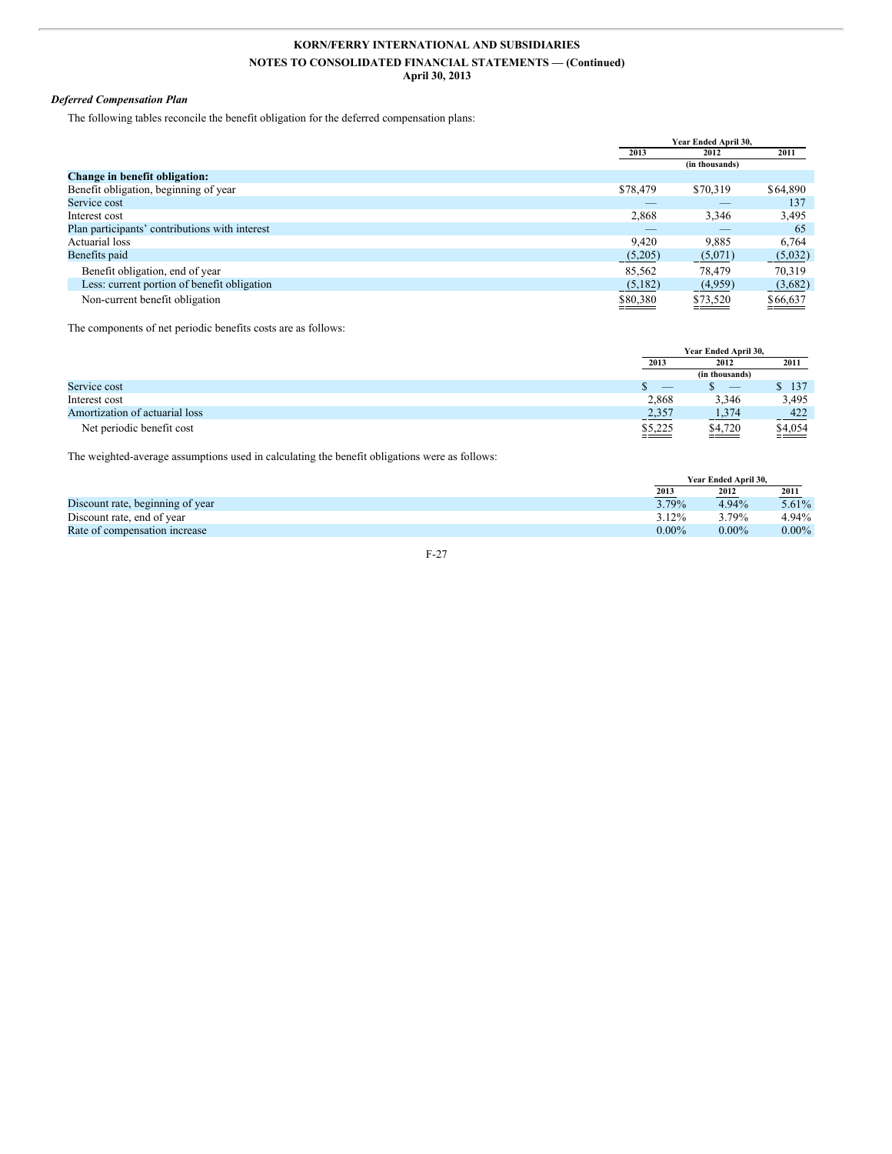## *Deferred Compensation Plan*

The following tables reconcile the benefit obligation for the deferred compensation plans:

|                                                | Year Ended April 30, |                |          |
|------------------------------------------------|----------------------|----------------|----------|
|                                                | 2013                 | 2012           |          |
|                                                |                      | (in thousands) |          |
| Change in benefit obligation:                  |                      |                |          |
| Benefit obligation, beginning of year          | \$78,479             | \$70,319       | \$64,890 |
| Service cost                                   |                      |                | 137      |
| Interest cost                                  | 2,868                | 3,346          | 3,495    |
| Plan participants' contributions with interest |                      |                | 65       |
| Actuarial loss                                 | 9,420                | 9,885          | 6,764    |
| Benefits paid                                  | (5,205)              | (5,071)        | (5,032)  |
| Benefit obligation, end of year                | 85,562               | 78,479         | 70,319   |
| Less: current portion of benefit obligation    | (5,182)              | (4,959)        | (3,682)  |
| Non-current benefit obligation                 | \$80,380             | \$73,520       | \$66,637 |

The components of net periodic benefits costs are as follows:

|                                | Year Ended April 30.     |                          |         |
|--------------------------------|--------------------------|--------------------------|---------|
|                                | 2013                     | 2012                     | 2011    |
|                                |                          | (in thousands)           |         |
| Service cost                   | $\overline{\phantom{a}}$ | $\overline{\phantom{a}}$ | \$137   |
| Interest cost                  | 2,868                    | 3,346                    | 3,495   |
| Amortization of actuarial loss | 2,357                    | 1,374                    | 422     |
| Net periodic benefit cost      | \$5,225                  | \$4,720                  | \$4,054 |

The weighted-average assumptions used in calculating the benefit obligations were as follows:

|                                  |          | Year Ended April 30. |          |  |
|----------------------------------|----------|----------------------|----------|--|
|                                  | 2013     | 2012                 | 2011     |  |
| Discount rate, beginning of year | 3.79%    | 4.94%                | $5.61\%$ |  |
| Discount rate, end of year       | 3.12%    | 3.79%                | 4.94%    |  |
| Rate of compensation increase    | $0.00\%$ | $0.00\%$             | $0.00\%$ |  |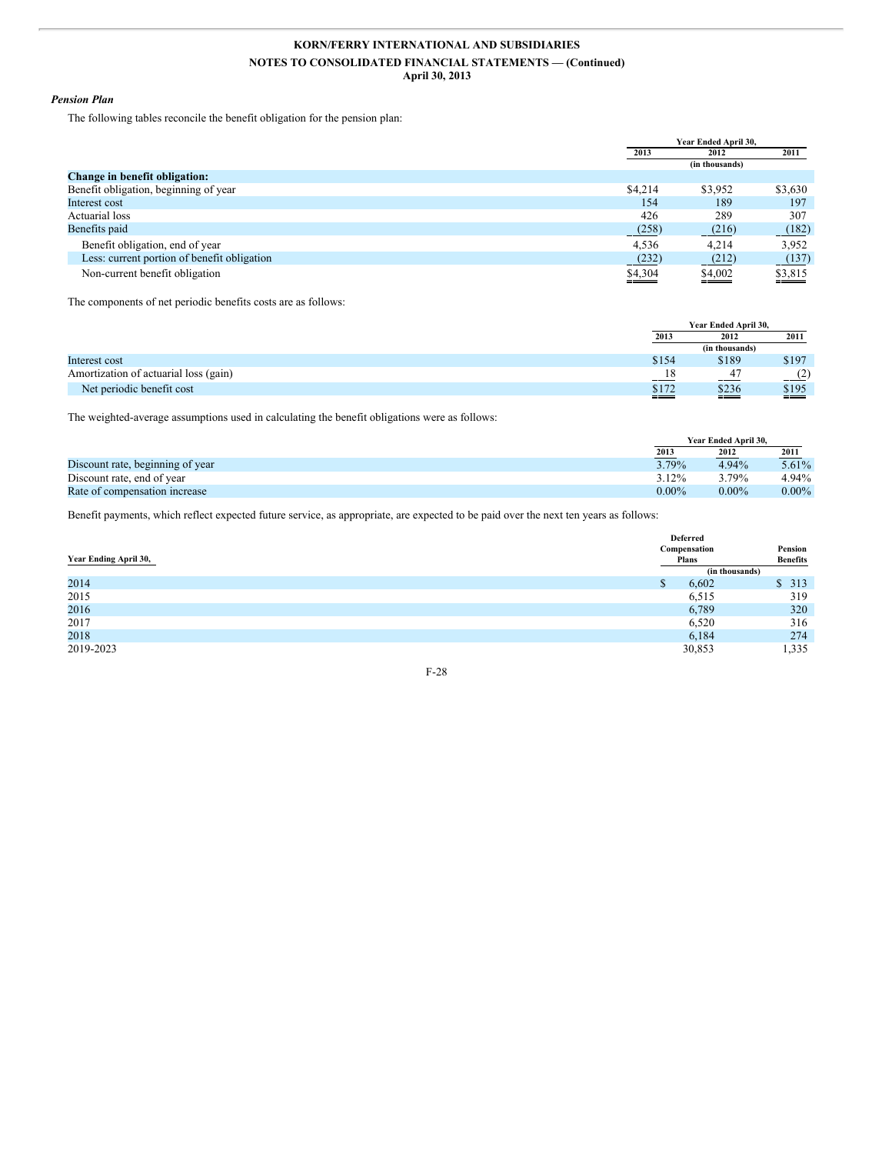### *Pension Plan*

The following tables reconcile the benefit obligation for the pension plan:

|                                             |         | Year Ended April 30, |         |  |
|---------------------------------------------|---------|----------------------|---------|--|
|                                             | 2013    | 2012                 | 2011    |  |
|                                             |         | (in thousands)       |         |  |
| <b>Change in benefit obligation:</b>        |         |                      |         |  |
| Benefit obligation, beginning of year       | \$4,214 | \$3,952              | \$3,630 |  |
| Interest cost                               | 154     | 189                  | 197     |  |
| Actuarial loss                              | 426     | 289                  | 307     |  |
| Benefits paid                               | (258)   | (216)                | (182)   |  |
| Benefit obligation, end of year             | 4.536   | 4.214                | 3,952   |  |
| Less: current portion of benefit obligation | (232)   | (212)                | (137)   |  |
| Non-current benefit obligation              | \$4,304 | \$4,002              | \$3,815 |  |

The components of net periodic benefits costs are as follows:

|                                       |              | Year Ended April 30. |              |  |
|---------------------------------------|--------------|----------------------|--------------|--|
|                                       | 2013<br>2012 |                      | 2011         |  |
|                                       |              | (in thousands)       |              |  |
| Interest cost                         | \$154        | \$189                | \$197        |  |
| Amortization of actuarial loss (gain) | 18           | -47                  | (2)          |  |
| Net periodic benefit cost             | \$172        | \$236<br>__          | \$195<br>--- |  |

The weighted-average assumptions used in calculating the benefit obligations were as follows:

|                                  | Year Ended April 30. |          |          |
|----------------------------------|----------------------|----------|----------|
|                                  | 2013                 | 2012     | 2011     |
| Discount rate, beginning of year | 3.79%                | 4.94%    | $5.61\%$ |
| Discount rate, end of year       | 3.12%                | 3.79%    | 4.94%    |
| Rate of compensation increase    | $0.00\%$             | $0.00\%$ | $0.00\%$ |

Benefit payments, which reflect expected future service, as appropriate, are expected to be paid over the next ten years as follows:

|                       |  | Deferred       |                 |
|-----------------------|--|----------------|-----------------|
|                       |  | Compensation   | Pension         |
| Year Ending April 30, |  | Plans          | <b>Benefits</b> |
|                       |  | (in thousands) |                 |
| 2014                  |  | 6,602          | 313<br>S        |
| 2015                  |  | 6,515          | 319             |
| 2016                  |  | 6,789          | 320             |
| 2017                  |  | 6,520          | 316             |
| 2018                  |  | 6,184          | 274             |
| 2019-2023             |  | 30,853         | 1,335           |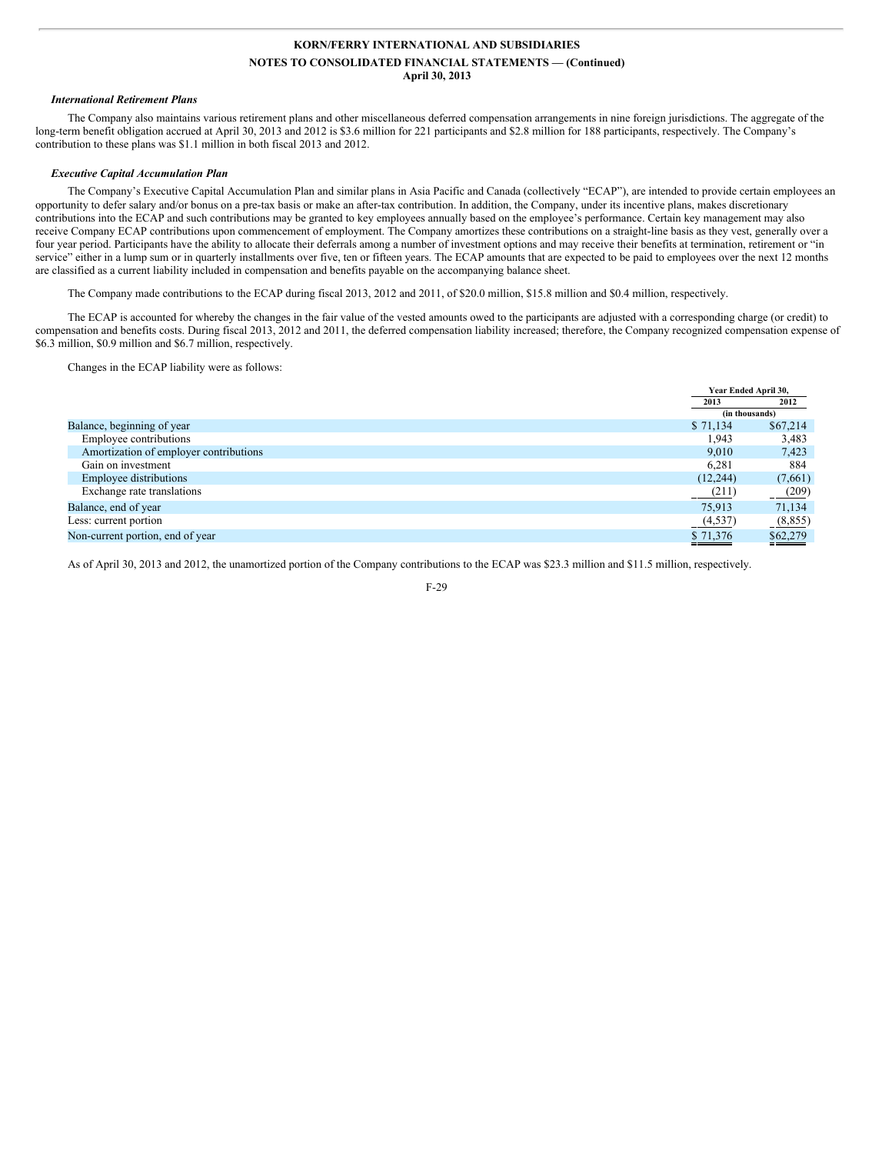#### *International Retirement Plans*

The Company also maintains various retirement plans and other miscellaneous deferred compensation arrangements in nine foreign jurisdictions. The aggregate of the long-term benefit obligation accrued at April 30, 2013 and 2012 is \$3.6 million for 221 participants and \$2.8 million for 188 participants, respectively. The Company's contribution to these plans was \$1.1 million in both fiscal 2013 and 2012.

### *Executive Capital Accumulation Plan*

The Company's Executive Capital Accumulation Plan and similar plans in Asia Pacific and Canada (collectively "ECAP"), are intended to provide certain employees an opportunity to defer salary and/or bonus on a pre-tax basis or make an after-tax contribution. In addition, the Company, under its incentive plans, makes discretionary contributions into the ECAP and such contributions may be granted to key employees annually based on the employee's performance. Certain key management may also receive Company ECAP contributions upon commencement of employment. The Company amortizes these contributions on a straight-line basis as they vest, generally over a four year period. Participants have the ability to allocate their deferrals among a number of investment options and may receive their benefits at termination, retirement or "in service" either in a lump sum or in quarterly installments over five, ten or fifteen years. The ECAP amounts that are expected to be paid to employees over the next 12 months are classified as a current liability included in compensation and benefits payable on the accompanying balance sheet.

The Company made contributions to the ECAP during fiscal 2013, 2012 and 2011, of \$20.0 million, \$15.8 million and \$0.4 million, respectively.

The ECAP is accounted for whereby the changes in the fair value of the vested amounts owed to the participants are adjusted with a corresponding charge (or credit) to compensation and benefits costs. During fiscal 2013, 2012 and 2011, the deferred compensation liability increased; therefore, the Company recognized compensation expense of \$6.3 million, \$0.9 million and \$6.7 million, respectively.

Changes in the ECAP liability were as follows:

|                                        |           | Year Ended April 30, |
|----------------------------------------|-----------|----------------------|
|                                        | 2013      | 2012                 |
|                                        |           | (in thousands)       |
| Balance, beginning of year             | \$71,134  | \$67,214             |
| Employee contributions                 | 1,943     | 3,483                |
| Amortization of employer contributions | 9,010     | 7,423                |
| Gain on investment                     | 6,281     | 884                  |
| <b>Employee distributions</b>          | (12, 244) | (7,661)              |
| Exchange rate translations             | (211)     | (209)                |
| Balance, end of year                   | 75,913    | 71,134               |
| Less: current portion                  | (4,537)   | (8,855)              |
| Non-current portion, end of year       | \$71,376  | \$62,279             |

As of April 30, 2013 and 2012, the unamortized portion of the Company contributions to the ECAP was \$23.3 million and \$11.5 million, respectively.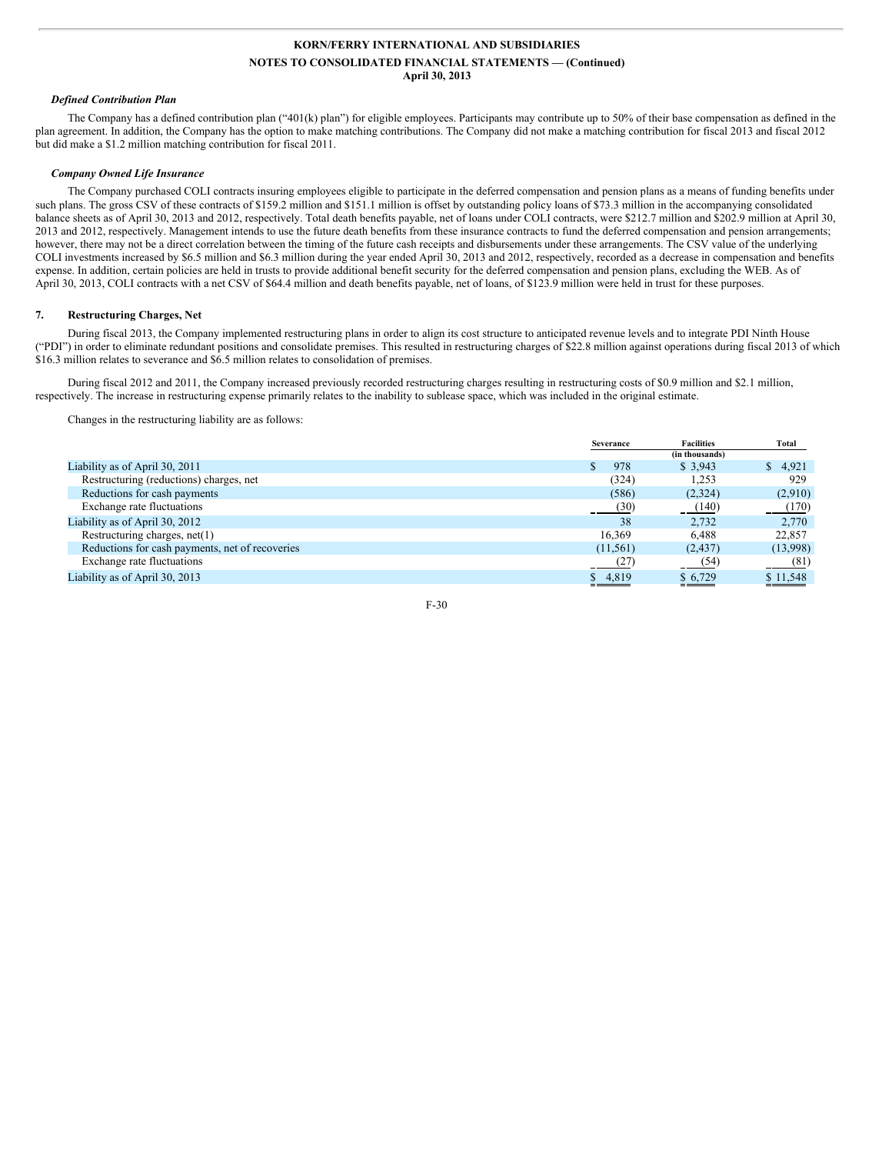### *Defined Contribution Plan*

The Company has a defined contribution plan ("401(k) plan") for eligible employees. Participants may contribute up to 50% of their base compensation as defined in the plan agreement. In addition, the Company has the option to make matching contributions. The Company did not make a matching contribution for fiscal 2013 and fiscal 2012 but did make a \$1.2 million matching contribution for fiscal 2011.

#### *Company Owned Life Insurance*

The Company purchased COLI contracts insuring employees eligible to participate in the deferred compensation and pension plans as a means of funding benefits under such plans. The gross CSV of these contracts of \$159.2 million and \$151.1 million is offset by outstanding policy loans of \$73.3 million in the accompanying consolidated balance sheets as of April 30, 2013 and 2012, respectively. Total death benefits payable, net of loans under COLI contracts, were \$212.7 million and \$202.9 million at April 30, 2013 and 2012, respectively. Management intends to use the future death benefits from these insurance contracts to fund the deferred compensation and pension arrangements; however, there may not be a direct correlation between the timing of the future cash receipts and disbursements under these arrangements. The CSV value of the underlying COLI investments increased by \$6.5 million and \$6.3 million during the year ended April 30, 2013 and 2012, respectively, recorded as a decrease in compensation and benefits expense. In addition, certain policies are held in trusts to provide additional benefit security for the deferred compensation and pension plans, excluding the WEB. As of April 30, 2013, COLI contracts with a net CSV of \$64.4 million and death benefits payable, net of loans, of \$123.9 million were held in trust for these purposes.

### **7. Restructuring Charges, Net**

During fiscal 2013, the Company implemented restructuring plans in order to align its cost structure to anticipated revenue levels and to integrate PDI Ninth House ("PDI") in order to eliminate redundant positions and consolidate premises. This resulted in restructuring charges of \$22.8 million against operations during fiscal 2013 of which \$16.3 million relates to severance and \$6.5 million relates to consolidation of premises.

During fiscal 2012 and 2011, the Company increased previously recorded restructuring charges resulting in restructuring costs of \$0.9 million and \$2.1 million, respectively. The increase in restructuring expense primarily relates to the inability to sublease space, which was included in the original estimate.

Changes in the restructuring liability are as follows:

|                                                 | Severance | <b>Facilities</b> | Total    |
|-------------------------------------------------|-----------|-------------------|----------|
|                                                 |           | (in thousands)    |          |
| Liability as of April 30, 2011                  | 978       | \$3,943           | \$4,921  |
| Restructuring (reductions) charges, net         | (324)     | 1,253             | 929      |
| Reductions for cash payments                    | (586)     | (2,324)           | (2,910)  |
| Exchange rate fluctuations                      | (30)      | (140)             | (170)    |
| Liability as of April 30, 2012                  | 38        | 2.732             | 2.770    |
| Restructuring charges, $net(1)$                 | 16,369    | 6.488             | 22,857   |
| Reductions for cash payments, net of recoveries | (11, 561) | (2, 437)          | (13,998) |
| Exchange rate fluctuations                      | (27)      | (54)              | (81)     |
| Liability as of April 30, 2013                  | \$4,819   |                   |          |
|                                                 |           | \$6,729           | \$11,548 |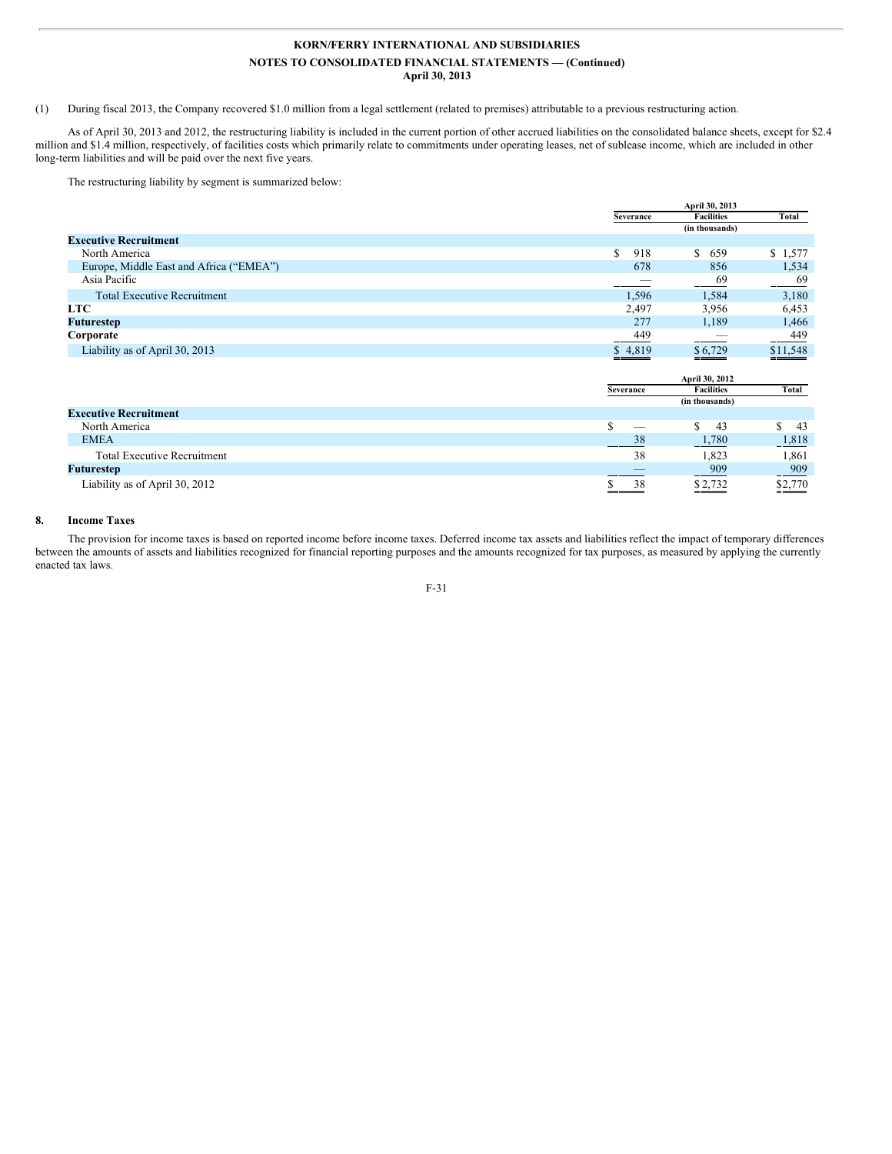(1) During fiscal 2013, the Company recovered \$1.0 million from a legal settlement (related to premises) attributable to a previous restructuring action.

As of April 30, 2013 and 2012, the restructuring liability is included in the current portion of other accrued liabilities on the consolidated balance sheets, except for \$2.4 million and \$1.4 million, respectively, of facilities costs which primarily relate to commitments under operating leases, net of sublease income, which are included in other long-term liabilities and will be paid over the next five years.

The restructuring liability by segment is summarized below:

|                                         |           | April 30, 2013    |          |  |
|-----------------------------------------|-----------|-------------------|----------|--|
|                                         | Severance | <b>Facilities</b> | Total    |  |
|                                         |           | (in thousands)    |          |  |
| <b>Executive Recruitment</b>            |           |                   |          |  |
| North America                           | 918<br>\$ | S.<br>659         | \$1,577  |  |
| Europe, Middle East and Africa ("EMEA") | 678       | 856               | 1,534    |  |
| Asia Pacific                            |           | 69                | -69      |  |
| <b>Total Executive Recruitment</b>      | 1,596     | 1,584             | 3,180    |  |
| <b>LTC</b>                              | 2,497     | 3,956             | 6,453    |  |
| <b>Futurestep</b>                       | 277       | 1,189             | 1,466    |  |
| Corporate                               | 449       |                   | 449      |  |
| Liability as of April 30, 2013          | \$4,819   | \$6,729           | \$11,548 |  |

|                                    |                                    | April 30, 2012    |       |  |
|------------------------------------|------------------------------------|-------------------|-------|--|
|                                    | Severance                          | <b>Facilities</b> |       |  |
|                                    |                                    | (in thousands)    |       |  |
| <b>Executive Recruitment</b>       |                                    |                   |       |  |
| North America                      | ¢<br>$\overline{\phantom{m}}$<br>Æ | S<br>43           | 43    |  |
| <b>EMEA</b>                        | 38                                 | 1,780             | 1,818 |  |
| <b>Total Executive Recruitment</b> | 38                                 | 1.823             | 1,861 |  |
| <b>Futurestep</b>                  |                                    | 909               | 909   |  |
| Liability as of April 30, 2012     | 38                                 | \$2,732           | .770  |  |

### **8. Income Taxes**

The provision for income taxes is based on reported income before income taxes. Deferred income tax assets and liabilities reflect the impact of temporary differences between the amounts of assets and liabilities recognized for financial reporting purposes and the amounts recognized for tax purposes, as measured by applying the currently enacted tax laws.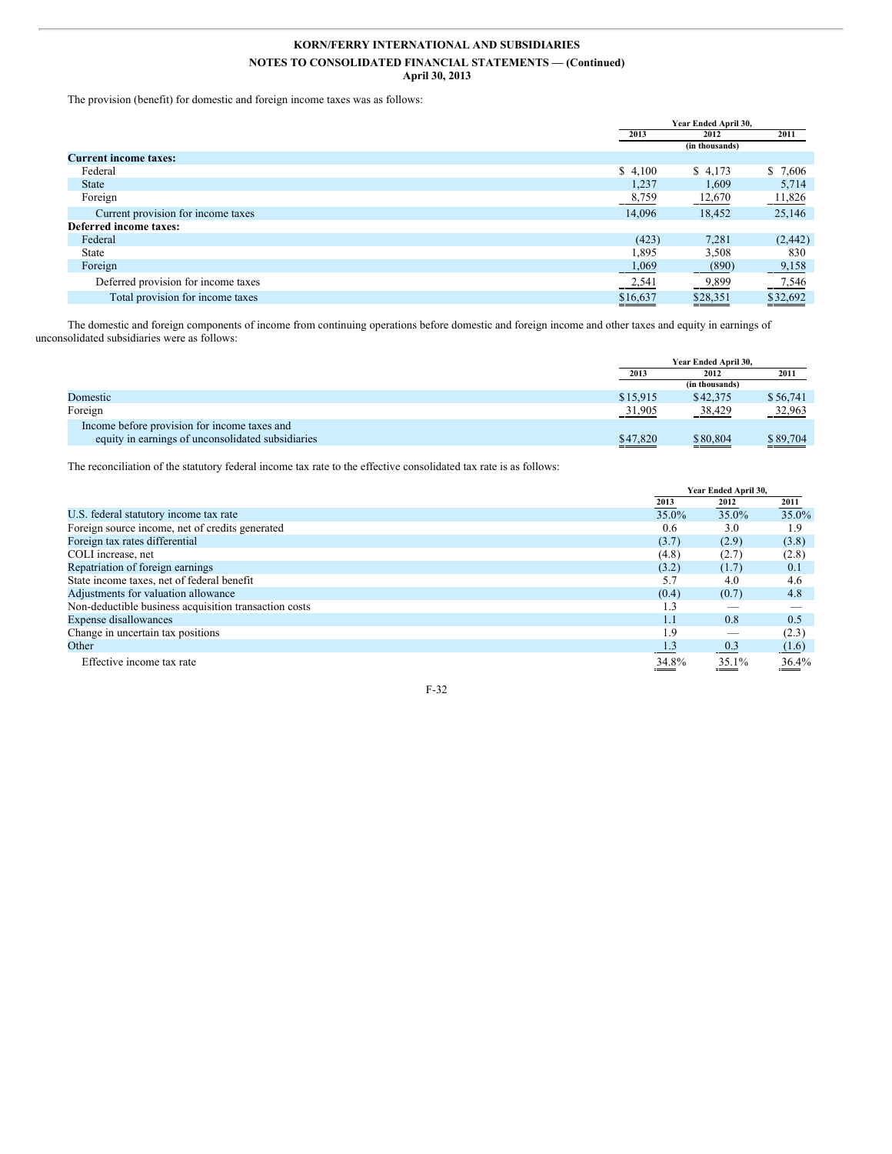The provision (benefit) for domestic and foreign income taxes was as follows:

|                                     |          | Year Ended April 30, |          |  |
|-------------------------------------|----------|----------------------|----------|--|
|                                     | 2013     | 2012                 | 2011     |  |
|                                     |          | (in thousands)       |          |  |
| <b>Current income taxes:</b>        |          |                      |          |  |
| Federal                             | \$4,100  | \$4,173              | \$7,606  |  |
| <b>State</b>                        | 1,237    | 1.609                | 5,714    |  |
| Foreign                             | 8,759    | 12,670               | 11,826   |  |
| Current provision for income taxes  | 14,096   | 18,452               | 25,146   |  |
| <b>Deferred income taxes:</b>       |          |                      |          |  |
| Federal                             | (423)    | 7,281                | (2, 442) |  |
| State                               | 1,895    | 3,508                | 830      |  |
| Foreign                             | 1,069    | (890)                | 9,158    |  |
| Deferred provision for income taxes | 2,541    | 9,899                | 7,546    |  |
| Total provision for income taxes    | \$16,637 | \$28,351             | \$32,692 |  |
|                                     |          |                      |          |  |

The domestic and foreign components of income from continuing operations before domestic and foreign income and other taxes and equity in earnings of unconsolidated subsidiaries were as follows:

|                                                   |          | Year Ended April 30, |          |  |
|---------------------------------------------------|----------|----------------------|----------|--|
|                                                   | 2013     | 2012                 | 2011     |  |
|                                                   |          | (in thousands)       |          |  |
| Domestic                                          | \$15.915 | \$42,375             | \$56,741 |  |
| Foreign                                           | 31,905   | 38,429               | 32,963   |  |
| Income before provision for income taxes and      |          |                      |          |  |
| equity in earnings of unconsolidated subsidiaries | \$47,820 | \$80,804             | \$89,704 |  |
|                                                   |          |                      |          |  |

The reconciliation of the statutory federal income tax rate to the effective consolidated tax rate is as follows:

|                                                       | Year Ended April 30, |       |          |
|-------------------------------------------------------|----------------------|-------|----------|
|                                                       | 2013                 | 2012  | 2011     |
| U.S. federal statutory income tax rate                | 35.0%                | 35.0% | $35.0\%$ |
| Foreign source income, net of credits generated       | 0.6                  | 3.0   | 1.9      |
| Foreign tax rates differential                        | (3.7)                | (2.9) | (3.8)    |
| COLI increase, net                                    | (4.8)                | (2.7) | (2.8)    |
| Repatriation of foreign earnings                      | (3.2)                | (1.7) | 0.1      |
| State income taxes, net of federal benefit            | 5.7                  | 4.0   | 4.6      |
| Adjustments for valuation allowance                   | (0.4)                | (0.7) | 4.8      |
| Non-deductible business acquisition transaction costs | 1.3                  |       |          |
| <b>Expense disallowances</b>                          | 1.1                  | 0.8   | 0.5      |
| Change in uncertain tax positions                     | 1.9                  | _     | (2.3)    |
| Other                                                 | 1.3                  | 0.3   | (1.6)    |
| Effective income tax rate                             | 34.8%                | 35.1% | 36.4%    |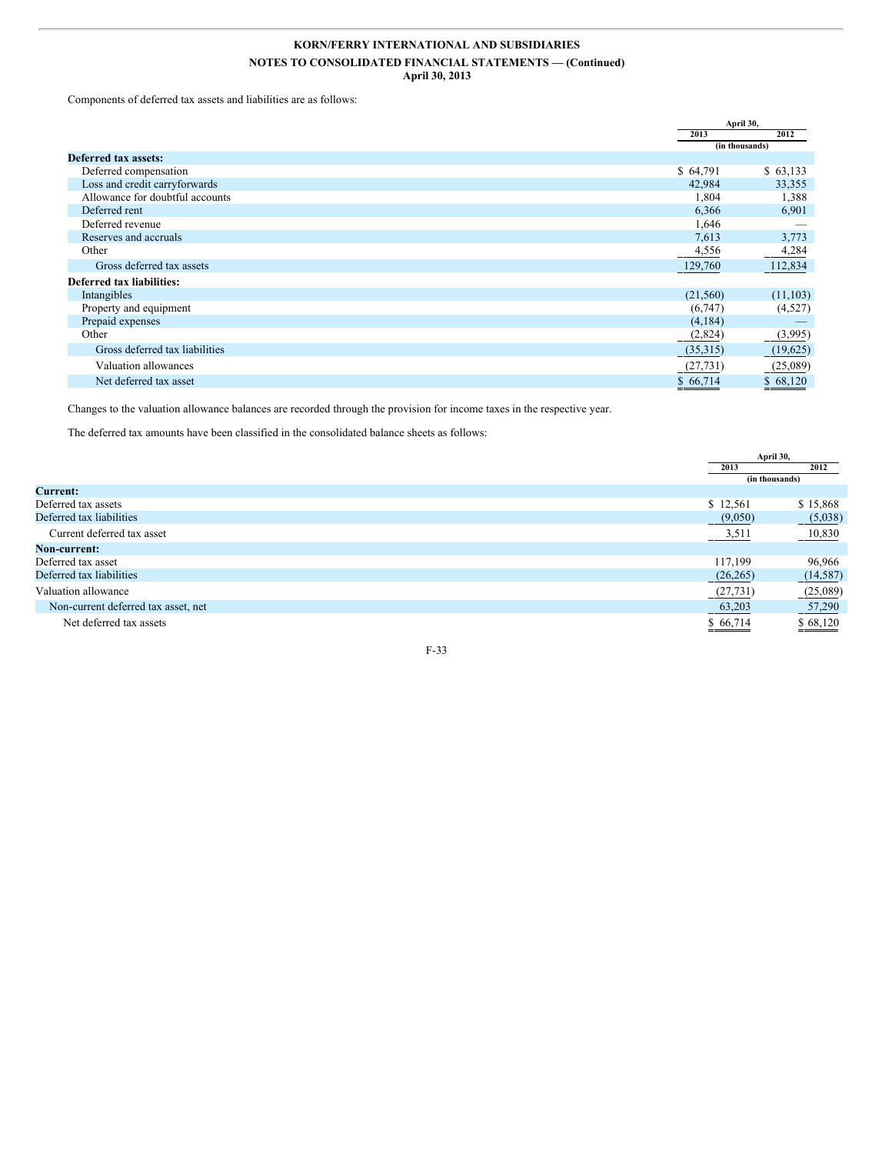Components of deferred tax assets and liabilities are as follows:

|                                  |           | April 30,      |
|----------------------------------|-----------|----------------|
|                                  | 2013      | 2012           |
|                                  |           | (in thousands) |
| Deferred tax assets:             |           |                |
| Deferred compensation            | \$64,791  | \$63,133       |
| Loss and credit carryforwards    | 42,984    | 33,355         |
| Allowance for doubtful accounts  | 1,804     | 1,388          |
| Deferred rent                    | 6,366     | 6,901          |
| Deferred revenue                 | 1,646     |                |
| Reserves and accruals            | 7,613     | 3,773          |
| Other                            | 4,556     | 4,284          |
| Gross deferred tax assets        | 129,760   | 112,834        |
| <b>Deferred tax liabilities:</b> |           |                |
| Intangibles                      | (21, 560) | (11, 103)      |
| Property and equipment           | (6,747)   | (4,527)        |
| Prepaid expenses                 | (4,184)   |                |
| Other                            | (2,824)   | (3,995)        |
| Gross deferred tax liabilities   | (35,315)  | (19,625)       |
| Valuation allowances             | (27, 731) | (25,089)       |
| Net deferred tax asset           | \$66,714  | \$68,120       |

Changes to the valuation allowance balances are recorded through the provision for income taxes in the respective year.

The deferred tax amounts have been classified in the consolidated balance sheets as follows:

|                                     |           | April 30,      |
|-------------------------------------|-----------|----------------|
|                                     | 2013      | 2012           |
|                                     |           | (in thousands) |
| <b>Current:</b>                     |           |                |
| Deferred tax assets                 | \$12,561  | \$15,868       |
| Deferred tax liabilities            | (9,050)   | (5,038)        |
| Current deferred tax asset          | 3,511     | 10,830         |
| <b>Non-current:</b>                 |           |                |
| Deferred tax asset                  | 117,199   | 96,966         |
| Deferred tax liabilities            | (26, 265) | (14, 587)      |
| Valuation allowance                 | (27, 731) | (25,089)       |
| Non-current deferred tax asset, net | 63,203    | 57,290         |
| Net deferred tax assets             | \$66,714  | \$68,120       |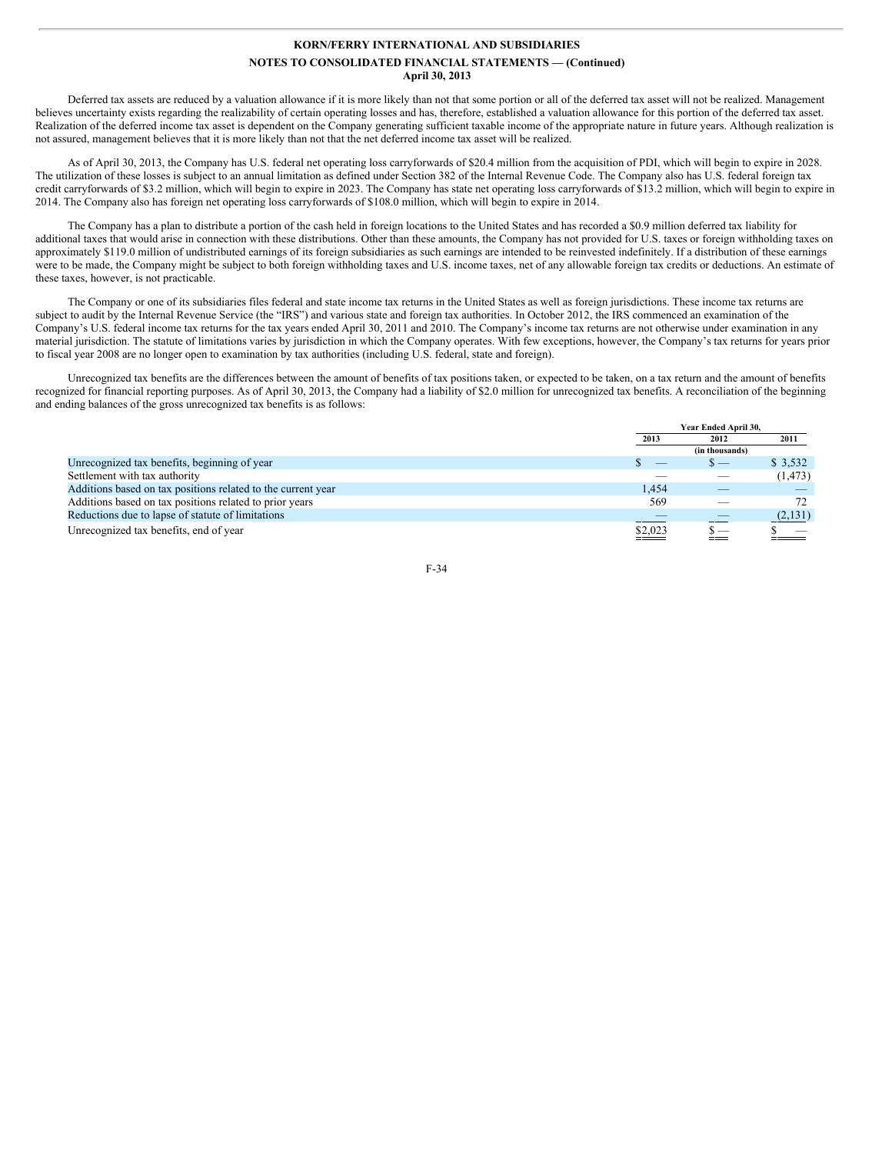Deferred tax assets are reduced by a valuation allowance if it is more likely than not that some portion or all of the deferred tax asset will not be realized. Management believes uncertainty exists regarding the realizability of certain operating losses and has, therefore, established a valuation allowance for this portion of the deferred tax asset. Realization of the deferred income tax asset is dependent on the Company generating sufficient taxable income of the appropriate nature in future years. Although realization is not assured, management believes that it is more likely than not that the net deferred income tax asset will be realized.

As of April 30, 2013, the Company has U.S. federal net operating loss carryforwards of \$20.4 million from the acquisition of PDI, which will begin to expire in 2028. The utilization of these losses is subject to an annual limitation as defined under Section 382 of the Internal Revenue Code. The Company also has U.S. federal foreign tax credit carryforwards of \$3.2 million, which will begin to expire in 2023. The Company has state net operating loss carryforwards of \$13.2 million, which will begin to expire in 2014. The Company also has foreign net operating loss carryforwards of \$108.0 million, which will begin to expire in 2014.

The Company has a plan to distribute a portion of the cash held in foreign locations to the United States and has recorded a \$0.9 million deferred tax liability for additional taxes that would arise in connection with these distributions. Other than these amounts, the Company has not provided for U.S. taxes or foreign withholding taxes on approximately \$119.0 million of undistributed earnings of its foreign subsidiaries as such earnings are intended to be reinvested indefinitely. If a distribution of these earnings were to be made, the Company might be subject to both foreign withholding taxes and U.S. income taxes, net of any allowable foreign tax credits or deductions. An estimate of these taxes, however, is not practicable.

The Company or one of its subsidiaries files federal and state income tax returns in the United States as well as foreign jurisdictions. These income tax returns are subject to audit by the Internal Revenue Service (the "IRS") and various state and foreign tax authorities. In October 2012, the IRS commenced an examination of the Company's U.S. federal income tax returns for the tax years ended April 30, 2011 and 2010. The Company's income tax returns are not otherwise under examination in any material jurisdiction. The statute of limitations varies by jurisdiction in which the Company operates. With few exceptions, however, the Company's tax returns for years prior to fiscal year 2008 are no longer open to examination by tax authorities (including U.S. federal, state and foreign).

Unrecognized tax benefits are the differences between the amount of benefits of tax positions taken, or expected to be taken, on a tax return and the amount of benefits recognized for financial reporting purposes. As of April 30, 2013, the Company had a liability of \$2.0 million for unrecognized tax benefits. A reconciliation of the beginning and ending balances of the gross unrecognized tax benefits is as follows:

|                                                              |         | Year Ended April 30, |          |  |
|--------------------------------------------------------------|---------|----------------------|----------|--|
|                                                              | 2013    | 2012                 | 2011     |  |
|                                                              |         | (in thousands)       |          |  |
| Unrecognized tax benefits, beginning of year                 |         | $s -$                | \$ 3,532 |  |
| Settlement with tax authority                                |         |                      | (1, 473) |  |
| Additions based on tax positions related to the current year | 1.454   |                      |          |  |
| Additions based on tax positions related to prior years      | 569     |                      | 72       |  |
| Reductions due to lapse of statute of limitations            |         |                      | (2,131)  |  |
| Unrecognized tax benefits, end of year                       | \$2,023 | <u> ъ — </u><br>===  |          |  |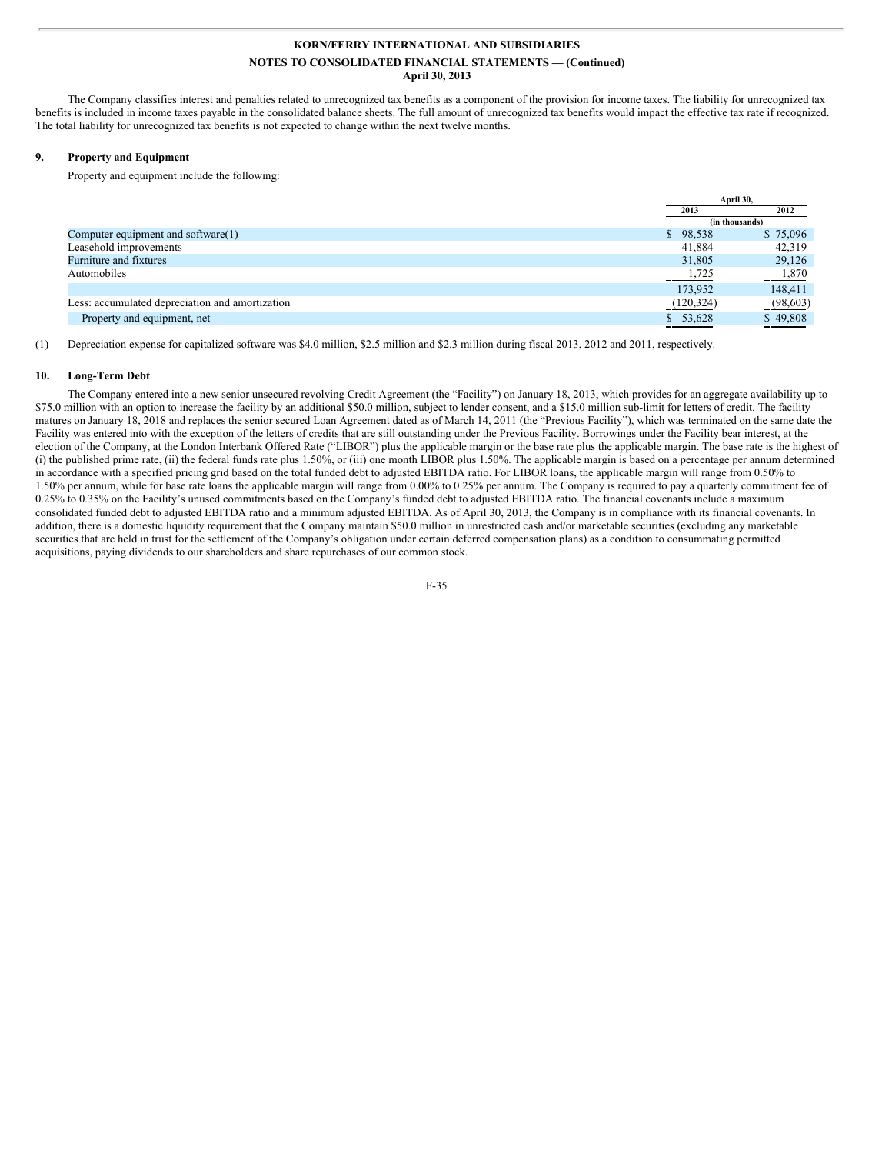The Company classifies interest and penalties related to unrecognized tax benefits as a component of the provision for income taxes. The liability for unrecognized tax benefits is included in income taxes payable in the consolidated balance sheets. The full amount of unrecognized tax benefits would impact the effective tax rate if recognized. The total liability for unrecognized tax benefits is not expected to change within the next twelve months.

### **9. Property and Equipment**

Property and equipment include the following:

|                                                 |            | April 30,      |
|-------------------------------------------------|------------|----------------|
|                                                 | 2013       | 2012           |
|                                                 |            | (in thousands) |
| Computer equipment and software $(1)$           | \$98,538   | \$75,096       |
| Leasehold improvements                          | 41,884     | 42.319         |
| Furniture and fixtures                          | 31,805     | 29,126         |
| Automobiles                                     | 1,725      | 1,870          |
|                                                 | 173,952    | 148,411        |
| Less: accumulated depreciation and amortization | (120, 324) | (98,603)       |
| Property and equipment, net                     | \$ 53,628  | \$49,808       |
|                                                 |            |                |

(1) Depreciation expense for capitalized software was \$4.0 million, \$2.5 million and \$2.3 million during fiscal 2013, 2012 and 2011, respectively.

### **10. Long-Term Debt**

The Company entered into a new senior unsecured revolving Credit Agreement (the "Facility") on January 18, 2013, which provides for an aggregate availability up to \$75.0 million with an option to increase the facility by an additional \$50.0 million, subject to lender consent, and a \$15.0 million sub-limit for letters of credit. The facility matures on January 18, 2018 and replaces the senior secured Loan Agreement dated as of March 14, 2011 (the "Previous Facility"), which was terminated on the same date the Facility was entered into with the exception of the letters of credits that are still outstanding under the Previous Facility. Borrowings under the Facility bear interest, at the election of the Company, at the London Interbank Offered Rate ("LIBOR") plus the applicable margin or the base rate plus the applicable margin. The base rate is the highest of (i) the published prime rate, (ii) the federal funds rate plus 1.50%, or (iii) one month LIBOR plus 1.50%. The applicable margin is based on a percentage per annum determined in accordance with a specified pricing grid based on the total funded debt to adjusted EBITDA ratio. For LIBOR loans, the applicable margin will range from 0.50% to 1.50% per annum, while for base rate loans the applicable margin will range from 0.00% to 0.25% per annum. The Company is required to pay a quarterly commitment fee of 0.25% to 0.35% on the Facility's unused commitments based on the Company's funded debt to adjusted EBITDA ratio. The financial covenants include a maximum consolidated funded debt to adjusted EBITDA ratio and a minimum adjusted EBITDA. As of April 30, 2013, the Company is in compliance with its financial covenants. In addition, there is a domestic liquidity requirement that the Company maintain \$50.0 million in unrestricted cash and/or marketable securities (excluding any marketable securities that are held in trust for the settlement of the Company's obligation under certain deferred compensation plans) as a condition to consummating permitted acquisitions, paying dividends to our shareholders and share repurchases of our common stock.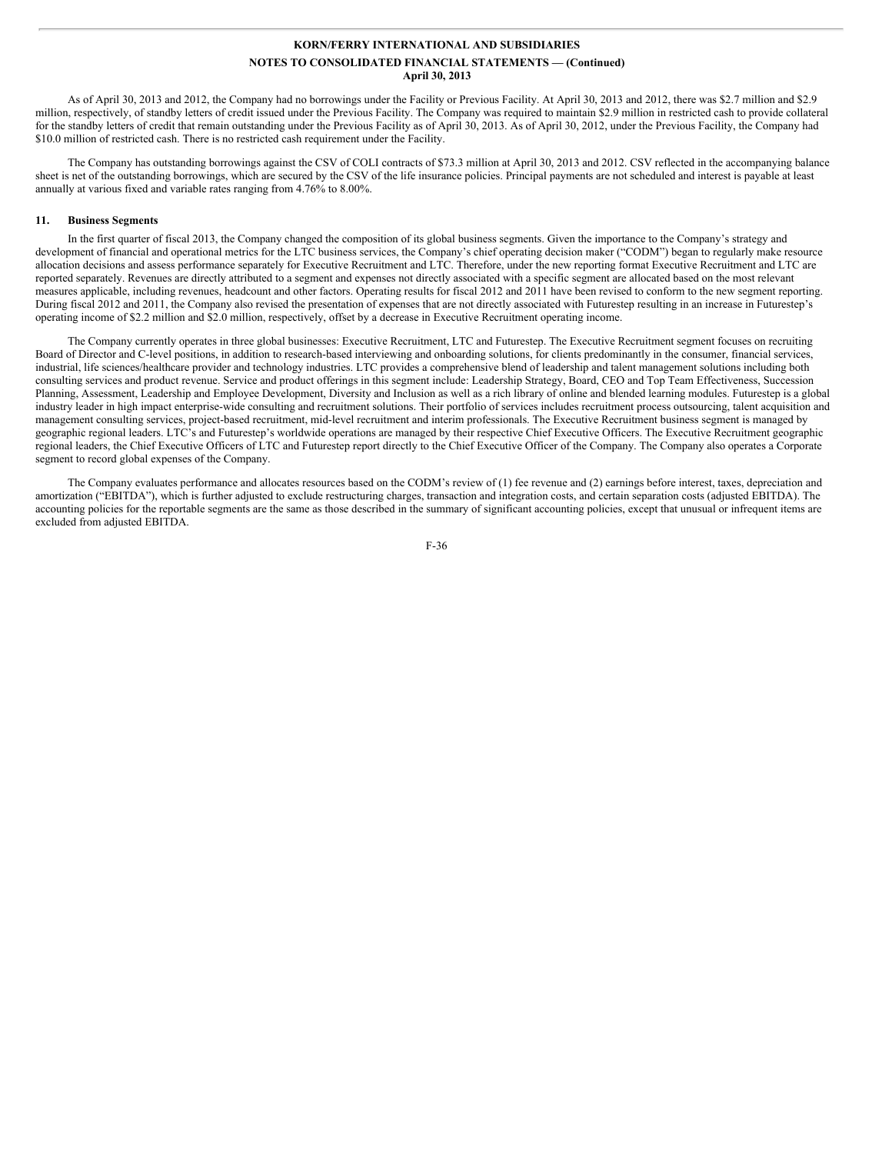As of April 30, 2013 and 2012, the Company had no borrowings under the Facility or Previous Facility. At April 30, 2013 and 2012, there was \$2.7 million and \$2.9 million, respectively, of standby letters of credit issued under the Previous Facility. The Company was required to maintain \$2.9 million in restricted cash to provide collateral for the standby letters of credit that remain outstanding under the Previous Facility as of April 30, 2013. As of April 30, 2012, under the Previous Facility, the Company had \$10.0 million of restricted cash. There is no restricted cash requirement under the Facility.

The Company has outstanding borrowings against the CSV of COLI contracts of \$73.3 million at April 30, 2013 and 2012. CSV reflected in the accompanying balance sheet is net of the outstanding borrowings, which are secured by the CSV of the life insurance policies. Principal payments are not scheduled and interest is payable at least annually at various fixed and variable rates ranging from 4.76% to 8.00%.

#### **11. Business Segments**

In the first quarter of fiscal 2013, the Company changed the composition of its global business segments. Given the importance to the Company's strategy and development of financial and operational metrics for the LTC business services, the Company's chief operating decision maker ("CODM") began to regularly make resource allocation decisions and assess performance separately for Executive Recruitment and LTC. Therefore, under the new reporting format Executive Recruitment and LTC are reported separately. Revenues are directly attributed to a segment and expenses not directly associated with a specific segment are allocated based on the most relevant measures applicable, including revenues, headcount and other factors. Operating results for fiscal 2012 and 2011 have been revised to conform to the new segment reporting. During fiscal 2012 and 2011, the Company also revised the presentation of expenses that are not directly associated with Futurestep resulting in an increase in Futurestep's operating income of \$2.2 million and \$2.0 million, respectively, offset by a decrease in Executive Recruitment operating income.

The Company currently operates in three global businesses: Executive Recruitment, LTC and Futurestep. The Executive Recruitment segment focuses on recruiting Board of Director and C-level positions, in addition to research-based interviewing and onboarding solutions, for clients predominantly in the consumer, financial services, industrial, life sciences/healthcare provider and technology industries. LTC provides a comprehensive blend of leadership and talent management solutions including both consulting services and product revenue. Service and product offerings in this segment include: Leadership Strategy, Board, CEO and Top Team Effectiveness, Succession Planning, Assessment, Leadership and Employee Development, Diversity and Inclusion as well as a rich library of online and blended learning modules. Futurestep is a global industry leader in high impact enterprise-wide consulting and recruitment solutions. Their portfolio of services includes recruitment process outsourcing, talent acquisition and management consulting services, project-based recruitment, mid-level recruitment and interim professionals. The Executive Recruitment business segment is managed by geographic regional leaders. LTC's and Futurestep's worldwide operations are managed by their respective Chief Executive Officers. The Executive Recruitment geographic regional leaders, the Chief Executive Officers of LTC and Futurestep report directly to the Chief Executive Officer of the Company. The Company also operates a Corporate segment to record global expenses of the Company.

The Company evaluates performance and allocates resources based on the CODM's review of (1) fee revenue and (2) earnings before interest, taxes, depreciation and amortization ("EBITDA"), which is further adjusted to exclude restructuring charges, transaction and integration costs, and certain separation costs (adjusted EBITDA). The accounting policies for the reportable segments are the same as those described in the summary of significant accounting policies, except that unusual or infrequent items are excluded from adjusted EBITDA.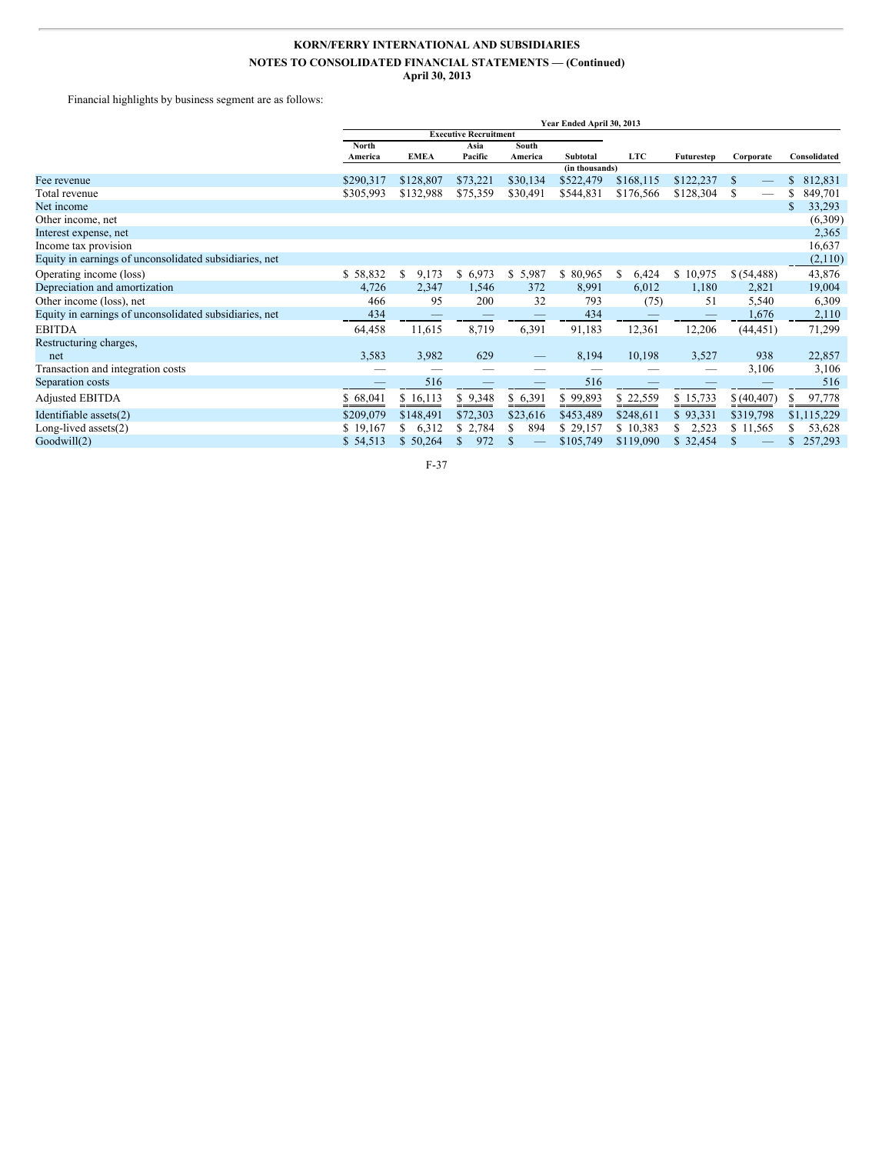Financial highlights by business segment are as follows:

|                                                        |           |             |                              |          | Year Ended April 30, 2013 |            |             |               |               |
|--------------------------------------------------------|-----------|-------------|------------------------------|----------|---------------------------|------------|-------------|---------------|---------------|
|                                                        |           |             | <b>Executive Recruitment</b> |          |                           |            |             |               |               |
|                                                        | North     |             | Asia                         | South    |                           |            |             |               |               |
|                                                        | America   | <b>EMEA</b> | Pacific                      | America  | Subtotal                  | <b>LTC</b> | Futurestep  | Corporate     | Consolidated  |
|                                                        |           |             |                              |          | (in thousands)            |            |             |               |               |
| Fee revenue                                            | \$290,317 | \$128,807   | \$73,221                     | \$30,134 | \$522,479                 | \$168,115  | \$122,237   | <sup>\$</sup> | 812,831<br>\$ |
| Total revenue                                          | \$305,993 | \$132,988   | \$75,359                     | \$30,491 | \$544,831                 | \$176,566  | \$128,304   | S             | 849,701       |
| Net income                                             |           |             |                              |          |                           |            |             |               | 33,293        |
| Other income, net                                      |           |             |                              |          |                           |            |             |               | (6,309)       |
| Interest expense, net                                  |           |             |                              |          |                           |            |             |               | 2,365         |
| Income tax provision                                   |           |             |                              |          |                           |            |             |               | 16,637        |
| Equity in earnings of unconsolidated subsidiaries, net |           |             |                              |          |                           |            |             |               | (2,110)       |
| Operating income (loss)                                | \$58,832  | 9,173<br>S. | \$6,973                      | \$5,987  | \$80,965                  | 6,424<br>S | \$10,975    | \$ (54, 488)  | 43,876        |
| Depreciation and amortization                          | 4,726     | 2,347       | 1,546                        | 372      | 8,991                     | 6,012      | 1,180       | 2,821         | 19,004        |
| Other income (loss), net                               | 466       | 95          | 200                          | 32       | 793                       | (75)       | 51          | 5,540         | 6,309         |
| Equity in earnings of unconsolidated subsidiaries, net | 434       |             |                              |          | 434                       |            |             | 1,676         | 2,110         |
| <b>EBITDA</b>                                          | 64,458    | 11,615      | 8,719                        | 6,391    | 91,183                    | 12,361     | 12,206      | (44, 451)     | 71,299        |
| Restructuring charges,                                 |           |             |                              |          |                           |            |             |               |               |
| net                                                    | 3,583     | 3,982       | 629                          |          | 8,194                     | 10,198     | 3,527       | 938           | 22,857        |
| Transaction and integration costs                      |           | --          | -                            | _        |                           | -          |             | 3,106         | 3,106         |
| Separation costs                                       |           | 516         |                              |          | 516                       |            |             |               | 516           |
| Adjusted EBITDA                                        | \$68,041  | \$16,113    | \$9,348                      | \$6,391  | \$99,893                  | \$22,559   | \$15,733    | \$ (40, 407)  | 97,778<br>SЬ. |
| Identifiable assets(2)                                 | \$209,079 | \$148,491   | \$72,303                     | \$23,616 | \$453,489                 | \$248,611  | \$93,331    | \$319,798     | \$1,115,229   |
| Long-lived assets $(2)$                                | \$19,167  | 6,312<br>S. | \$2,784                      | 894<br>S | \$29,157                  | \$10,383   | \$<br>2,523 | \$11,565      | 53,628        |
| Goodwill(2)                                            | \$54,513  | \$50,264    | 972<br>S                     |          | \$105,749                 | \$119,090  | \$ 32,454   | \$            | 257,293       |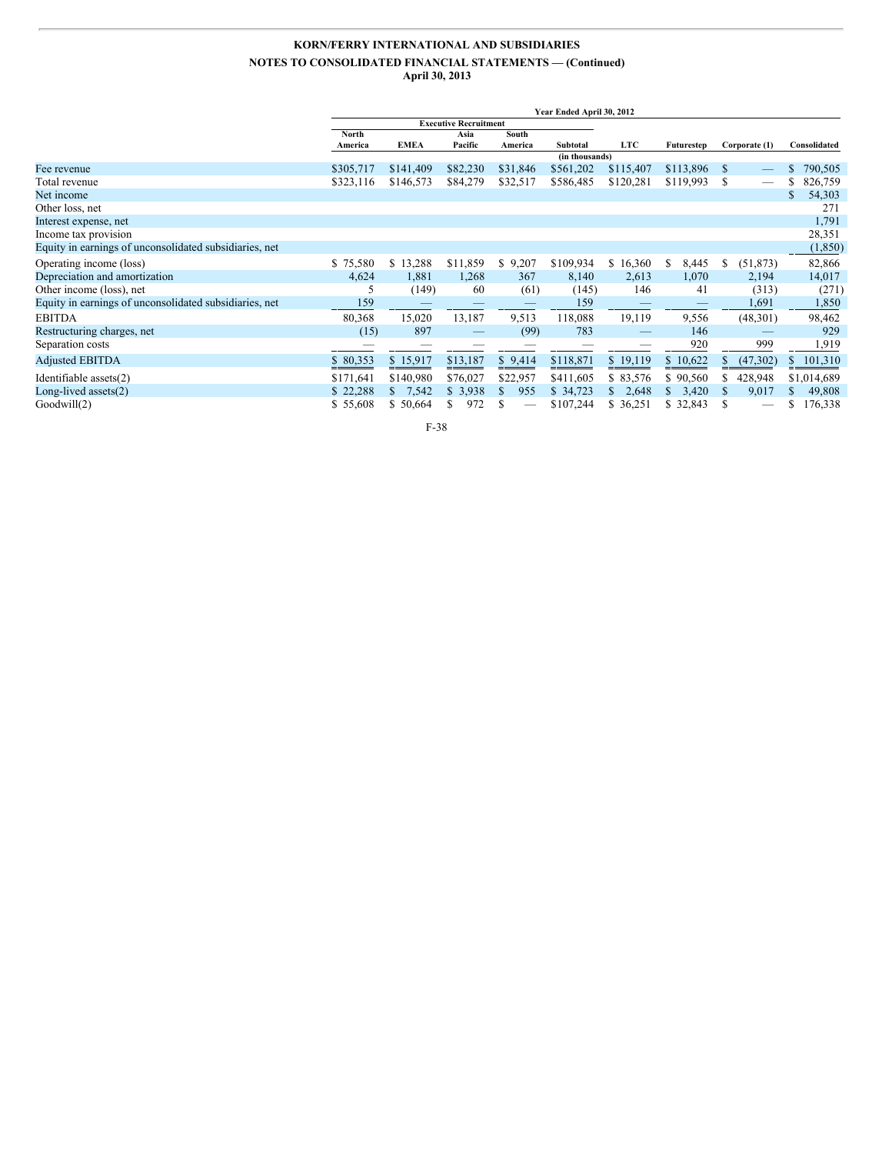|                                                        |           |             |                              |           | Year Ended April 30, 2012   |                        |                   |                   |               |
|--------------------------------------------------------|-----------|-------------|------------------------------|-----------|-----------------------------|------------------------|-------------------|-------------------|---------------|
|                                                        |           |             | <b>Executive Recruitment</b> |           |                             |                        |                   |                   |               |
|                                                        | North     |             | Asia                         | South     |                             |                        |                   |                   |               |
|                                                        | America   | <b>EMEA</b> | Pacific                      | America   | <b>Subtotal</b>             | <b>LTC</b>             | <b>Futurestep</b> | Corporate (1)     | Consolidated  |
| Fee revenue                                            | \$305,717 | \$141,409   | \$82,230                     | \$31,846  | (in thousands)<br>\$561,202 | \$115,407              | \$113,896         | -S                | 790,505<br>\$ |
| Total revenue                                          | \$323,116 | \$146,573   | \$84,279                     | \$32,517  | \$586,485                   | \$120,281              | \$119,993         | -S                | 826,759       |
| Net income                                             |           |             |                              |           |                             |                        |                   |                   | 54,303<br>\$. |
| Other loss, net                                        |           |             |                              |           |                             |                        |                   |                   | 271           |
| Interest expense, net                                  |           |             |                              |           |                             |                        |                   |                   | 1,791         |
| Income tax provision                                   |           |             |                              |           |                             |                        |                   |                   | 28,351        |
| Equity in earnings of unconsolidated subsidiaries, net |           |             |                              |           |                             |                        |                   |                   | (1, 850)      |
| Operating income (loss)                                | \$75,580  | \$13,288    | \$11,859                     | \$9,207   | \$109,934                   | \$16,360               | S.<br>8,445       | (51, 873)<br>S    | 82,866        |
| Depreciation and amortization                          | 4,624     | 1,881       | 1,268                        | 367       | 8,140                       | 2,613                  | 1,070             | 2,194             | 14,017        |
| Other income (loss), net                               | 5         | (149)       | 60                           | (61)      | (145)                       | 146                    | 41                | (313)             | (271)         |
| Equity in earnings of unconsolidated subsidiaries, net | 159       |             |                              |           | 159                         |                        |                   | 1,691             | 1,850         |
| <b>EBITDA</b>                                          | 80,368    | 15,020      | 13,187                       | 9,513     | 118,088                     | 19,119                 | 9,556             | (48,301)          | 98,462        |
| Restructuring charges, net                             | (15)      | 897         |                              | (99)      | 783                         |                        | 146               |                   | 929           |
| Separation costs                                       |           |             |                              |           |                             | -                      | 920               | 999               | 1,919         |
| <b>Adjusted EBITDA</b>                                 | \$80,353  | \$15,917    | \$13,187                     | \$9,414   | \$118,871                   | \$19,119               | \$10,622          | (47,302)          | \$101,310     |
| Identifiable assets(2)                                 | \$171,641 | \$140,980   | \$76,027                     | \$22,957  | \$411,605                   | \$83,576               | \$90,560          | 428,948           | \$1,014,689   |
| Long-lived assets $(2)$                                | \$22,288  | \$7,542     | \$3,938                      | 955<br>\$ | \$34,723                    | <sup>\$</sup><br>2,648 | 3,420<br>\$.      | 9,017<br><b>S</b> | 49,808<br>S.  |
| Goodwill(2)                                            | \$55,608  | \$50,664    | \$<br>972                    | \$        | \$107,244                   | \$ 36,251              | \$ 32,843         | S                 | S<br>176,338  |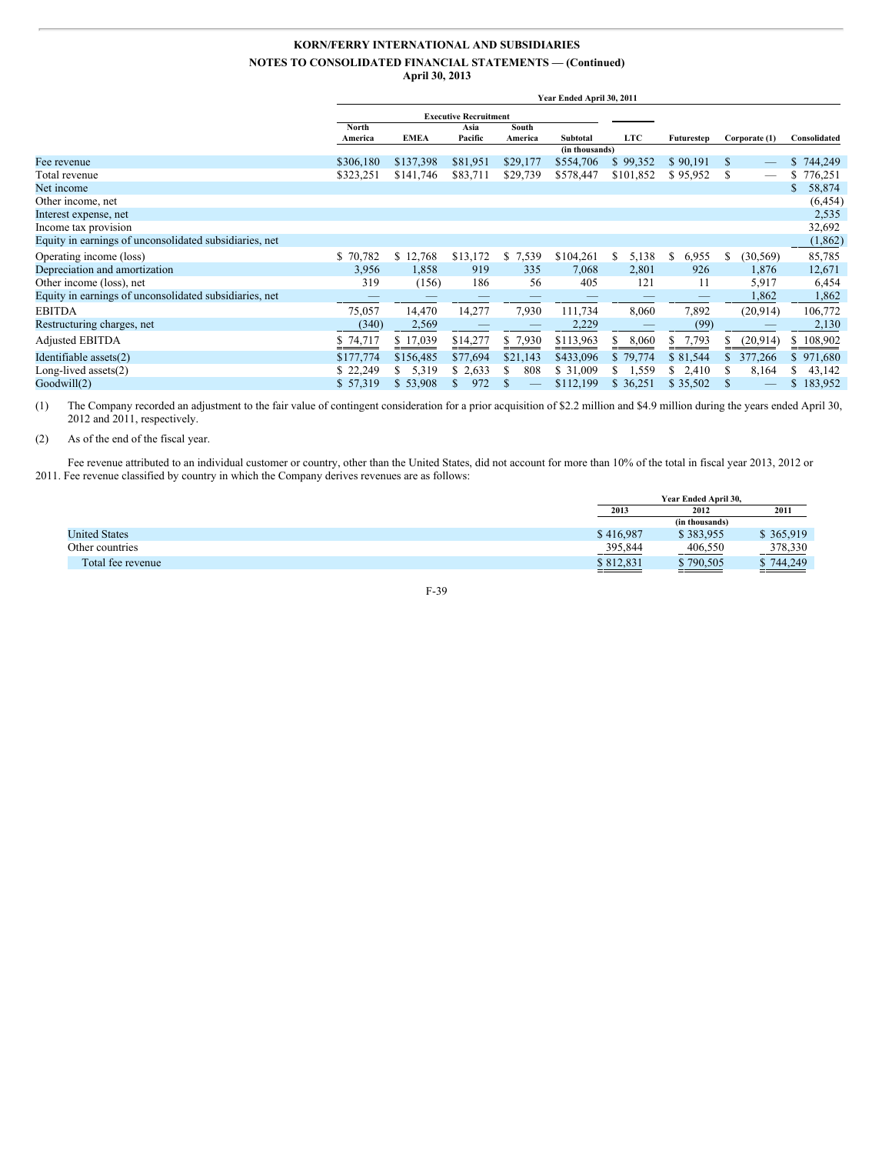|                                                        |                  |             |                              |                  | Year Ended April 30, 2011 |             |             |               |              |
|--------------------------------------------------------|------------------|-------------|------------------------------|------------------|---------------------------|-------------|-------------|---------------|--------------|
|                                                        |                  |             | <b>Executive Recruitment</b> |                  |                           |             |             |               |              |
|                                                        | North<br>America | <b>EMEA</b> | Asia<br>Pacific              | South<br>America | <b>Subtotal</b>           | <b>LTC</b>  | Futurestep  | Corporate (1) | Consolidated |
|                                                        |                  |             |                              |                  | (in thousands)            |             |             |               |              |
| Fee revenue                                            | \$306,180        | \$137,398   | \$81,951                     | \$29,177         | \$554,706                 | \$99,352    | \$90,191    | S             | \$744,249    |
| Total revenue                                          | \$323,251        | \$141,746   | \$83,711                     | \$29,739         | \$578,447                 | \$101,852   | \$95,952    | S             | \$776,251    |
| Net income                                             |                  |             |                              |                  |                           |             |             |               | 58,874       |
| Other income, net                                      |                  |             |                              |                  |                           |             |             |               | (6, 454)     |
| Interest expense, net                                  |                  |             |                              |                  |                           |             |             |               | 2,535        |
| Income tax provision                                   |                  |             |                              |                  |                           |             |             |               | 32,692       |
| Equity in earnings of unconsolidated subsidiaries, net |                  |             |                              |                  |                           |             |             |               | (1,862)      |
| Operating income (loss)                                | \$70,782         | \$12,768    | \$13,172                     | \$<br>7,539      | \$104,261                 | S<br>5,138  | \$<br>6,955 | (30, 569)     | 85,785       |
| Depreciation and amortization                          | 3,956            | 1,858       | 919                          | 335              | 7,068                     | 2,801       | 926         | 1,876         | 12,671       |
| Other income (loss), net                               | 319              | (156)       | 186                          | 56               | 405                       | 121         | 11          | 5,917         | 6,454        |
| Equity in earnings of unconsolidated subsidiaries, net |                  |             |                              |                  |                           |             |             | 1,862         | 1,862        |
| <b>EBITDA</b>                                          | 75,057           | 14,470      | 14,277                       | 7,930            | 111,734                   | 8,060       | 7,892       | (20, 914)     | 106,772      |
| Restructuring charges, net                             | (340)            | 2,569       |                              |                  | 2,229                     |             | (99)        |               | 2,130        |
| Adjusted EBITDA                                        | \$74,717         | \$17,039    | \$14,277                     | \$ 7,930         | \$113,963                 | 8,060<br>\$ | 7,793<br>S. | (20,914)      | \$108,902    |
| Identifiable assets(2)                                 | \$177,774        | \$156,485   | \$77,694                     | \$21,143         | \$433,096                 | \$79,774    | \$ 81,544   | 377,266       | \$971,680    |
| Long-lived assets $(2)$                                | \$22,249         | 5,319<br>\$ | \$2,633                      | S<br>808         | \$ 31,009                 | 1,559<br>\$ | \$2,410     | 8,164         | \$<br>43,142 |
| Goodwill(2)                                            | \$57,319         | \$53,908    | 972<br>S.                    |                  | \$112,199                 | \$36,251    | \$35,502    |               | \$183,952    |

(1) The Company recorded an adjustment to the fair value of contingent consideration for a prior acquisition of \$2.2 million and \$4.9 million during the years ended April 30, 2012 and 2011, respectively.

### (2) As of the end of the fiscal year.

Fee revenue attributed to an individual customer or country, other than the United States, did not account for more than 10% of the total in fiscal year 2013, 2012 or 2011. Fee revenue classified by country in which the Company derives revenues are as follows:

|                      |                   | Year Ended April 30. |                     |  |  |
|----------------------|-------------------|----------------------|---------------------|--|--|
|                      | 2013              | 2012                 | 2011                |  |  |
|                      |                   | (in thousands)       |                     |  |  |
| <b>United States</b> | \$416.987         | \$383,955            | \$365,919           |  |  |
| Other countries      | 395,844           | 406,550              | 378,330             |  |  |
| Total fee revenue    | \$812,831<br>____ | \$790,505            | \$744,249<br>______ |  |  |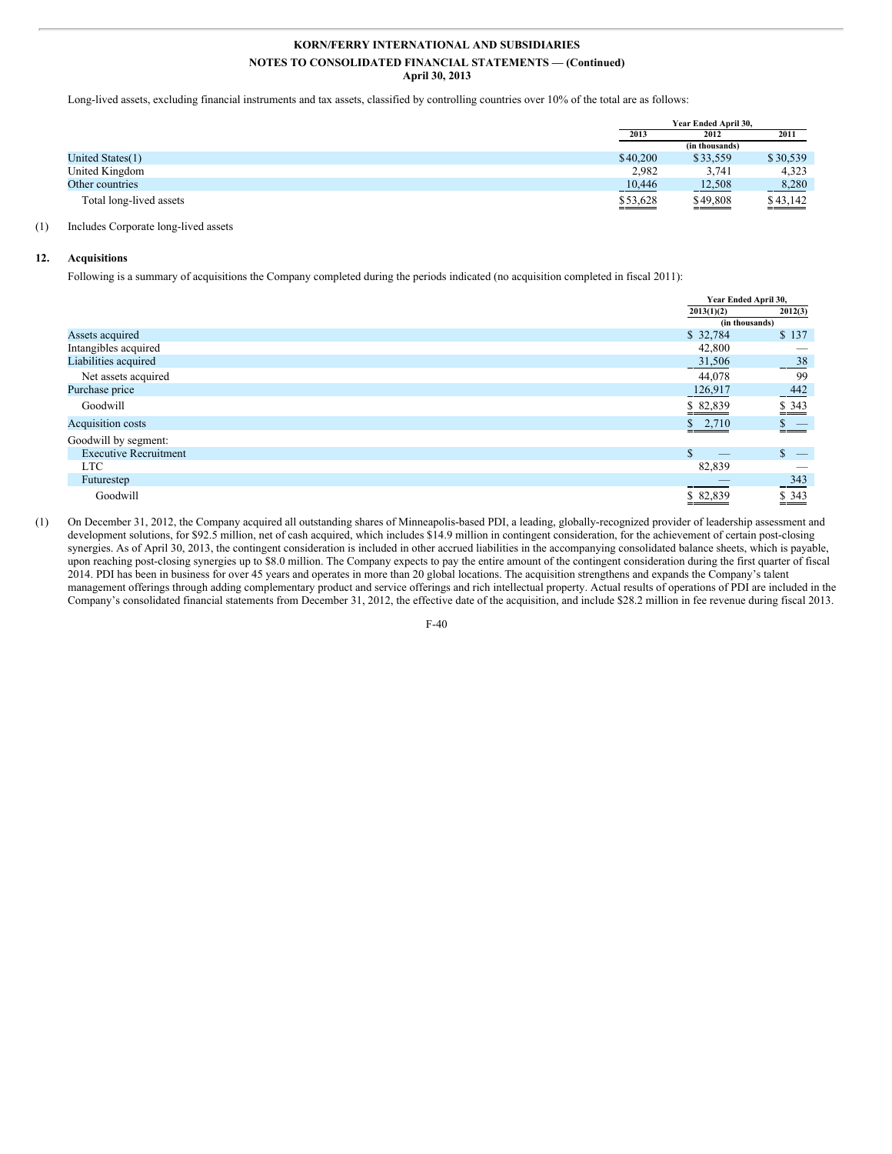Long-lived assets, excluding financial instruments and tax assets, classified by controlling countries over 10% of the total are as follows:

|                         |          | Year Ended April 30, |          |  |
|-------------------------|----------|----------------------|----------|--|
|                         | 2013     | 2012                 | 2011     |  |
|                         |          | (in thousands)       |          |  |
| United States(1)        | \$40,200 | \$33,559             | \$30,539 |  |
| United Kingdom          | 2.982    | 3.741                | 4,323    |  |
| Other countries         | 10,446   | 12,508               | 8,280    |  |
| Total long-lived assets | \$53,628 | \$49,808             | \$43,142 |  |

### (1) Includes Corporate long-lived assets

#### **12. Acquisitions**

Following is a summary of acquisitions the Company completed during the periods indicated (no acquisition completed in fiscal 2011):

|                              |            | Year Ended April 30,                    |
|------------------------------|------------|-----------------------------------------|
|                              | 2013(1)(2) | 2012(3)                                 |
|                              |            | (in thousands)                          |
| Assets acquired              | \$ 32,784  | \$137                                   |
| Intangibles acquired         | 42,800     |                                         |
| Liabilities acquired         | 31,506     | $\frac{38}{5}$                          |
| Net assets acquired          | 44,078     | 99                                      |
| Purchase price               | 126,917    | 442                                     |
| Goodwill                     | \$82,839   | \$343                                   |
| Acquisition costs            | \$2,710    | $\frac{\S}{\equiv}$                     |
| Goodwill by segment:         |            |                                         |
| <b>Executive Recruitment</b> | \$         | $\mathbf S$<br>$\overline{\phantom{a}}$ |
| <b>LTC</b>                   | 82,839     |                                         |
| Futurestep                   |            | 343                                     |
| Goodwill                     | \$82,839   | \$ 343                                  |

(1) On December 31, 2012, the Company acquired all outstanding shares of Minneapolis-based PDI, a leading, globally-recognized provider of leadership assessment and development solutions, for \$92.5 million, net of cash acquired, which includes \$14.9 million in contingent consideration, for the achievement of certain post-closing synergies. As of April 30, 2013, the contingent consideration is included in other accrued liabilities in the accompanying consolidated balance sheets, which is payable, upon reaching post-closing synergies up to \$8.0 million. The Company expects to pay the entire amount of the contingent consideration during the first quarter of fiscal 2014. PDI has been in business for over 45 years and operates in more than 20 global locations. The acquisition strengthens and expands the Company's talent management offerings through adding complementary product and service offerings and rich intellectual property. Actual results of operations of PDI are included in the Company's consolidated financial statements from December 31, 2012, the effective date of the acquisition, and include \$28.2 million in fee revenue during fiscal 2013.

F-40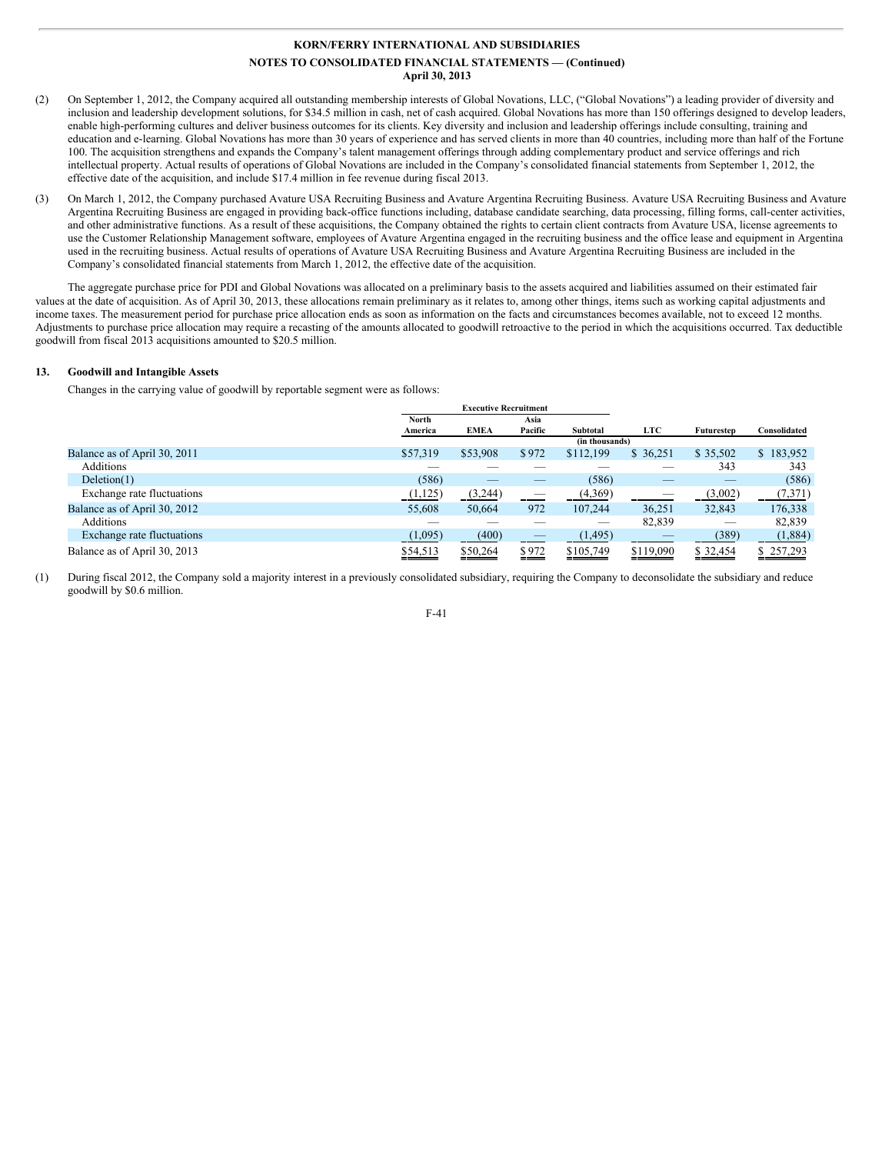- (2) On September 1, 2012, the Company acquired all outstanding membership interests of Global Novations, LLC, ("Global Novations") a leading provider of diversity and inclusion and leadership development solutions, for \$34.5 million in cash, net of cash acquired. Global Novations has more than 150 offerings designed to develop leaders, enable high-performing cultures and deliver business outcomes for its clients. Key diversity and inclusion and leadership offerings include consulting, training and education and e-learning. Global Novations has more than 30 years of experience and has served clients in more than 40 countries, including more than half of the Fortune 100. The acquisition strengthens and expands the Company's talent management offerings through adding complementary product and service offerings and rich intellectual property. Actual results of operations of Global Novations are included in the Company's consolidated financial statements from September 1, 2012, the effective date of the acquisition, and include \$17.4 million in fee revenue during fiscal 2013.
- (3) On March 1, 2012, the Company purchased Avature USA Recruiting Business and Avature Argentina Recruiting Business. Avature USA Recruiting Business and Avature Argentina Recruiting Business are engaged in providing back-office functions including, database candidate searching, data processing, filling forms, call-center activities, and other administrative functions. As a result of these acquisitions, the Company obtained the rights to certain client contracts from Avature USA, license agreements to use the Customer Relationship Management software, employees of Avature Argentina engaged in the recruiting business and the office lease and equipment in Argentina used in the recruiting business. Actual results of operations of Avature USA Recruiting Business and Avature Argentina Recruiting Business are included in the Company's consolidated financial statements from March 1, 2012, the effective date of the acquisition.

The aggregate purchase price for PDI and Global Novations was allocated on a preliminary basis to the assets acquired and liabilities assumed on their estimated fair values at the date of acquisition. As of April 30, 2013, these allocations remain preliminary as it relates to, among other things, items such as working capital adjustments and income taxes. The measurement period for purchase price allocation ends as soon as information on the facts and circumstances becomes available, not to exceed 12 months. Adjustments to purchase price allocation may require a recasting of the amounts allocated to goodwill retroactive to the period in which the acquisitions occurred. Tax deductible goodwill from fiscal 2013 acquisitions amounted to \$20.5 million.

### **13. Goodwill and Intangible Assets**

Changes in the carrying value of goodwill by reportable segment were as follows:

|                              |          | <b>Executive Recruitment</b> |         |                |            |                   |              |
|------------------------------|----------|------------------------------|---------|----------------|------------|-------------------|--------------|
|                              | North    | Asia                         |         |                |            |                   |              |
|                              | America  | <b>EMEA</b>                  | Pacific | Subtotal       | <b>LTC</b> | <b>Futurestep</b> | Consolidated |
|                              |          |                              |         | (in thousands) |            |                   |              |
| Balance as of April 30, 2011 | \$57,319 | \$53,908                     | \$972   | \$112,199      | \$ 36,251  | \$35,502          | \$183,952    |
| Additions                    |          |                              |         |                |            | 343               | 343          |
| Deletion(1)                  | (586)    |                              |         | (586)          | _          | _                 | (586)        |
| Exchange rate fluctuations   | (1,125)  | (3,244)                      |         | (4,369)        |            | (3,002)           | (7,371)      |
| Balance as of April 30, 2012 | 55,608   | 50.664                       | 972     | 107.244        | 36,251     | 32,843            | 176,338      |
| Additions                    |          |                              |         |                | 82,839     |                   | 82,839       |
| Exchange rate fluctuations   | (1,095)  | (400)                        |         | (1, 495)       |            | (389)             | (1,884)      |
| Balance as of April 30, 2013 | \$54,513 | \$50,264                     | \$972   | \$105,749      | \$119,090  | \$32,454          | \$257,293    |

(1) During fiscal 2012, the Company sold a majority interest in a previously consolidated subsidiary, requiring the Company to deconsolidate the subsidiary and reduce goodwill by \$0.6 million.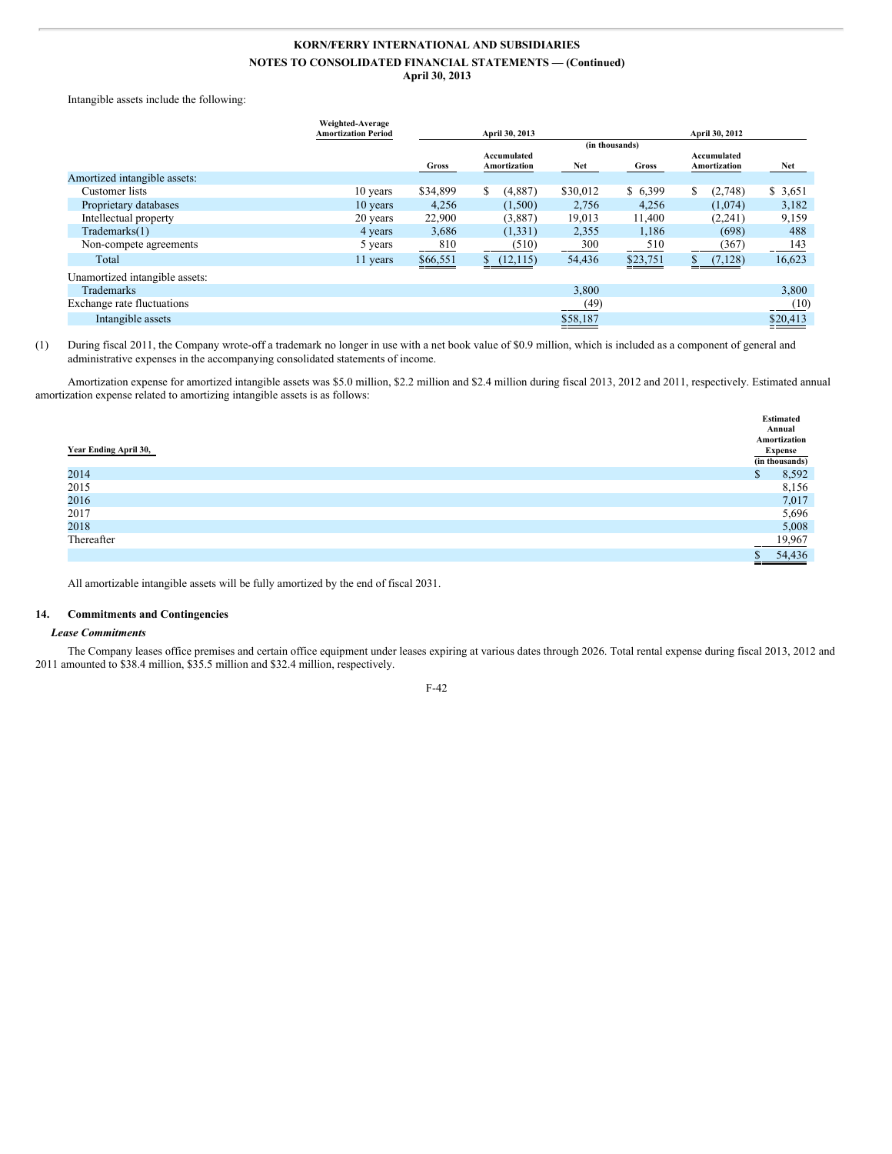Intangible assets include the following:

|                                | Weighted-Average<br><b>Amortization Period</b> |                       | April 30, 2013 |                |          | April 30, 2012 |          |
|--------------------------------|------------------------------------------------|-----------------------|----------------|----------------|----------|----------------|----------|
|                                |                                                |                       |                | (in thousands) |          |                |          |
|                                |                                                |                       | Accumulated    |                |          | Accumulated    |          |
|                                |                                                | Amortization<br>Gross |                | Net            | Gross    | Amortization   | Net      |
| Amortized intangible assets:   |                                                |                       |                |                |          |                |          |
| Customer lists                 | 10 years                                       | \$34,899              | S.<br>(4,887)  | \$30,012       | \$6,399  | \$<br>(2,748)  | \$3,651  |
| Proprietary databases          | 10 years                                       | 4,256                 | (1,500)        | 2,756          | 4,256    | (1,074)        | 3,182    |
| Intellectual property          | 20 years                                       | 22,900                | (3,887)        | 19,013         | 11,400   | (2,241)        | 9,159    |
| Trademarks(1)                  | 4 years                                        | 3,686                 | (1, 331)       | 2,355          | 1,186    | (698)          | 488      |
| Non-compete agreements         | 5 years                                        | 810                   | (510)          | 300            | 510      | (367)          | 143      |
| Total                          | 11 years                                       | \$66,551              | (12, 115)      | 54,436         | \$23,751 | (7,128)<br>D.  | 16,623   |
| Unamortized intangible assets: |                                                |                       |                |                |          |                |          |
| <b>Trademarks</b>              |                                                |                       |                | 3,800          |          |                | 3,800    |
| Exchange rate fluctuations     |                                                |                       |                | (49)           |          |                | (10)     |
| Intangible assets              |                                                |                       |                | \$58,187       |          |                | \$20,413 |
|                                |                                                |                       |                |                |          |                |          |

(1) During fiscal 2011, the Company wrote-off a trademark no longer in use with a net book value of \$0.9 million, which is included as a component of general and administrative expenses in the accompanying consolidated statements of income.

Amortization expense for amortized intangible assets was \$5.0 million, \$2.2 million and \$2.4 million during fiscal 2013, 2012 and 2011, respectively. Estimated annual amortization expense related to amortizing intangible assets is as follows:

|                       | <b>Estimated</b> |
|-----------------------|------------------|
|                       | Annual           |
|                       | Amortization     |
| Year Ending April 30, | <b>Expense</b>   |
|                       | (in thousands)   |
| 2014                  | 8,592<br>\$      |
| 2015                  | 8,156            |
| 2016                  | 7,017            |
| 2017                  | 5,696            |
| 2018                  | 5,008            |
| Thereafter            | 19,967           |
|                       | 54,436           |

All amortizable intangible assets will be fully amortized by the end of fiscal 2031.

### **14. Commitments and Contingencies**

### *Lease Commitments*

The Company leases office premises and certain office equipment under leases expiring at various dates through 2026. Total rental expense during fiscal 2013, 2012 and 2011 amounted to \$38.4 million, \$35.5 million and \$32.4 million, respectively.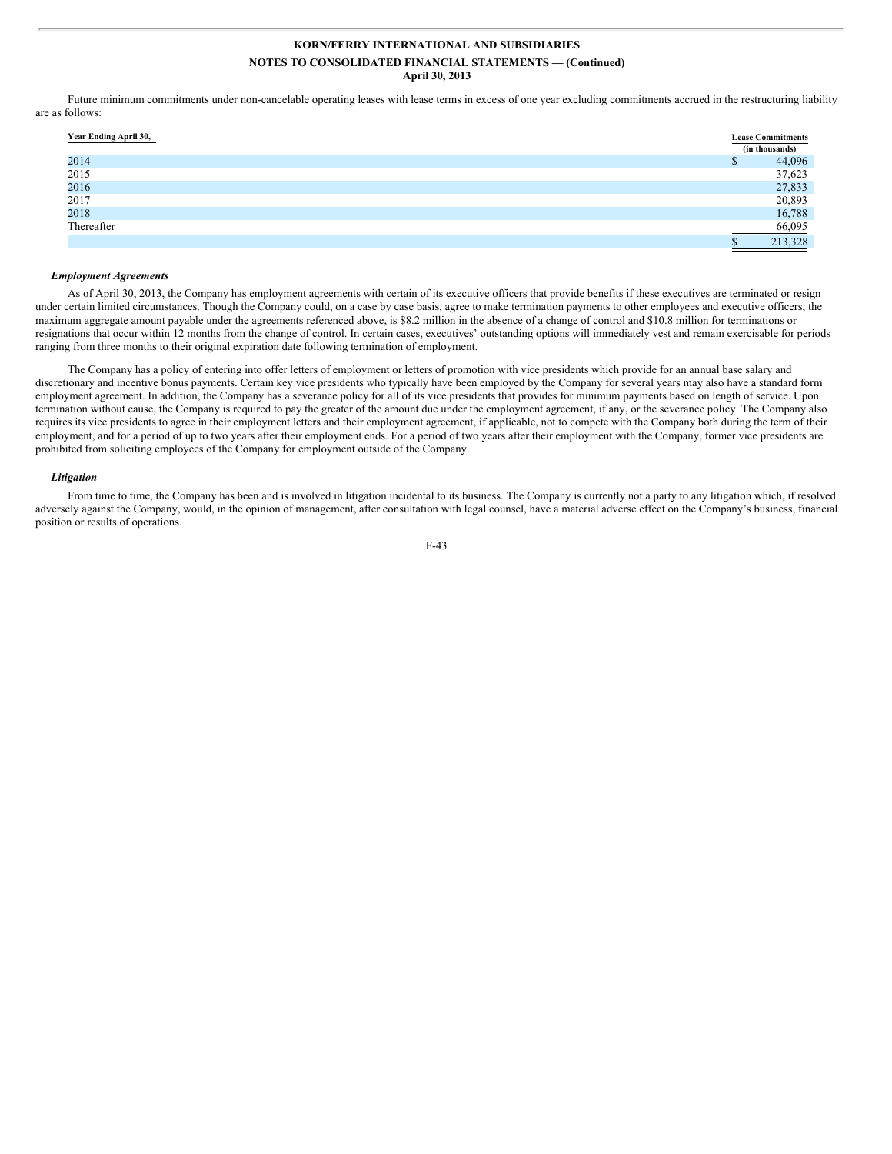Future minimum commitments under non-cancelable operating leases with lease terms in excess of one year excluding commitments accrued in the restructuring liability are as follows:

| Year Ending April 30, | <b>Lease Commitments</b><br>(in thousands) |
|-----------------------|--------------------------------------------|
|                       | 44,096                                     |
| 2014<br>2015          | 37,623                                     |
| 2016<br>2017          | 27,833                                     |
|                       | 20,893                                     |
| 2018                  | 16,788                                     |
| Thereafter            | 66,095                                     |
|                       | 213,328                                    |

#### *Employment Agreements*

As of April 30, 2013, the Company has employment agreements with certain of its executive officers that provide benefits if these executives are terminated or resign under certain limited circumstances. Though the Company could, on a case by case basis, agree to make termination payments to other employees and executive officers, the maximum aggregate amount payable under the agreements referenced above, is \$8.2 million in the absence of a change of control and \$10.8 million for terminations or resignations that occur within 12 months from the change of control. In certain cases, executives' outstanding options will immediately vest and remain exercisable for periods ranging from three months to their original expiration date following termination of employment.

The Company has a policy of entering into offer letters of employment or letters of promotion with vice presidents which provide for an annual base salary and discretionary and incentive bonus payments. Certain key vice presidents who typically have been employed by the Company for several years may also have a standard form employment agreement. In addition, the Company has a severance policy for all of its vice presidents that provides for minimum payments based on length of service. Upon termination without cause, the Company is required to pay the greater of the amount due under the employment agreement, if any, or the severance policy. The Company also requires its vice presidents to agree in their employment letters and their employment agreement, if applicable, not to compete with the Company both during the term of their employment, and for a period of up to two years after their employment ends. For a period of two years after their employment with the Company, former vice presidents are prohibited from soliciting employees of the Company for employment outside of the Company.

#### *Litigation*

From time to time, the Company has been and is involved in litigation incidental to its business. The Company is currently not a party to any litigation which, if resolved adversely against the Company, would, in the opinion of management, after consultation with legal counsel, have a material adverse effect on the Company's business, financial position or results of operations.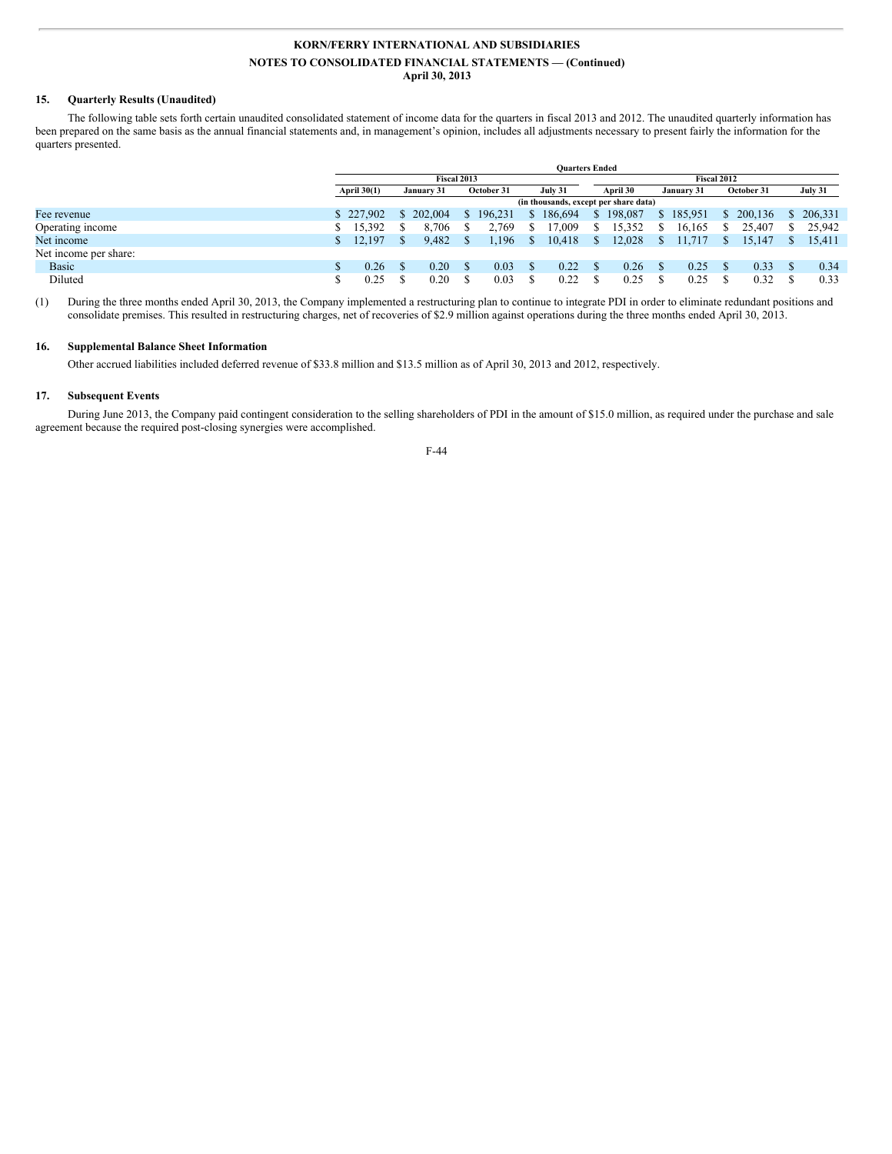### **15. Quarterly Results (Unaudited)**

The following table sets forth certain unaudited consolidated statement of income data for the quarters in fiscal 2013 and 2012. The unaudited quarterly information has been prepared on the same basis as the annual financial statements and, in management's opinion, includes all adjustments necessary to present fairly the information for the quarters presented.

|                       | <b>Quarters Ended</b>                 |  |            |              |            |  |             |  |           |  |            |  |            |  |         |
|-----------------------|---------------------------------------|--|------------|--------------|------------|--|-------------|--|-----------|--|------------|--|------------|--|---------|
|                       | Fiscal 2013                           |  |            |              |            |  | Fiscal 2012 |  |           |  |            |  |            |  |         |
|                       | April $30(1)$                         |  | January 31 |              | October 31 |  | July 31     |  | April 30  |  | January 31 |  | October 31 |  | July 31 |
|                       | (in thousands, except per share data) |  |            |              |            |  |             |  |           |  |            |  |            |  |         |
| Fee revenue           | \$227,902                             |  | \$ 202,004 | $\mathbf{S}$ | 196.231    |  | \$186,694   |  | \$198,087 |  | \$185,951  |  | \$200.136  |  | 206.331 |
| Operating income      | 15.392                                |  | 8.706      |              | 2.769      |  | 17.009      |  | 15,352    |  | 16,165     |  | 25,407     |  | 25,942  |
| Net income            | 12.197                                |  | 9.482      |              | .196       |  | 10,418      |  | 12,028    |  | 11,717     |  | 15,147     |  | 15,411  |
| Net income per share: |                                       |  |            |              |            |  |             |  |           |  |            |  |            |  |         |
| <b>Basic</b>          | 0.26                                  |  | 0.20       |              | 0.03       |  | 0.22        |  | 0.26      |  | 0.25       |  | 0.33       |  | 0.34    |
| Diluted               | 0.25                                  |  | 0.20       |              | 0.03       |  | 0.22        |  | 0.25      |  | 0.25       |  | 0.32       |  | 0.33    |

(1) During the three months ended April 30, 2013, the Company implemented a restructuring plan to continue to integrate PDI in order to eliminate redundant positions and consolidate premises. This resulted in restructuring charges, net of recoveries of \$2.9 million against operations during the three months ended April 30, 2013.

### **16. Supplemental Balance Sheet Information**

Other accrued liabilities included deferred revenue of \$33.8 million and \$13.5 million as of April 30, 2013 and 2012, respectively.

### **17. Subsequent Events**

During June 2013, the Company paid contingent consideration to the selling shareholders of PDI in the amount of \$15.0 million, as required under the purchase and sale agreement because the required post-closing synergies were accomplished.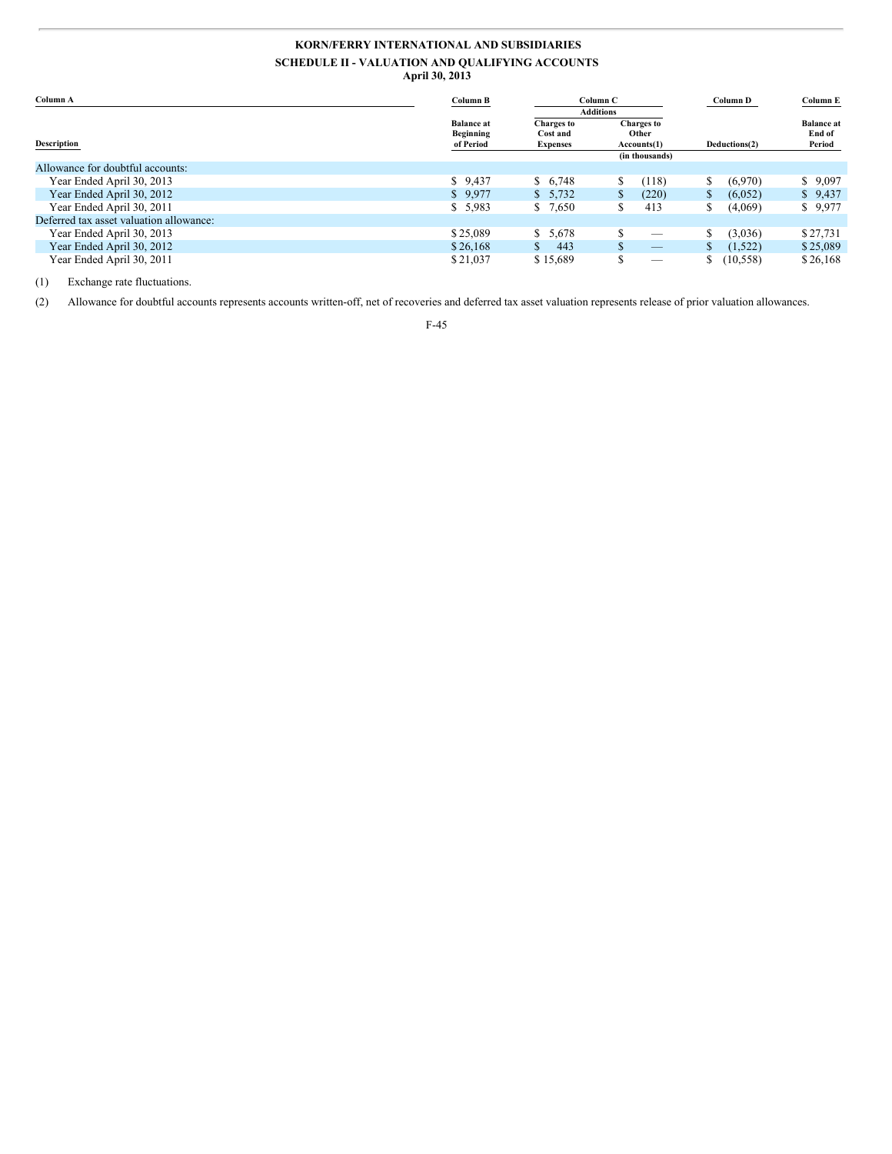# **KORN/FERRY INTERNATIONAL AND SUBSIDIARIES SCHEDULE II - VALUATION AND QUALIFYING ACCOUNTS April 30, 2013**

| Column A                                | Column B                                    |                                                  | Column C<br><b>Additions</b>              | Column D        | Column E                              |  |  |
|-----------------------------------------|---------------------------------------------|--------------------------------------------------|-------------------------------------------|-----------------|---------------------------------------|--|--|
| <b>Description</b>                      | <b>Balance at</b><br>Beginning<br>of Period | <b>Charges to</b><br>Cost and<br><b>Expenses</b> | <b>Charges to</b><br>Other<br>Accounts(1) | Deductions(2)   | <b>Balance</b> at<br>End of<br>Period |  |  |
|                                         |                                             |                                                  | (in thousands)                            |                 |                                       |  |  |
| Allowance for doubtful accounts:        |                                             |                                                  |                                           |                 |                                       |  |  |
| Year Ended April 30, 2013               | \$9,437                                     | \$ 6,748                                         | S<br>(118)                                | \$<br>(6,970)   | \$9,097                               |  |  |
| Year Ended April 30, 2012               | \$9.977                                     | \$5,732                                          | (220)<br>S.                               | \$<br>(6,052)   | \$9,437                               |  |  |
| Year Ended April 30, 2011               | \$5,983                                     | \$7,650                                          | \$<br>413                                 | \$<br>(4,069)   | \$9,977                               |  |  |
| Deferred tax asset valuation allowance: |                                             |                                                  |                                           |                 |                                       |  |  |
| Year Ended April 30, 2013               | \$25,089                                    | \$5,678                                          | S<br>-                                    | S<br>(3,036)    | \$27,731                              |  |  |
| Year Ended April 30, 2012               | \$26,168                                    | \$.<br>443                                       | $\mathbf{s}$<br>$\overline{\phantom{m}}$  | (1, 522)<br>\$  | \$25,089                              |  |  |
| Year Ended April 30, 2011               | \$21,037                                    | \$15,689                                         | ¢<br>ъ<br>_                               | (10, 558)<br>J. | \$26,168                              |  |  |

(1) Exchange rate fluctuations.

(2) Allowance for doubtful accounts represents accounts written-off, net of recoveries and deferred tax asset valuation represents release of prior valuation allowances.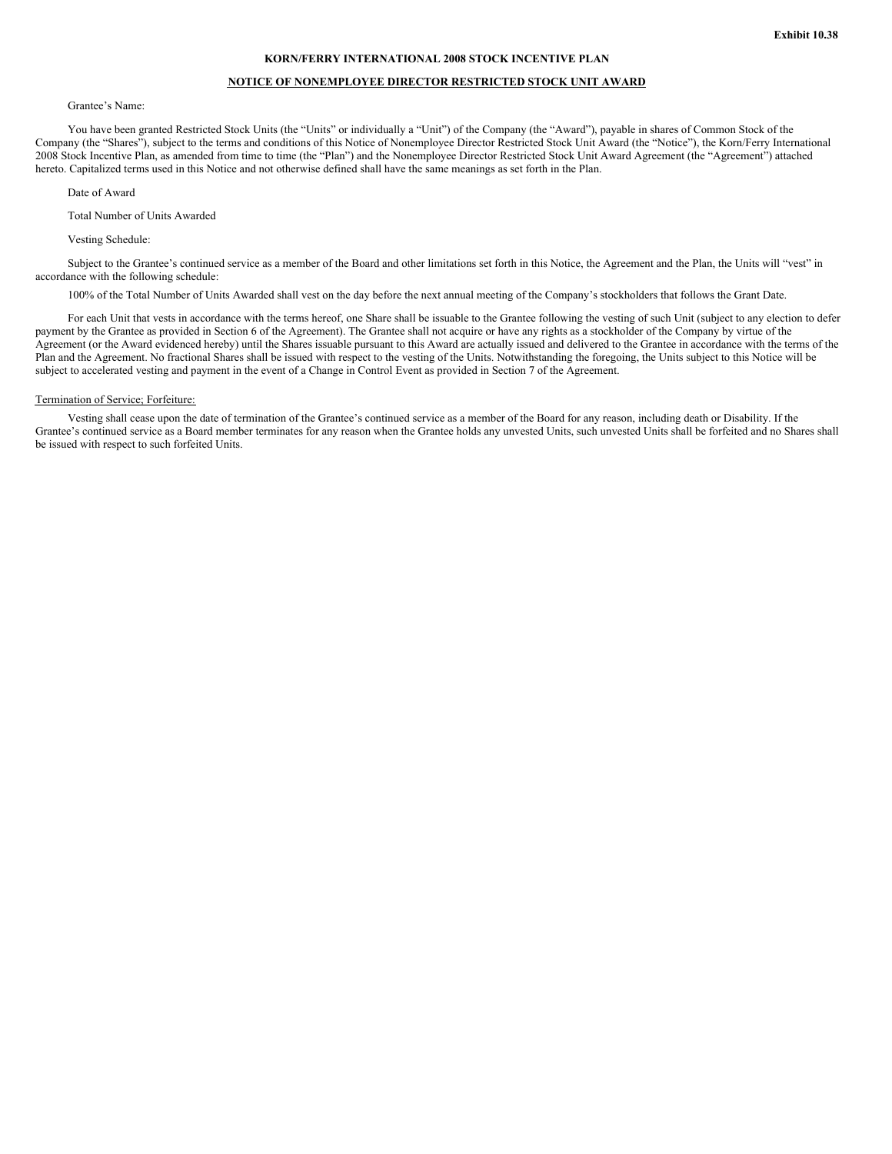#### **KORN/FERRY INTERNATIONAL 2008 STOCK INCENTIVE PLAN**

### **NOTICE OF NONEMPLOYEE DIRECTOR RESTRICTED STOCK UNIT AWARD**

#### Grantee's Name:

You have been granted Restricted Stock Units (the "Units" or individually a "Unit") of the Company (the "Award"), payable in shares of Common Stock of the Company (the "Shares"), subject to the terms and conditions of this Notice of Nonemployee Director Restricted Stock Unit Award (the "Notice"), the Korn/Ferry International 2008 Stock Incentive Plan, as amended from time to time (the "Plan") and the Nonemployee Director Restricted Stock Unit Award Agreement (the "Agreement") attached hereto. Capitalized terms used in this Notice and not otherwise defined shall have the same meanings as set forth in the Plan.

#### Date of Award

Total Number of Units Awarded

Vesting Schedule:

Subject to the Grantee's continued service as a member of the Board and other limitations set forth in this Notice, the Agreement and the Plan, the Units will "vest" in accordance with the following schedule:

100% of the Total Number of Units Awarded shall vest on the day before the next annual meeting of the Company's stockholders that follows the Grant Date.

For each Unit that vests in accordance with the terms hereof, one Share shall be issuable to the Grantee following the vesting of such Unit (subject to any election to defer payment by the Grantee as provided in Section 6 of the Agreement). The Grantee shall not acquire or have any rights as a stockholder of the Company by virtue of the Agreement (or the Award evidenced hereby) until the Shares issuable pursuant to this Award are actually issued and delivered to the Grantee in accordance with the terms of the Plan and the Agreement. No fractional Shares shall be issued with respect to the vesting of the Units. Notwithstanding the foregoing, the Units subject to this Notice will be subject to accelerated vesting and payment in the event of a Change in Control Event as provided in Section 7 of the Agreement.

#### Termination of Service; Forfeiture:

Vesting shall cease upon the date of termination of the Grantee's continued service as a member of the Board for any reason, including death or Disability. If the Grantee's continued service as a Board member terminates for any reason when the Grantee holds any unvested Units, such unvested Units shall be forfeited and no Shares shall be issued with respect to such forfeited Units.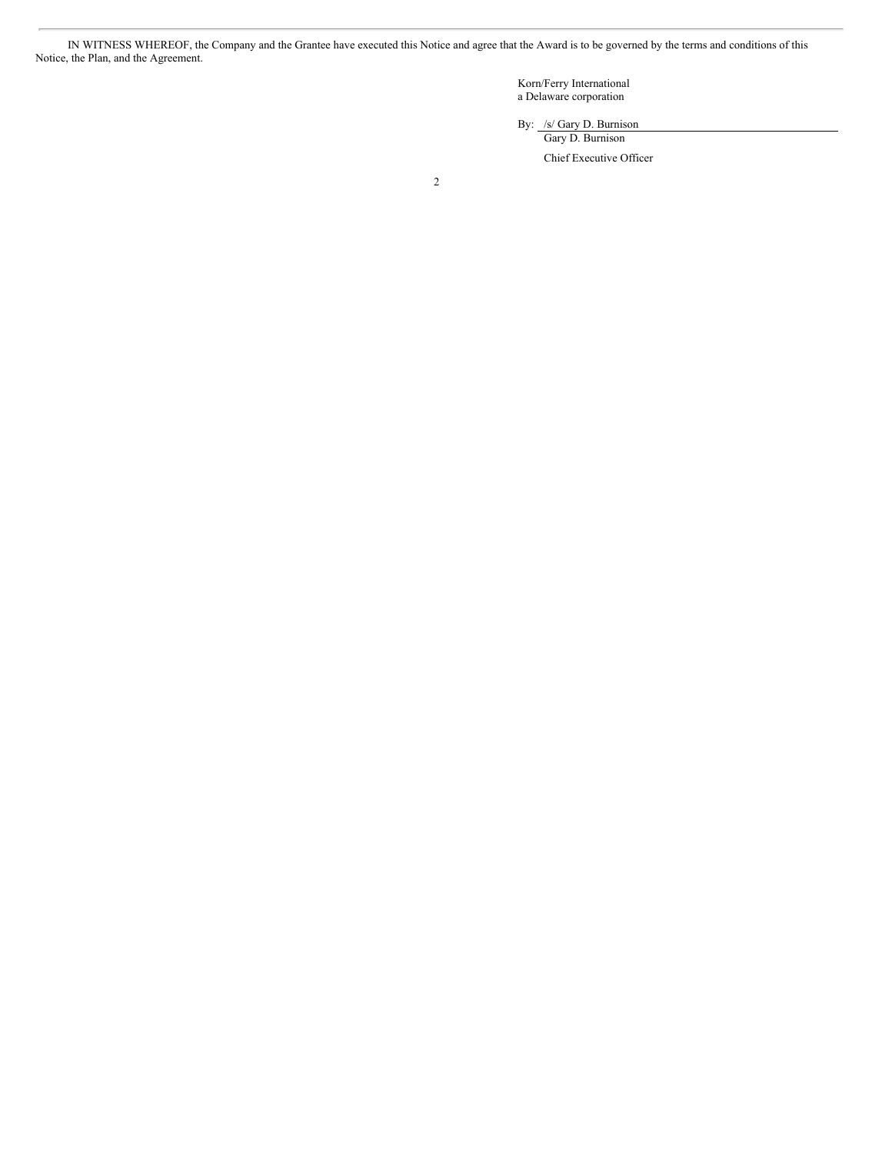IN WITNESS WHEREOF, the Company and the Grantee have executed this Notice and agree that the Award is to be governed by the terms and conditions of this Notice, the Plan, and the Agreement.

> Korn/Ferry International a Delaware corporation

By: /s/ Gary D. Burnison

Gary D. Burnison Chief Executive Officer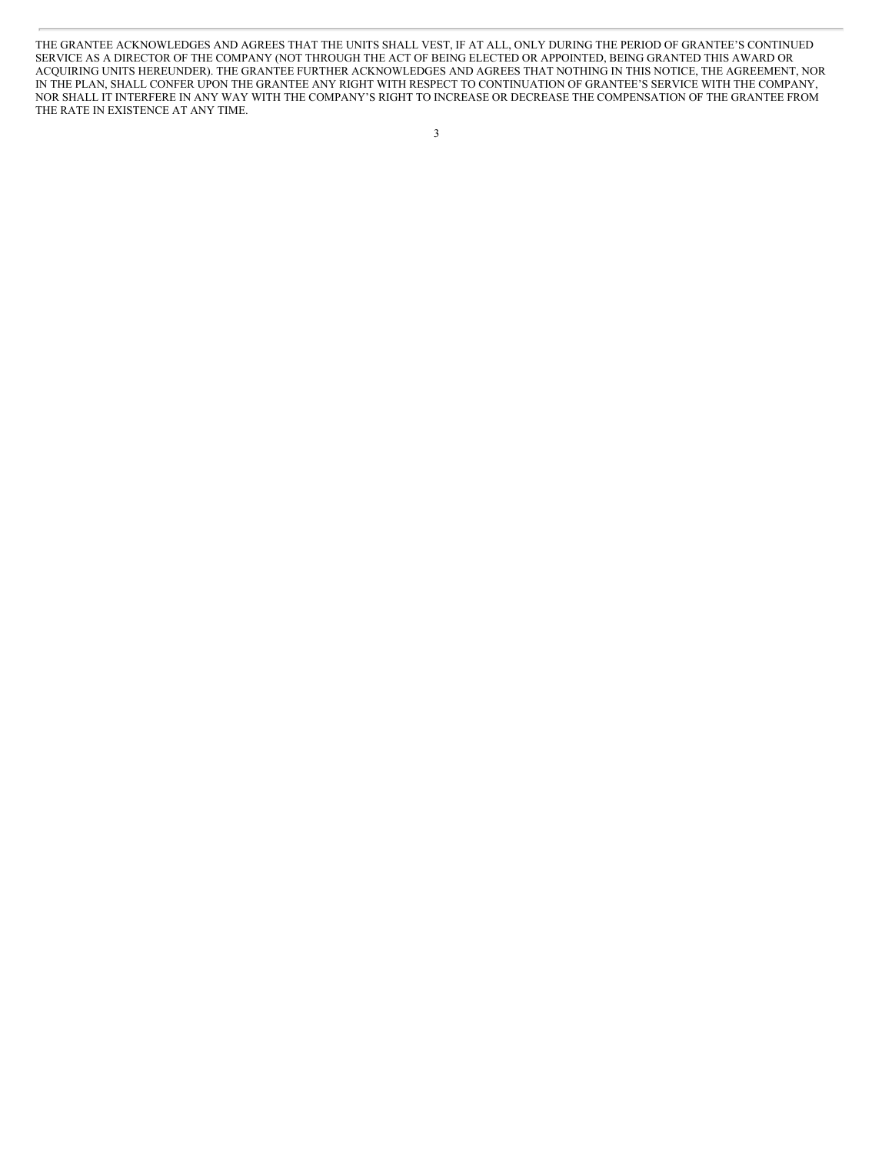THE GRANTEE ACKNOWLEDGES AND AGREES THAT THE UNITS SHALL VEST, IF AT ALL, ONLY DURING THE PERIOD OF GRANTEE'S CONTINUED SERVICE AS A DIRECTOR OF THE COMPANY (NOT THROUGH THE ACT OF BEING ELECTED OR APPOINTED, BEING GRANTED THIS AWARD OR ACQUIRING UNITS HEREUNDER). THE GRANTEE FURTHER ACKNOWLEDGES AND AGREES THAT NOTHING IN THIS NOTICE, THE AGREEMENT, NOR IN THE PLAN, SHALL CONFER UPON THE GRANTEE ANY RIGHT WITH RESPECT TO CONTINUATION OF GRANTEE'S SERVICE WITH THE COMPANY, NOR SHALL IT INTERFERE IN ANY WAY WITH THE COMPANY'S RIGHT TO INCREASE OR DECREASE THE COMPENSATION OF THE GRANTEE FROM THE RATE IN EXISTENCE AT ANY TIME.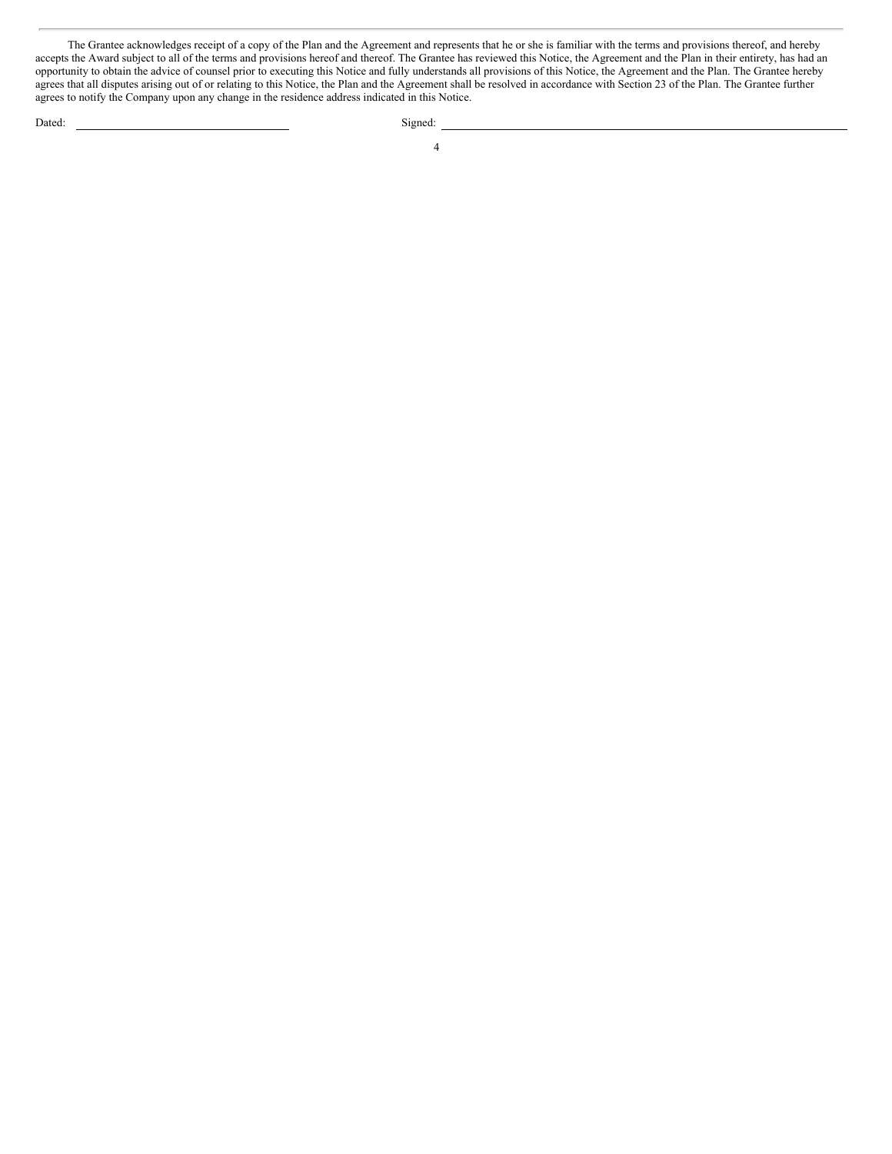The Grantee acknowledges receipt of a copy of the Plan and the Agreement and represents that he or she is familiar with the terms and provisions thereof, and hereby accepts the Award subject to all of the terms and provisions hereof and thereof. The Grantee has reviewed this Notice, the Agreement and the Plan in their entirety, has had an opportunity to obtain the advice of counsel prior to executing this Notice and fully understands all provisions of this Notice, the Agreement and the Plan. The Grantee hereby agrees that all disputes arising out of or relating to this Notice, the Plan and the Agreement shall be resolved in accordance with Section 23 of the Plan. The Grantee further agrees to notify the Company upon any change in the residence address indicated in this Notice.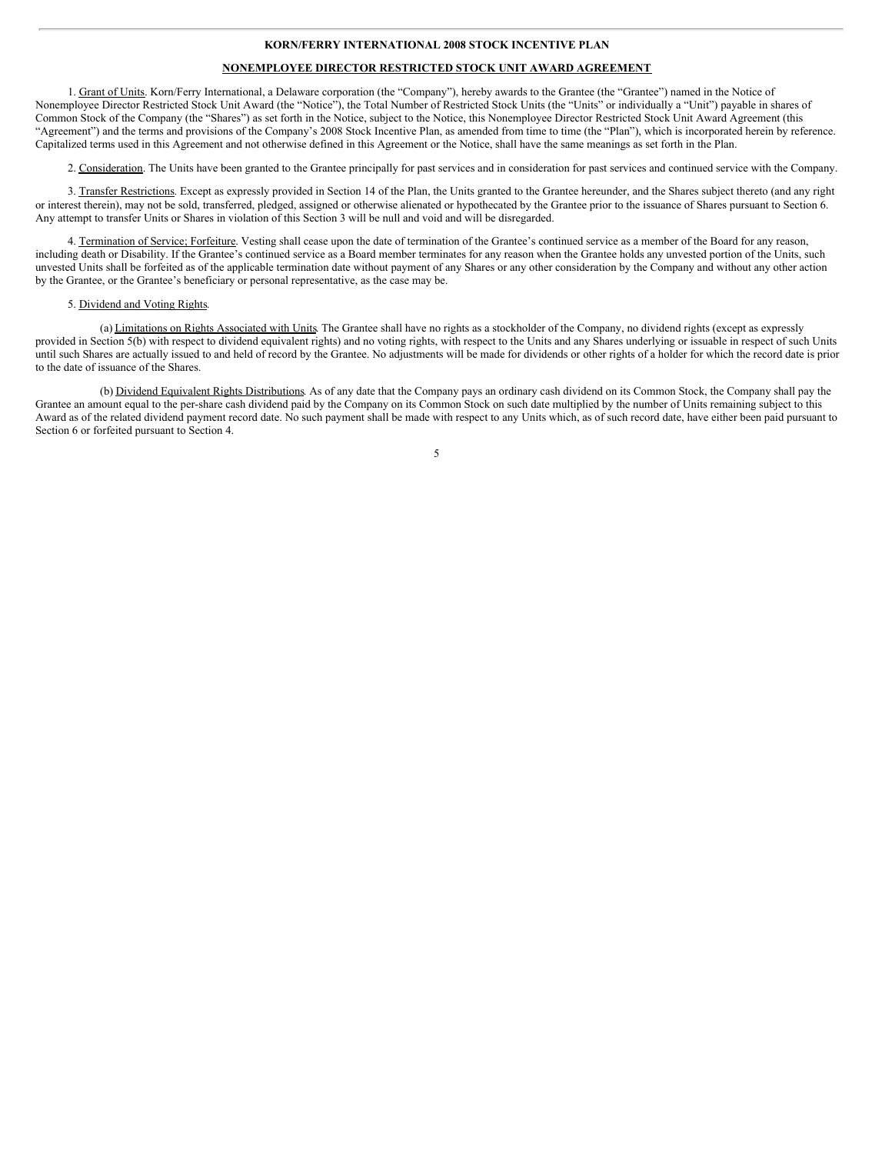### **KORN/FERRY INTERNATIONAL 2008 STOCK INCENTIVE PLAN**

### **NONEMPLOYEE DIRECTOR RESTRICTED STOCK UNIT AWARD AGREEMENT**

1. Grant of Units. Korn/Ferry International, a Delaware corporation (the "Company"), hereby awards to the Grantee (the "Grantee") named in the Notice of Nonemployee Director Restricted Stock Unit Award (the "Notice"), the Total Number of Restricted Stock Units (the "Units" or individually a "Unit") payable in shares of Common Stock of the Company (the "Shares") as set forth in the Notice, subject to the Notice, this Nonemployee Director Restricted Stock Unit Award Agreement (this "Agreement") and the terms and provisions of the Company's 2008 Stock Incentive Plan, as amended from time to time (the "Plan"), which is incorporated herein by reference. Capitalized terms used in this Agreement and not otherwise defined in this Agreement or the Notice, shall have the same meanings as set forth in the Plan.

2. Consideration. The Units have been granted to the Grantee principally for past services and in consideration for past services and continued service with the Company.

3. Transfer Restrictions. Except as expressly provided in Section 14 of the Plan, the Units granted to the Grantee hereunder, and the Shares subject thereto (and any right or interest therein), may not be sold, transferred, pledged, assigned or otherwise alienated or hypothecated by the Grantee prior to the issuance of Shares pursuant to Section 6. Any attempt to transfer Units or Shares in violation of this Section 3 will be null and void and will be disregarded.

4. Termination of Service; Forfeiture. Vesting shall cease upon the date of termination of the Grantee's continued service as a member of the Board for any reason, including death or Disability. If the Grantee's continued service as a Board member terminates for any reason when the Grantee holds any unvested portion of the Units, such unvested Units shall be forfeited as of the applicable termination date without payment of any Shares or any other consideration by the Company and without any other action by the Grantee, or the Grantee's beneficiary or personal representative, as the case may be.

### 5. Dividend and Voting Rights.

(a) Limitations on Rights Associated with Units. The Grantee shall have no rights as a stockholder of the Company, no dividend rights (except as expressly provided in Section 5(b) with respect to dividend equivalent rights) and no voting rights, with respect to the Units and any Shares underlying or issuable in respect of such Units until such Shares are actually issued to and held of record by the Grantee. No adjustments will be made for dividends or other rights of a holder for which the record date is prior to the date of issuance of the Shares.

(b) Dividend Equivalent Rights Distributions. As of any date that the Company pays an ordinary cash dividend on its Common Stock, the Company shall pay the Grantee an amount equal to the per-share cash dividend paid by the Company on its Common Stock on such date multiplied by the number of Units remaining subject to this Award as of the related dividend payment record date. No such payment shall be made with respect to any Units which, as of such record date, have either been paid pursuant to Section 6 or forfeited pursuant to Section 4.

5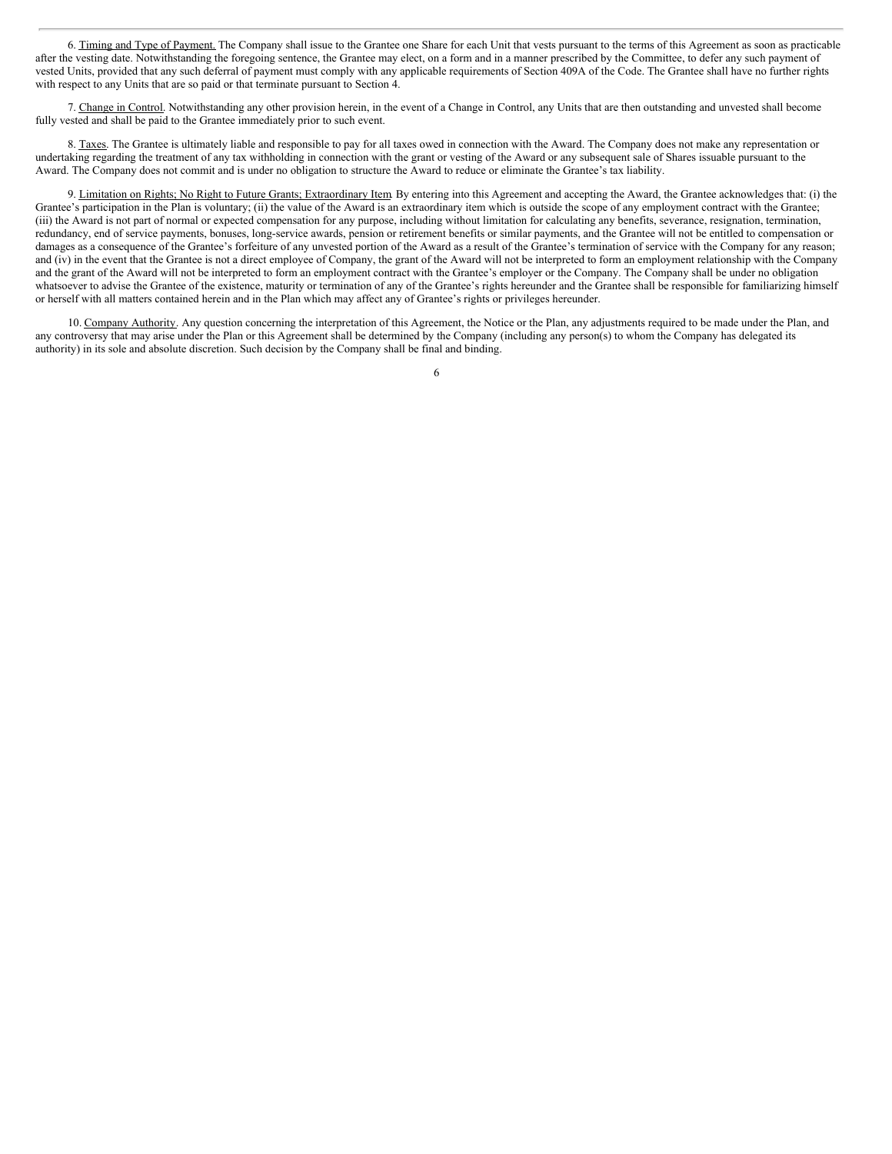6. Timing and Type of Payment. The Company shall issue to the Grantee one Share for each Unit that vests pursuant to the terms of this Agreement as soon as practicable after the vesting date. Notwithstanding the foregoing sentence, the Grantee may elect, on a form and in a manner prescribed by the Committee, to defer any such payment of vested Units, provided that any such deferral of payment must comply with any applicable requirements of Section 409A of the Code. The Grantee shall have no further rights with respect to any Units that are so paid or that terminate pursuant to Section 4.

7. Change in Control. Notwithstanding any other provision herein, in the event of a Change in Control, any Units that are then outstanding and unvested shall become fully vested and shall be paid to the Grantee immediately prior to such event.

8. Taxes. The Grantee is ultimately liable and responsible to pay for all taxes owed in connection with the Award. The Company does not make any representation or undertaking regarding the treatment of any tax withholding in connection with the grant or vesting of the Award or any subsequent sale of Shares issuable pursuant to the Award. The Company does not commit and is under no obligation to structure the Award to reduce or eliminate the Grantee's tax liability.

9. Limitation on Rights; No Right to Future Grants; Extraordinary Item By entering into this Agreement and accepting the Award, the Grantee acknowledges that: (i) the Grantee's participation in the Plan is voluntary; (ii) the value of the Award is an extraordinary item which is outside the scope of any employment contract with the Grantee; (iii) the Award is not part of normal or expected compensation for any purpose, including without limitation for calculating any benefits, severance, resignation, termination, redundancy, end of service payments, bonuses, long-service awards, pension or retirement benefits or similar payments, and the Grantee will not be entitled to compensation or damages as a consequence of the Grantee's forfeiture of any unvested portion of the Award as a result of the Grantee's termination of service with the Company for any reason; and (iv) in the event that the Grantee is not a direct employee of Company, the grant of the Award will not be interpreted to form an employment relationship with the Company and the grant of the Award will not be interpreted to form an employment contract with the Grantee's employer or the Company. The Company shall be under no obligation whatsoever to advise the Grantee of the existence, maturity or termination of any of the Grantee's rights hereunder and the Grantee shall be responsible for familiarizing himself or herself with all matters contained herein and in the Plan which may affect any of Grantee's rights or privileges hereunder.

10. Company Authority. Any question concerning the interpretation of this Agreement, the Notice or the Plan, any adjustments required to be made under the Plan, and any controversy that may arise under the Plan or this Agreement shall be determined by the Company (including any person(s) to whom the Company has delegated its authority) in its sole and absolute discretion. Such decision by the Company shall be final and binding.

6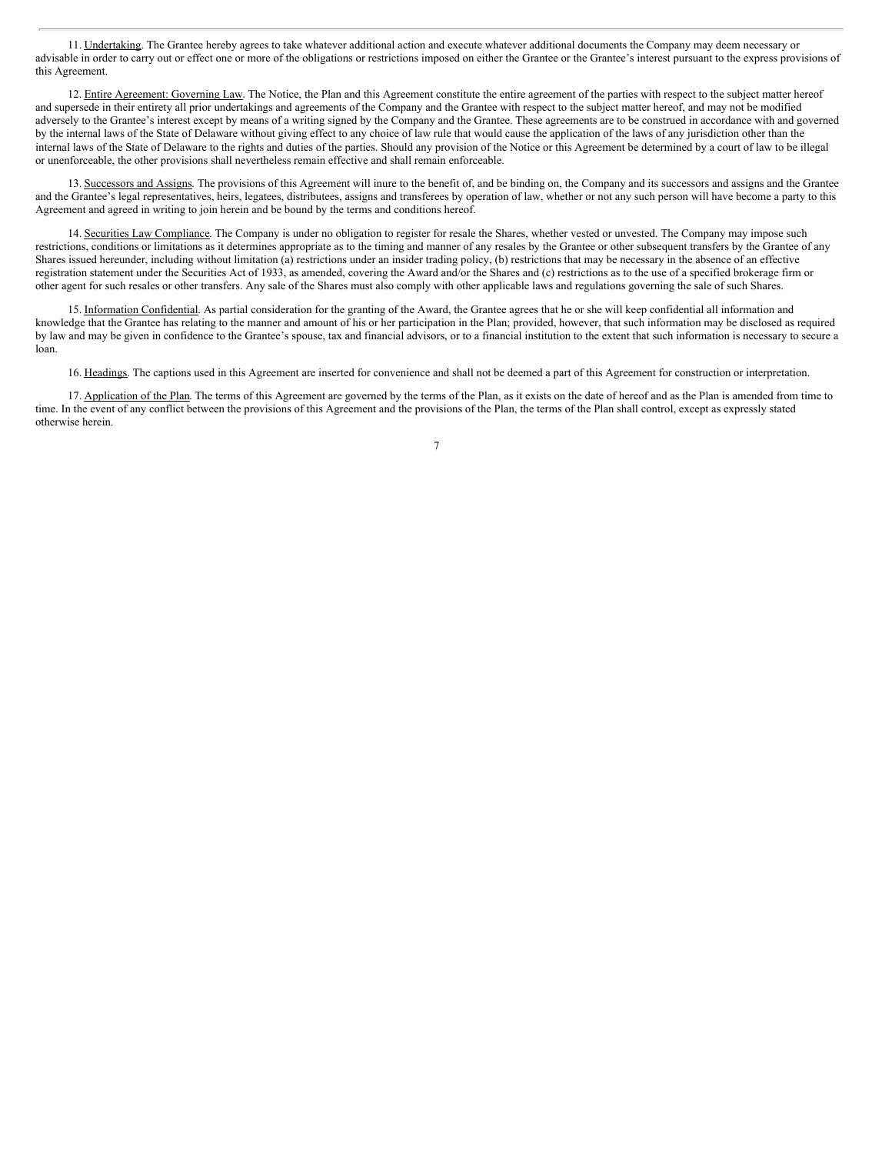11. Undertaking. The Grantee hereby agrees to take whatever additional action and execute whatever additional documents the Company may deem necessary or advisable in order to carry out or effect one or more of the obligations or restrictions imposed on either the Grantee or the Grantee's interest pursuant to the express provisions of this Agreement.

12. Entire Agreement: Governing Law. The Notice, the Plan and this Agreement constitute the entire agreement of the parties with respect to the subject matter hereof and supersede in their entirety all prior undertakings and agreements of the Company and the Grantee with respect to the subject matter hereof, and may not be modified adversely to the Grantee's interest except by means of a writing signed by the Company and the Grantee. These agreements are to be construed in accordance with and governed by the internal laws of the State of Delaware without giving effect to any choice of law rule that would cause the application of the laws of any jurisdiction other than the internal laws of the State of Delaware to the rights and duties of the parties. Should any provision of the Notice or this Agreement be determined by a court of law to be illegal or unenforceable, the other provisions shall nevertheless remain effective and shall remain enforceable.

13. Successors and Assigns. The provisions of this Agreement will inure to the benefit of, and be binding on, the Company and its successors and assigns and the Grantee and the Grantee's legal representatives, heirs, legatees, distributees, assigns and transferees by operation of law, whether or not any such person will have become a party to this Agreement and agreed in writing to join herein and be bound by the terms and conditions hereof.

14. Securities Law Compliance. The Company is under no obligation to register for resale the Shares, whether vested or unvested. The Company may impose such restrictions, conditions or limitations as it determines appropriate as to the timing and manner of any resales by the Grantee or other subsequent transfers by the Grantee of any Shares issued hereunder, including without limitation (a) restrictions under an insider trading policy, (b) restrictions that may be necessary in the absence of an effective registration statement under the Securities Act of 1933, as amended, covering the Award and/or the Shares and (c) restrictions as to the use of a specified brokerage firm or other agent for such resales or other transfers. Any sale of the Shares must also comply with other applicable laws and regulations governing the sale of such Shares.

15. Information Confidential. As partial consideration for the granting of the Award, the Grantee agrees that he or she will keep confidential all information and knowledge that the Grantee has relating to the manner and amount of his or her participation in the Plan; provided, however, that such information may be disclosed as required by law and may be given in confidence to the Grantee's spouse, tax and financial advisors, or to a financial institution to the extent that such information is necessary to secure a loan.

16. Headings. The captions used in this Agreement are inserted for convenience and shall not be deemed a part of this Agreement for construction or interpretation.

17. Application of the Plan. The terms of this Agreement are governed by the terms of the Plan, as it exists on the date of hereof and as the Plan is amended from time to time. In the event of any conflict between the provisions of this Agreement and the provisions of the Plan, the terms of the Plan shall control, except as expressly stated otherwise herein.

<sup>7</sup>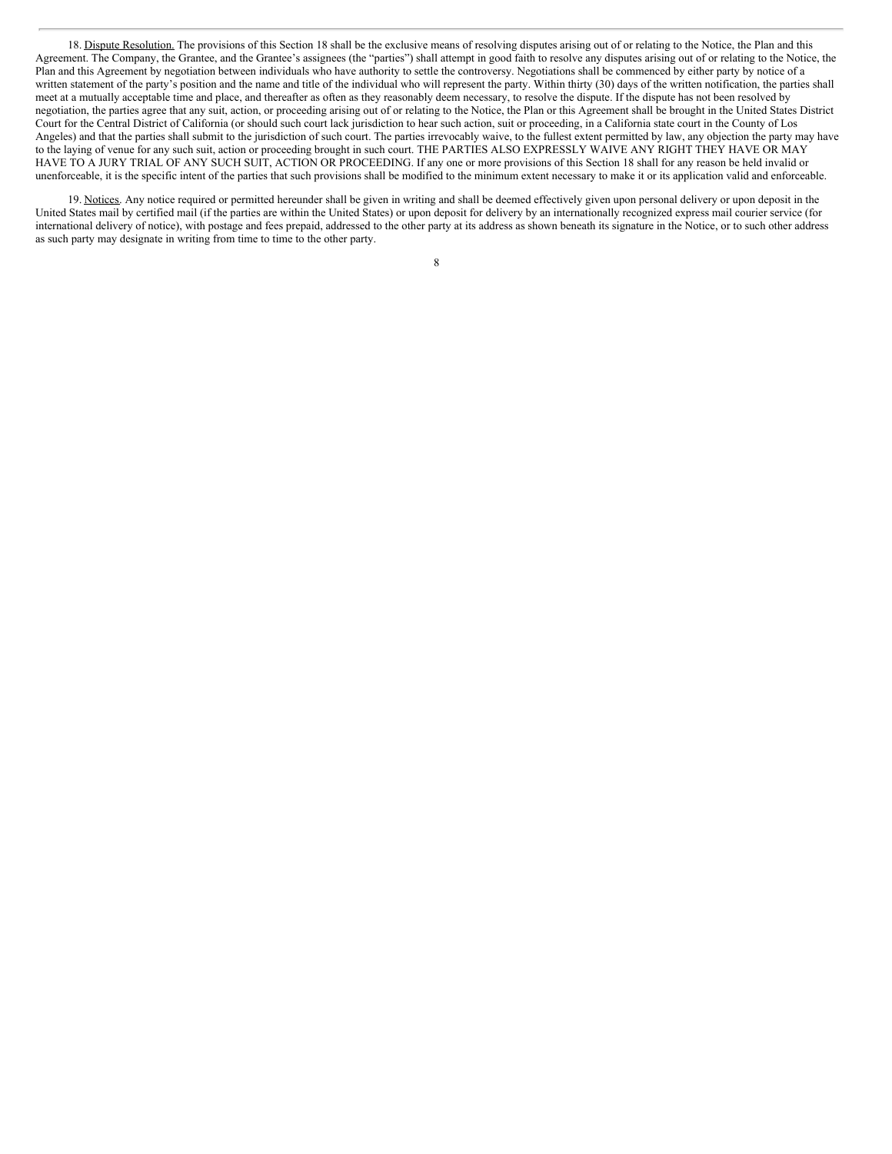18. Dispute Resolution. The provisions of this Section 18 shall be the exclusive means of resolving disputes arising out of or relating to the Notice, the Plan and this Agreement. The Company, the Grantee, and the Grantee's assignees (the "parties") shall attempt in good faith to resolve any disputes arising out of or relating to the Notice, the Plan and this Agreement by negotiation between individuals who have authority to settle the controversy. Negotiations shall be commenced by either party by notice of a written statement of the party's position and the name and title of the individual who will represent the party. Within thirty (30) days of the written notification, the parties shall meet at a mutually acceptable time and place, and thereafter as often as they reasonably deem necessary, to resolve the dispute. If the dispute has not been resolved by negotiation, the parties agree that any suit, action, or proceeding arising out of or relating to the Notice, the Plan or this Agreement shall be brought in the United States District Court for the Central District of California (or should such court lack jurisdiction to hear such action, suit or proceeding, in a California state court in the County of Los Angeles) and that the parties shall submit to the jurisdiction of such court. The parties irrevocably waive, to the fullest extent permitted by law, any objection the party may have to the laying of venue for any such suit, action or proceeding brought in such court. THE PARTIES ALSO EXPRESSLY WAIVE ANY RIGHT THEY HAVE OR MAY HAVE TO A JURY TRIAL OF ANY SUCH SUIT, ACTION OR PROCEEDING. If any one or more provisions of this Section 18 shall for any reason be held invalid or unenforceable, it is the specific intent of the parties that such provisions shall be modified to the minimum extent necessary to make it or its application valid and enforceable.

19. Notices. Any notice required or permitted hereunder shall be given in writing and shall be deemed effectively given upon personal delivery or upon deposit in the United States mail by certified mail (if the parties are within the United States) or upon deposit for delivery by an internationally recognized express mail courier service (for international delivery of notice), with postage and fees prepaid, addressed to the other party at its address as shown beneath its signature in the Notice, or to such other address as such party may designate in writing from time to time to the other party.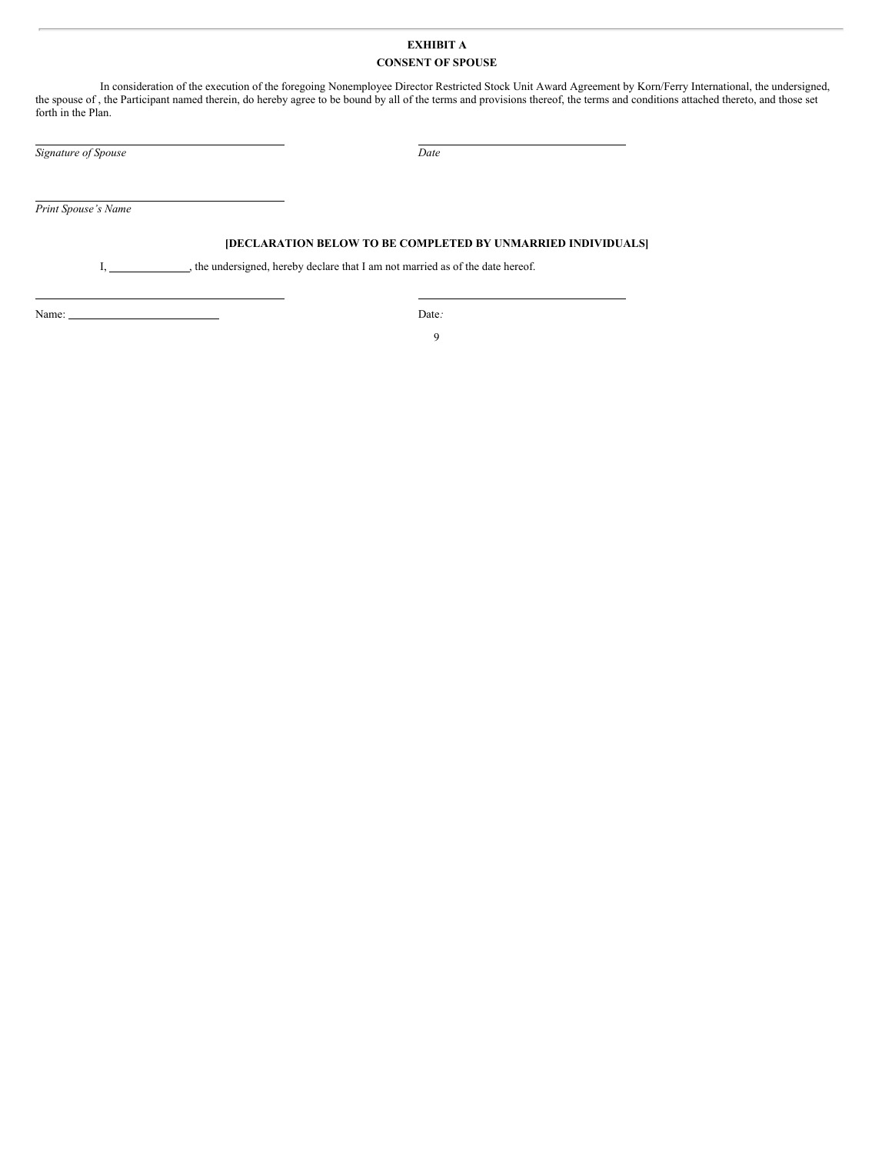# **EXHIBIT A CONSENT OF SPOUSE**

In consideration of the execution of the foregoing Nonemployee Director Restricted Stock Unit Award Agreement by Korn/Ferry International, the undersigned, the spouse of, the Participant named therein, do hereby agree to be bound by all of the terms and provisions thereof, the terms and conditions attached thereto, and those set forth in the Plan.

*Signature of Spouse Date*

*Print Spouse's Name*

# **[DECLARATION BELOW TO BE COMPLETED BY UNMARRIED INDIVIDUALS]**

I, \_\_\_\_\_\_\_\_\_\_\_\_, the undersigned, hereby declare that I am not married as of the date hereof.

Name: <u>Date</u>: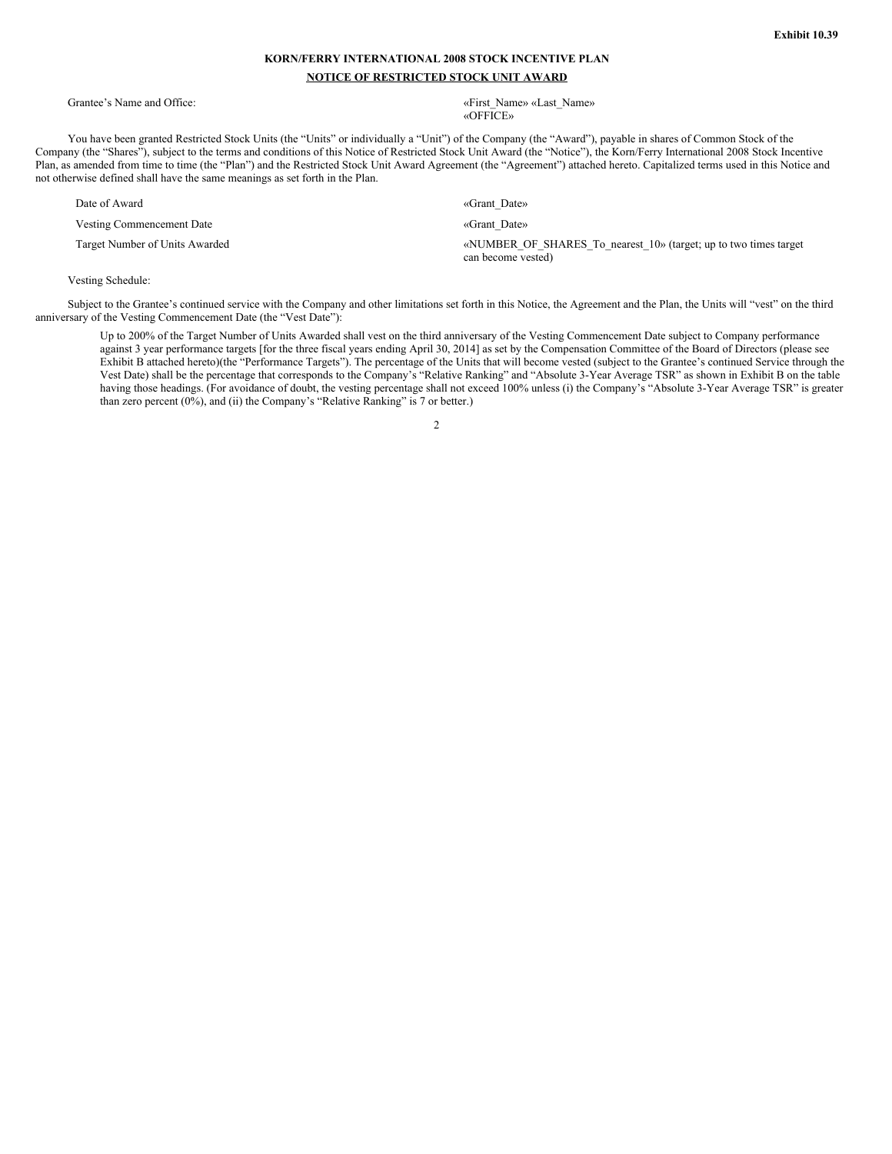# **KORN/FERRY INTERNATIONAL 2008 STOCK INCENTIVE PLAN**

## **NOTICE OF RESTRICTED STOCK UNIT AWARD**

Grantee's Name and Office:  $\qquad \qquad \text{``First Name''} \times \text{Last Name''}$ 

«OFFICE»

You have been granted Restricted Stock Units (the "Units" or individually a "Unit") of the Company (the "Award"), payable in shares of Common Stock of the Company (the "Shares"), subject to the terms and conditions of this Notice of Restricted Stock Unit Award (the "Notice"), the Korn/Ferry International 2008 Stock Incentive Plan, as amended from time to time (the "Plan") and the Restricted Stock Unit Award Agreement (the "Agreement") attached hereto. Capitalized terms used in this Notice and not otherwise defined shall have the same meanings as set forth in the Plan.

| Date of Award                  | «Grant Date»                                                                           |
|--------------------------------|----------------------------------------------------------------------------------------|
| Vesting Commencement Date      | «Grant Date»                                                                           |
| Target Number of Units Awarded | «NUMBER OF SHARES To nearest 10» (target; up to two times target<br>can become vested) |

## Vesting Schedule:

Subject to the Grantee's continued service with the Company and other limitations set forth in this Notice, the Agreement and the Plan, the Units will "vest" on the third anniversary of the Vesting Commencement Date (the "Vest Date"):

Up to 200% of the Target Number of Units Awarded shall vest on the third anniversary of the Vesting Commencement Date subject to Company performance against 3 year performance targets [for the three fiscal years ending April 30, 2014] as set by the Compensation Committee of the Board of Directors (please see Exhibit B attached hereto)(the "Performance Targets"). The percentage of the Units that will become vested (subject to the Grantee's continued Service through the Vest Date) shall be the percentage that corresponds to the Company's "Relative Ranking" and "Absolute 3-Year Average TSR" as shown in Exhibit B on the table having those headings. (For avoidance of doubt, the vesting percentage shall not exceed 100% unless (i) the Company's "Absolute 3-Year Average TSR" is greater than zero percent (0%), and (ii) the Company's "Relative Ranking" is 7 or better.)

 $\overline{\phantom{a}}$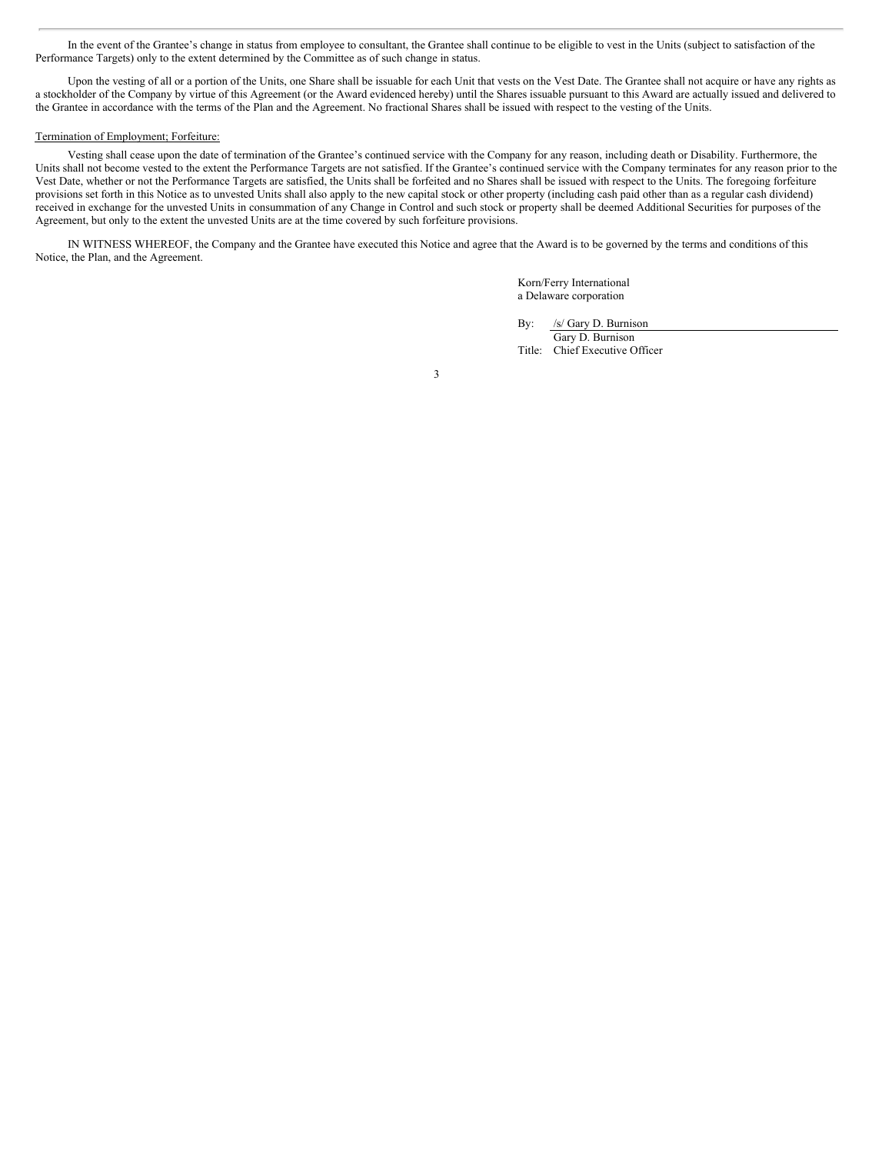In the event of the Grantee's change in status from employee to consultant, the Grantee shall continue to be eligible to vest in the Units (subject to satisfaction of the Performance Targets) only to the extent determined by the Committee as of such change in status.

Upon the vesting of all or a portion of the Units, one Share shall be issuable for each Unit that vests on the Vest Date. The Grantee shall not acquire or have any rights as a stockholder of the Company by virtue of this Agreement (or the Award evidenced hereby) until the Shares issuable pursuant to this Award are actually issued and delivered to the Grantee in accordance with the terms of the Plan and the Agreement. No fractional Shares shall be issued with respect to the vesting of the Units.

# Termination of Employment; Forfeiture:

Vesting shall cease upon the date of termination of the Grantee's continued service with the Company for any reason, including death or Disability. Furthermore, the Units shall not become vested to the extent the Performance Targets are not satisfied. If the Grantee's continued service with the Company terminates for any reason prior to the Vest Date, whether or not the Performance Targets are satisfied, the Units shall be forfeited and no Shares shall be issued with respect to the Units. The foregoing forfeiture provisions set forth in this Notice as to unvested Units shall also apply to the new capital stock or other property (including cash paid other than as a regular cash dividend) received in exchange for the unvested Units in consummation of any Change in Control and such stock or property shall be deemed Additional Securities for purposes of the Agreement, but only to the extent the unvested Units are at the time covered by such forfeiture provisions.

IN WITNESS WHEREOF, the Company and the Grantee have executed this Notice and agree that the Award is to be governed by the terms and conditions of this Notice, the Plan, and the Agreement.

> Korn/Ferry International a Delaware corporation

By: /s/ Gary D. Burnison

Gary D. Burnison Title: Chief Executive Officer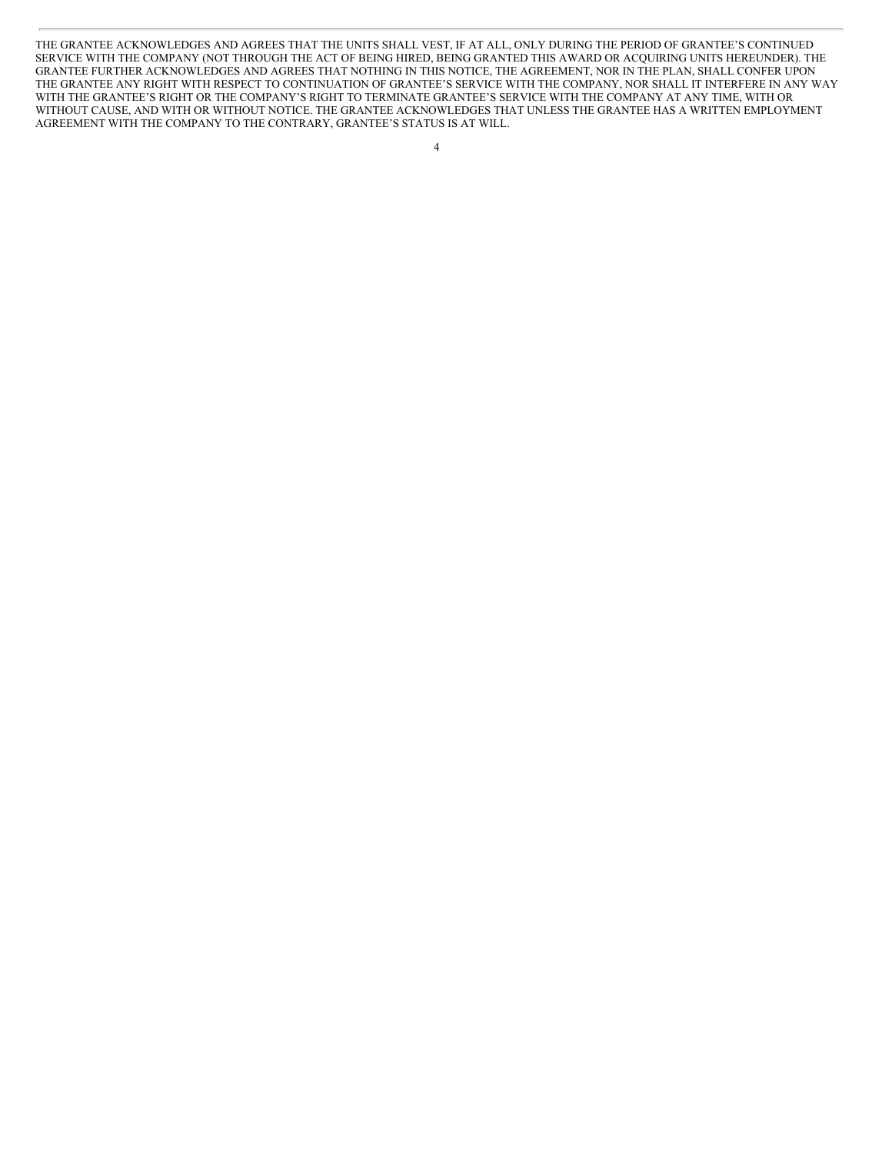THE GRANTEE ACKNOWLEDGES AND AGREES THAT THE UNITS SHALL VEST, IF AT ALL, ONLY DURING THE PERIOD OF GRANTEE'S CONTINUED SERVICE WITH THE COMPANY (NOT THROUGH THE ACT OF BEING HIRED, BEING GRANTED THIS AWARD OR ACQUIRING UNITS HEREUNDER). THE GRANTEE FURTHER ACKNOWLEDGES AND AGREES THAT NOTHING IN THIS NOTICE, THE AGREEMENT, NOR IN THE PLAN, SHALL CONFER UPON THE GRANTEE ANY RIGHT WITH RESPECT TO CONTINUATION OF GRANTEE'S SERVICE WITH THE COMPANY, NOR SHALL IT INTERFERE IN ANY WAY WITH THE GRANTEE'S RIGHT OR THE COMPANY'S RIGHT TO TERMINATE GRANTEE'S SERVICE WITH THE COMPANY AT ANY TIME, WITH OR WITHOUT CAUSE, AND WITH OR WITHOUT NOTICE. THE GRANTEE ACKNOWLEDGES THAT UNLESS THE GRANTEE HAS A WRITTEN EMPLOYMENT AGREEMENT WITH THE COMPANY TO THE CONTRARY, GRANTEE'S STATUS IS AT WILL.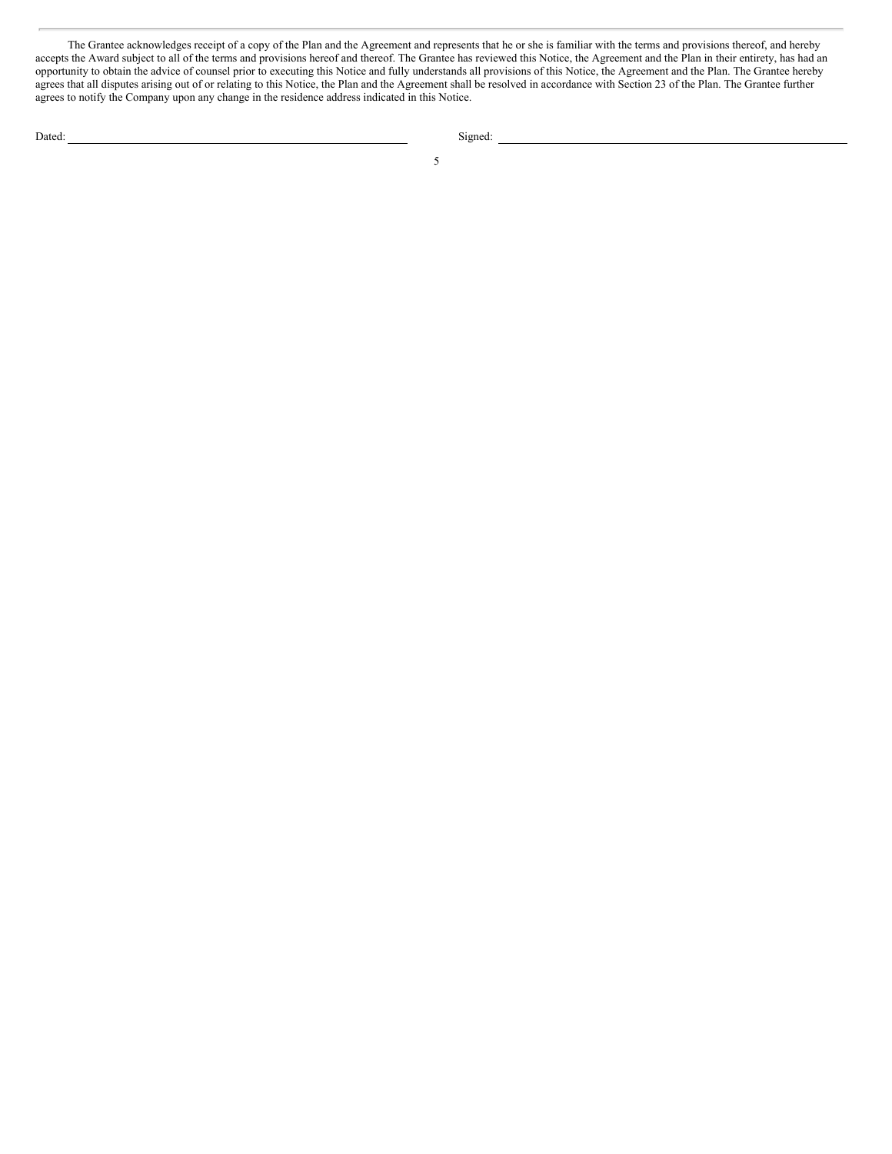The Grantee acknowledges receipt of a copy of the Plan and the Agreement and represents that he or she is familiar with the terms and provisions thereof, and hereby accepts the Award subject to all of the terms and provisions hereof and thereof. The Grantee has reviewed this Notice, the Agreement and the Plan in their entirety, has had an opportunity to obtain the advice of counsel prior to executing this Notice and fully understands all provisions of this Notice, the Agreement and the Plan. The Grantee hereby agrees that all disputes arising out of or relating to this Notice, the Plan and the Agreement shall be resolved in accordance with Section 23 of the Plan. The Grantee further agrees to notify the Company upon any change in the residence address indicated in this Notice.

Dated: Signed: Signed: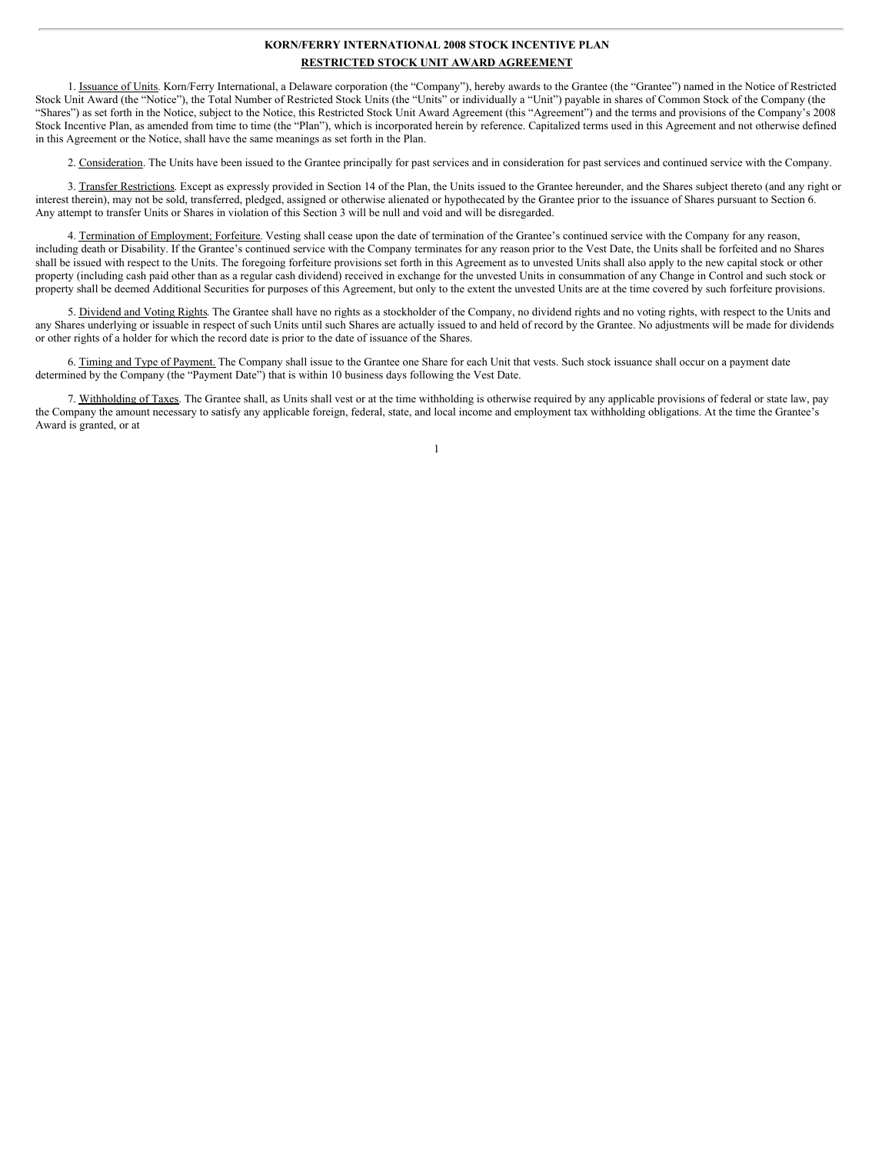# **KORN/FERRY INTERNATIONAL 2008 STOCK INCENTIVE PLAN RESTRICTED STOCK UNIT AWARD AGREEMENT**

1. Issuance of Units. Korn/Ferry International, a Delaware corporation (the "Company"), hereby awards to the Grantee (the "Grantee") named in the Notice of Restricted Stock Unit Award (the "Notice"), the Total Number of Restricted Stock Units (the "Units" or individually a "Unit") payable in shares of Common Stock of the Company (the "Shares") as set forth in the Notice, subject to the Notice, this Restricted Stock Unit Award Agreement (this "Agreement") and the terms and provisions of the Company's 2008 Stock Incentive Plan, as amended from time to time (the "Plan"), which is incorporated herein by reference. Capitalized terms used in this Agreement and not otherwise defined in this Agreement or the Notice, shall have the same meanings as set forth in the Plan.

2. Consideration. The Units have been issued to the Grantee principally for past services and in consideration for past services and continued service with the Company.

3. Transfer Restrictions. Except as expressly provided in Section 14 of the Plan, the Units issued to the Grantee hereunder, and the Shares subject thereto (and any right or interest therein), may not be sold, transferred, pledged, assigned or otherwise alienated or hypothecated by the Grantee prior to the issuance of Shares pursuant to Section 6. Any attempt to transfer Units or Shares in violation of this Section 3 will be null and void and will be disregarded.

4. Termination of Employment; Forfeiture. Vesting shall cease upon the date of termination of the Grantee's continued service with the Company for any reason, including death or Disability. If the Grantee's continued service with the Company terminates for any reason prior to the Vest Date, the Units shall be forfeited and no Shares shall be issued with respect to the Units. The foregoing forfeiture provisions set forth in this Agreement as to unvested Units shall also apply to the new capital stock or other property (including cash paid other than as a regular cash dividend) received in exchange for the unvested Units in consummation of any Change in Control and such stock or property shall be deemed Additional Securities for purposes of this Agreement, but only to the extent the unvested Units are at the time covered by such forfeiture provisions.

5. Dividend and Voting Rights. The Grantee shall have no rights as a stockholder of the Company, no dividend rights and no voting rights, with respect to the Units and any Shares underlying or issuable in respect of such Units until such Shares are actually issued to and held of record by the Grantee. No adjustments will be made for dividends or other rights of a holder for which the record date is prior to the date of issuance of the Shares.

6. Timing and Type of Payment. The Company shall issue to the Grantee one Share for each Unit that vests. Such stock issuance shall occur on a payment date determined by the Company (the "Payment Date") that is within 10 business days following the Vest Date.

7. Withholding of Taxes. The Grantee shall, as Units shall vest or at the time withholding is otherwise required by any applicable provisions of federal or state law, pay the Company the amount necessary to satisfy any applicable foreign, federal, state, and local income and employment tax withholding obligations. At the time the Grantee's Award is granted, or at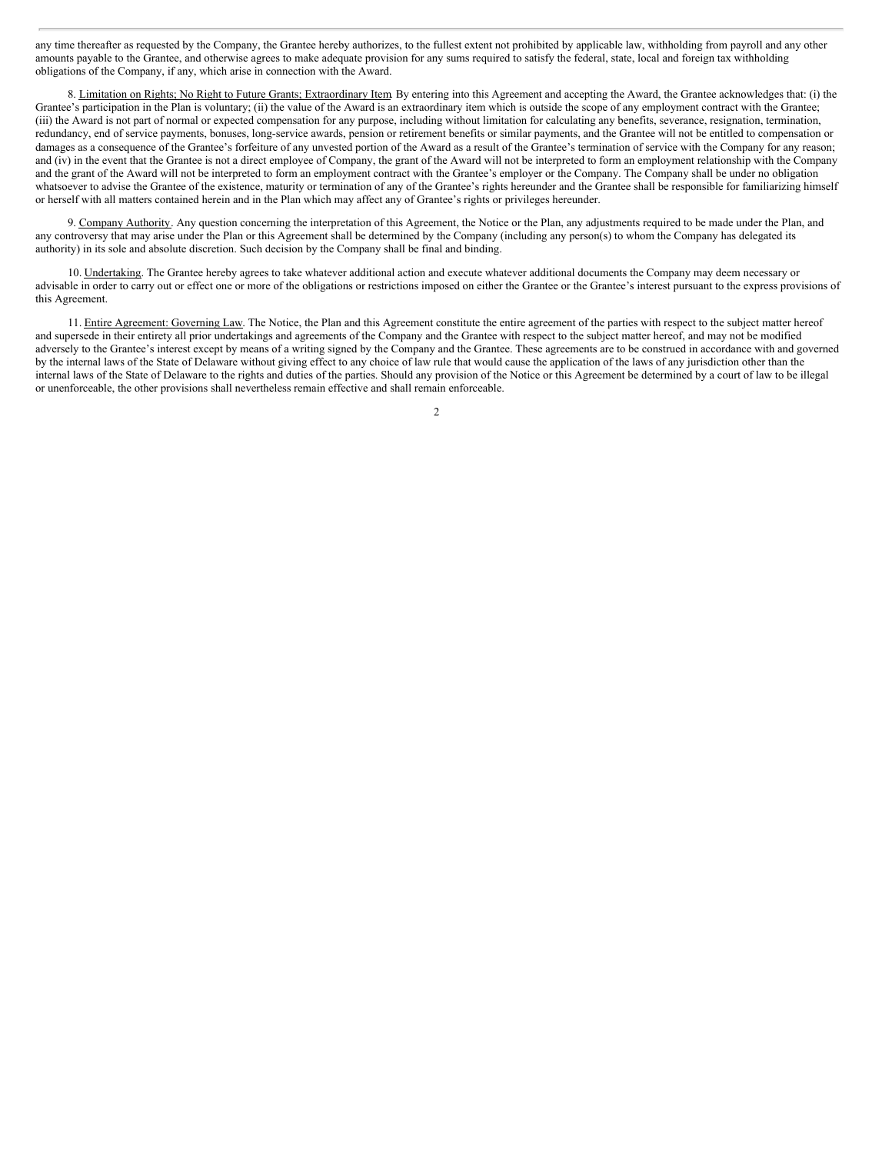any time thereafter as requested by the Company, the Grantee hereby authorizes, to the fullest extent not prohibited by applicable law, withholding from payroll and any other amounts payable to the Grantee, and otherwise agrees to make adequate provision for any sums required to satisfy the federal, state, local and foreign tax withholding obligations of the Company, if any, which arise in connection with the Award.

8. Limitation on Rights; No Right to Future Grants; Extraordinary Item By entering into this Agreement and accepting the Award, the Grantee acknowledges that: (i) the Grantee's participation in the Plan is voluntary; (ii) the value of the Award is an extraordinary item which is outside the scope of any employment contract with the Grantee; (iii) the Award is not part of normal or expected compensation for any purpose, including without limitation for calculating any benefits, severance, resignation, termination, redundancy, end of service payments, bonuses, long-service awards, pension or retirement benefits or similar payments, and the Grantee will not be entitled to compensation or damages as a consequence of the Grantee's forfeiture of any unvested portion of the Award as a result of the Grantee's termination of service with the Company for any reason; and (iv) in the event that the Grantee is not a direct employee of Company, the grant of the Award will not be interpreted to form an employment relationship with the Company and the grant of the Award will not be interpreted to form an employment contract with the Grantee's employer or the Company. The Company shall be under no obligation whatsoever to advise the Grantee of the existence, maturity or termination of any of the Grantee's rights hereunder and the Grantee shall be responsible for familiarizing himself or herself with all matters contained herein and in the Plan which may affect any of Grantee's rights or privileges hereunder.

9. Company Authority. Any question concerning the interpretation of this Agreement, the Notice or the Plan, any adjustments required to be made under the Plan, and any controversy that may arise under the Plan or this Agreement shall be determined by the Company (including any person(s) to whom the Company has delegated its authority) in its sole and absolute discretion. Such decision by the Company shall be final and binding.

10. Undertaking. The Grantee hereby agrees to take whatever additional action and execute whatever additional documents the Company may deem necessary or advisable in order to carry out or effect one or more of the obligations or restrictions imposed on either the Grantee or the Grantee's interest pursuant to the express provisions of this Agreement.

11. Entire Agreement: Governing Law. The Notice, the Plan and this Agreement constitute the entire agreement of the parties with respect to the subject matter hereof and supersede in their entirety all prior undertakings and agreements of the Company and the Grantee with respect to the subject matter hereof, and may not be modified adversely to the Grantee's interest except by means of a writing signed by the Company and the Grantee. These agreements are to be construed in accordance with and governed by the internal laws of the State of Delaware without giving effect to any choice of law rule that would cause the application of the laws of any jurisdiction other than the internal laws of the State of Delaware to the rights and duties of the parties. Should any provision of the Notice or this Agreement be determined by a court of law to be illegal or unenforceable, the other provisions shall nevertheless remain effective and shall remain enforceable.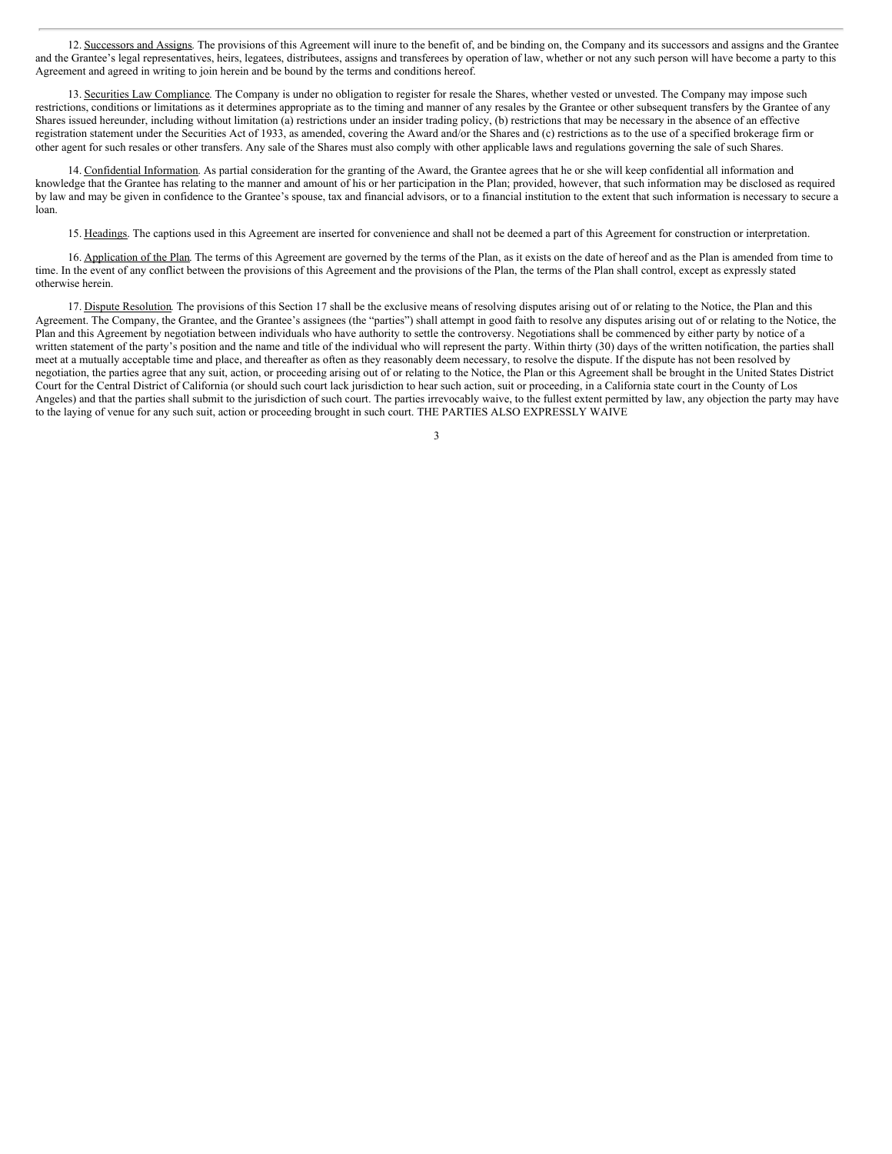12. Successors and Assigns. The provisions of this Agreement will inure to the benefit of, and be binding on, the Company and its successors and assigns and the Grantee and the Grantee's legal representatives, heirs, legatees, distributees, assigns and transferees by operation of law, whether or not any such person will have become a party to this Agreement and agreed in writing to join herein and be bound by the terms and conditions hereof.

13. Securities Law Compliance. The Company is under no obligation to register for resale the Shares, whether vested or unvested. The Company may impose such restrictions, conditions or limitations as it determines appropriate as to the timing and manner of any resales by the Grantee or other subsequent transfers by the Grantee of any Shares issued hereunder, including without limitation (a) restrictions under an insider trading policy, (b) restrictions that may be necessary in the absence of an effective registration statement under the Securities Act of 1933, as amended, covering the Award and/or the Shares and (c) restrictions as to the use of a specified brokerage firm or other agent for such resales or other transfers. Any sale of the Shares must also comply with other applicable laws and regulations governing the sale of such Shares.

14. Confidential Information. As partial consideration for the granting of the Award, the Grantee agrees that he or she will keep confidential all information and knowledge that the Grantee has relating to the manner and amount of his or her participation in the Plan; provided, however, that such information may be disclosed as required by law and may be given in confidence to the Grantee's spouse, tax and financial advisors, or to a financial institution to the extent that such information is necessary to secure a loan.

15. Headings. The captions used in this Agreement are inserted for convenience and shall not be deemed a part of this Agreement for construction or interpretation.

16. Application of the Plan. The terms of this Agreement are governed by the terms of the Plan, as it exists on the date of hereof and as the Plan is amended from time to time. In the event of any conflict between the provisions of this Agreement and the provisions of the Plan, the terms of the Plan shall control, except as expressly stated otherwise herein.

17. Dispute Resolution. The provisions of this Section 17 shall be the exclusive means of resolving disputes arising out of or relating to the Notice, the Plan and this Agreement. The Company, the Grantee, and the Grantee's assignees (the "parties") shall attempt in good faith to resolve any disputes arising out of or relating to the Notice, the Plan and this Agreement by negotiation between individuals who have authority to settle the controversy. Negotiations shall be commenced by either party by notice of a written statement of the party's position and the name and title of the individual who will represent the party. Within thirty (30) days of the written notification, the parties shall meet at a mutually acceptable time and place, and thereafter as often as they reasonably deem necessary, to resolve the dispute. If the dispute has not been resolved by negotiation, the parties agree that any suit, action, or proceeding arising out of or relating to the Notice, the Plan or this Agreement shall be brought in the United States District Court for the Central District of California (or should such court lack jurisdiction to hear such action, suit or proceeding, in a California state court in the County of Los Angeles) and that the parties shall submit to the jurisdiction of such court. The parties irrevocably waive, to the fullest extent permitted by law, any objection the party may have to the laying of venue for any such suit, action or proceeding brought in such court. THE PARTIES ALSO EXPRESSLY WAIVE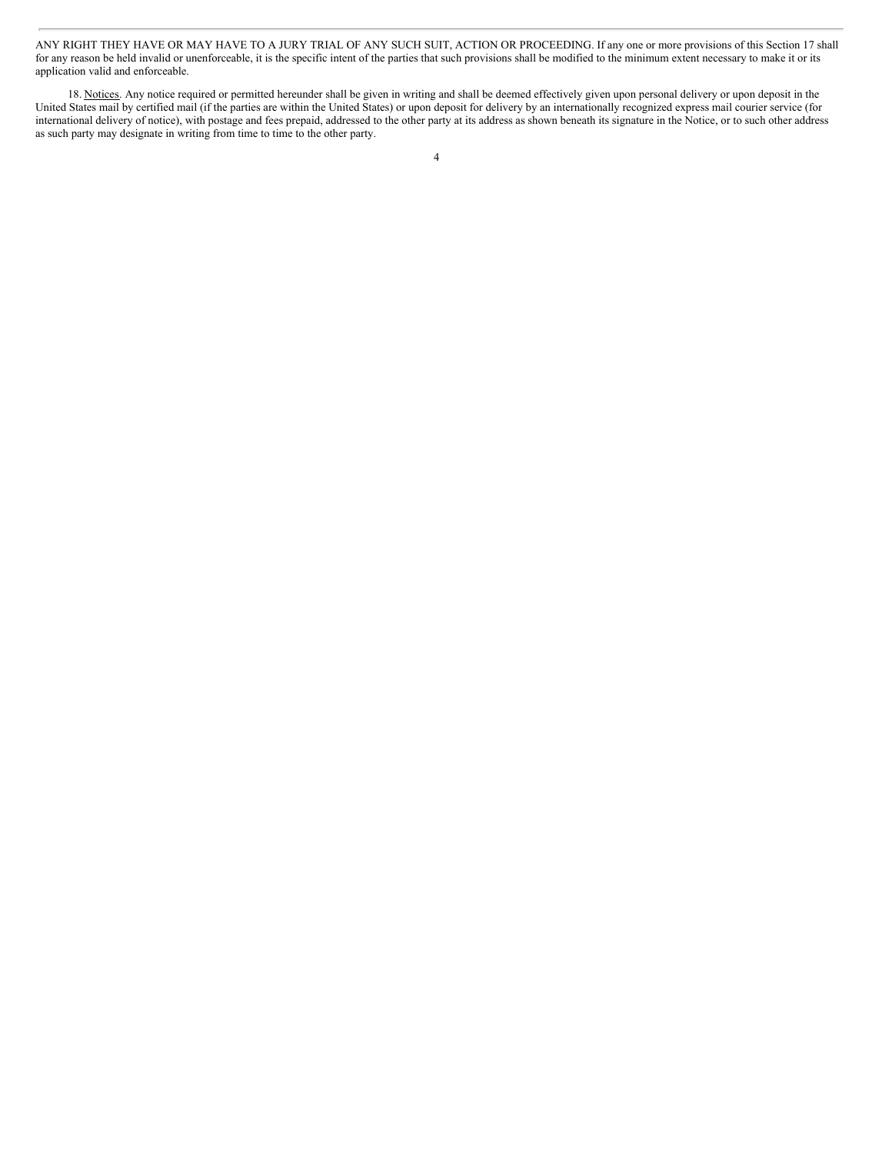ANY RIGHT THEY HAVE OR MAY HAVE TO A JURY TRIAL OF ANY SUCH SUIT, ACTION OR PROCEEDING. If any one or more provisions of this Section 17 shall for any reason be held invalid or unenforceable, it is the specific intent of the parties that such provisions shall be modified to the minimum extent necessary to make it or its application valid and enforceable.

18. Notices. Any notice required or permitted hereunder shall be given in writing and shall be deemed effectively given upon personal delivery or upon deposit in the United States mail by certified mail (if the parties are within the United States) or upon deposit for delivery by an internationally recognized express mail courier service (for international delivery of notice), with postage and fees prepaid, addressed to the other party at its address as shown beneath its signature in the Notice, or to such other address as such party may designate in writing from time to time to the other party.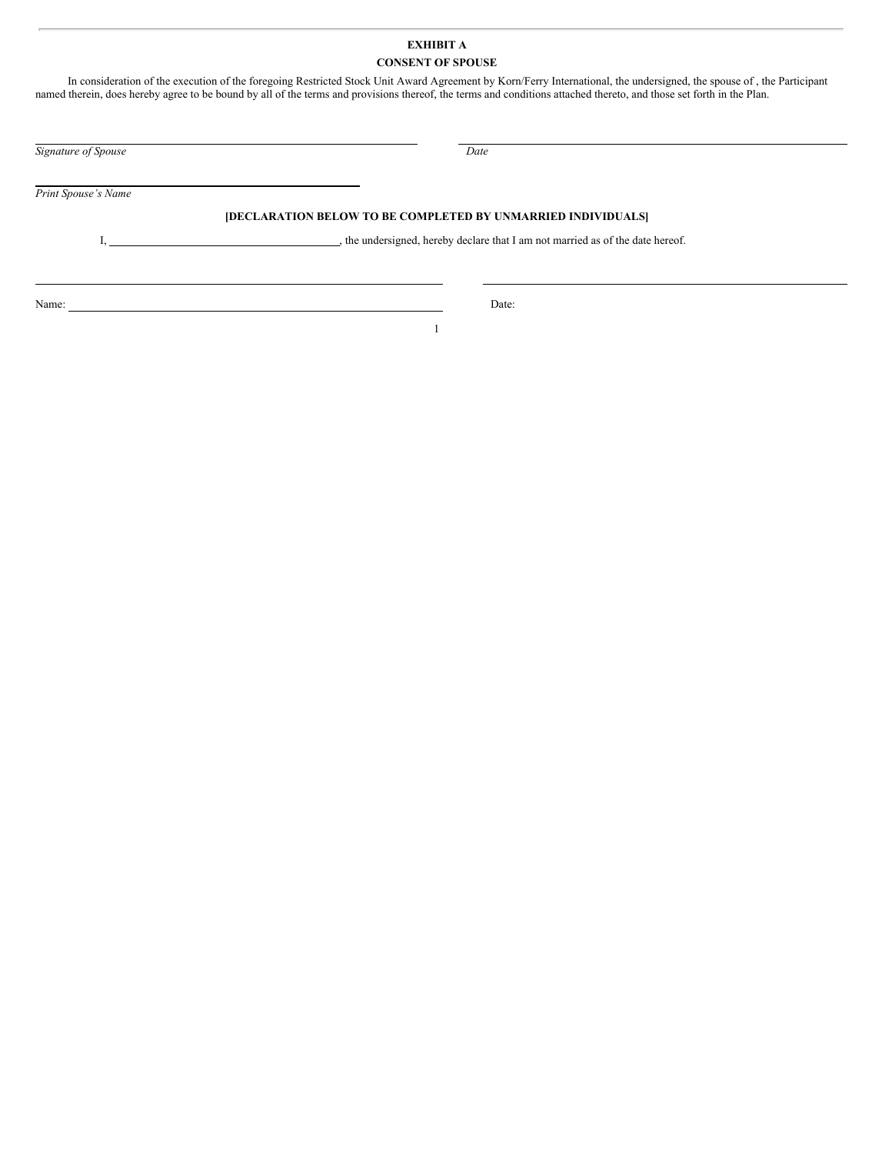# **EXHIBIT A CONSENT OF SPOUSE**

In consideration of the execution of the foregoing Restricted Stock Unit Award Agreement by Korn/Ferry International, the undersigned, the spouse of , the Participant named therein, does hereby agree to be bound by all of the terms and provisions thereof, the terms and conditions attached thereto, and those set forth in the Plan.

*Signature of Spouse Date*

*Print Spouse's Name*

# **[DECLARATION BELOW TO BE COMPLETED BY UNMARRIED INDIVIDUALS]**

I,  $\frac{1}{2}$  , the undersigned, hereby declare that I am not married as of the date hereof.

Name: Date: Date: Date: Date: Date: Date: Date: Date: Date: Date: Date: Date: Date: Date: Date: Date: Date: Date: Date: Date: Date: Date: Date: Date: Date: Date: Date: Date: Date: Date: Date: Date: Date: Date: Date: Date: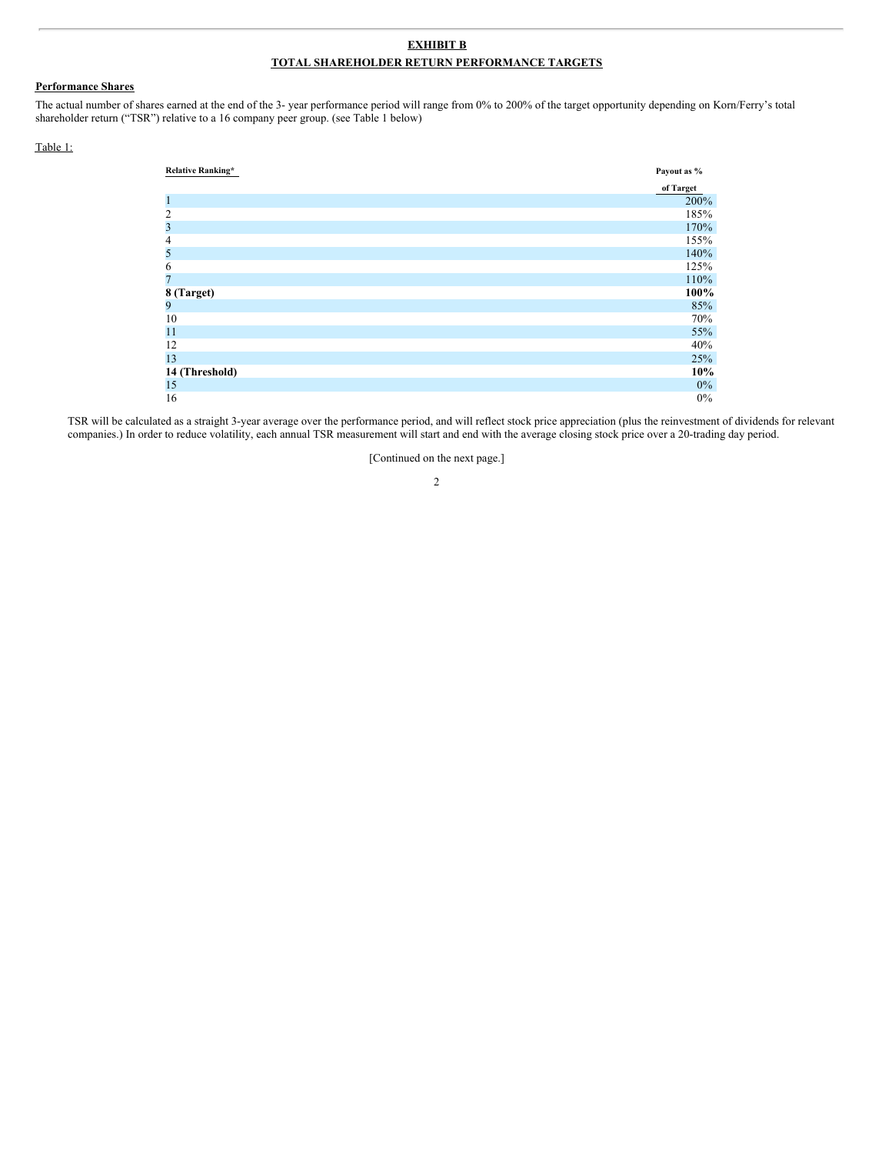# **EXHIBIT B TOTAL SHAREHOLDER RETURN PERFORMANCE TARGETS**

# **Performance Shares**

The actual number of shares earned at the end of the 3- year performance period will range from 0% to 200% of the target opportunity depending on Korn/Ferry's total shareholder return ("TSR") relative to a 16 company peer group. (see Table 1 below)

## Table 1:



TSR will be calculated as a straight 3-year average over the performance period, and will reflect stock price appreciation (plus the reinvestment of dividends for relevant companies.) In order to reduce volatility, each annual TSR measurement will start and end with the average closing stock price over a 20-trading day period.

[Continued on the next page.]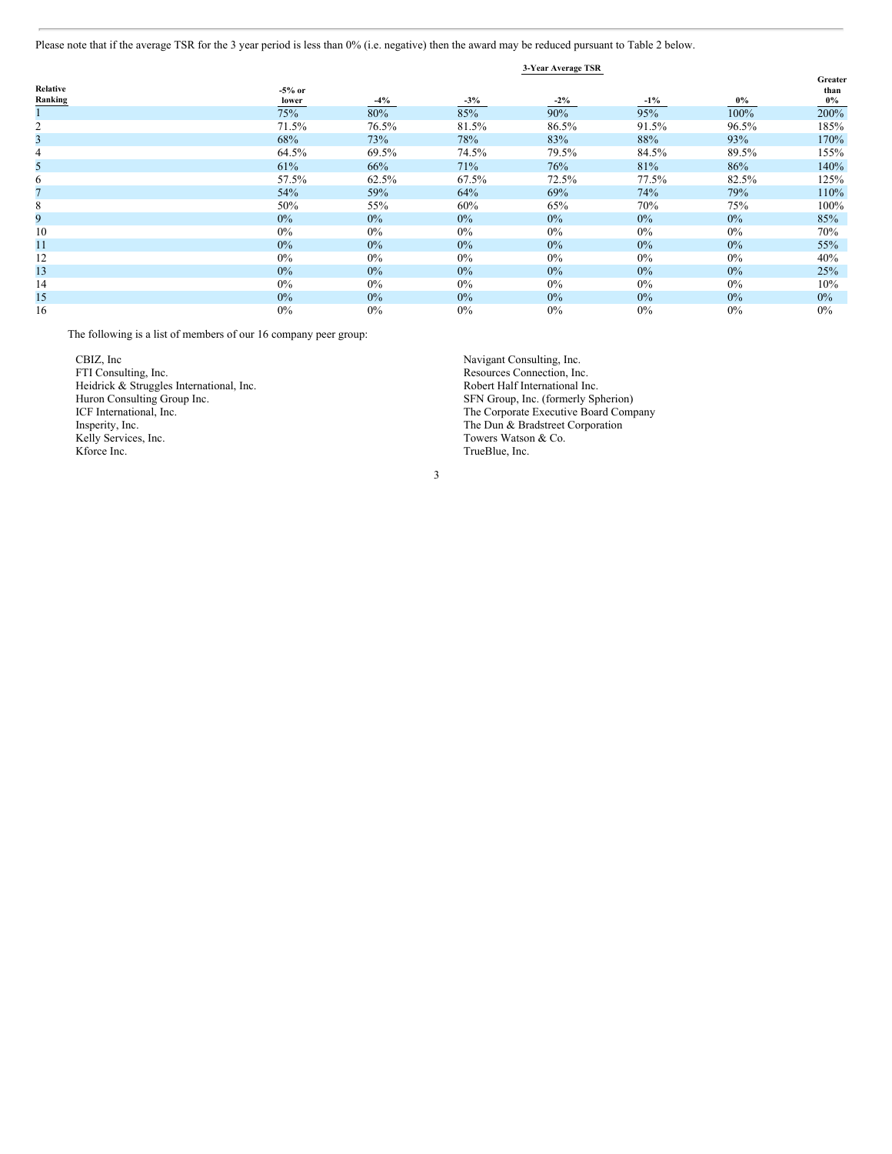Please note that if the average TSR for the 3 year period is less than 0% (i.e. negative) then the award may be reduced pursuant to Table 2 below.

| $-5\%$ or |                       |                        |                        |                                              |                        | Greater<br>than        |
|-----------|-----------------------|------------------------|------------------------|----------------------------------------------|------------------------|------------------------|
|           |                       |                        |                        |                                              |                        | $0\%$                  |
|           |                       |                        |                        |                                              |                        | 200%                   |
|           |                       |                        |                        |                                              |                        | 185%                   |
| 68%       | 73%                   | 78%                    | 83%                    | 88%                                          | 93%                    | 170%                   |
| 64.5%     | 69.5%                 | 74.5%                  | 79.5%                  | 84.5%                                        | 89.5%                  | 155%                   |
| 61%       | 66%                   | 71%                    | 76%                    | 81%                                          | 86%                    | 140%                   |
| 57.5%     | 62.5%                 | 67.5%                  | 72.5%                  | 77.5%                                        | 82.5%                  | 125%                   |
| 54%       | 59%                   | 64%                    | 69%                    | 74%                                          | 79%                    | 110%                   |
| 50%       | 55%                   | 60%                    | 65%                    | 70%                                          | 75%                    | 100%                   |
| $0\%$     | $0\%$                 | $0\%$                  | $0\%$                  | $0\%$                                        | $0\%$                  | 85%                    |
| 0%        | $0\%$                 | $0\%$                  | $0\%$                  | $0\%$                                        | $0\%$                  | 70%                    |
| $0\%$     | $0\%$                 | $0\%$                  | $0\%$                  | $0\%$                                        | $0\%$                  | 55%                    |
| 0%        | $0\%$                 | $0\%$                  | $0\%$                  | $0\%$                                        | $0\%$                  | 40%                    |
| $0\%$     | $0\%$                 | $0\%$                  | $0\%$                  | $0\%$                                        | $0\%$                  | 25%                    |
| $0\%$     | $0\%$                 | $0\%$                  | $0\%$                  | $0\%$                                        | $0\%$                  | 10%                    |
| $0\%$     | $0\%$                 | $0\%$                  | $0\%$                  | $0\%$                                        | $0\%$                  | $0\%$                  |
| 0%        | 0%                    | $0\%$                  | 0%                     | 0%                                           | $0\%$                  | $0\%$                  |
|           | lower<br>75%<br>71.5% | $-4\%$<br>80%<br>76.5% | $-3\%$<br>85%<br>81.5% | 3-Year Average TSR<br>$-2\%$<br>90%<br>86.5% | $-1\%$<br>95%<br>91.5% | $0\%$<br>100%<br>96.5% |

The following is a list of members of our 16 company peer group:

CBIZ, Inc Navigant Consulting, Inc.<br>
FTI Consulting, Inc.<br>
Resources Connection, Inc. Heidrick & Struggles International, Inc. The Struggles International Inc. Huron Consulting Group Inc. SFN Group, Inc. (formerly Spherion) Insperity, Inc.<br>
Insperity, Inc.<br>
Services, Inc.<br>
The Dun & Bradstreet Corporation<br>
Towers Watson & Co.<br>
Towers Watson & Co. Kelly Services, Inc. Towers Watson & Co.<br>
Kforce Inc. TrueBlue, Inc. TrueBlue, Inc.

Resources Connection, Inc.<br>Robert Half International Inc. ICF International, Inc. The Corporate Executive Board Company<br>Insperity, Inc. The Dun & Bradstreet Corporation TrueBlue, Inc.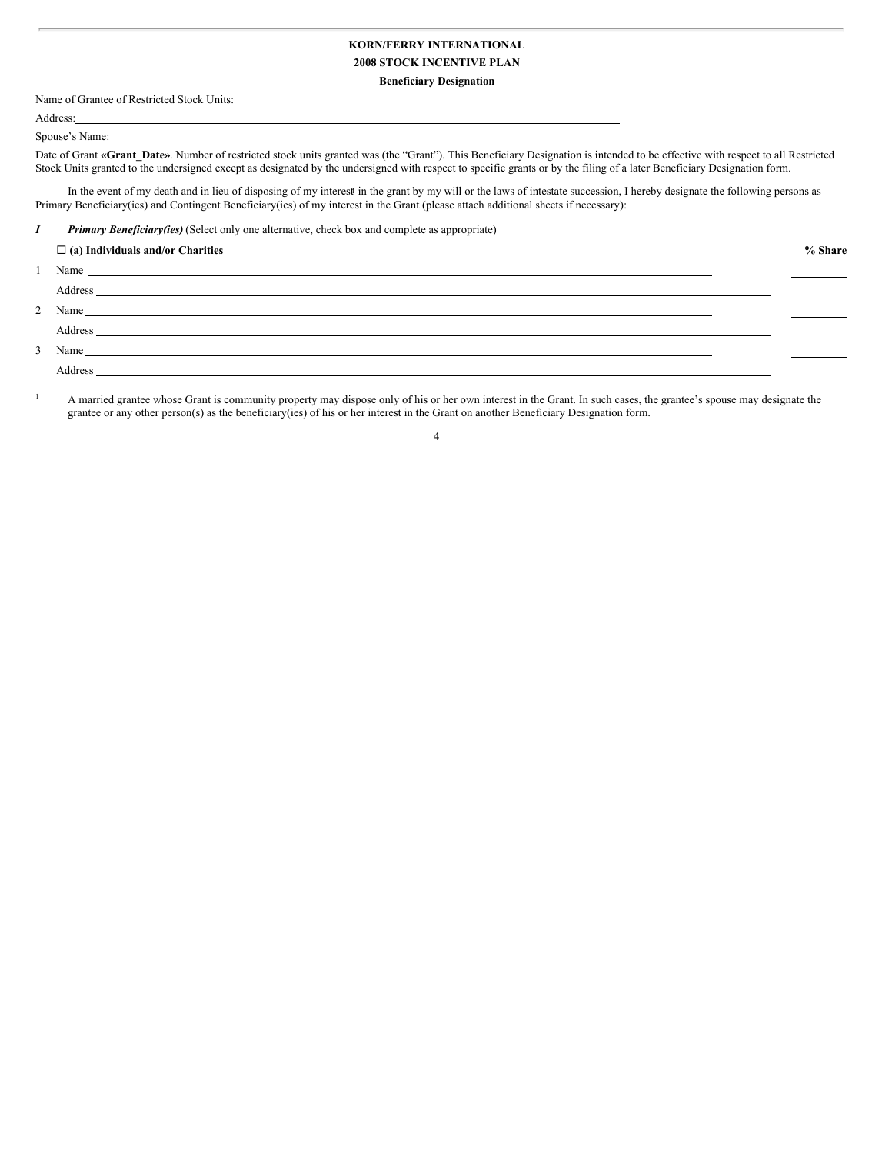# **KORN/FERRY INTERNATIONAL**

# **2008 STOCK INCENTIVE PLAN**

**Beneficiary Designation**

Name of Grantee of Restricted Stock Units:

# Spouse's Name:

Address:

Date of Grant «Grant Date». Number of restricted stock units granted was (the "Grant"). This Beneficiary Designation is intended to be effective with respect to all Restricted Stock Units granted to the undersigned except as designated by the undersigned with respect to specific grants or by the filing of a later Beneficiary Designation form.

In the event of my death and in lieu of disposing of my interest in the grant by my will or the laws of intestate succession, I hereby designate the following persons as Primary Beneficiary(ies) and Contingent Beneficiary(ies) of my interest in the Grant (please attach additional sheets if necessary):

## *I Primary Beneficiary(ies)* (Select only one alternative, check box and complete as appropriate)

### ¨ **(a) Individuals and/or Charities % Share**

| Name                                                                                                                                                                                                                                            |  |
|-------------------------------------------------------------------------------------------------------------------------------------------------------------------------------------------------------------------------------------------------|--|
| Address<br><u>and the control of the control of the control of the control of the control of the control of the control of the control of the control of the control of the control of the control of the control of the control of the con</u> |  |
| Name<br><u> 1989 - Andrea Andrew Maria (h. 1989).</u>                                                                                                                                                                                           |  |
| Address                                                                                                                                                                                                                                         |  |
|                                                                                                                                                                                                                                                 |  |
|                                                                                                                                                                                                                                                 |  |

A married grantee whose Grant is community property may dispose only of his or her own interest in the Grant. In such cases, the grantee's spouse may designate the grantee or any other person(s) as the beneficiary(ies) of his or her interest in the Grant on another Beneficiary Designation form. 1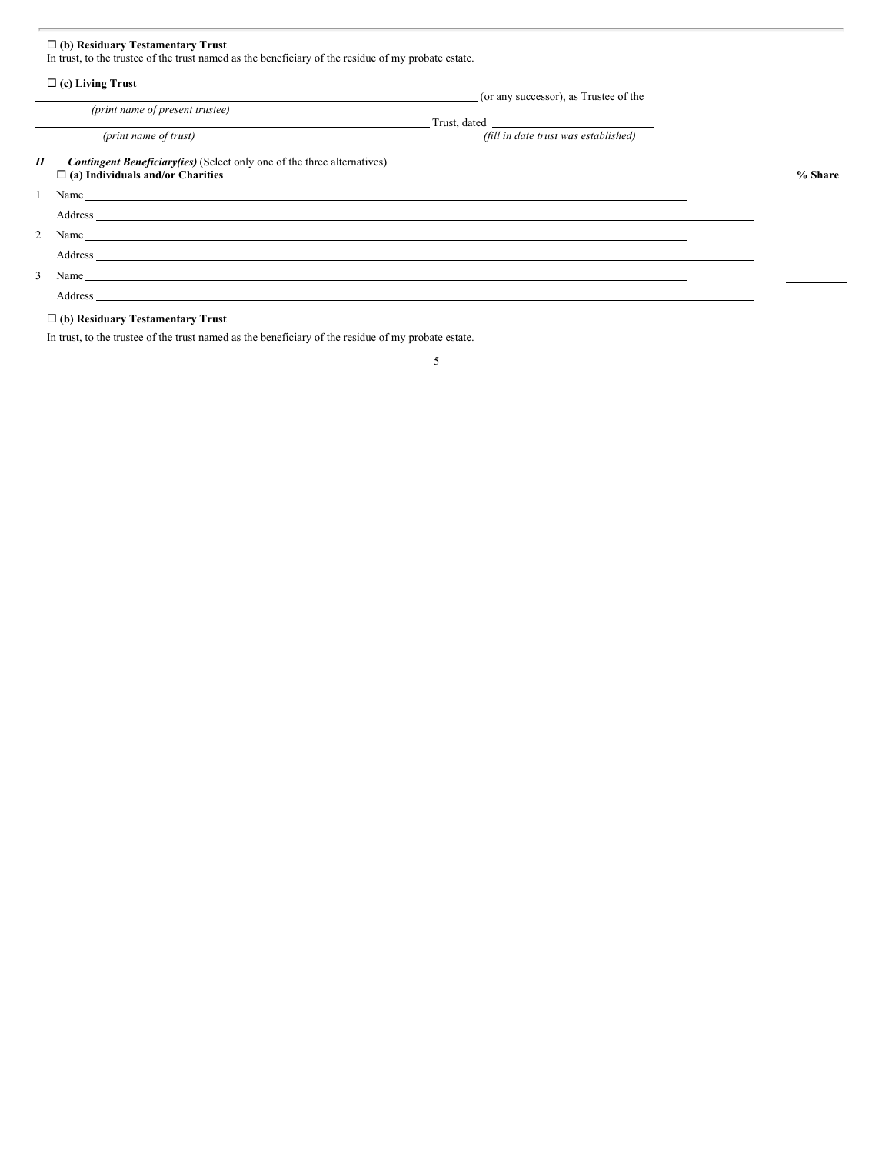# In trust, to the trustee of the trust named as the beneficiary of the residue of my probate estate. ¨ **(c) Living Trust** (or any successor), as Trustee of the *(print name of present trustee)* Trust, dated *(print name of trust) (fill in date trust was established) II Contingent Beneficiary(ies)* (Select only one of the three alternatives) ¨ **(a) Individuals and/or Charities % Share** 1 Name Address\_ <u> 1989 - Johann Barbara, martin a</u> 2 Name Address\_ <u> 1980 - Johann Barbara, martxa alemaniar a</u> 3 Name Address\_

5

# ¨ **(b) Residuary Testamentary Trust**

¨ **(b) Residuary Testamentary Trust**

In trust, to the trustee of the trust named as the beneficiary of the residue of my probate estate.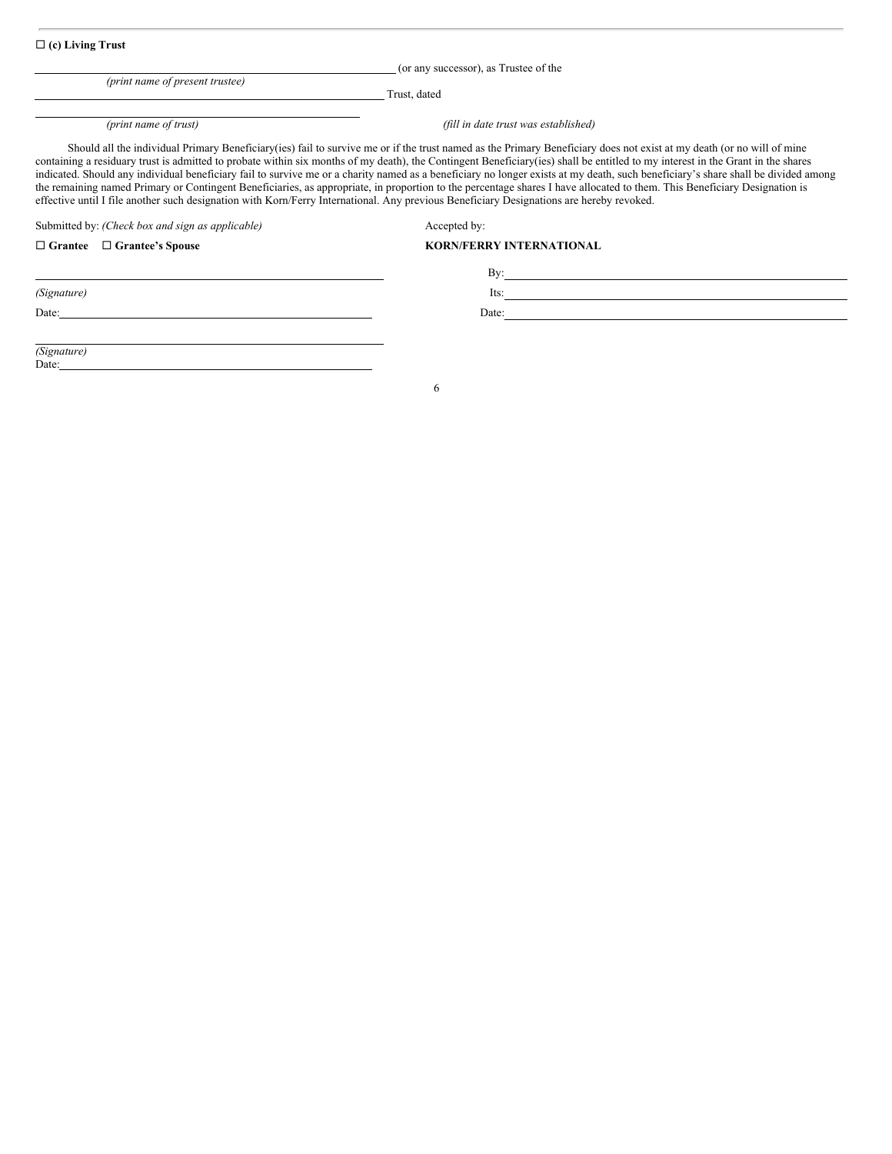### ¨ **(c) Living Trust**

*(print name of present trustee)*

(or any successor), as Trustee of the

Trust, dated

*(print name of trust) (fill in date trust was established)*

Should all the individual Primary Beneficiary(ies) fail to survive me or if the trust named as the Primary Beneficiary does not exist at my death (or no will of mine containing a residuary trust is admitted to probate within six months of my death), the Contingent Beneficiary(ies) shall be entitled to my interest in the Grant in the shares indicated. Should any individual beneficiary fail to survive me or a charity named as a beneficiary no longer exists at my death, such beneficiary's share shall be divided among the remaining named Primary or Contingent Beneficiaries, as appropriate, in proportion to the percentage shares I have allocated to them. This Beneficiary Designation is effective until I file another such designation with Korn/Ferry International. Any previous Beneficiary Designations are hereby revoked.

Submitted by: *(Check box and sign as applicable)* Accepted by:

¨ **Grantee** ¨ **Grantee's Spouse KORN/FERRY INTERNATIONAL**

By:

*(Signature)* Its:

Date: Date: Date:

*(Signature)* Date: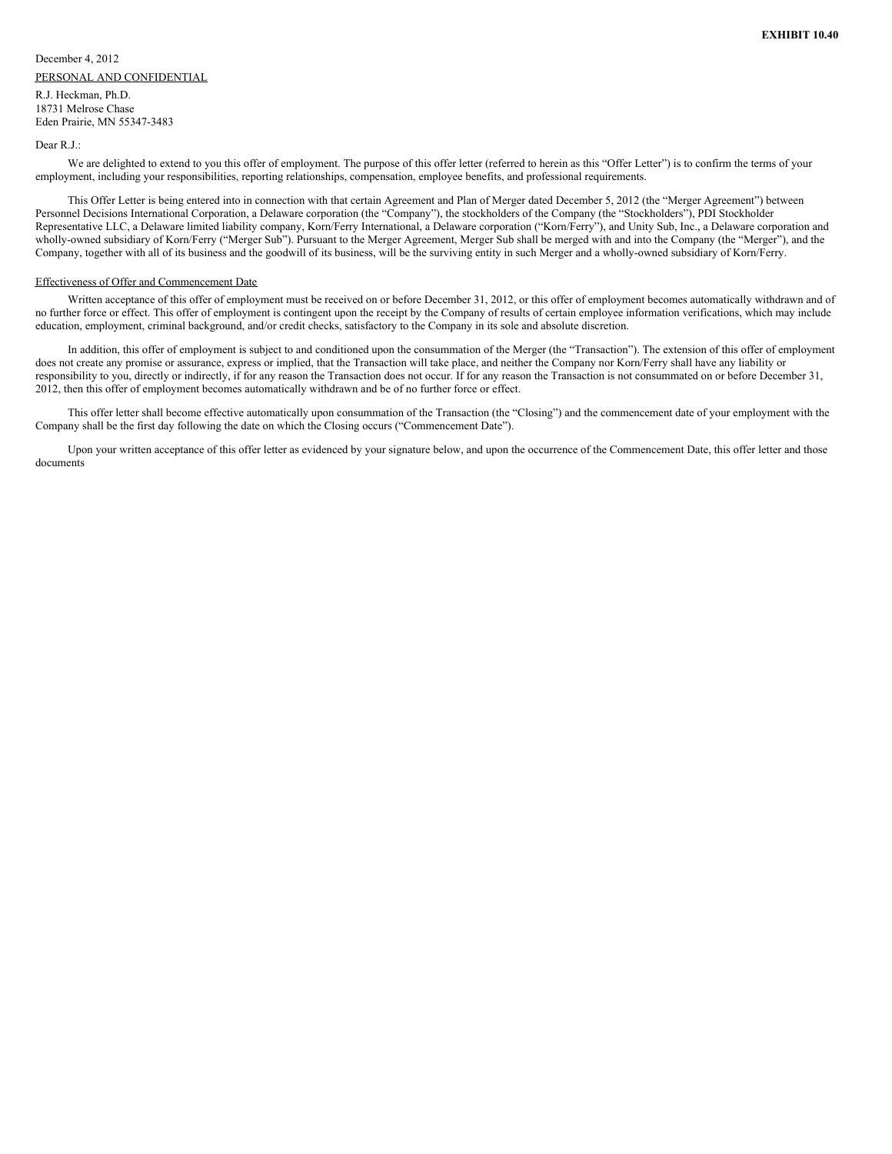December 4, 2012 PERSONAL AND CONFIDENTIAL

R.J. Heckman, Ph.D. 18731 Melrose Chase Eden Prairie, MN 55347-3483

Dear R.J.:

We are delighted to extend to you this offer of employment. The purpose of this offer letter (referred to herein as this "Offer Letter") is to confirm the terms of your employment, including your responsibilities, reporting relationships, compensation, employee benefits, and professional requirements.

This Offer Letter is being entered into in connection with that certain Agreement and Plan of Merger dated December 5, 2012 (the "Merger Agreement") between Personnel Decisions International Corporation, a Delaware corporation (the "Company"), the stockholders of the Company (the "Stockholders"), PDI Stockholder Representative LLC, a Delaware limited liability company, Korn/Ferry International, a Delaware corporation ("Korn/Ferry"), and Unity Sub, Inc., a Delaware corporation and wholly-owned subsidiary of Korn/Ferry ("Merger Sub"). Pursuant to the Merger Agreement, Merger Sub shall be merged with and into the Company (the "Merger"), and the Company, together with all of its business and the goodwill of its business, will be the surviving entity in such Merger and a wholly-owned subsidiary of Korn/Ferry.

### Effectiveness of Offer and Commencement Date

Written acceptance of this offer of employment must be received on or before December 31, 2012, or this offer of employment becomes automatically withdrawn and of no further force or effect. This offer of employment is contingent upon the receipt by the Company of results of certain employee information verifications, which may include education, employment, criminal background, and/or credit checks, satisfactory to the Company in its sole and absolute discretion.

In addition, this offer of employment is subject to and conditioned upon the consummation of the Merger (the "Transaction"). The extension of this offer of employment does not create any promise or assurance, express or implied, that the Transaction will take place, and neither the Company nor Korn/Ferry shall have any liability or responsibility to you, directly or indirectly, if for any reason the Transaction does not occur. If for any reason the Transaction is not consummated on or before December 31, 2012, then this offer of employment becomes automatically withdrawn and be of no further force or effect.

This offer letter shall become effective automatically upon consummation of the Transaction (the "Closing") and the commencement date of your employment with the Company shall be the first day following the date on which the Closing occurs ("Commencement Date").

Upon your written acceptance of this offer letter as evidenced by your signature below, and upon the occurrence of the Commencement Date, this offer letter and those documents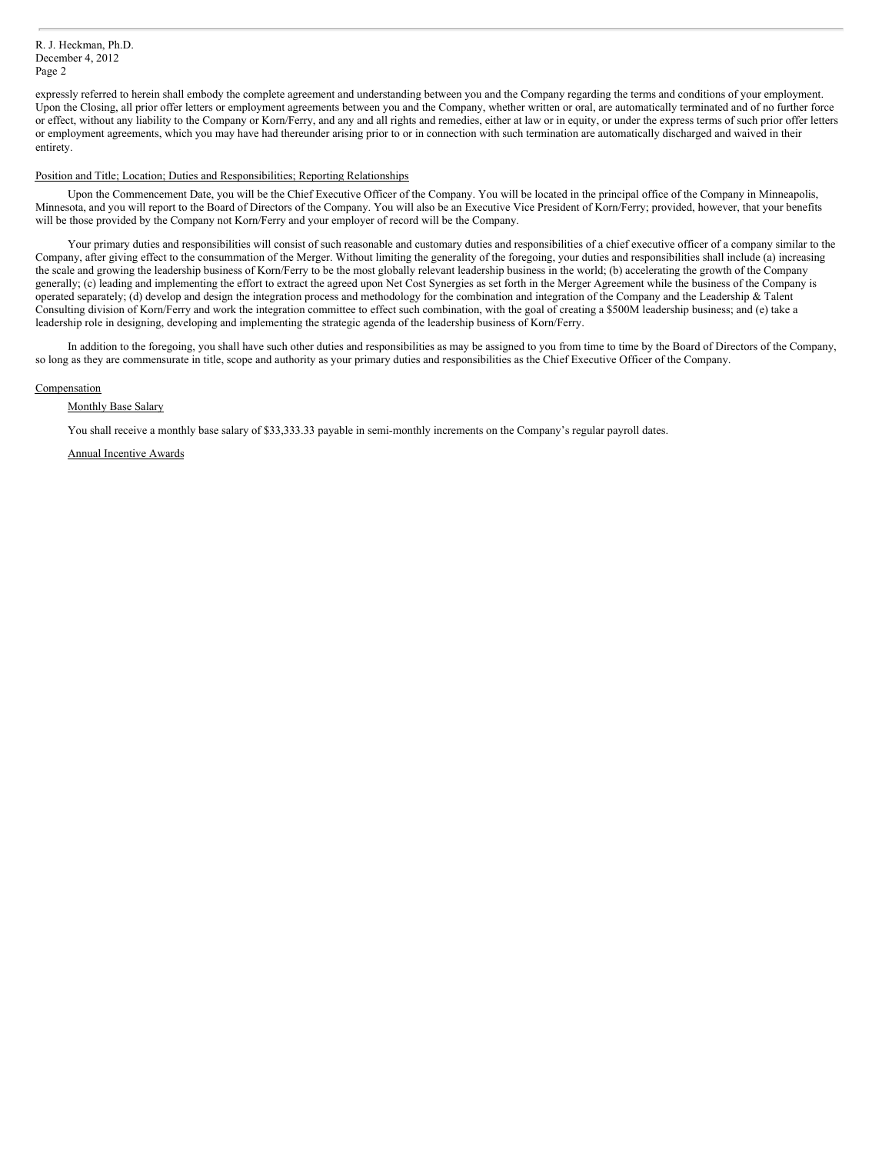expressly referred to herein shall embody the complete agreement and understanding between you and the Company regarding the terms and conditions of your employment. Upon the Closing, all prior offer letters or employment agreements between you and the Company, whether written or oral, are automatically terminated and of no further force or effect, without any liability to the Company or Korn/Ferry, and any and all rights and remedies, either at law or in equity, or under the express terms of such prior offer letters or employment agreements, which you may have had thereunder arising prior to or in connection with such termination are automatically discharged and waived in their entirety.

### Position and Title; Location; Duties and Responsibilities; Reporting Relationships

Upon the Commencement Date, you will be the Chief Executive Officer of the Company. You will be located in the principal office of the Company in Minneapolis, Minnesota, and you will report to the Board of Directors of the Company. You will also be an Executive Vice President of Korn/Ferry; provided, however, that your benefits will be those provided by the Company not Korn/Ferry and your employer of record will be the Company.

Your primary duties and responsibilities will consist of such reasonable and customary duties and responsibilities of a chief executive officer of a company similar to the Company, after giving effect to the consummation of the Merger. Without limiting the generality of the foregoing, your duties and responsibilities shall include (a) increasing the scale and growing the leadership business of Korn/Ferry to be the most globally relevant leadership business in the world; (b) accelerating the growth of the Company generally; (c) leading and implementing the effort to extract the agreed upon Net Cost Synergies as set forth in the Merger Agreement while the business of the Company is operated separately; (d) develop and design the integration process and methodology for the combination and integration of the Company and the Leadership & Talent Consulting division of Korn/Ferry and work the integration committee to effect such combination, with the goal of creating a \$500M leadership business; and (e) take a leadership role in designing, developing and implementing the strategic agenda of the leadership business of Korn/Ferry.

In addition to the foregoing, you shall have such other duties and responsibilities as may be assigned to you from time to time by the Board of Directors of the Company, so long as they are commensurate in title, scope and authority as your primary duties and responsibilities as the Chief Executive Officer of the Company.

### **Compensation**

## Monthly Base Salary

You shall receive a monthly base salary of \$33,333.33 payable in semi-monthly increments on the Company's regular payroll dates.

Annual Incentive Awards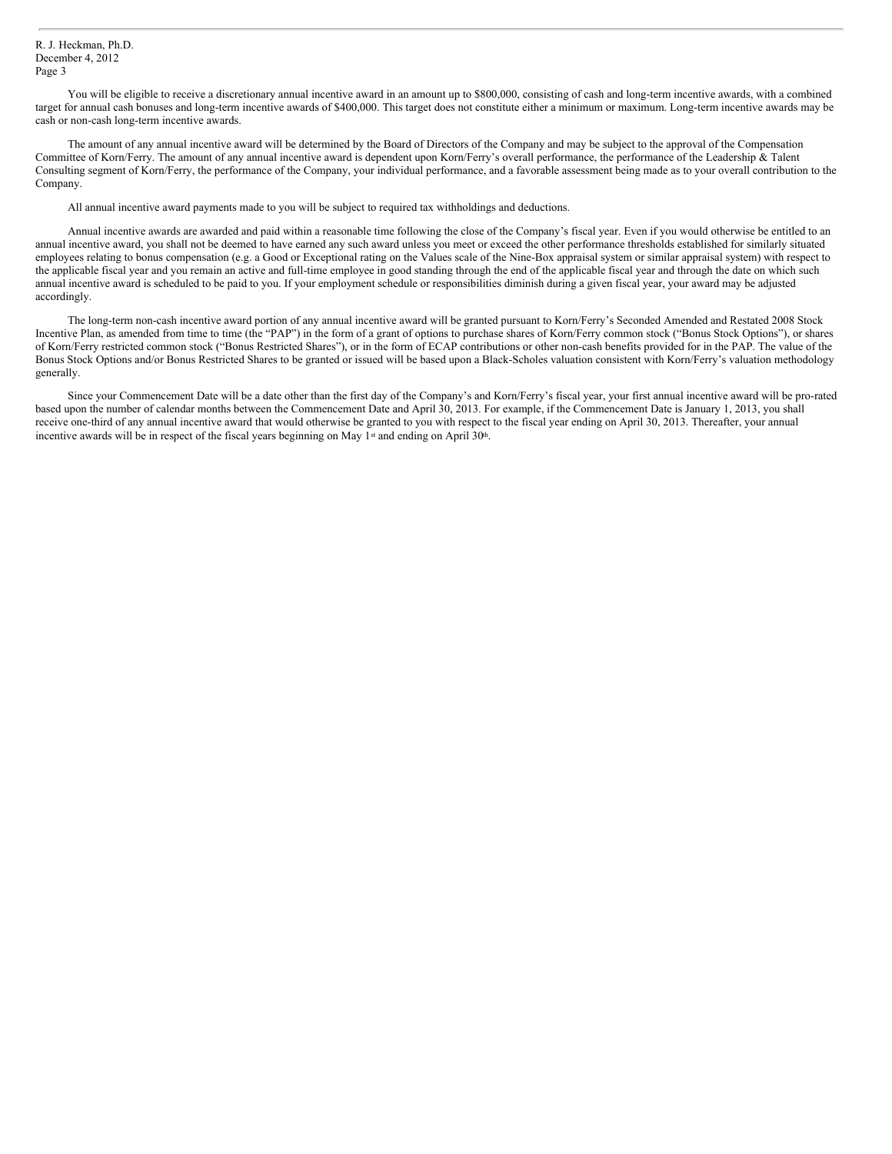You will be eligible to receive a discretionary annual incentive award in an amount up to \$800,000, consisting of cash and long-term incentive awards, with a combined target for annual cash bonuses and long-term incentive awards of \$400,000. This target does not constitute either a minimum or maximum. Long-term incentive awards may be cash or non-cash long-term incentive awards.

The amount of any annual incentive award will be determined by the Board of Directors of the Company and may be subject to the approval of the Compensation Committee of Korn/Ferry. The amount of any annual incentive award is dependent upon Korn/Ferry's overall performance, the performance of the Leadership & Talent Consulting segment of Korn/Ferry, the performance of the Company, your individual performance, and a favorable assessment being made as to your overall contribution to the Company.

All annual incentive award payments made to you will be subject to required tax withholdings and deductions.

Annual incentive awards are awarded and paid within a reasonable time following the close of the Company's fiscal year. Even if you would otherwise be entitled to an annual incentive award, you shall not be deemed to have earned any such award unless you meet or exceed the other performance thresholds established for similarly situated employees relating to bonus compensation (e.g. a Good or Exceptional rating on the Values scale of the Nine-Box appraisal system or similar appraisal system) with respect to the applicable fiscal year and you remain an active and full-time employee in good standing through the end of the applicable fiscal year and through the date on which such annual incentive award is scheduled to be paid to you. If your employment schedule or responsibilities diminish during a given fiscal year, your award may be adjusted accordingly.

The long-term non-cash incentive award portion of any annual incentive award will be granted pursuant to Korn/Ferry's Seconded Amended and Restated 2008 Stock Incentive Plan, as amended from time to time (the "PAP") in the form of a grant of options to purchase shares of Korn/Ferry common stock ("Bonus Stock Options"), or shares of Korn/Ferry restricted common stock ("Bonus Restricted Shares"), or in the form of ECAP contributions or other non-cash benefits provided for in the PAP. The value of the Bonus Stock Options and/or Bonus Restricted Shares to be granted or issued will be based upon a Black-Scholes valuation consistent with Korn/Ferry's valuation methodology generally.

Since your Commencement Date will be a date other than the first day of the Company's and Korn/Ferry's fiscal year, your first annual incentive award will be pro-rated based upon the number of calendar months between the Commencement Date and April 30, 2013. For example, if the Commencement Date is January 1, 2013, you shall receive one-third of any annual incentive award that would otherwise be granted to you with respect to the fiscal year ending on April 30, 2013. Thereafter, your annual incentive awards will be in respect of the fiscal years beginning on May 1<sup>st</sup> and ending on April 30<sup>th</sup>.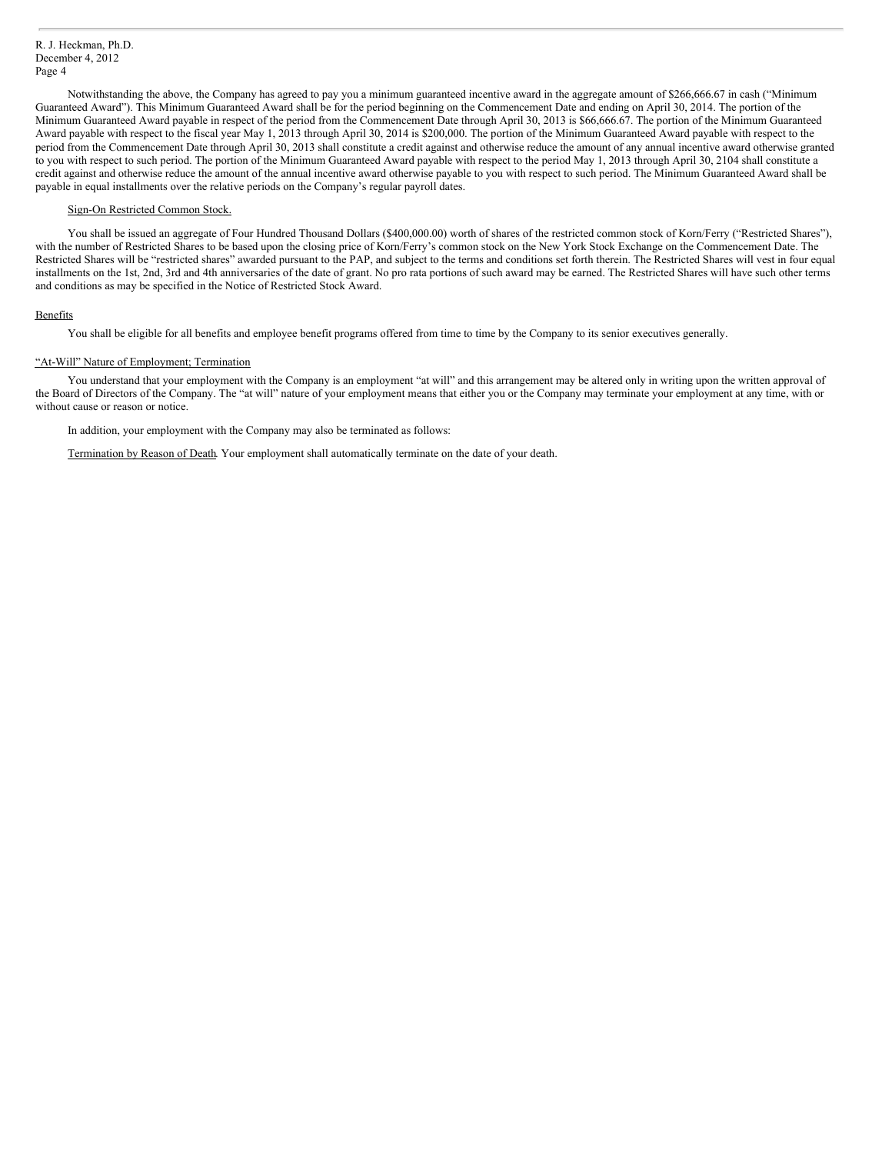Notwithstanding the above, the Company has agreed to pay you a minimum guaranteed incentive award in the aggregate amount of \$266,666.67 in cash ("Minimum Guaranteed Award"). This Minimum Guaranteed Award shall be for the period beginning on the Commencement Date and ending on April 30, 2014. The portion of the Minimum Guaranteed Award payable in respect of the period from the Commencement Date through April 30, 2013 is \$66,666.67. The portion of the Minimum Guaranteed Award payable with respect to the fiscal year May 1, 2013 through April 30, 2014 is \$200,000. The portion of the Minimum Guaranteed Award payable with respect to the period from the Commencement Date through April 30, 2013 shall constitute a credit against and otherwise reduce the amount of any annual incentive award otherwise granted to you with respect to such period. The portion of the Minimum Guaranteed Award payable with respect to the period May 1, 2013 through April 30, 2104 shall constitute a credit against and otherwise reduce the amount of the annual incentive award otherwise payable to you with respect to such period. The Minimum Guaranteed Award shall be payable in equal installments over the relative periods on the Company's regular payroll dates.

#### Sign-On Restricted Common Stock.

You shall be issued an aggregate of Four Hundred Thousand Dollars (\$400,000.00) worth of shares of the restricted common stock of Korn/Ferry ("Restricted Shares"), with the number of Restricted Shares to be based upon the closing price of Korn/Ferry's common stock on the New York Stock Exchange on the Commencement Date. The Restricted Shares will be "restricted shares" awarded pursuant to the PAP, and subject to the terms and conditions set forth therein. The Restricted Shares will vest in four equal installments on the 1st, 2nd, 3rd and 4th anniversaries of the date of grant. No pro rata portions of such award may be earned. The Restricted Shares will have such other terms and conditions as may be specified in the Notice of Restricted Stock Award.

#### **Benefits**

You shall be eligible for all benefits and employee benefit programs offered from time to time by the Company to its senior executives generally.

#### "At-Will" Nature of Employment; Termination

You understand that your employment with the Company is an employment "at will" and this arrangement may be altered only in writing upon the written approval of the Board of Directors of the Company. The "at will" nature of your employment means that either you or the Company may terminate your employment at any time, with or without cause or reason or notice.

In addition, your employment with the Company may also be terminated as follows:

Termination by Reason of Death. Your employment shall automatically terminate on the date of your death.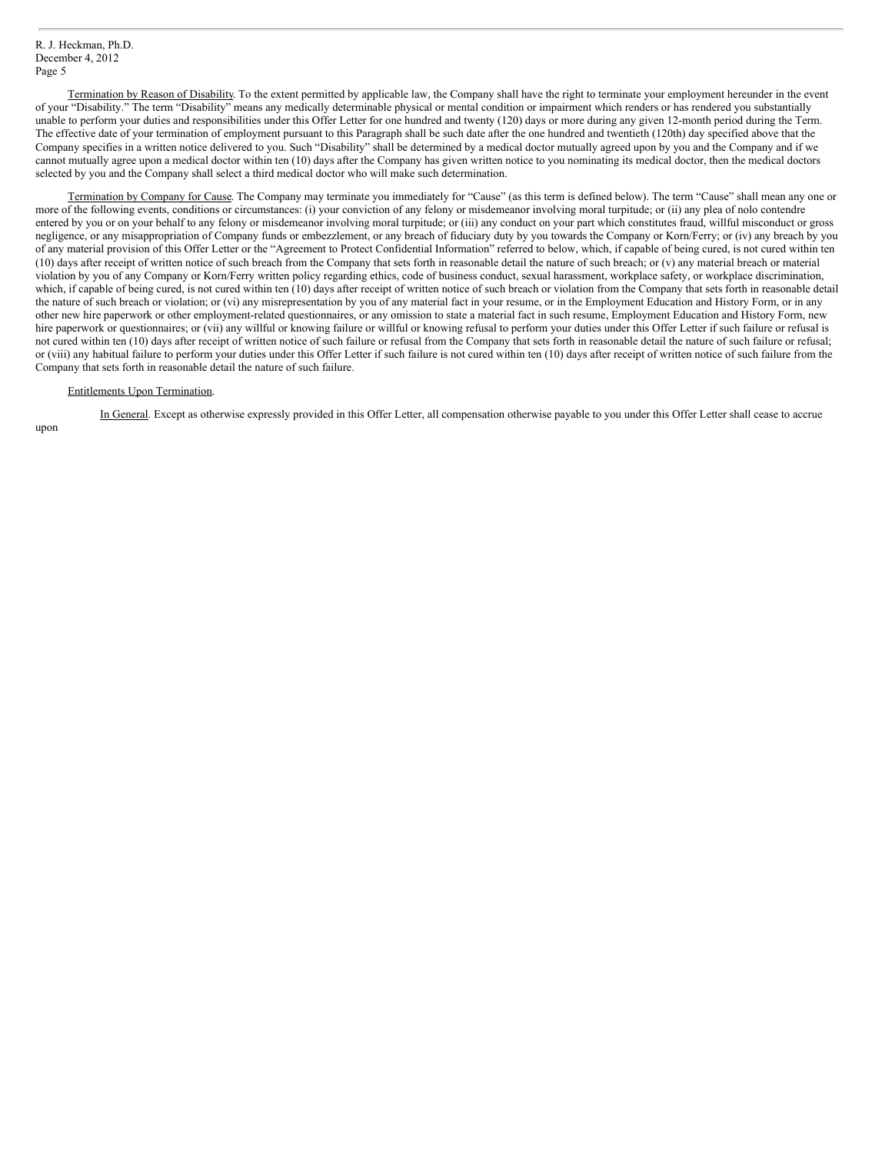Termination by Reason of Disability. To the extent permitted by applicable law, the Company shall have the right to terminate your employment hereunder in the event of your "Disability." The term "Disability" means any medically determinable physical or mental condition or impairment which renders or has rendered you substantially unable to perform your duties and responsibilities under this Offer Letter for one hundred and twenty (120) days or more during any given 12-month period during the Term. The effective date of your termination of employment pursuant to this Paragraph shall be such date after the one hundred and twentieth (120th) day specified above that the Company specifies in a written notice delivered to you. Such "Disability" shall be determined by a medical doctor mutually agreed upon by you and the Company and if we cannot mutually agree upon a medical doctor within ten (10) days after the Company has given written notice to you nominating its medical doctor, then the medical doctors selected by you and the Company shall select a third medical doctor who will make such determination.

Termination by Company for Cause. The Company may terminate you immediately for "Cause" (as this term is defined below). The term "Cause" shall mean any one or more of the following events, conditions or circumstances: (i) your conviction of any felony or misdemeanor involving moral turpitude; or (ii) any plea of nolo contendre entered by you or on your behalf to any felony or misdemeanor involving moral turpitude; or (iii) any conduct on your part which constitutes fraud, willful misconduct or gross negligence, or any misappropriation of Company funds or embezzlement, or any breach of fiduciary duty by you towards the Company or Korn/Ferry; or (iv) any breach by you of any material provision of this Offer Letter or the "Agreement to Protect Confidential Information" referred to below, which, if capable of being cured, is not cured within ten (10) days after receipt of written notice of such breach from the Company that sets forth in reasonable detail the nature of such breach; or (v) any material breach or material violation by you of any Company or Korn/Ferry written policy regarding ethics, code of business conduct, sexual harassment, workplace safety, or workplace discrimination, which, if capable of being cured, is not cured within ten (10) days after receipt of written notice of such breach or violation from the Company that sets forth in reasonable detail the nature of such breach or violation; or (vi) any misrepresentation by you of any material fact in your resume, or in the Employment Education and History Form, or in any other new hire paperwork or other employment-related questionnaires, or any omission to state a material fact in such resume, Employment Education and History Form, new hire paperwork or questionnaires; or (vii) any willful or knowing failure or willful or knowing refusal to perform your duties under this Offer Letter if such failure or refusal is not cured within ten (10) days after receipt of written notice of such failure or refusal from the Company that sets forth in reasonable detail the nature of such failure or refusal; or (viii) any habitual failure to perform your duties under this Offer Letter if such failure is not cured within ten (10) days after receipt of written notice of such failure from the Company that sets forth in reasonable detail the nature of such failure.

### Entitlements Upon Termination.

In General. Except as otherwise expressly provided in this Offer Letter, all compensation otherwise payable to you under this Offer Letter shall cease to accrue

upon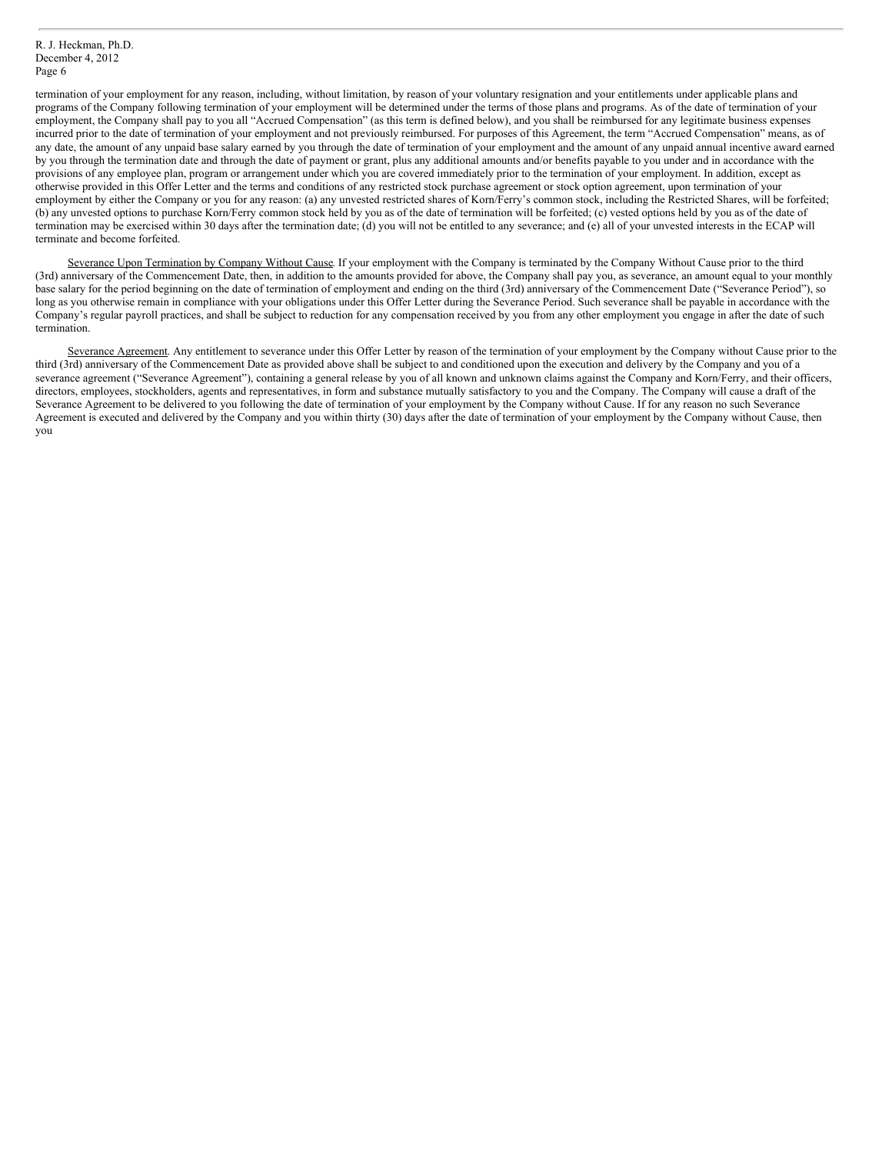termination of your employment for any reason, including, without limitation, by reason of your voluntary resignation and your entitlements under applicable plans and programs of the Company following termination of your employment will be determined under the terms of those plans and programs. As of the date of termination of your employment, the Company shall pay to you all "Accrued Compensation" (as this term is defined below), and you shall be reimbursed for any legitimate business expenses incurred prior to the date of termination of your employment and not previously reimbursed. For purposes of this Agreement, the term "Accrued Compensation" means, as of any date, the amount of any unpaid base salary earned by you through the date of termination of your employment and the amount of any unpaid annual incentive award earned by you through the termination date and through the date of payment or grant, plus any additional amounts and/or benefits payable to you under and in accordance with the provisions of any employee plan, program or arrangement under which you are covered immediately prior to the termination of your employment. In addition, except as otherwise provided in this Offer Letter and the terms and conditions of any restricted stock purchase agreement or stock option agreement, upon termination of your employment by either the Company or you for any reason: (a) any unvested restricted shares of Korn/Ferry's common stock, including the Restricted Shares, will be forfeited; (b) any unvested options to purchase Korn/Ferry common stock held by you as of the date of termination will be forfeited; (c) vested options held by you as of the date of termination may be exercised within 30 days after the termination date; (d) you will not be entitled to any severance; and (e) all of your unvested interests in the ECAP will terminate and become forfeited.

Severance Upon Termination by Company Without Cause. If your employment with the Company is terminated by the Company Without Cause prior to the third (3rd) anniversary of the Commencement Date, then, in addition to the amounts provided for above, the Company shall pay you, as severance, an amount equal to your monthly base salary for the period beginning on the date of termination of employment and ending on the third (3rd) anniversary of the Commencement Date ("Severance Period"), so long as you otherwise remain in compliance with your obligations under this Offer Letter during the Severance Period. Such severance shall be payable in accordance with the Company's regular payroll practices, and shall be subject to reduction for any compensation received by you from any other employment you engage in after the date of such termination.

Severance Agreement. Any entitlement to severance under this Offer Letter by reason of the termination of your employment by the Company without Cause prior to the third (3rd) anniversary of the Commencement Date as provided above shall be subject to and conditioned upon the execution and delivery by the Company and you of a severance agreement ("Severance Agreement"), containing a general release by you of all known and unknown claims against the Company and Korn/Ferry, and their officers, directors, employees, stockholders, agents and representatives, in form and substance mutually satisfactory to you and the Company. The Company will cause a draft of the Severance Agreement to be delivered to you following the date of termination of your employment by the Company without Cause. If for any reason no such Severance Agreement is executed and delivered by the Company and you within thirty (30) days after the date of termination of your employment by the Company without Cause, then you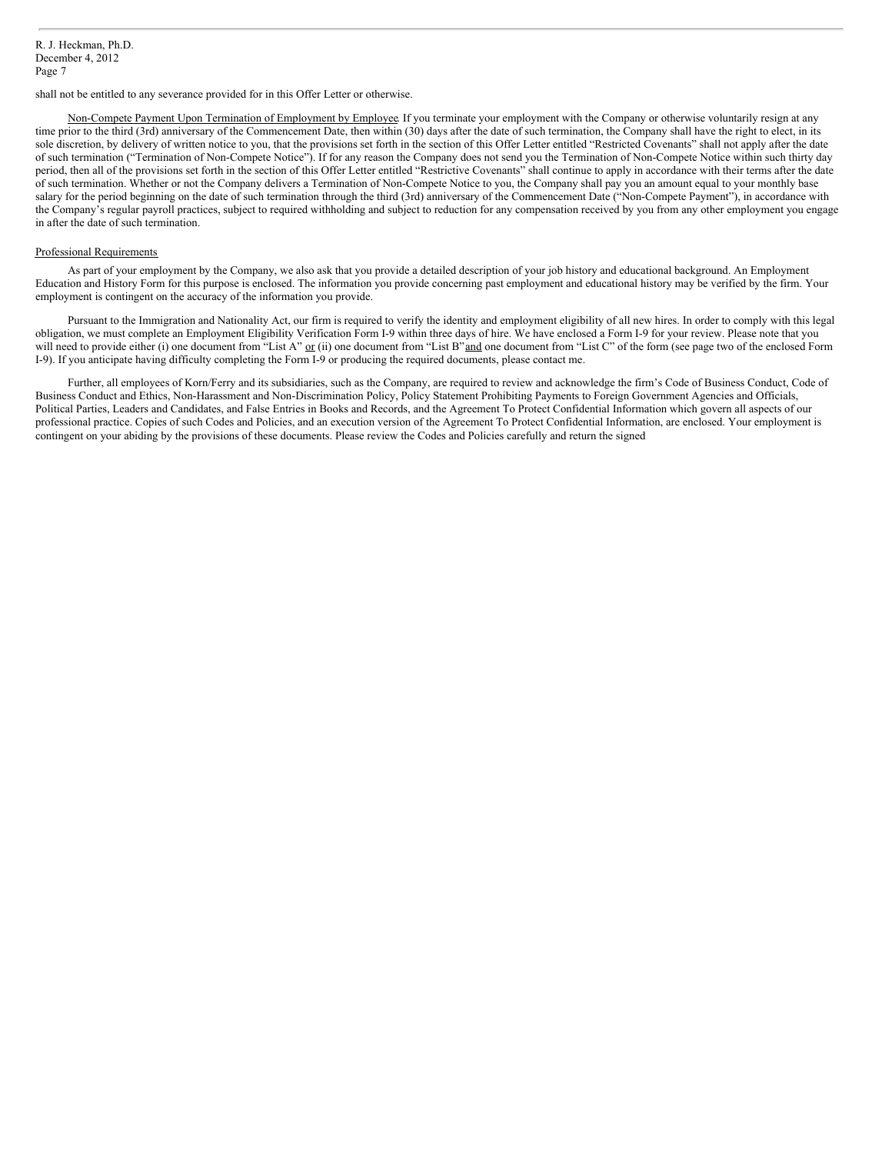shall not be entitled to any severance provided for in this Offer Letter or otherwise.

Non-Compete Payment Upon Termination of Employment by Employee. If you terminate your employment with the Company or otherwise voluntarily resign at any time prior to the third (3rd) anniversary of the Commencement Date, then within (30) days after the date of such termination, the Company shall have the right to elect, in its sole discretion, by delivery of written notice to you, that the provisions set forth in the section of this Offer Letter entitled "Restricted Covenants" shall not apply after the date of such termination ("Termination of Non-Compete Notice"). If for any reason the Company does not send you the Termination of Non-Compete Notice within such thirty day period, then all of the provisions set forth in the section of this Offer Letter entitled "Restrictive Covenants" shall continue to apply in accordance with their terms after the date of such termination. Whether or not the Company delivers a Termination of Non-Compete Notice to you, the Company shall pay you an amount equal to your monthly base salary for the period beginning on the date of such termination through the third (3rd) anniversary of the Commencement Date ("Non-Compete Payment"), in accordance with the Company's regular payroll practices, subject to required withholding and subject to reduction for any compensation received by you from any other employment you engage in after the date of such termination.

#### Professional Requirements

As part of your employment by the Company, we also ask that you provide a detailed description of your job history and educational background. An Employment Education and History Form for this purpose is enclosed. The information you provide concerning past employment and educational history may be verified by the firm. Your employment is contingent on the accuracy of the information you provide.

Pursuant to the Immigration and Nationality Act, our firm is required to verify the identity and employment eligibility of all new hires. In order to comply with this legal obligation, we must complete an Employment Eligibility Verification Form I-9 within three days of hire. We have enclosed a Form I-9 for your review. Please note that you will need to provide either (i) one document from "List A" or (ii) one document from "List B" and one document from "List C" of the form (see page two of the enclosed Form I-9). If you anticipate having difficulty completing the Form I-9 or producing the required documents, please contact me.

Further, all employees of Korn/Ferry and its subsidiaries, such as the Company, are required to review and acknowledge the firm's Code of Business Conduct, Code of Business Conduct and Ethics, Non-Harassment and Non-Discrimination Policy, Policy Statement Prohibiting Payments to Foreign Government Agencies and Officials, Political Parties, Leaders and Candidates, and False Entries in Books and Records, and the Agreement To Protect Confidential Information which govern all aspects of our professional practice. Copies of such Codes and Policies, and an execution version of the Agreement To Protect Confidential Information, are enclosed. Your employment is contingent on your abiding by the provisions of these documents. Please review the Codes and Policies carefully and return the signed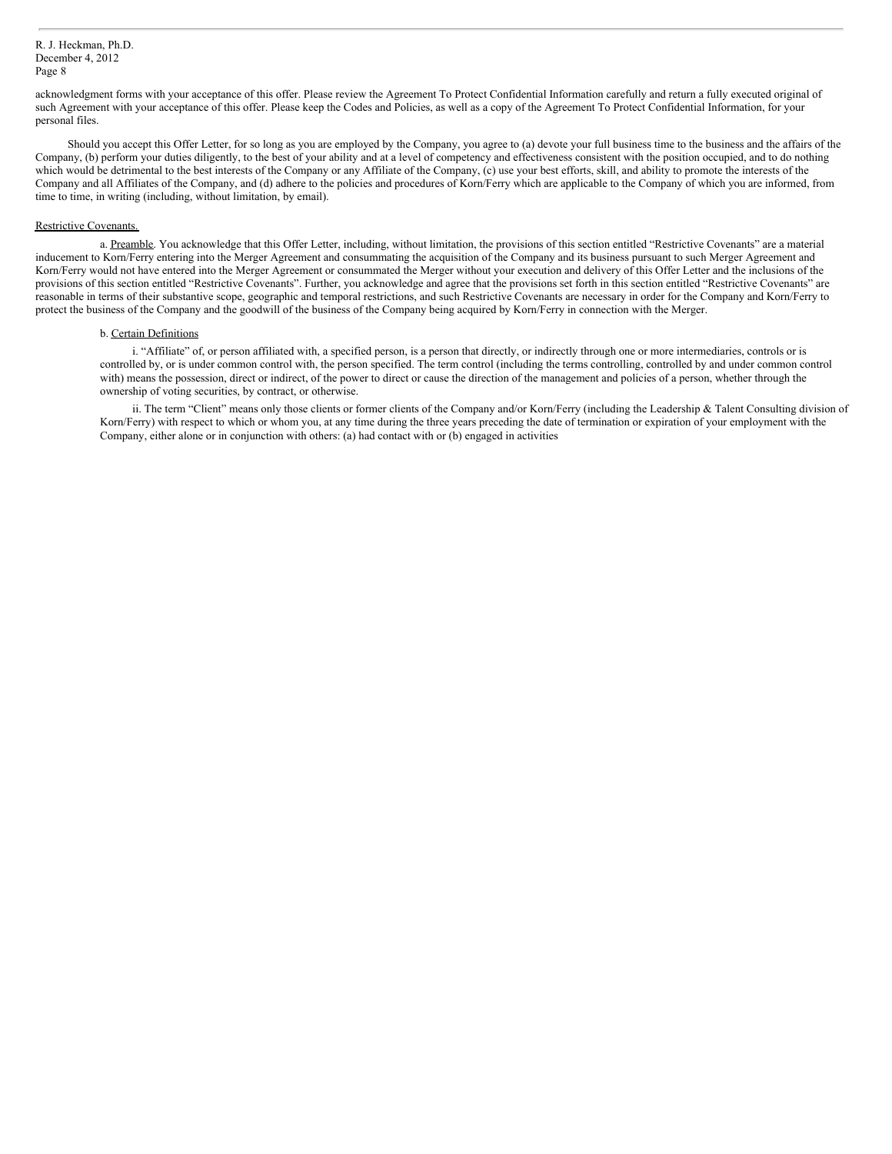acknowledgment forms with your acceptance of this offer. Please review the Agreement To Protect Confidential Information carefully and return a fully executed original of such Agreement with your acceptance of this offer. Please keep the Codes and Policies, as well as a copy of the Agreement To Protect Confidential Information, for your personal files.

Should you accept this Offer Letter, for so long as you are employed by the Company, you agree to (a) devote your full business time to the business and the affairs of the Company, (b) perform your duties diligently, to the best of your ability and at a level of competency and effectiveness consistent with the position occupied, and to do nothing which would be detrimental to the best interests of the Company or any Affiliate of the Company, (c) use your best efforts, skill, and ability to promote the interests of the Company and all Affiliates of the Company, and (d) adhere to the policies and procedures of Korn/Ferry which are applicable to the Company of which you are informed, from time to time, in writing (including, without limitation, by email).

#### Restrictive Covenants.

a. Preamble. You acknowledge that this Offer Letter, including, without limitation, the provisions of this section entitled "Restrictive Covenants" are a material inducement to Korn/Ferry entering into the Merger Agreement and consummating the acquisition of the Company and its business pursuant to such Merger Agreement and Korn/Ferry would not have entered into the Merger Agreement or consummated the Merger without your execution and delivery of this Offer Letter and the inclusions of the provisions of this section entitled "Restrictive Covenants". Further, you acknowledge and agree that the provisions set forth in this section entitled "Restrictive Covenants" are reasonable in terms of their substantive scope, geographic and temporal restrictions, and such Restrictive Covenants are necessary in order for the Company and Korn/Ferry to protect the business of the Company and the goodwill of the business of the Company being acquired by Korn/Ferry in connection with the Merger.

#### b. Certain Definitions

i. "Affiliate" of, or person affiliated with, a specified person, is a person that directly, or indirectly through one or more intermediaries, controls or is controlled by, or is under common control with, the person specified. The term control (including the terms controlling, controlled by and under common control with) means the possession, direct or indirect, of the power to direct or cause the direction of the management and policies of a person, whether through the ownership of voting securities, by contract, or otherwise.

ii. The term "Client" means only those clients or former clients of the Company and/or Korn/Ferry (including the Leadership & Talent Consulting division of Korn/Ferry) with respect to which or whom you, at any time during the three years preceding the date of termination or expiration of your employment with the Company, either alone or in conjunction with others: (a) had contact with or (b) engaged in activities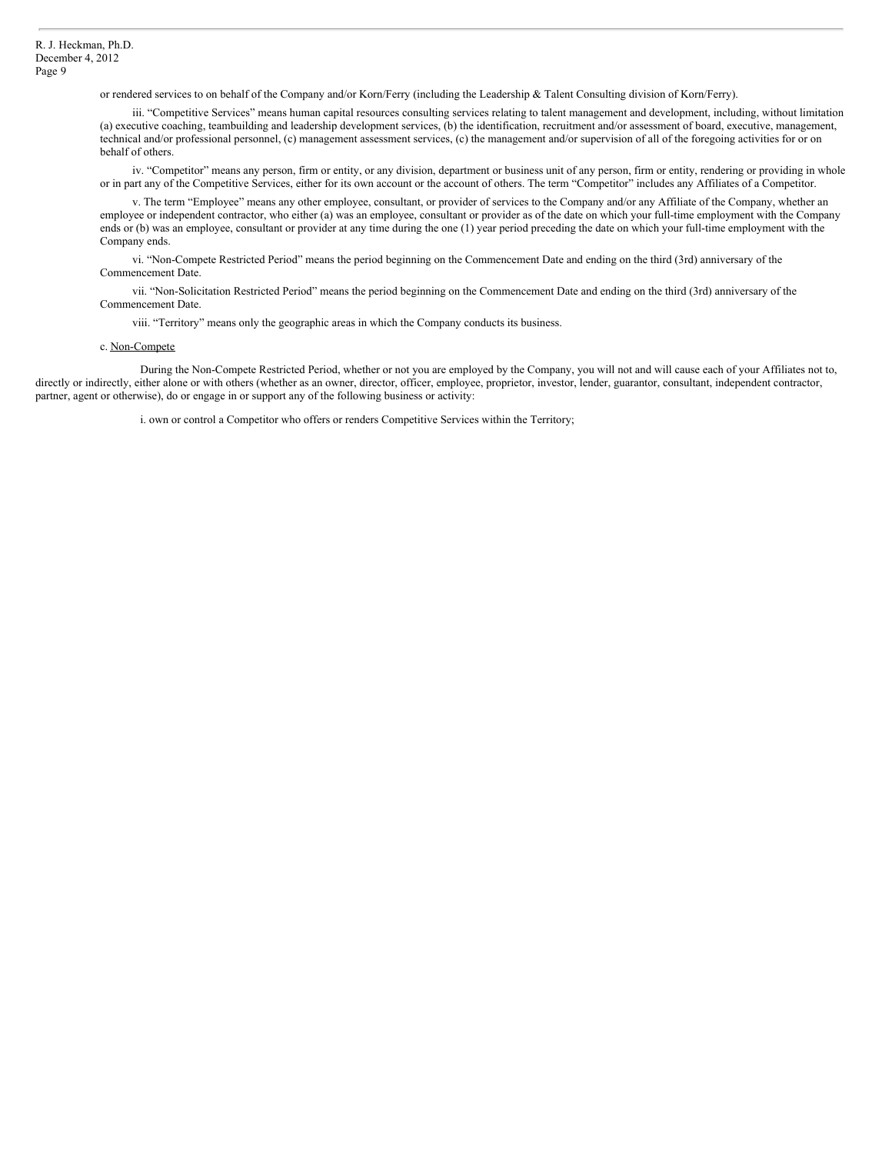or rendered services to on behalf of the Company and/or Korn/Ferry (including the Leadership & Talent Consulting division of Korn/Ferry).

iii. "Competitive Services" means human capital resources consulting services relating to talent management and development, including, without limitation (a) executive coaching, teambuilding and leadership development services, (b) the identification, recruitment and/or assessment of board, executive, management, technical and/or professional personnel, (c) management assessment services, (c) the management and/or supervision of all of the foregoing activities for or on behalf of others.

iv. "Competitor" means any person, firm or entity, or any division, department or business unit of any person, firm or entity, rendering or providing in whole or in part any of the Competitive Services, either for its own account or the account of others. The term "Competitor" includes any Affiliates of a Competitor.

v. The term "Employee" means any other employee, consultant, or provider of services to the Company and/or any Affiliate of the Company, whether an employee or independent contractor, who either (a) was an employee, consultant or provider as of the date on which your full-time employment with the Company ends or (b) was an employee, consultant or provider at any time during the one (1) year period preceding the date on which your full-time employment with the Company ends.

vi. "Non-Compete Restricted Period" means the period beginning on the Commencement Date and ending on the third (3rd) anniversary of the Commencement Date.

vii. "Non-Solicitation Restricted Period" means the period beginning on the Commencement Date and ending on the third (3rd) anniversary of the Commencement Date.

viii. "Territory" means only the geographic areas in which the Company conducts its business.

#### c. Non-Compete

During the Non-Compete Restricted Period, whether or not you are employed by the Company, you will not and will cause each of your Affiliates not to, directly or indirectly, either alone or with others (whether as an owner, director, officer, employee, proprietor, investor, lender, guarantor, consultant, independent contractor, partner, agent or otherwise), do or engage in or support any of the following business or activity:

i. own or control a Competitor who offers or renders Competitive Services within the Territory;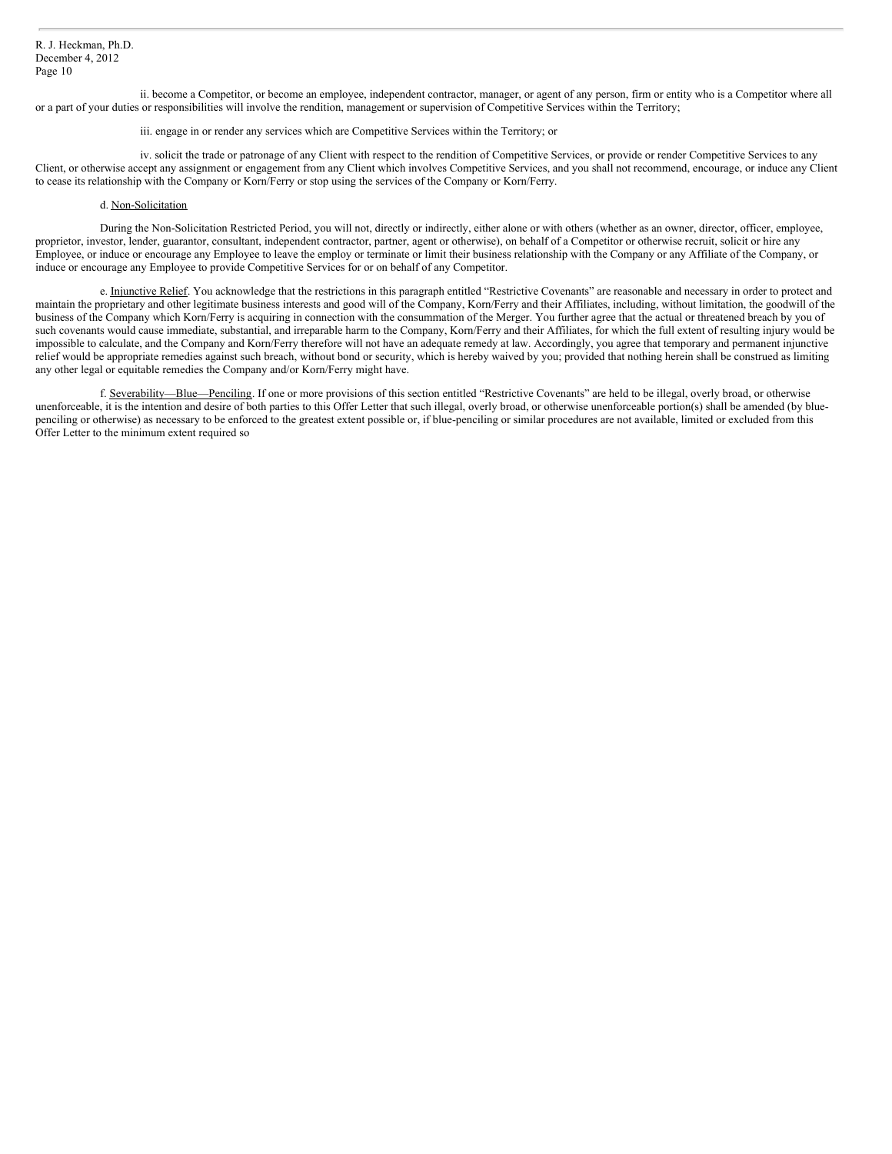ii. become a Competitor, or become an employee, independent contractor, manager, or agent of any person, firm or entity who is a Competitor where all or a part of your duties or responsibilities will involve the rendition, management or supervision of Competitive Services within the Territory;

# iii. engage in or render any services which are Competitive Services within the Territory; or

iv. solicit the trade or patronage of any Client with respect to the rendition of Competitive Services, or provide or render Competitive Services to any Client, or otherwise accept any assignment or engagement from any Client which involves Competitive Services, and you shall not recommend, encourage, or induce any Client to cease its relationship with the Company or Korn/Ferry or stop using the services of the Company or Korn/Ferry.

## d. Non-Solicitation

During the Non-Solicitation Restricted Period, you will not, directly or indirectly, either alone or with others (whether as an owner, director, officer, employee, proprietor, investor, lender, guarantor, consultant, independent contractor, partner, agent or otherwise), on behalf of a Competitor or otherwise recruit, solicit or hire any Employee, or induce or encourage any Employee to leave the employ or terminate or limit their business relationship with the Company or any Affiliate of the Company, or induce or encourage any Employee to provide Competitive Services for or on behalf of any Competitor.

e. Injunctive Relief. You acknowledge that the restrictions in this paragraph entitled "Restrictive Covenants" are reasonable and necessary in order to protect and maintain the proprietary and other legitimate business interests and good will of the Company, Korn/Ferry and their Affiliates, including, without limitation, the goodwill of the business of the Company which Korn/Ferry is acquiring in connection with the consummation of the Merger. You further agree that the actual or threatened breach by you of such covenants would cause immediate, substantial, and irreparable harm to the Company, Korn/Ferry and their Affiliates, for which the full extent of resulting injury would be impossible to calculate, and the Company and Korn/Ferry therefore will not have an adequate remedy at law. Accordingly, you agree that temporary and permanent injunctive relief would be appropriate remedies against such breach, without bond or security, which is hereby waived by you; provided that nothing herein shall be construed as limiting any other legal or equitable remedies the Company and/or Korn/Ferry might have.

f. Severability—Blue—Penciling. If one or more provisions of this section entitled "Restrictive Covenants" are held to be illegal, overly broad, or otherwise unenforceable, it is the intention and desire of both parties to this Offer Letter that such illegal, overly broad, or otherwise unenforceable portion(s) shall be amended (by bluepenciling or otherwise) as necessary to be enforced to the greatest extent possible or, if blue-penciling or similar procedures are not available, limited or excluded from this Offer Letter to the minimum extent required so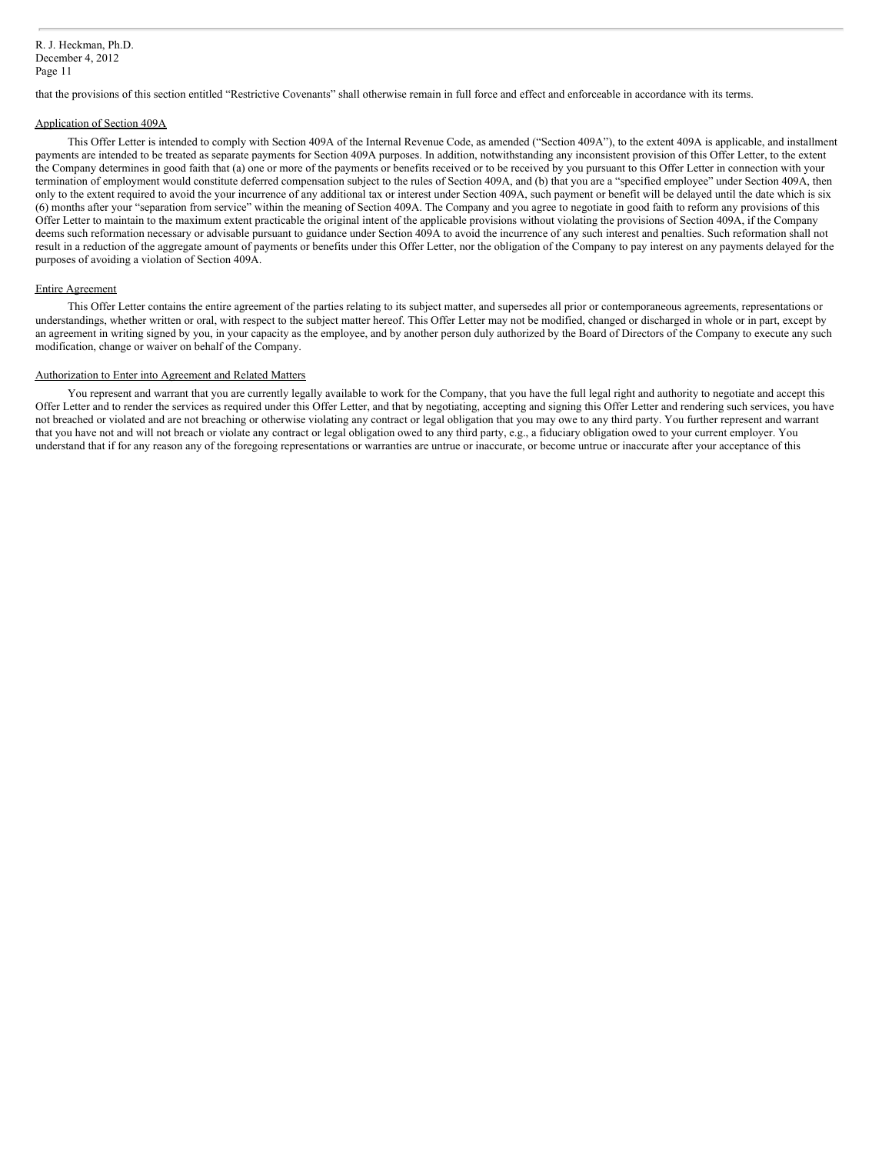that the provisions of this section entitled "Restrictive Covenants" shall otherwise remain in full force and effect and enforceable in accordance with its terms.

#### Application of Section 409A

This Offer Letter is intended to comply with Section 409A of the Internal Revenue Code, as amended ("Section 409A"), to the extent 409A is applicable, and installment payments are intended to be treated as separate payments for Section 409A purposes. In addition, notwithstanding any inconsistent provision of this Offer Letter, to the extent the Company determines in good faith that (a) one or more of the payments or benefits received or to be received by you pursuant to this Offer Letter in connection with your termination of employment would constitute deferred compensation subject to the rules of Section 409A, and (b) that you are a "specified employee" under Section 409A, then only to the extent required to avoid the your incurrence of any additional tax or interest under Section 409A, such payment or benefit will be delayed until the date which is six (6) months after your "separation from service" within the meaning of Section 409A. The Company and you agree to negotiate in good faith to reform any provisions of this Offer Letter to maintain to the maximum extent practicable the original intent of the applicable provisions without violating the provisions of Section 409A, if the Company deems such reformation necessary or advisable pursuant to guidance under Section 409A to avoid the incurrence of any such interest and penalties. Such reformation shall not result in a reduction of the aggregate amount of payments or benefits under this Offer Letter, nor the obligation of the Company to pay interest on any payments delayed for the purposes of avoiding a violation of Section 409A.

## Entire Agreement

This Offer Letter contains the entire agreement of the parties relating to its subject matter, and supersedes all prior or contemporaneous agreements, representations or understandings, whether written or oral, with respect to the subject matter hereof. This Offer Letter may not be modified, changed or discharged in whole or in part, except by an agreement in writing signed by you, in your capacity as the employee, and by another person duly authorized by the Board of Directors of the Company to execute any such modification, change or waiver on behalf of the Company.

#### Authorization to Enter into Agreement and Related Matters

You represent and warrant that you are currently legally available to work for the Company, that you have the full legal right and authority to negotiate and accept this Offer Letter and to render the services as required under this Offer Letter, and that by negotiating, accepting and signing this Offer Letter and rendering such services, you have not breached or violated and are not breaching or otherwise violating any contract or legal obligation that you may owe to any third party. You further represent and warrant that you have not and will not breach or violate any contract or legal obligation owed to any third party, e.g., a fiduciary obligation owed to your current employer. You understand that if for any reason any of the foregoing representations or warranties are untrue or inaccurate, or become untrue or inaccurate after your acceptance of this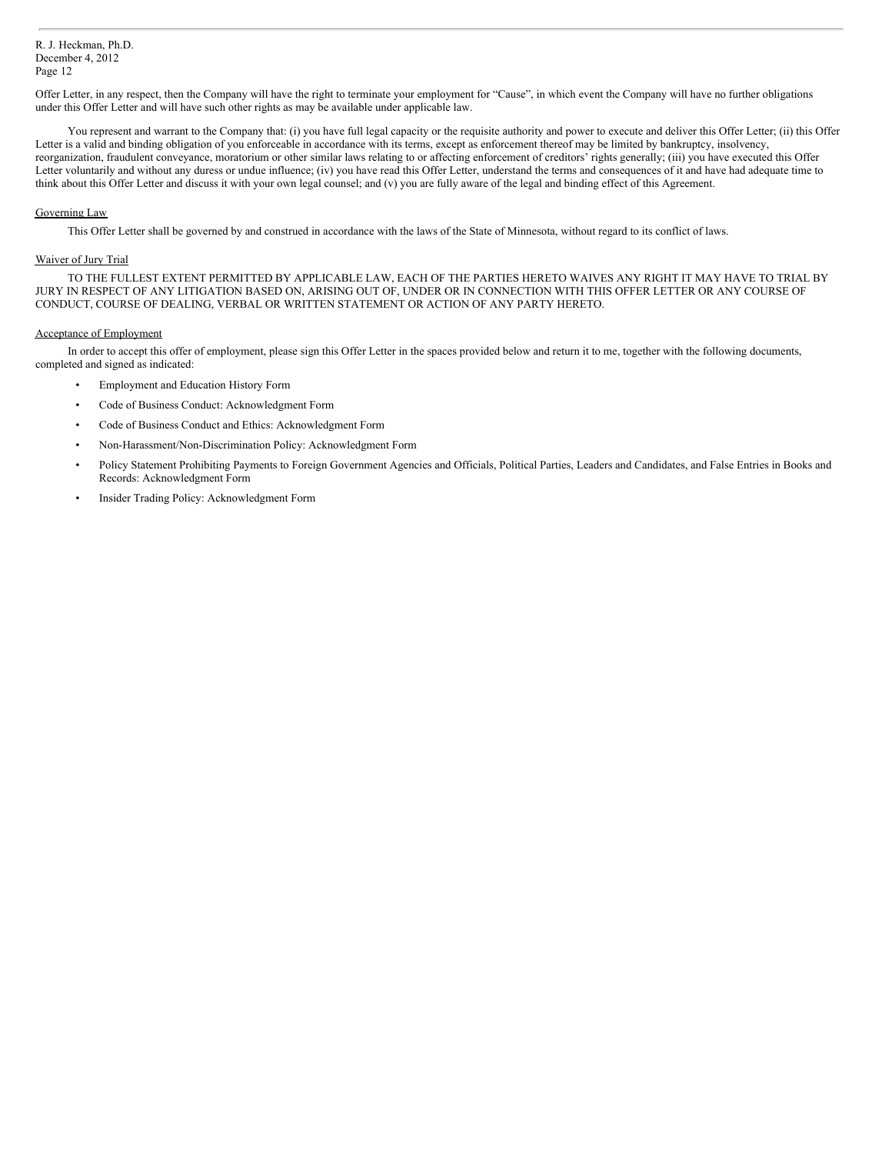Offer Letter, in any respect, then the Company will have the right to terminate your employment for "Cause", in which event the Company will have no further obligations under this Offer Letter and will have such other rights as may be available under applicable law.

You represent and warrant to the Company that: (i) you have full legal capacity or the requisite authority and power to execute and deliver this Offer Letter; (ii) this Offer Letter is a valid and binding obligation of you enforceable in accordance with its terms, except as enforcement thereof may be limited by bankruptcy, insolvency, reorganization, fraudulent conveyance, moratorium or other similar laws relating to or affecting enforcement of creditors' rights generally; (iii) you have executed this Offer Letter voluntarily and without any duress or undue influence; (iv) you have read this Offer Letter, understand the terms and consequences of it and have had adequate time to think about this Offer Letter and discuss it with your own legal counsel; and (v) you are fully aware of the legal and binding effect of this Agreement.

## Governing Law

This Offer Letter shall be governed by and construed in accordance with the laws of the State of Minnesota, without regard to its conflict of laws.

#### Waiver of Jury Trial

TO THE FULLEST EXTENT PERMITTED BY APPLICABLE LAW, EACH OF THE PARTIES HERETO WAIVES ANY RIGHT IT MAY HAVE TO TRIAL BY JURY IN RESPECT OF ANY LITIGATION BASED ON, ARISING OUT OF, UNDER OR IN CONNECTION WITH THIS OFFER LETTER OR ANY COURSE OF CONDUCT, COURSE OF DEALING, VERBAL OR WRITTEN STATEMENT OR ACTION OF ANY PARTY HERETO.

### Acceptance of Employment

In order to accept this offer of employment, please sign this Offer Letter in the spaces provided below and return it to me, together with the following documents, completed and signed as indicated:

- Employment and Education History Form
- Code of Business Conduct: Acknowledgment Form
- Code of Business Conduct and Ethics: Acknowledgment Form
- Non-Harassment/Non-Discrimination Policy: Acknowledgment Form
- Policy Statement Prohibiting Payments to Foreign Government Agencies and Officials, Political Parties, Leaders and Candidates, and False Entries in Books and Records: Acknowledgment Form
- Insider Trading Policy: Acknowledgment Form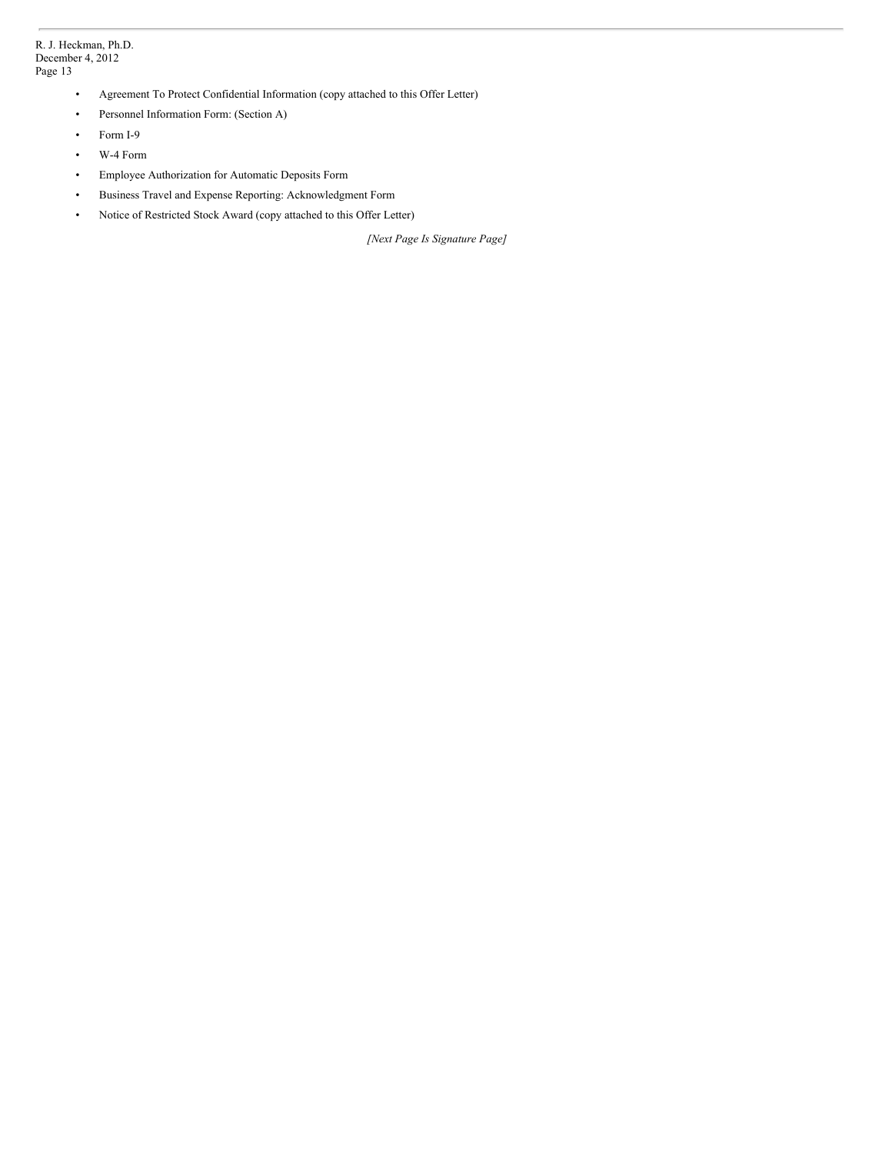- Agreement To Protect Confidential Information (copy attached to this Offer Letter)
- Personnel Information Form: (Section A)
- Form I-9
- W-4 Form
- Employee Authorization for Automatic Deposits Form
- Business Travel and Expense Reporting: Acknowledgment Form
- Notice of Restricted Stock Award (copy attached to this Offer Letter)

*[Next Page Is Signature Page]*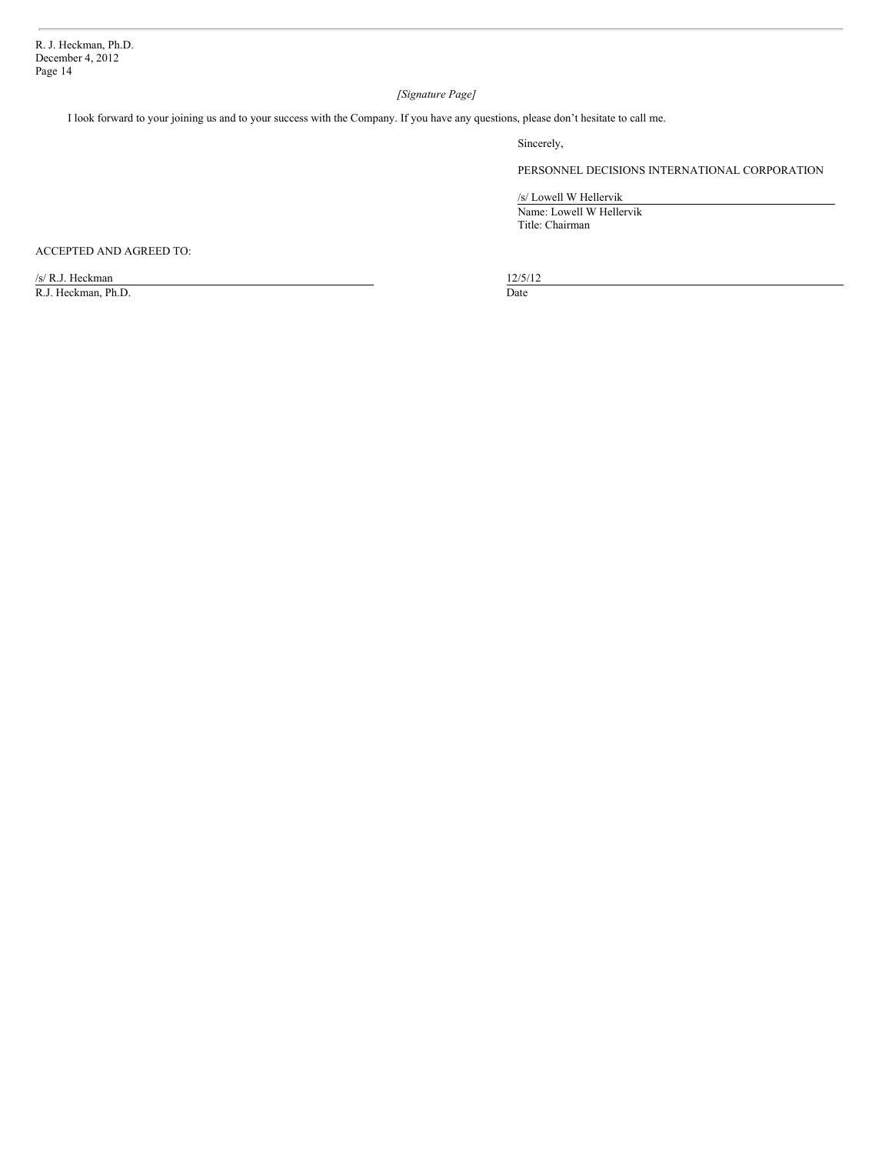# *[Signature Page]*

I look forward to your joining us and to your success with the Company. If you have any questions, please don't hesitate to call me.

Sincerely,

PERSONNEL DECISIONS INTERNATIONAL CORPORATION

/s/ Lowell W Hellervik

Name: Lowell W Hellervik Title: Chairman

ACCEPTED AND AGREED TO:

 $\sqrt{s/R}$ .J. Heckman 12/5/12 R.J. Heckman, Ph.D. Date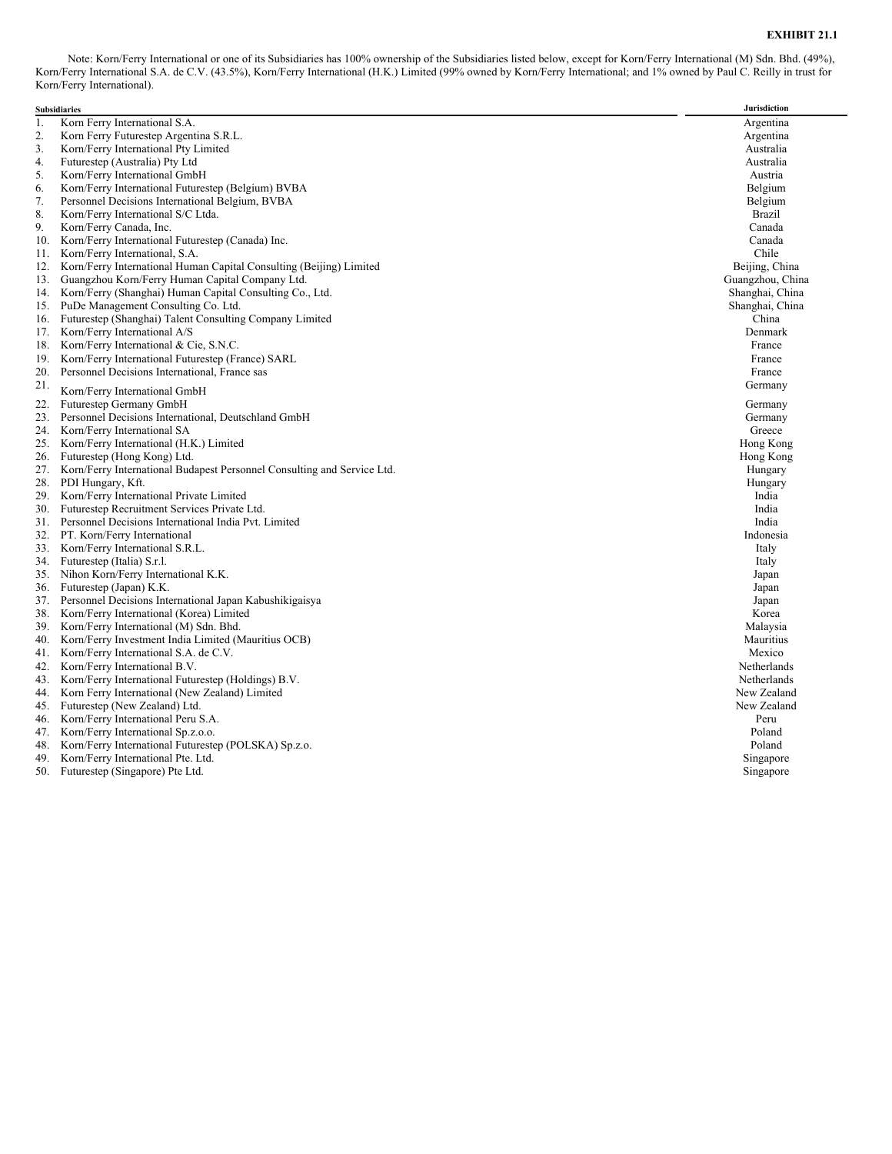# **EXHIBIT 21.1**

Note: Korn/Ferry International or one of its Subsidiaries has 100% ownership of the Subsidiaries listed below, except for Korn/Ferry International (M) Sdn. Bhd. (49%), Korn/Ferry International S.A. de C.V. (43.5%), Korn/Ferry International (H.K.) Limited (99% owned by Korn/Ferry International; and 1% owned by Paul C. Reilly in trust for Korn/Ferry International).

|     | <b>Subsidiaries</b>                                                     | <b>Jurisdiction</b> |
|-----|-------------------------------------------------------------------------|---------------------|
| 1.  | Korn Ferry International S.A.                                           | Argentina           |
| 2.  | Korn Ferry Futurestep Argentina S.R.L.                                  | Argentina           |
| 3.  | Korn/Ferry International Pty Limited                                    | Australia           |
| 4.  | Futurestep (Australia) Pty Ltd                                          | Australia           |
| 5.  | Korn/Ferry International GmbH                                           | Austria             |
| 6.  | Korn/Ferry International Futurestep (Belgium) BVBA                      | Belgium             |
| 7.  | Personnel Decisions International Belgium, BVBA                         | Belgium             |
| 8.  | Korn/Ferry International S/C Ltda.                                      | <b>Brazil</b>       |
| 9.  | Korn/Ferry Canada, Inc.                                                 | Canada              |
| 10. | Korn/Ferry International Futurestep (Canada) Inc.                       | Canada              |
| 11. | Korn/Ferry International, S.A.                                          | Chile               |
| 12. | Korn/Ferry International Human Capital Consulting (Beijing) Limited     | Beijing, China      |
| 13. | Guangzhou Korn/Ferry Human Capital Company Ltd.                         | Guangzhou, China    |
| 14. | Korn/Ferry (Shanghai) Human Capital Consulting Co., Ltd.                | Shanghai, China     |
| 15. | PuDe Management Consulting Co. Ltd.                                     | Shanghai, China     |
| 16. | Futurestep (Shanghai) Talent Consulting Company Limited                 | China               |
| 17. | Korn/Ferry International A/S                                            | Denmark             |
| 18. | Korn/Ferry International & Cie, S.N.C.                                  | France              |
| 19. | Korn/Ferry International Futurestep (France) SARL                       | France              |
| 20. | Personnel Decisions International, France sas                           | France              |
| 21. |                                                                         | Germany             |
|     | Korn/Ferry International GmbH                                           |                     |
| 22. | <b>Futurestep Germany GmbH</b>                                          | Germany             |
| 23. | Personnel Decisions International, Deutschland GmbH                     | Germany             |
| 24. | Korn/Ferry International SA                                             | Greece              |
| 25. | Korn/Ferry International (H.K.) Limited                                 | Hong Kong           |
| 26. | Futurestep (Hong Kong) Ltd.                                             | Hong Kong           |
| 27. | Korn/Ferry International Budapest Personnel Consulting and Service Ltd. | Hungary             |
| 28. | PDI Hungary, Kft.                                                       | Hungary             |
| 29. | Korn/Ferry International Private Limited                                | India               |
| 30. | Futurestep Recruitment Services Private Ltd.                            | India               |
| 31. | Personnel Decisions International India Pvt. Limited                    | India               |
| 32. | PT. Korn/Ferry International                                            | Indonesia           |
| 33. | Korn/Ferry International S.R.L.                                         | Italy               |
| 34. | Futurestep (Italia) S.r.l.                                              | Italy               |
| 35. | Nihon Korn/Ferry International K.K.                                     | Japan               |
| 36. | Futurestep (Japan) K.K.                                                 | Japan               |
| 37. | Personnel Decisions International Japan Kabushikigaisya                 | Japan               |
| 38. | Korn/Ferry International (Korea) Limited                                | Korea               |
| 39. | Korn/Ferry International (M) Sdn. Bhd.                                  | Malaysia            |
| 40. | Korn/Ferry Investment India Limited (Mauritius OCB)                     | Mauritius           |
| 41. | Korn/Ferry International S.A. de C.V.                                   | Mexico              |
| 42. | Korn/Ferry International B.V.                                           | Netherlands         |
| 43. | Korn/Ferry International Futurestep (Holdings) B.V.                     | Netherlands         |
| 44. | Korn Ferry International (New Zealand) Limited                          | New Zealand         |
| 45. | Futurestep (New Zealand) Ltd.                                           | New Zealand         |
| 46. | Korn/Ferry International Peru S.A.                                      | Peru                |
| 47. | Korn/Ferry International Sp.z.o.o.                                      | Poland              |
| 48. | Korn/Ferry International Futurestep (POLSKA) Sp.z.o.                    | Poland              |
| 49. | Korn/Ferry International Pte. Ltd.                                      | Singapore           |
|     | 50. Futurestep (Singapore) Pte Ltd.                                     | Singapore           |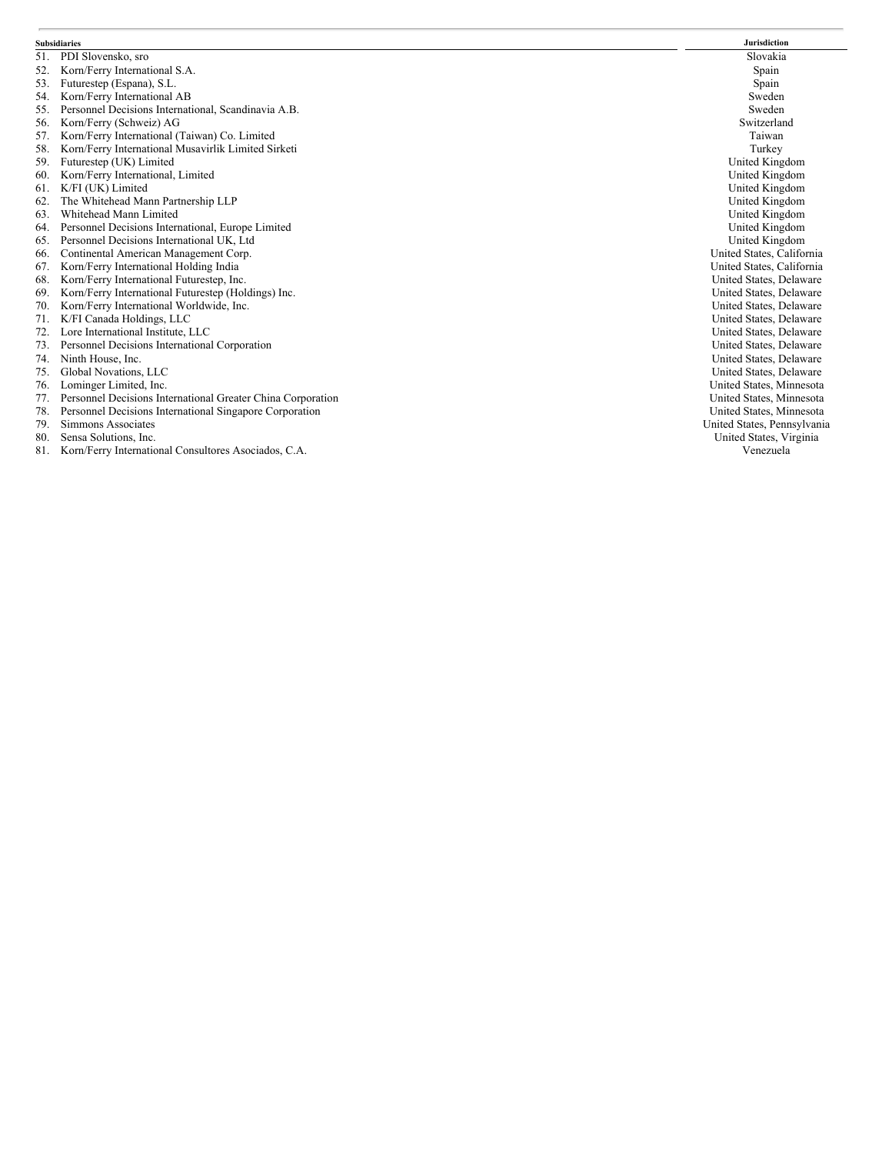|     | <b>Subsidiaries</b>                                         | <b>Jurisdiction</b>         |
|-----|-------------------------------------------------------------|-----------------------------|
| 51. | PDI Slovensko, sro                                          | Slovakia                    |
| 52. | Korn/Ferry International S.A.                               | Spain                       |
| 53. | Futurestep (Espana), S.L.                                   | Spain                       |
| 54. | Korn/Ferry International AB                                 | Sweden                      |
| 55. | Personnel Decisions International, Scandinavia A.B.         | Sweden                      |
| 56. | Korn/Ferry (Schweiz) AG                                     | Switzerland                 |
| 57. | Korn/Ferry International (Taiwan) Co. Limited               | Taiwan                      |
| 58. | Korn/Ferry International Musavirlik Limited Sirketi         | Turkey                      |
| 59. | Futurestep (UK) Limited                                     | United Kingdom              |
| 60. | Korn/Ferry International, Limited                           | United Kingdom              |
| 61. | K/FI (UK) Limited                                           | United Kingdom              |
| 62. | The Whitehead Mann Partnership LLP                          | United Kingdom              |
| 63. | Whitehead Mann Limited                                      | United Kingdom              |
| 64. | Personnel Decisions International, Europe Limited           | United Kingdom              |
| 65. | Personnel Decisions International UK, Ltd                   | United Kingdom              |
| 66. | Continental American Management Corp.                       | United States, California   |
| 67. | Korn/Ferry International Holding India                      | United States, California   |
| 68. | Korn/Ferry International Futurestep, Inc.                   | United States, Delaware     |
| 69. | Korn/Ferry International Futurestep (Holdings) Inc.         | United States, Delaware     |
| 70. | Korn/Ferry International Worldwide, Inc.                    | United States, Delaware     |
| 71. | K/FI Canada Holdings, LLC                                   | United States, Delaware     |
| 72. | Lore International Institute, LLC                           | United States, Delaware     |
| 73. | Personnel Decisions International Corporation               | United States, Delaware     |
| 74. | Ninth House, Inc.                                           | United States, Delaware     |
| 75. | Global Novations, LLC                                       | United States, Delaware     |
| 76. | Lominger Limited, Inc.                                      | United States, Minnesota    |
| 77. | Personnel Decisions International Greater China Corporation | United States, Minnesota    |
| 78. | Personnel Decisions International Singapore Corporation     | United States, Minnesota    |
| 79. | Simmons Associates                                          | United States, Pennsylvania |
| 80. | Sensa Solutions, Inc.                                       | United States, Virginia     |
| 81. | Korn/Ferry International Consultores Asociados, C.A.        | Venezuela                   |
|     |                                                             |                             |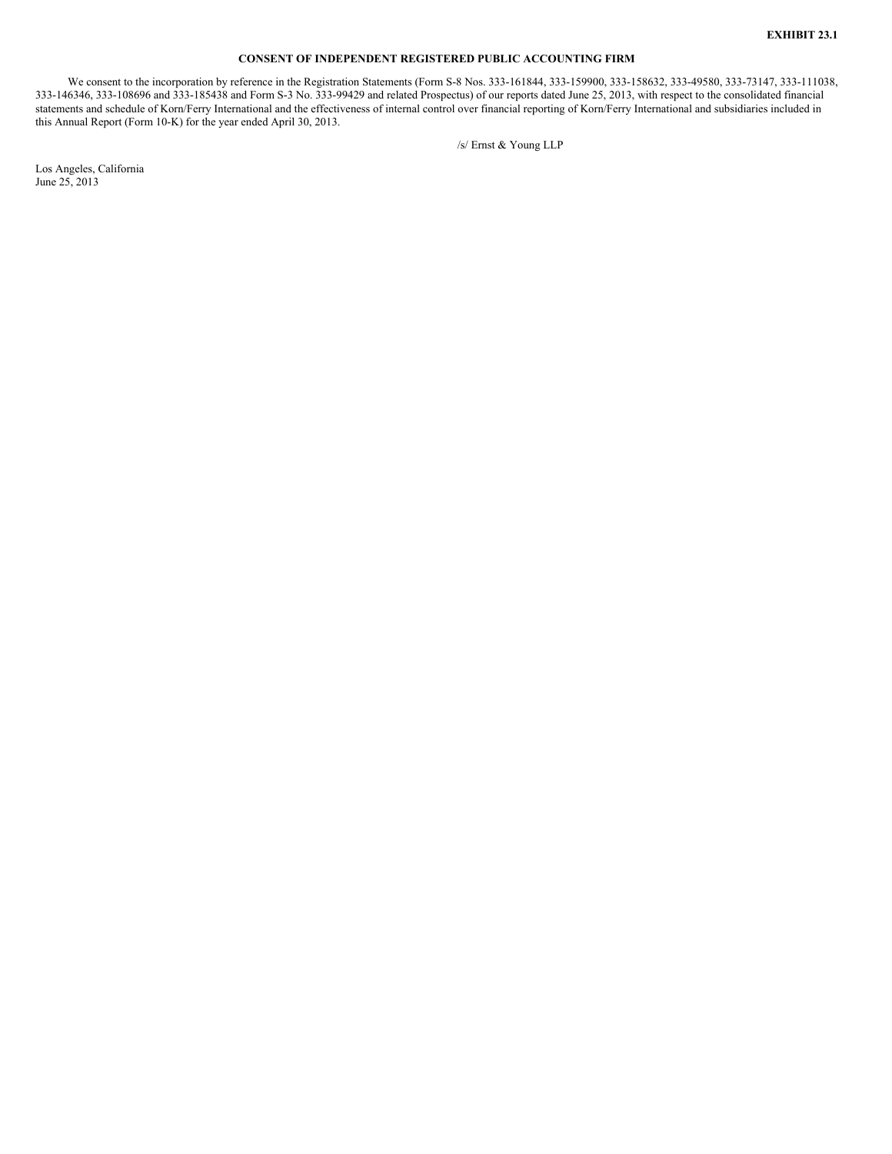# **CONSENT OF INDEPENDENT REGISTERED PUBLIC ACCOUNTING FIRM**

We consent to the incorporation by reference in the Registration Statements (Form S-8 Nos. 333-161844, 333-159900, 333-158632, 333-49580, 333-73147, 333-111038, 333-146346, 333-108696 and 333-185438 and Form S-3 No. 333-99429 and related Prospectus) of our reports dated June 25, 2013, with respect to the consolidated financial statements and schedule of Korn/Ferry International and the effectiveness of internal control over financial reporting of Korn/Ferry International and subsidiaries included in this Annual Report (Form 10-K) for the year ended April 30, 2013.

/s/ Ernst & Young LLP

Los Angeles, California June 25, 2013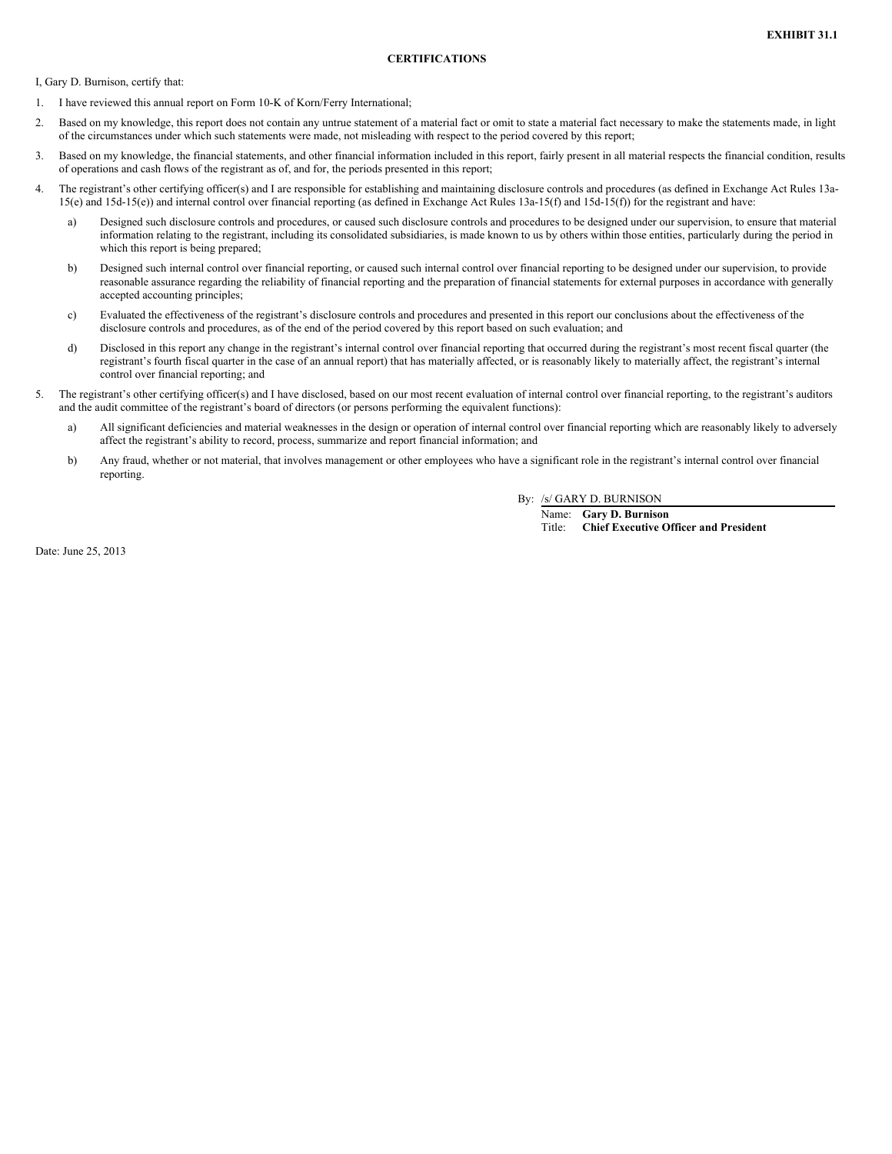I, Gary D. Burnison, certify that:

- 1. I have reviewed this annual report on Form 10-K of Korn/Ferry International;
- 2. Based on my knowledge, this report does not contain any untrue statement of a material fact or omit to state a material fact necessary to make the statements made, in light of the circumstances under which such statements were made, not misleading with respect to the period covered by this report;
- 3. Based on my knowledge, the financial statements, and other financial information included in this report, fairly present in all material respects the financial condition, results of operations and cash flows of the registrant as of, and for, the periods presented in this report;
- 4. The registrant's other certifying officer(s) and I are responsible for establishing and maintaining disclosure controls and procedures (as defined in Exchange Act Rules 13a-15(e) and 15d-15(e)) and internal control over financial reporting (as defined in Exchange Act Rules 13a-15(f) and 15d-15(f)) for the registrant and have:
	- a) Designed such disclosure controls and procedures, or caused such disclosure controls and procedures to be designed under our supervision, to ensure that material information relating to the registrant, including its consolidated subsidiaries, is made known to us by others within those entities, particularly during the period in which this report is being prepared;
	- b) Designed such internal control over financial reporting, or caused such internal control over financial reporting to be designed under our supervision, to provide reasonable assurance regarding the reliability of financial reporting and the preparation of financial statements for external purposes in accordance with generally accepted accounting principles;
	- c) Evaluated the effectiveness of the registrant's disclosure controls and procedures and presented in this report our conclusions about the effectiveness of the disclosure controls and procedures, as of the end of the period covered by this report based on such evaluation; and
	- d) Disclosed in this report any change in the registrant's internal control over financial reporting that occurred during the registrant's most recent fiscal quarter (the registrant's fourth fiscal quarter in the case of an annual report) that has materially affected, or is reasonably likely to materially affect, the registrant's internal control over financial reporting; and
- 5. The registrant's other certifying officer(s) and I have disclosed, based on our most recent evaluation of internal control over financial reporting, to the registrant's auditors and the audit committee of the registrant's board of directors (or persons performing the equivalent functions):
	- a) All significant deficiencies and material weaknesses in the design or operation of internal control over financial reporting which are reasonably likely to adversely affect the registrant's ability to record, process, summarize and report financial information; and
	- b) Any fraud, whether or not material, that involves management or other employees who have a significant role in the registrant's internal control over financial reporting.

By: /s/ GARY D. BURNISON

Name: **Gary D. Burnison Chief Executive Officer and President** 

Date: June 25, 2013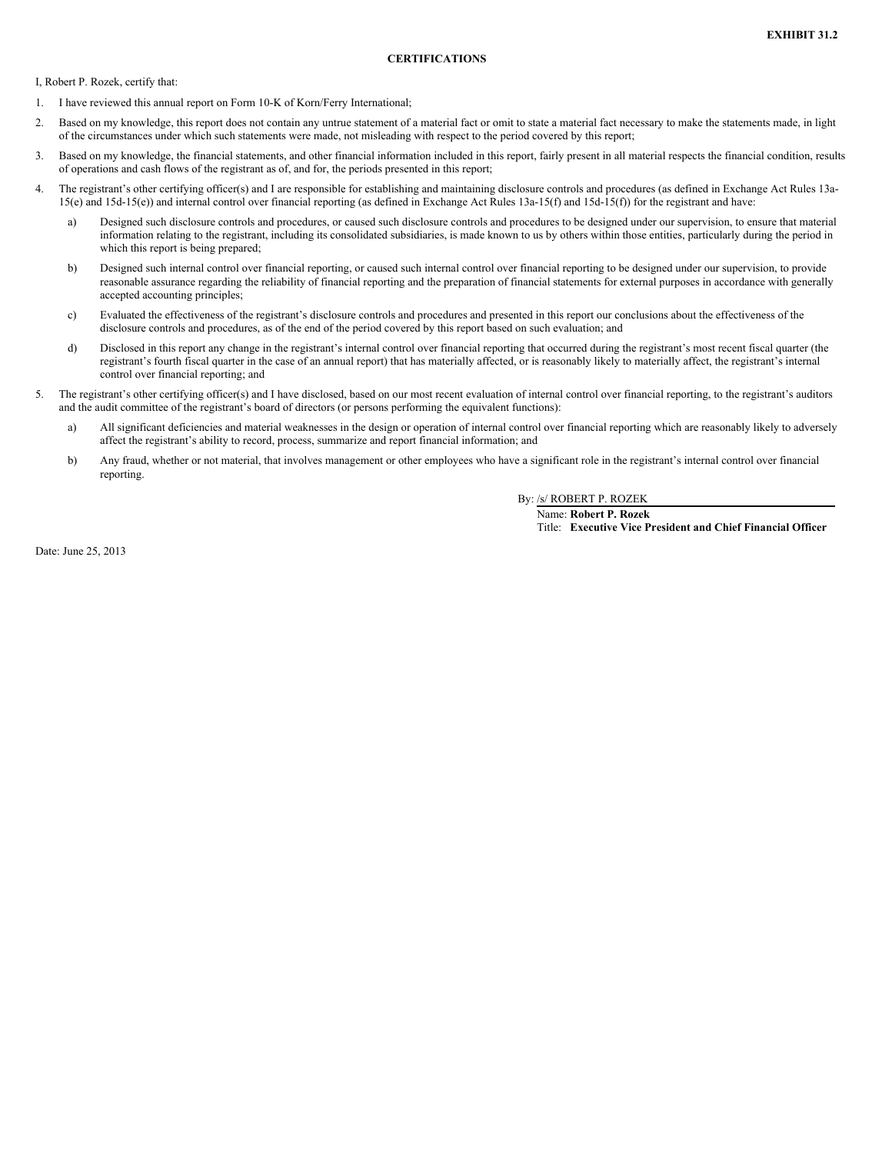I, Robert P. Rozek, certify that:

- 1. I have reviewed this annual report on Form 10-K of Korn/Ferry International;
- 2. Based on my knowledge, this report does not contain any untrue statement of a material fact or omit to state a material fact necessary to make the statements made, in light of the circumstances under which such statements were made, not misleading with respect to the period covered by this report;
- 3. Based on my knowledge, the financial statements, and other financial information included in this report, fairly present in all material respects the financial condition, results of operations and cash flows of the registrant as of, and for, the periods presented in this report;
- 4. The registrant's other certifying officer(s) and I are responsible for establishing and maintaining disclosure controls and procedures (as defined in Exchange Act Rules 13a-15(e) and 15d-15(e)) and internal control over financial reporting (as defined in Exchange Act Rules 13a-15(f) and 15d-15(f)) for the registrant and have:
	- a) Designed such disclosure controls and procedures, or caused such disclosure controls and procedures to be designed under our supervision, to ensure that material information relating to the registrant, including its consolidated subsidiaries, is made known to us by others within those entities, particularly during the period in which this report is being prepared;
	- b) Designed such internal control over financial reporting, or caused such internal control over financial reporting to be designed under our supervision, to provide reasonable assurance regarding the reliability of financial reporting and the preparation of financial statements for external purposes in accordance with generally accepted accounting principles;
	- c) Evaluated the effectiveness of the registrant's disclosure controls and procedures and presented in this report our conclusions about the effectiveness of the disclosure controls and procedures, as of the end of the period covered by this report based on such evaluation; and
	- d) Disclosed in this report any change in the registrant's internal control over financial reporting that occurred during the registrant's most recent fiscal quarter (the registrant's fourth fiscal quarter in the case of an annual report) that has materially affected, or is reasonably likely to materially affect, the registrant's internal control over financial reporting; and
- 5. The registrant's other certifying officer(s) and I have disclosed, based on our most recent evaluation of internal control over financial reporting, to the registrant's auditors and the audit committee of the registrant's board of directors (or persons performing the equivalent functions):
	- a) All significant deficiencies and material weaknesses in the design or operation of internal control over financial reporting which are reasonably likely to adversely affect the registrant's ability to record, process, summarize and report financial information; and
	- b) Any fraud, whether or not material, that involves management or other employees who have a significant role in the registrant's internal control over financial reporting.

By: /s/ ROBERT P. ROZEK

Name: **Robert P. Rozek** Title: **Executive Vice President and Chief Financial Officer**

Date: June 25, 2013